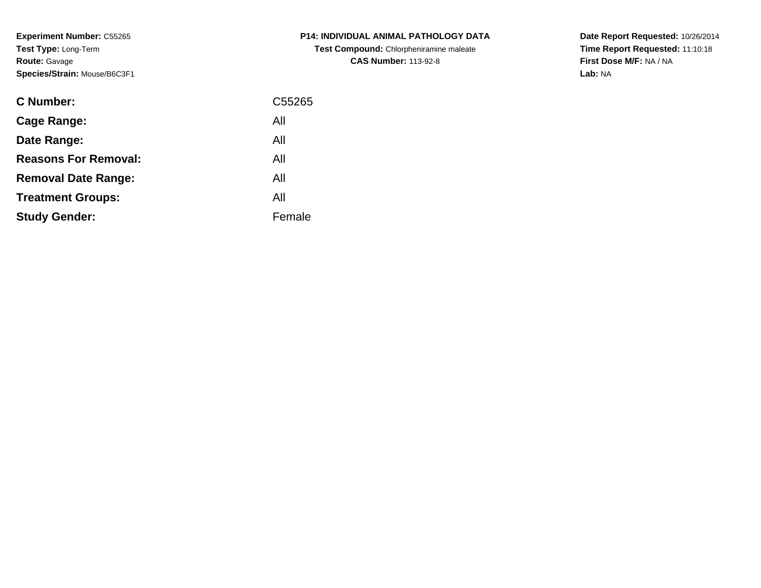**Experiment Number:** C55265**Test Type:** Long-Term**Route:** Gavage**Species/Strain:** Mouse/B6C3F1

| <b>C Number:</b>            | C <sub>55265</sub> |
|-----------------------------|--------------------|
| <b>Cage Range:</b>          | All                |
| Date Range:                 | All                |
| <b>Reasons For Removal:</b> | All                |
| <b>Removal Date Range:</b>  | All                |
| <b>Treatment Groups:</b>    | All                |
| <b>Study Gender:</b>        | Female             |
|                             |                    |

**P14: INDIVIDUAL ANIMAL PATHOLOGY DATATest Compound:** Chlorpheniramine maleate**CAS Number:** 113-92-8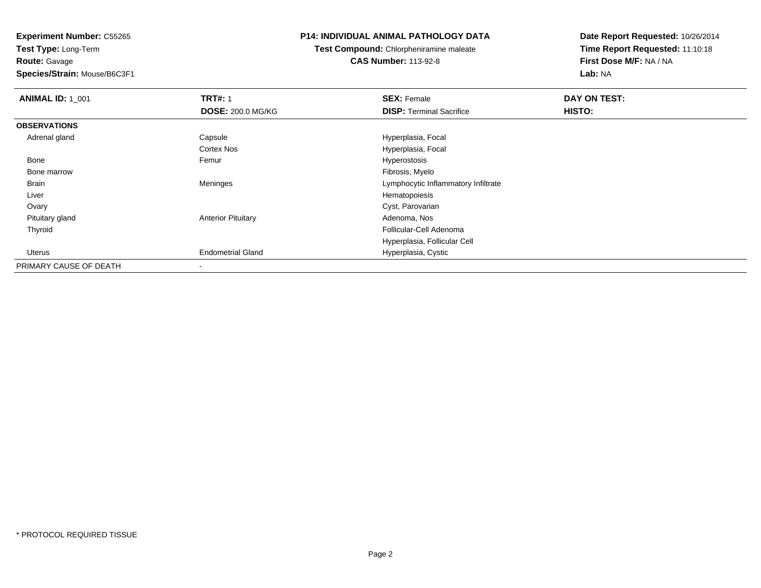**Route:** Gavage

**Species/Strain:** Mouse/B6C3F1

## **P14: INDIVIDUAL ANIMAL PATHOLOGY DATA**

**Test Compound:** Chlorpheniramine maleate**CAS Number:** 113-92-8

| <b>ANIMAL ID: 1_001</b> | <b>TRT#: 1</b>            | <b>SEX: Female</b>                  | DAY ON TEST: |  |
|-------------------------|---------------------------|-------------------------------------|--------------|--|
|                         | <b>DOSE: 200.0 MG/KG</b>  | <b>DISP:</b> Terminal Sacrifice     | HISTO:       |  |
| <b>OBSERVATIONS</b>     |                           |                                     |              |  |
| Adrenal gland           | Capsule                   | Hyperplasia, Focal                  |              |  |
|                         | <b>Cortex Nos</b>         | Hyperplasia, Focal                  |              |  |
| Bone                    | Femur                     | Hyperostosis                        |              |  |
| Bone marrow             |                           | Fibrosis, Myelo                     |              |  |
| Brain                   | Meninges                  | Lymphocytic Inflammatory Infiltrate |              |  |
| Liver                   |                           | Hematopoiesis                       |              |  |
| Ovary                   |                           | Cyst, Parovarian                    |              |  |
| Pituitary gland         | <b>Anterior Pituitary</b> | Adenoma, Nos                        |              |  |
| Thyroid                 |                           | Follicular-Cell Adenoma             |              |  |
|                         |                           | Hyperplasia, Follicular Cell        |              |  |
| <b>Uterus</b>           | <b>Endometrial Gland</b>  | Hyperplasia, Cystic                 |              |  |
| PRIMARY CAUSE OF DEATH  |                           |                                     |              |  |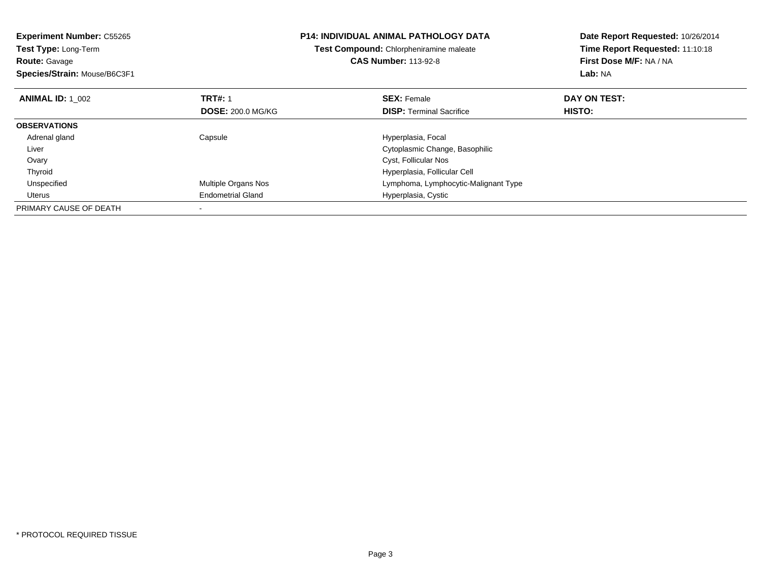| <b>Experiment Number: C55265</b><br><b>Test Type: Long-Term</b><br><b>Route: Gavage</b><br>Species/Strain: Mouse/B6C3F1 |                          | P14: INDIVIDUAL ANIMAL PATHOLOGY DATA<br>Test Compound: Chlorpheniramine maleate<br><b>CAS Number: 113-92-8</b> | Date Report Requested: 10/26/2014<br>Time Report Requested: 11:10:18<br>First Dose M/F: NA / NA<br><b>Lab: NA</b> |
|-------------------------------------------------------------------------------------------------------------------------|--------------------------|-----------------------------------------------------------------------------------------------------------------|-------------------------------------------------------------------------------------------------------------------|
| <b>ANIMAL ID: 1 002</b>                                                                                                 | <b>TRT#: 1</b>           | <b>SEX: Female</b>                                                                                              | DAY ON TEST:                                                                                                      |
|                                                                                                                         | <b>DOSE: 200.0 MG/KG</b> | <b>DISP: Terminal Sacrifice</b>                                                                                 | HISTO:                                                                                                            |
| <b>OBSERVATIONS</b>                                                                                                     |                          |                                                                                                                 |                                                                                                                   |
| Adrenal gland                                                                                                           | Capsule                  | Hyperplasia, Focal                                                                                              |                                                                                                                   |
| Liver                                                                                                                   |                          | Cytoplasmic Change, Basophilic                                                                                  |                                                                                                                   |
| Ovary                                                                                                                   |                          | Cyst, Follicular Nos                                                                                            |                                                                                                                   |
| Thyroid                                                                                                                 |                          | Hyperplasia, Follicular Cell                                                                                    |                                                                                                                   |
| Unspecified                                                                                                             | Multiple Organs Nos      | Lymphoma, Lymphocytic-Malignant Type                                                                            |                                                                                                                   |
| Uterus                                                                                                                  | <b>Endometrial Gland</b> | Hyperplasia, Cystic                                                                                             |                                                                                                                   |
| PRIMARY CAUSE OF DEATH                                                                                                  |                          |                                                                                                                 |                                                                                                                   |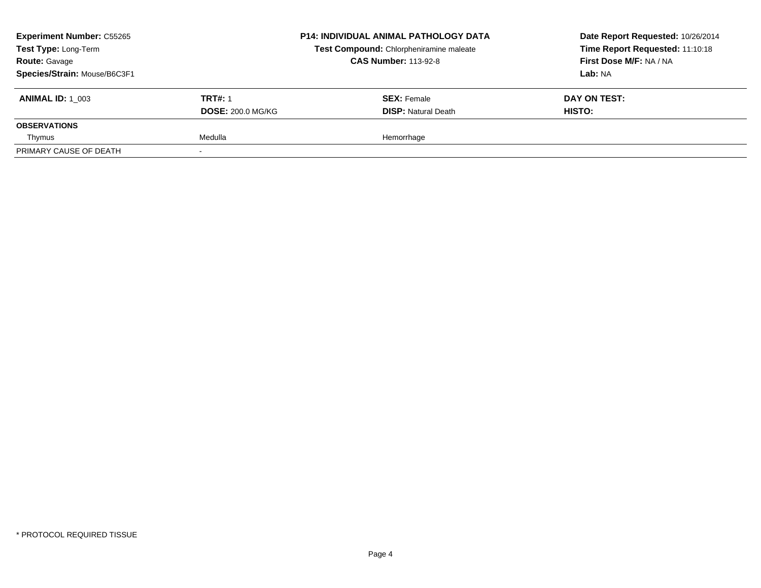| <b>Experiment Number: C55265</b><br>Test Type: Long-Term<br><b>Route: Gavage</b><br>Species/Strain: Mouse/B6C3F1 |                                            | <b>P14: INDIVIDUAL ANIMAL PATHOLOGY DATA</b><br>Test Compound: Chlorpheniramine maleate<br><b>CAS Number: 113-92-8</b> |               | Date Report Requested: 10/26/2014<br>Time Report Requested: 11:10:18<br>First Dose M/F: NA / NA<br><b>Lab: NA</b> |
|------------------------------------------------------------------------------------------------------------------|--------------------------------------------|------------------------------------------------------------------------------------------------------------------------|---------------|-------------------------------------------------------------------------------------------------------------------|
| <b>ANIMAL ID: 1 003</b>                                                                                          | <b>TRT#: 1</b><br><b>DOSE: 200.0 MG/KG</b> | <b>SEX: Female</b><br><b>DISP: Natural Death</b>                                                                       | <b>HISTO:</b> | DAY ON TEST:                                                                                                      |
| <b>OBSERVATIONS</b>                                                                                              |                                            |                                                                                                                        |               |                                                                                                                   |
| Thymus                                                                                                           | Medulla                                    | Hemorrhage                                                                                                             |               |                                                                                                                   |
| PRIMARY CAUSE OF DEATH                                                                                           |                                            |                                                                                                                        |               |                                                                                                                   |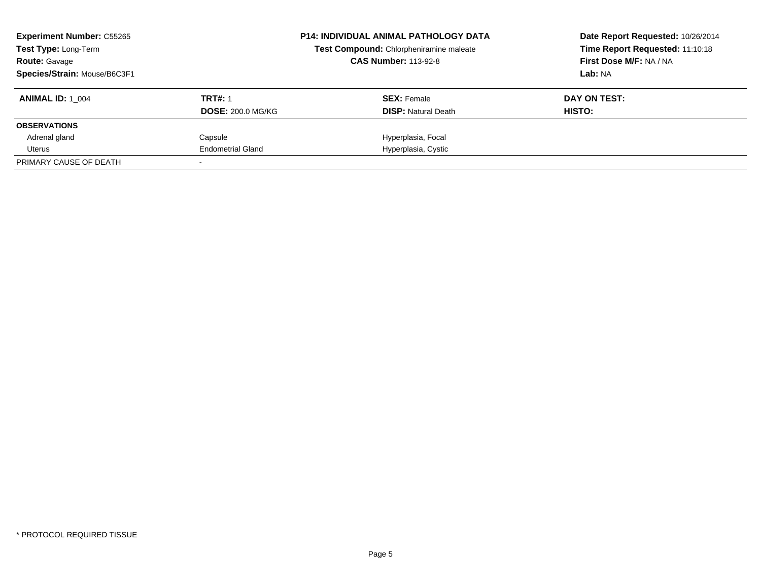| <b>Experiment Number: C55265</b><br>Test Type: Long-Term<br><b>Route: Gavage</b><br>Species/Strain: Mouse/B6C3F1 |                                            | <b>P14: INDIVIDUAL ANIMAL PATHOLOGY DATA</b><br>Test Compound: Chlorpheniramine maleate<br><b>CAS Number: 113-92-8</b> | Date Report Requested: 10/26/2014<br>Time Report Requested: 11:10:18<br>First Dose M/F: NA / NA<br>Lab: NA |  |
|------------------------------------------------------------------------------------------------------------------|--------------------------------------------|------------------------------------------------------------------------------------------------------------------------|------------------------------------------------------------------------------------------------------------|--|
| <b>ANIMAL ID:</b> 1 004                                                                                          | <b>TRT#: 1</b><br><b>DOSE: 200.0 MG/KG</b> | <b>SEX:</b> Female<br><b>DISP:</b> Natural Death                                                                       | DAY ON TEST:<br>HISTO:                                                                                     |  |
| <b>OBSERVATIONS</b>                                                                                              |                                            |                                                                                                                        |                                                                                                            |  |
| Adrenal gland                                                                                                    | Capsule                                    | Hyperplasia, Focal                                                                                                     |                                                                                                            |  |
| Uterus                                                                                                           | <b>Endometrial Gland</b>                   | Hyperplasia, Cystic                                                                                                    |                                                                                                            |  |
| PRIMARY CAUSE OF DEATH                                                                                           |                                            |                                                                                                                        |                                                                                                            |  |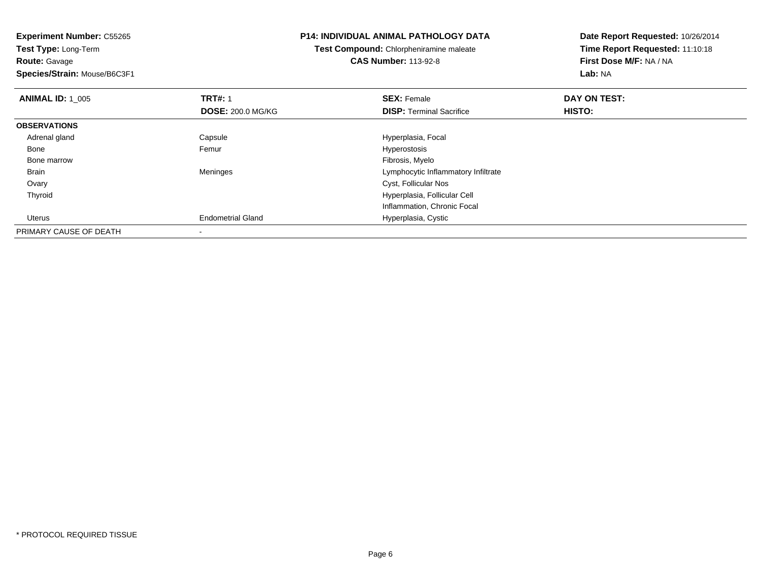# **Route:** Gavage

**Species/Strain:** Mouse/B6C3F1

### **P14: INDIVIDUAL ANIMAL PATHOLOGY DATA**

# **Test Compound:** Chlorpheniramine maleate**CAS Number:** 113-92-8

| <b>ANIMAL ID: 1_005</b> | <b>TRT#: 1</b><br><b>DOSE: 200.0 MG/KG</b> | <b>SEX: Female</b><br><b>DISP: Terminal Sacrifice</b> | DAY ON TEST:<br>HISTO: |  |
|-------------------------|--------------------------------------------|-------------------------------------------------------|------------------------|--|
| <b>OBSERVATIONS</b>     |                                            |                                                       |                        |  |
| Adrenal gland           | Capsule                                    | Hyperplasia, Focal                                    |                        |  |
| Bone                    | Femur                                      | Hyperostosis                                          |                        |  |
| Bone marrow             |                                            | Fibrosis, Myelo                                       |                        |  |
| <b>Brain</b>            | Meninges                                   | Lymphocytic Inflammatory Infiltrate                   |                        |  |
| Ovary                   |                                            | Cyst, Follicular Nos                                  |                        |  |
| Thyroid                 |                                            | Hyperplasia, Follicular Cell                          |                        |  |
|                         |                                            | Inflammation, Chronic Focal                           |                        |  |
| Uterus                  | <b>Endometrial Gland</b>                   | Hyperplasia, Cystic                                   |                        |  |
| PRIMARY CAUSE OF DEATH  | -                                          |                                                       |                        |  |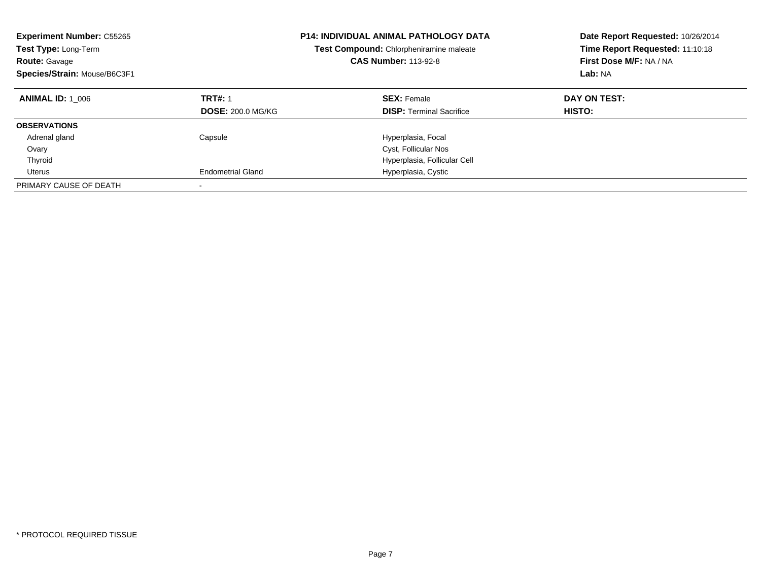| <b>Experiment Number: C55265</b><br>Test Type: Long-Term<br><b>Route: Gavage</b><br>Species/Strain: Mouse/B6C3F1 |                                            | <b>P14: INDIVIDUAL ANIMAL PATHOLOGY DATA</b><br>Test Compound: Chlorpheniramine maleate<br><b>CAS Number: 113-92-8</b> | Date Report Requested: 10/26/2014<br>Time Report Requested: 11:10:18<br>First Dose M/F: NA / NA<br>Lab: NA |
|------------------------------------------------------------------------------------------------------------------|--------------------------------------------|------------------------------------------------------------------------------------------------------------------------|------------------------------------------------------------------------------------------------------------|
| <b>ANIMAL ID: 1 006</b>                                                                                          | <b>TRT#: 1</b><br><b>DOSE: 200.0 MG/KG</b> | <b>SEX: Female</b><br><b>DISP:</b> Terminal Sacrifice                                                                  | DAY ON TEST:<br>HISTO:                                                                                     |
| <b>OBSERVATIONS</b>                                                                                              |                                            |                                                                                                                        |                                                                                                            |
| Adrenal gland                                                                                                    | Capsule                                    | Hyperplasia, Focal                                                                                                     |                                                                                                            |
| Ovary                                                                                                            |                                            | Cyst, Follicular Nos                                                                                                   |                                                                                                            |
| Thyroid                                                                                                          |                                            | Hyperplasia, Follicular Cell                                                                                           |                                                                                                            |
| Uterus                                                                                                           | <b>Endometrial Gland</b>                   | Hyperplasia, Cystic                                                                                                    |                                                                                                            |
| PRIMARY CAUSE OF DEATH                                                                                           |                                            |                                                                                                                        |                                                                                                            |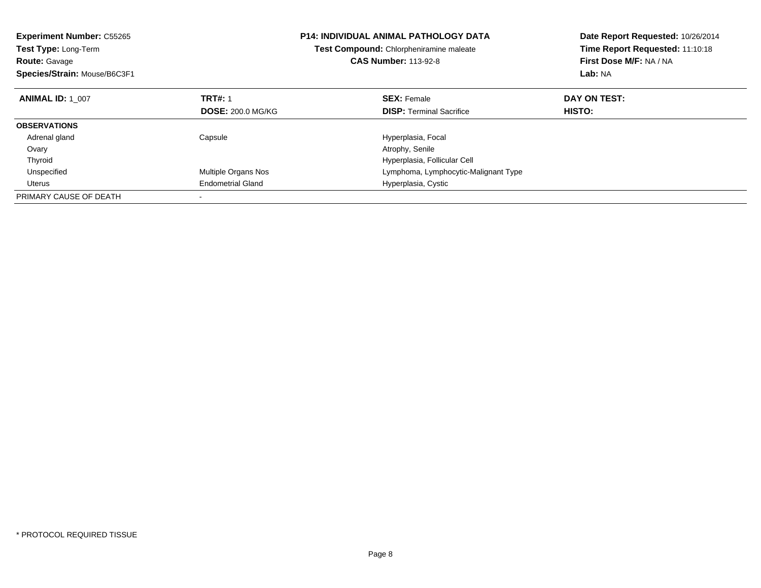| <b>Experiment Number: C55265</b><br><b>Test Type: Long-Term</b><br><b>Route: Gavage</b><br>Species/Strain: Mouse/B6C3F1 |                            | <b>P14: INDIVIDUAL ANIMAL PATHOLOGY DATA</b><br>Test Compound: Chlorpheniramine maleate<br><b>CAS Number: 113-92-8</b> | Date Report Requested: 10/26/2014<br>Time Report Requested: 11:10:18<br>First Dose M/F: NA / NA<br>Lab: NA |  |
|-------------------------------------------------------------------------------------------------------------------------|----------------------------|------------------------------------------------------------------------------------------------------------------------|------------------------------------------------------------------------------------------------------------|--|
| <b>ANIMAL ID: 1 007</b>                                                                                                 | <b>TRT#: 1</b>             | <b>SEX: Female</b>                                                                                                     | DAY ON TEST:                                                                                               |  |
|                                                                                                                         | <b>DOSE: 200.0 MG/KG</b>   | <b>DISP:</b> Terminal Sacrifice                                                                                        | <b>HISTO:</b>                                                                                              |  |
| <b>OBSERVATIONS</b>                                                                                                     |                            |                                                                                                                        |                                                                                                            |  |
| Adrenal gland                                                                                                           | Capsule                    | Hyperplasia, Focal                                                                                                     |                                                                                                            |  |
| Ovary                                                                                                                   |                            | Atrophy, Senile                                                                                                        |                                                                                                            |  |
| Thyroid                                                                                                                 |                            | Hyperplasia, Follicular Cell                                                                                           |                                                                                                            |  |
| Unspecified                                                                                                             | <b>Multiple Organs Nos</b> | Lymphoma, Lymphocytic-Malignant Type                                                                                   |                                                                                                            |  |
| Uterus                                                                                                                  | <b>Endometrial Gland</b>   | Hyperplasia, Cystic                                                                                                    |                                                                                                            |  |
| PRIMARY CAUSE OF DEATH                                                                                                  |                            |                                                                                                                        |                                                                                                            |  |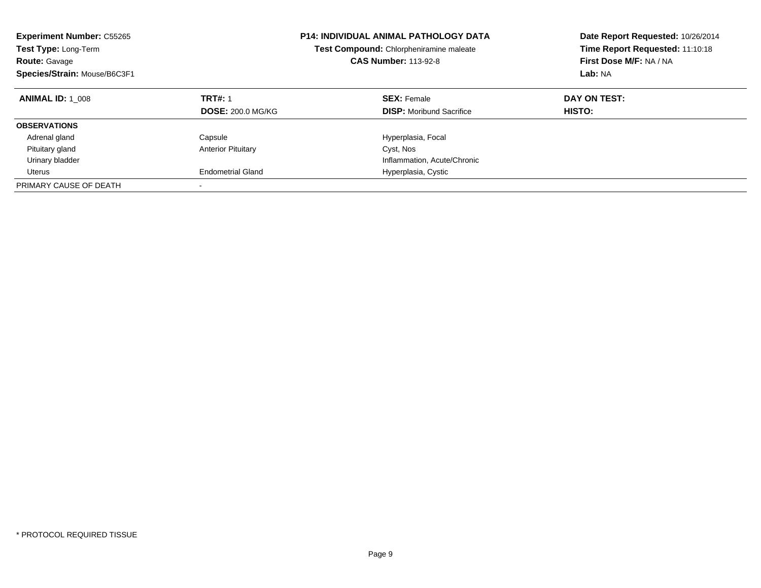| <b>Experiment Number: C55265</b><br>Test Type: Long-Term<br><b>Route: Gavage</b><br>Species/Strain: Mouse/B6C3F1 |                                            | <b>P14: INDIVIDUAL ANIMAL PATHOLOGY DATA</b><br>Test Compound: Chlorpheniramine maleate<br><b>CAS Number: 113-92-8</b> | Date Report Requested: 10/26/2014<br>Time Report Requested: 11:10:18<br>First Dose M/F: NA / NA<br>Lab: NA |
|------------------------------------------------------------------------------------------------------------------|--------------------------------------------|------------------------------------------------------------------------------------------------------------------------|------------------------------------------------------------------------------------------------------------|
| <b>ANIMAL ID: 1 008</b>                                                                                          | <b>TRT#: 1</b><br><b>DOSE: 200.0 MG/KG</b> | <b>SEX: Female</b><br><b>DISP:</b> Moribund Sacrifice                                                                  | DAY ON TEST:<br>HISTO:                                                                                     |
|                                                                                                                  |                                            |                                                                                                                        |                                                                                                            |
| <b>OBSERVATIONS</b>                                                                                              |                                            |                                                                                                                        |                                                                                                            |
| Adrenal gland                                                                                                    | Capsule                                    | Hyperplasia, Focal                                                                                                     |                                                                                                            |
| Pituitary gland                                                                                                  | <b>Anterior Pituitary</b>                  | Cyst, Nos                                                                                                              |                                                                                                            |
| Urinary bladder                                                                                                  |                                            | Inflammation, Acute/Chronic                                                                                            |                                                                                                            |
| Uterus                                                                                                           | <b>Endometrial Gland</b>                   | Hyperplasia, Cystic                                                                                                    |                                                                                                            |
| PRIMARY CAUSE OF DEATH                                                                                           |                                            |                                                                                                                        |                                                                                                            |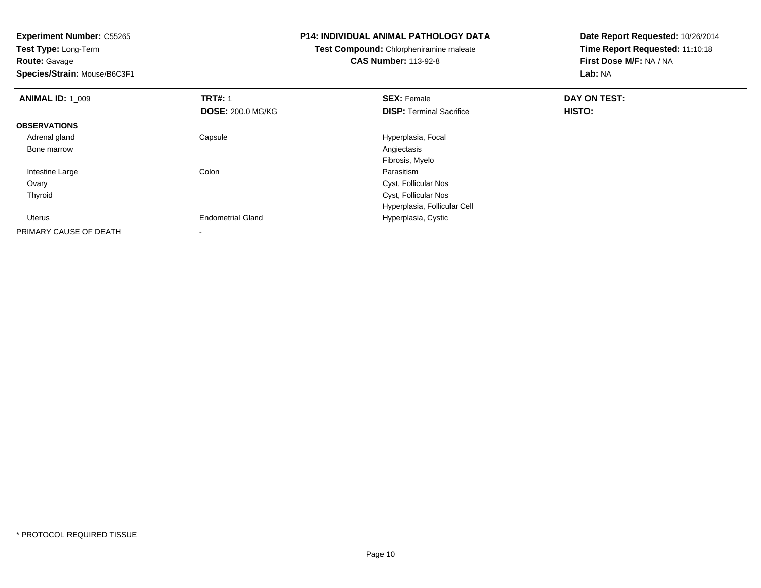| <b>Experiment Number: C55265</b> |                          | <b>P14: INDIVIDUAL ANIMAL PATHOLOGY DATA</b> | Date Report Requested: 10/26/2014 |  |
|----------------------------------|--------------------------|----------------------------------------------|-----------------------------------|--|
| Test Type: Long-Term             |                          | Test Compound: Chlorpheniramine maleate      | Time Report Requested: 11:10:18   |  |
| Route: Gavage                    |                          | <b>CAS Number: 113-92-8</b>                  | First Dose M/F: NA / NA           |  |
| Species/Strain: Mouse/B6C3F1     |                          |                                              | Lab: NA                           |  |
| <b>ANIMAL ID: 1_009</b>          | <b>TRT#: 1</b>           | <b>SEX: Female</b>                           | DAY ON TEST:                      |  |
|                                  | <b>DOSE: 200.0 MG/KG</b> | <b>DISP:</b> Terminal Sacrifice              | <b>HISTO:</b>                     |  |
| <b>OBSERVATIONS</b>              |                          |                                              |                                   |  |
| Adrenal gland                    | Capsule                  | Hyperplasia, Focal                           |                                   |  |
| Bone marrow                      |                          | Angiectasis                                  |                                   |  |
|                                  |                          | Fibrosis, Myelo                              |                                   |  |
| Intestine Large                  | Colon                    | Parasitism                                   |                                   |  |
| Ovary                            |                          | Cyst, Follicular Nos                         |                                   |  |
| Thyroid                          |                          | Cyst, Follicular Nos                         |                                   |  |
|                                  |                          | Hyperplasia, Follicular Cell                 |                                   |  |
| Uterus                           | <b>Endometrial Gland</b> | Hyperplasia, Cystic                          |                                   |  |
| PRIMARY CAUSE OF DEATH           |                          |                                              |                                   |  |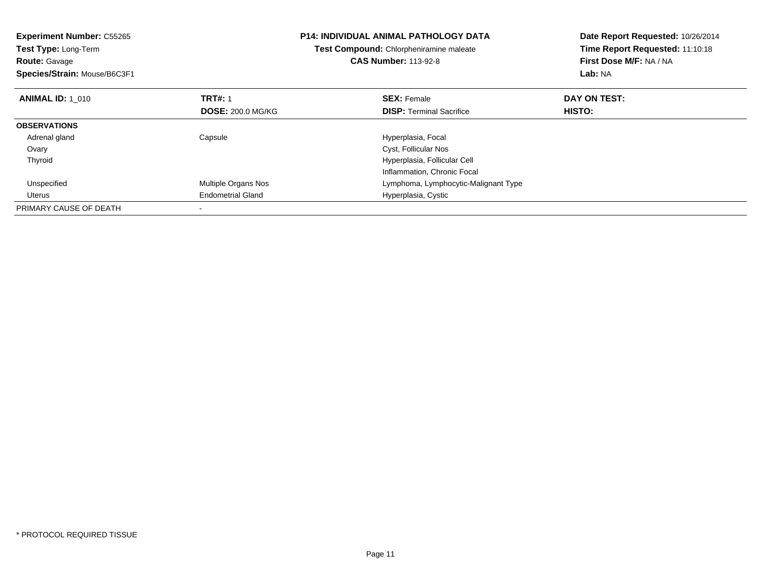| <b>Experiment Number: C55265</b><br><b>Test Type: Long-Term</b><br><b>Route: Gavage</b><br>Species/Strain: Mouse/B6C3F1 |                            | <b>P14: INDIVIDUAL ANIMAL PATHOLOGY DATA</b><br>Test Compound: Chlorpheniramine maleate<br><b>CAS Number: 113-92-8</b> | Date Report Requested: 10/26/2014<br>Time Report Requested: 11:10:18<br>First Dose M/F: NA / NA<br>Lab: NA |
|-------------------------------------------------------------------------------------------------------------------------|----------------------------|------------------------------------------------------------------------------------------------------------------------|------------------------------------------------------------------------------------------------------------|
| <b>ANIMAL ID: 1_010</b>                                                                                                 | <b>TRT#: 1</b>             | <b>SEX: Female</b>                                                                                                     | DAY ON TEST:                                                                                               |
|                                                                                                                         | <b>DOSE: 200.0 MG/KG</b>   | <b>DISP:</b> Terminal Sacrifice                                                                                        | HISTO:                                                                                                     |
| <b>OBSERVATIONS</b>                                                                                                     |                            |                                                                                                                        |                                                                                                            |
| Adrenal gland                                                                                                           | Capsule                    | Hyperplasia, Focal                                                                                                     |                                                                                                            |
| Ovary                                                                                                                   |                            | Cyst, Follicular Nos                                                                                                   |                                                                                                            |
| Thyroid                                                                                                                 |                            | Hyperplasia, Follicular Cell                                                                                           |                                                                                                            |
|                                                                                                                         |                            | Inflammation, Chronic Focal                                                                                            |                                                                                                            |
| Unspecified                                                                                                             | <b>Multiple Organs Nos</b> | Lymphoma, Lymphocytic-Malignant Type                                                                                   |                                                                                                            |
| Uterus                                                                                                                  | <b>Endometrial Gland</b>   | Hyperplasia, Cystic                                                                                                    |                                                                                                            |
| PRIMARY CAUSE OF DEATH                                                                                                  |                            |                                                                                                                        |                                                                                                            |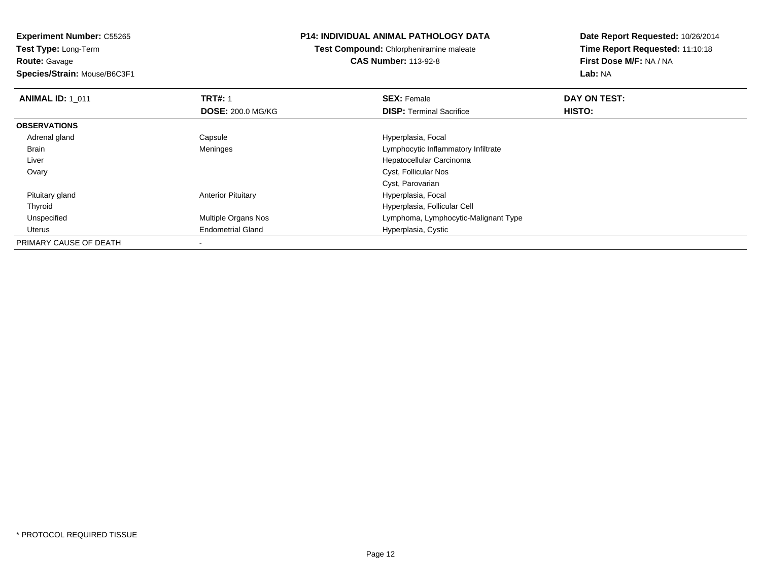**Route:** Gavage

**Species/Strain:** Mouse/B6C3F1

## **P14: INDIVIDUAL ANIMAL PATHOLOGY DATA**

# **Test Compound:** Chlorpheniramine maleate**CAS Number:** 113-92-8

| <b>ANIMAL ID: 1 011</b> | <b>TRT#: 1</b>             | <b>SEX: Female</b>                   | DAY ON TEST: |  |
|-------------------------|----------------------------|--------------------------------------|--------------|--|
|                         | <b>DOSE: 200.0 MG/KG</b>   | <b>DISP:</b> Terminal Sacrifice      | HISTO:       |  |
| <b>OBSERVATIONS</b>     |                            |                                      |              |  |
| Adrenal gland           | Capsule                    | Hyperplasia, Focal                   |              |  |
| <b>Brain</b>            | Meninges                   | Lymphocytic Inflammatory Infiltrate  |              |  |
| Liver                   |                            | Hepatocellular Carcinoma             |              |  |
| Ovary                   |                            | Cyst, Follicular Nos                 |              |  |
|                         |                            | Cyst, Parovarian                     |              |  |
| Pituitary gland         | <b>Anterior Pituitary</b>  | Hyperplasia, Focal                   |              |  |
| Thyroid                 |                            | Hyperplasia, Follicular Cell         |              |  |
| Unspecified             | <b>Multiple Organs Nos</b> | Lymphoma, Lymphocytic-Malignant Type |              |  |
| Uterus                  | <b>Endometrial Gland</b>   | Hyperplasia, Cystic                  |              |  |
| PRIMARY CAUSE OF DEATH  |                            |                                      |              |  |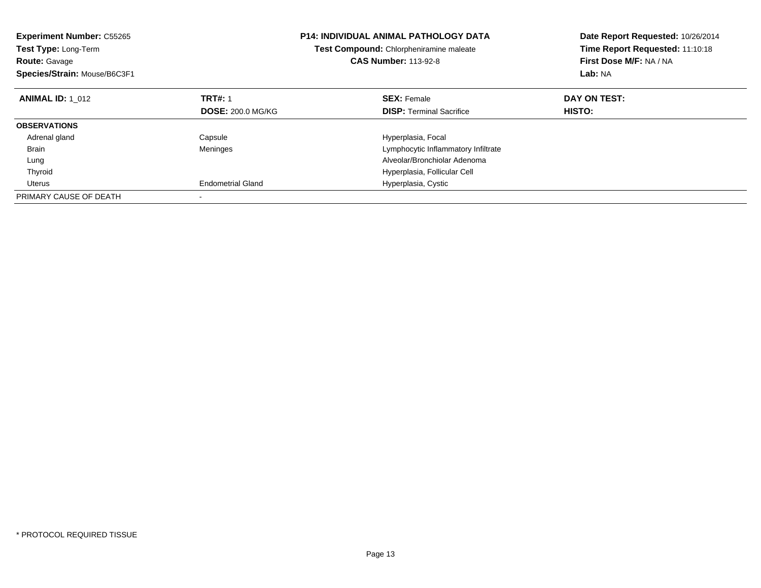| <b>Experiment Number: C55265</b><br>Test Type: Long-Term<br><b>Route: Gavage</b><br>Species/Strain: Mouse/B6C3F1 |                          | <b>P14: INDIVIDUAL ANIMAL PATHOLOGY DATA</b><br>Test Compound: Chlorpheniramine maleate<br><b>CAS Number: 113-92-8</b> | Date Report Requested: 10/26/2014<br>Time Report Requested: 11:10:18<br>First Dose M/F: NA / NA<br>Lab: NA |
|------------------------------------------------------------------------------------------------------------------|--------------------------|------------------------------------------------------------------------------------------------------------------------|------------------------------------------------------------------------------------------------------------|
| <b>ANIMAL ID: 1 012</b>                                                                                          | <b>TRT#: 1</b>           | <b>SEX: Female</b>                                                                                                     | DAY ON TEST:                                                                                               |
|                                                                                                                  | <b>DOSE: 200.0 MG/KG</b> | <b>DISP:</b> Terminal Sacrifice                                                                                        | <b>HISTO:</b>                                                                                              |
| <b>OBSERVATIONS</b>                                                                                              |                          |                                                                                                                        |                                                                                                            |
| Adrenal gland                                                                                                    | Capsule                  | Hyperplasia, Focal                                                                                                     |                                                                                                            |
| Brain                                                                                                            | Meninges                 | Lymphocytic Inflammatory Infiltrate                                                                                    |                                                                                                            |
| Lung                                                                                                             |                          | Alveolar/Bronchiolar Adenoma                                                                                           |                                                                                                            |
| Thyroid                                                                                                          |                          | Hyperplasia, Follicular Cell                                                                                           |                                                                                                            |
| Uterus                                                                                                           | <b>Endometrial Gland</b> | Hyperplasia, Cystic                                                                                                    |                                                                                                            |
| PRIMARY CAUSE OF DEATH                                                                                           |                          |                                                                                                                        |                                                                                                            |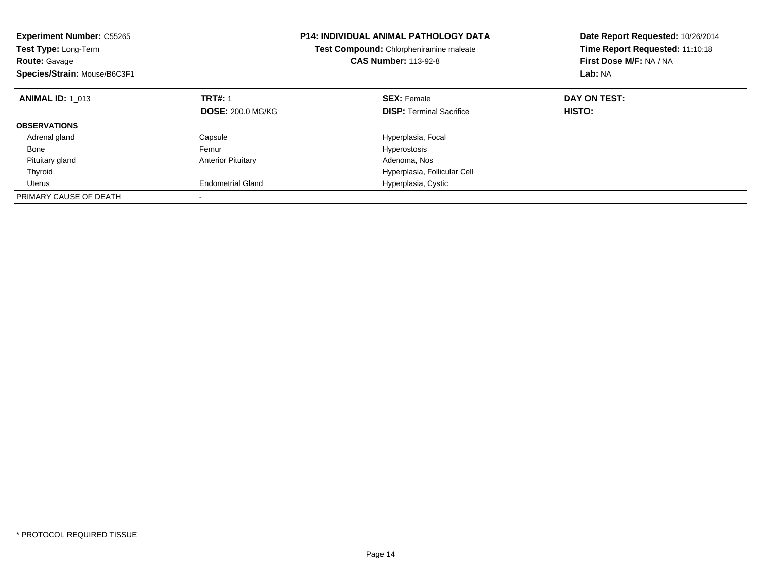| <b>Experiment Number: C55265</b><br>Test Type: Long-Term<br><b>Route: Gavage</b><br>Species/Strain: Mouse/B6C3F1 |                           | <b>P14: INDIVIDUAL ANIMAL PATHOLOGY DATA</b><br>Test Compound: Chlorpheniramine maleate<br><b>CAS Number: 113-92-8</b> | Date Report Requested: 10/26/2014<br>Time Report Requested: 11:10:18<br>First Dose M/F: NA / NA<br>Lab: NA |
|------------------------------------------------------------------------------------------------------------------|---------------------------|------------------------------------------------------------------------------------------------------------------------|------------------------------------------------------------------------------------------------------------|
| <b>ANIMAL ID: 1 013</b>                                                                                          | <b>TRT#: 1</b>            | <b>SEX: Female</b>                                                                                                     | DAY ON TEST:                                                                                               |
|                                                                                                                  | <b>DOSE: 200.0 MG/KG</b>  | <b>DISP:</b> Terminal Sacrifice                                                                                        | HISTO:                                                                                                     |
| <b>OBSERVATIONS</b>                                                                                              |                           |                                                                                                                        |                                                                                                            |
| Adrenal gland                                                                                                    | Capsule                   | Hyperplasia, Focal                                                                                                     |                                                                                                            |
| Bone                                                                                                             | Femur                     | Hyperostosis                                                                                                           |                                                                                                            |
| Pituitary gland                                                                                                  | <b>Anterior Pituitary</b> | Adenoma, Nos                                                                                                           |                                                                                                            |
| Thyroid                                                                                                          |                           | Hyperplasia, Follicular Cell                                                                                           |                                                                                                            |
| Uterus                                                                                                           | <b>Endometrial Gland</b>  | Hyperplasia, Cystic                                                                                                    |                                                                                                            |
| PRIMARY CAUSE OF DEATH                                                                                           |                           |                                                                                                                        |                                                                                                            |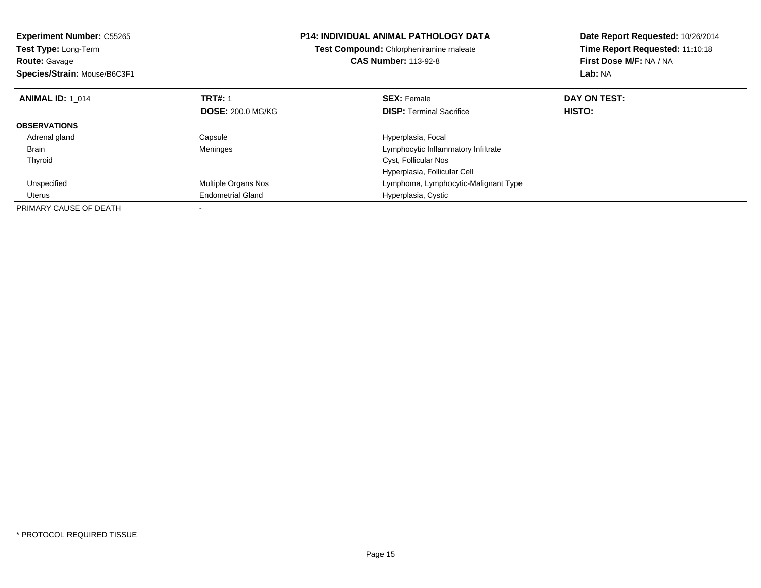| <b>Experiment Number: C55265</b><br><b>Test Type: Long-Term</b><br><b>Route: Gavage</b><br>Species/Strain: Mouse/B6C3F1 |                          | <b>P14: INDIVIDUAL ANIMAL PATHOLOGY DATA</b><br>Test Compound: Chlorpheniramine maleate<br><b>CAS Number: 113-92-8</b> | Date Report Requested: 10/26/2014<br>Time Report Requested: 11:10:18<br>First Dose M/F: NA / NA<br>Lab: NA |
|-------------------------------------------------------------------------------------------------------------------------|--------------------------|------------------------------------------------------------------------------------------------------------------------|------------------------------------------------------------------------------------------------------------|
| <b>ANIMAL ID: 1 014</b>                                                                                                 | <b>TRT#: 1</b>           | <b>SEX: Female</b>                                                                                                     | DAY ON TEST:                                                                                               |
|                                                                                                                         | <b>DOSE: 200.0 MG/KG</b> | <b>DISP:</b> Terminal Sacrifice                                                                                        | <b>HISTO:</b>                                                                                              |
| <b>OBSERVATIONS</b>                                                                                                     |                          |                                                                                                                        |                                                                                                            |
| Adrenal gland                                                                                                           | Capsule                  | Hyperplasia, Focal                                                                                                     |                                                                                                            |
| Brain                                                                                                                   | Meninges                 | Lymphocytic Inflammatory Infiltrate                                                                                    |                                                                                                            |
| Thyroid                                                                                                                 |                          | Cyst, Follicular Nos                                                                                                   |                                                                                                            |
|                                                                                                                         |                          | Hyperplasia, Follicular Cell                                                                                           |                                                                                                            |
| Unspecified                                                                                                             | Multiple Organs Nos      | Lymphoma, Lymphocytic-Malignant Type                                                                                   |                                                                                                            |
| Uterus                                                                                                                  | <b>Endometrial Gland</b> | Hyperplasia, Cystic                                                                                                    |                                                                                                            |
| PRIMARY CAUSE OF DEATH                                                                                                  |                          |                                                                                                                        |                                                                                                            |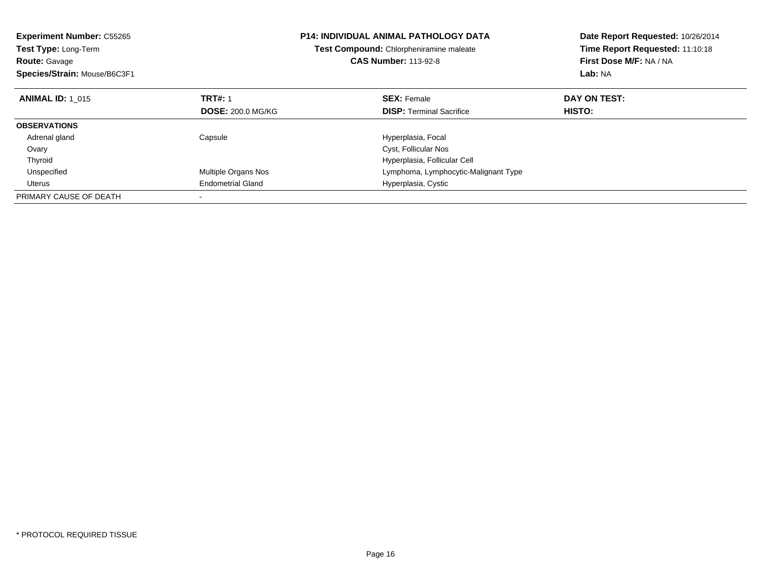| <b>Experiment Number: C55265</b><br><b>Test Type: Long-Term</b><br><b>Route: Gavage</b><br>Species/Strain: Mouse/B6C3F1 |                          | <b>P14: INDIVIDUAL ANIMAL PATHOLOGY DATA</b><br>Test Compound: Chlorpheniramine maleate<br><b>CAS Number: 113-92-8</b> | Date Report Requested: 10/26/2014<br>Time Report Requested: 11:10:18<br>First Dose M/F: NA / NA<br>Lab: NA |
|-------------------------------------------------------------------------------------------------------------------------|--------------------------|------------------------------------------------------------------------------------------------------------------------|------------------------------------------------------------------------------------------------------------|
| <b>ANIMAL ID: 1 015</b>                                                                                                 | <b>TRT#: 1</b>           | <b>SEX: Female</b>                                                                                                     | DAY ON TEST:                                                                                               |
|                                                                                                                         | <b>DOSE: 200.0 MG/KG</b> | <b>DISP:</b> Terminal Sacrifice                                                                                        | HISTO:                                                                                                     |
| <b>OBSERVATIONS</b>                                                                                                     |                          |                                                                                                                        |                                                                                                            |
| Adrenal gland                                                                                                           | Capsule                  | Hyperplasia, Focal                                                                                                     |                                                                                                            |
| Ovary                                                                                                                   |                          | Cyst, Follicular Nos                                                                                                   |                                                                                                            |
| Thyroid                                                                                                                 |                          | Hyperplasia, Follicular Cell                                                                                           |                                                                                                            |
| Unspecified                                                                                                             | Multiple Organs Nos      | Lymphoma, Lymphocytic-Malignant Type                                                                                   |                                                                                                            |
| Uterus                                                                                                                  | <b>Endometrial Gland</b> | Hyperplasia, Cystic                                                                                                    |                                                                                                            |
| PRIMARY CAUSE OF DEATH                                                                                                  |                          |                                                                                                                        |                                                                                                            |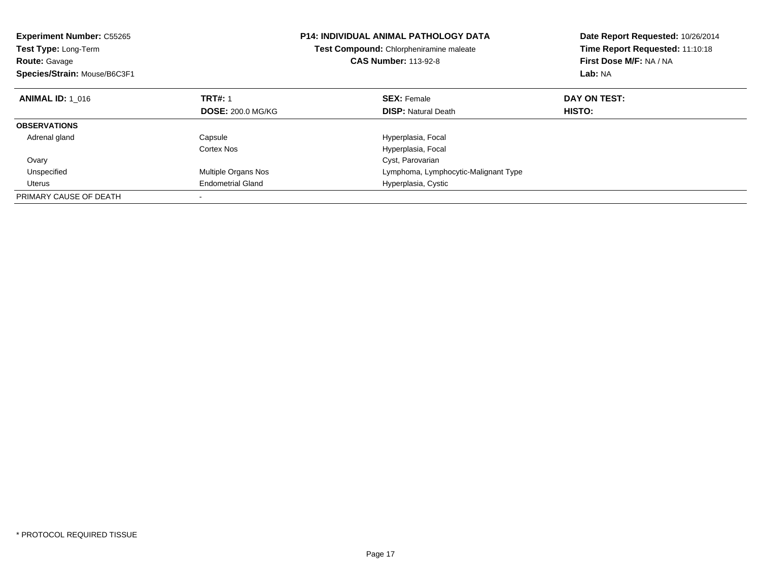| <b>Experiment Number: C55265</b><br><b>Test Type: Long-Term</b><br>Route: Gavage<br>Species/Strain: Mouse/B6C3F1 |                          | <b>P14: INDIVIDUAL ANIMAL PATHOLOGY DATA</b><br>Test Compound: Chlorpheniramine maleate<br><b>CAS Number: 113-92-8</b> | Date Report Requested: 10/26/2014<br>Time Report Requested: 11:10:18<br>First Dose M/F: NA / NA<br>Lab: NA |
|------------------------------------------------------------------------------------------------------------------|--------------------------|------------------------------------------------------------------------------------------------------------------------|------------------------------------------------------------------------------------------------------------|
| <b>ANIMAL ID: 1 016</b>                                                                                          | <b>TRT#: 1</b>           | <b>SEX: Female</b>                                                                                                     | DAY ON TEST:                                                                                               |
|                                                                                                                  | <b>DOSE: 200.0 MG/KG</b> | <b>DISP:</b> Natural Death                                                                                             | HISTO:                                                                                                     |
| <b>OBSERVATIONS</b>                                                                                              |                          |                                                                                                                        |                                                                                                            |
| Adrenal gland                                                                                                    | Capsule                  | Hyperplasia, Focal                                                                                                     |                                                                                                            |
|                                                                                                                  | <b>Cortex Nos</b>        | Hyperplasia, Focal                                                                                                     |                                                                                                            |
| Ovary                                                                                                            |                          | Cyst, Parovarian                                                                                                       |                                                                                                            |
| Unspecified                                                                                                      | Multiple Organs Nos      | Lymphoma, Lymphocytic-Malignant Type                                                                                   |                                                                                                            |
| Uterus                                                                                                           | <b>Endometrial Gland</b> | Hyperplasia, Cystic                                                                                                    |                                                                                                            |
| PRIMARY CAUSE OF DEATH                                                                                           |                          |                                                                                                                        |                                                                                                            |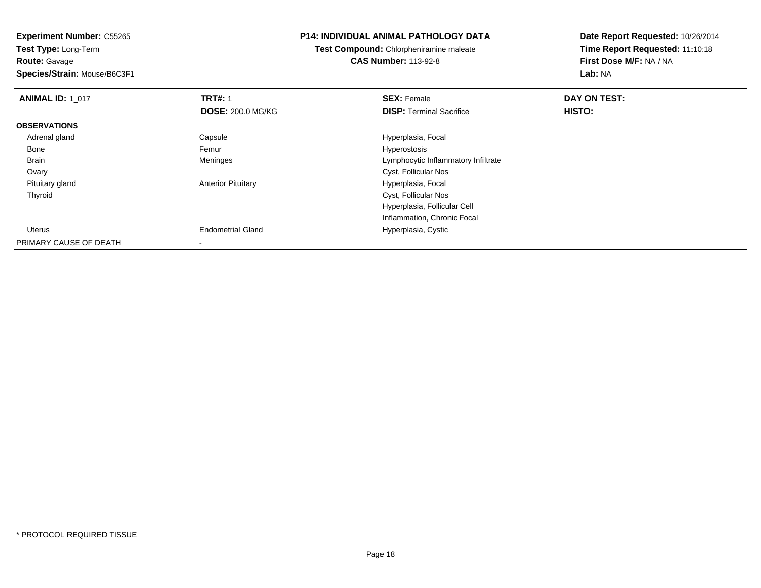**Experiment Number:** C55265**Test Type:** Long-Term**Route:** Gavage

**Species/Strain:** Mouse/B6C3F1

### **P14: INDIVIDUAL ANIMAL PATHOLOGY DATA**

**Test Compound:** Chlorpheniramine maleate**CAS Number:** 113-92-8

| <b>ANIMAL ID: 1 017</b> | <b>TRT#: 1</b>            | <b>SEX: Female</b>                  | DAY ON TEST: |  |
|-------------------------|---------------------------|-------------------------------------|--------------|--|
|                         | <b>DOSE: 200.0 MG/KG</b>  | <b>DISP: Terminal Sacrifice</b>     | HISTO:       |  |
| <b>OBSERVATIONS</b>     |                           |                                     |              |  |
| Adrenal gland           | Capsule                   | Hyperplasia, Focal                  |              |  |
| Bone                    | Femur                     | Hyperostosis                        |              |  |
| Brain                   | Meninges                  | Lymphocytic Inflammatory Infiltrate |              |  |
| Ovary                   |                           | Cyst, Follicular Nos                |              |  |
| Pituitary gland         | <b>Anterior Pituitary</b> | Hyperplasia, Focal                  |              |  |
| Thyroid                 |                           | Cyst, Follicular Nos                |              |  |
|                         |                           | Hyperplasia, Follicular Cell        |              |  |
|                         |                           | Inflammation, Chronic Focal         |              |  |
| Uterus                  | <b>Endometrial Gland</b>  | Hyperplasia, Cystic                 |              |  |
| PRIMARY CAUSE OF DEATH  |                           |                                     |              |  |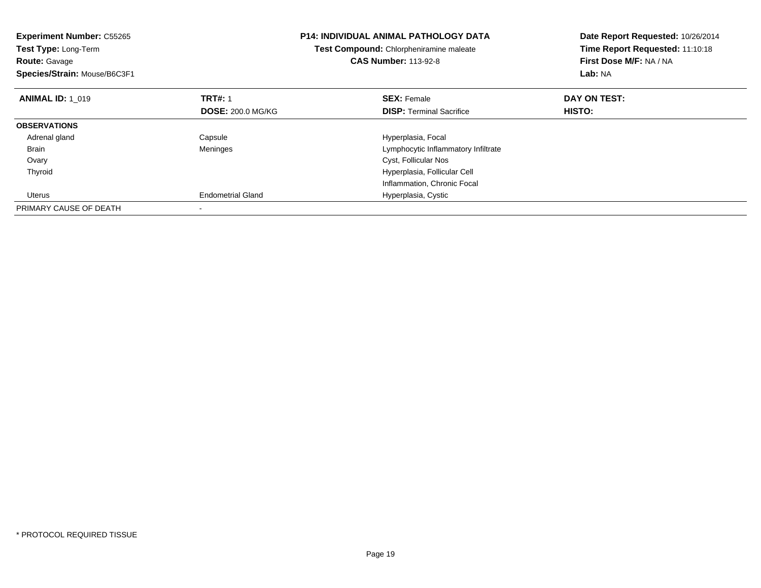| <b>Experiment Number: C55265</b><br>Test Type: Long-Term<br><b>Route: Gavage</b><br>Species/Strain: Mouse/B6C3F1 |                          | <b>P14: INDIVIDUAL ANIMAL PATHOLOGY DATA</b><br>Test Compound: Chlorpheniramine maleate<br><b>CAS Number: 113-92-8</b> | Date Report Requested: 10/26/2014<br>Time Report Requested: 11:10:18<br>First Dose M/F: NA / NA<br>Lab: NA |
|------------------------------------------------------------------------------------------------------------------|--------------------------|------------------------------------------------------------------------------------------------------------------------|------------------------------------------------------------------------------------------------------------|
| <b>ANIMAL ID: 1 019</b>                                                                                          | <b>TRT#: 1</b>           | <b>SEX: Female</b>                                                                                                     | DAY ON TEST:                                                                                               |
|                                                                                                                  | <b>DOSE: 200.0 MG/KG</b> | <b>DISP:</b> Terminal Sacrifice                                                                                        | <b>HISTO:</b>                                                                                              |
| <b>OBSERVATIONS</b>                                                                                              |                          |                                                                                                                        |                                                                                                            |
| Adrenal gland                                                                                                    | Capsule                  | Hyperplasia, Focal                                                                                                     |                                                                                                            |
| <b>Brain</b>                                                                                                     | Meninges                 | Lymphocytic Inflammatory Infiltrate                                                                                    |                                                                                                            |
| Ovary                                                                                                            |                          | Cyst, Follicular Nos                                                                                                   |                                                                                                            |
| Thyroid                                                                                                          |                          | Hyperplasia, Follicular Cell                                                                                           |                                                                                                            |
|                                                                                                                  |                          | Inflammation, Chronic Focal                                                                                            |                                                                                                            |
| Uterus                                                                                                           | <b>Endometrial Gland</b> | Hyperplasia, Cystic                                                                                                    |                                                                                                            |
| PRIMARY CAUSE OF DEATH                                                                                           |                          |                                                                                                                        |                                                                                                            |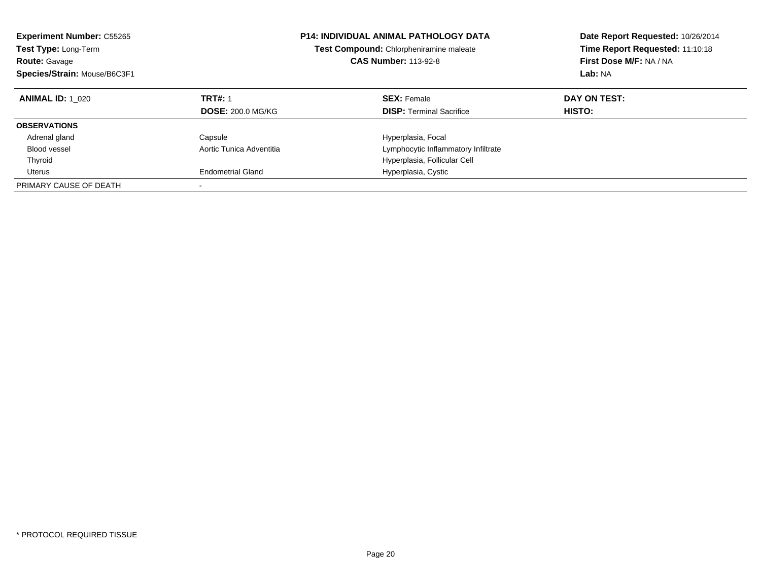| <b>Experiment Number: C55265</b><br>Test Type: Long-Term<br><b>Route: Gavage</b><br>Species/Strain: Mouse/B6C3F1 |                          | <b>P14: INDIVIDUAL ANIMAL PATHOLOGY DATA</b><br>Test Compound: Chlorpheniramine maleate<br><b>CAS Number: 113-92-8</b> | Date Report Requested: 10/26/2014<br>Time Report Requested: 11:10:18<br>First Dose M/F: NA / NA<br>Lab: NA |
|------------------------------------------------------------------------------------------------------------------|--------------------------|------------------------------------------------------------------------------------------------------------------------|------------------------------------------------------------------------------------------------------------|
| <b>ANIMAL ID: 1 020</b>                                                                                          | <b>TRT#: 1</b>           | <b>SEX: Female</b>                                                                                                     | DAY ON TEST:<br><b>HISTO:</b>                                                                              |
|                                                                                                                  | <b>DOSE: 200.0 MG/KG</b> | <b>DISP:</b> Terminal Sacrifice                                                                                        |                                                                                                            |
| <b>OBSERVATIONS</b>                                                                                              |                          |                                                                                                                        |                                                                                                            |
| Adrenal gland                                                                                                    | Capsule                  | Hyperplasia, Focal                                                                                                     |                                                                                                            |
| Blood vessel                                                                                                     | Aortic Tunica Adventitia | Lymphocytic Inflammatory Infiltrate                                                                                    |                                                                                                            |
| Thyroid                                                                                                          |                          | Hyperplasia, Follicular Cell                                                                                           |                                                                                                            |
| Uterus                                                                                                           | <b>Endometrial Gland</b> | Hyperplasia, Cystic                                                                                                    |                                                                                                            |
| PRIMARY CAUSE OF DEATH                                                                                           |                          |                                                                                                                        |                                                                                                            |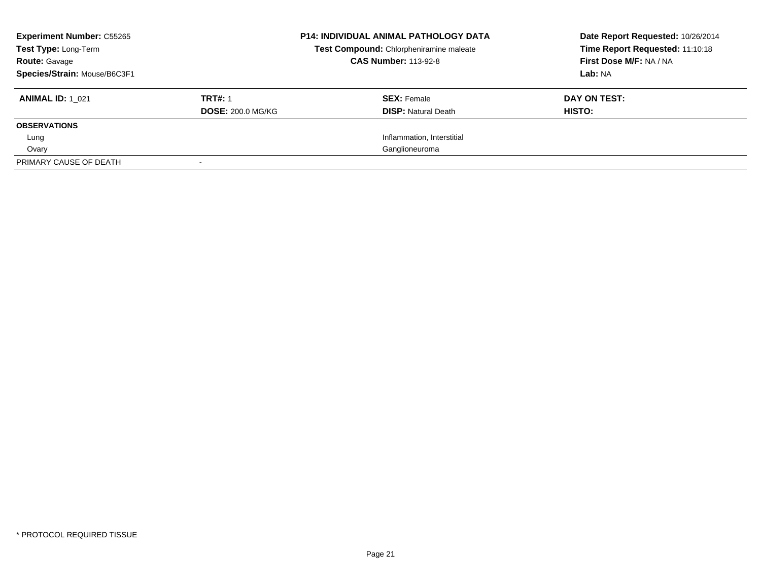| <b>Experiment Number: C55265</b><br>Test Type: Long-Term<br><b>Route: Gavage</b><br>Species/Strain: Mouse/B6C3F1 |                                            | <b>P14: INDIVIDUAL ANIMAL PATHOLOGY DATA</b><br>Test Compound: Chlorpheniramine maleate<br><b>CAS Number: 113-92-8</b> | Date Report Requested: 10/26/2014<br>Time Report Requested: 11:10:18<br>First Dose M/F: NA / NA<br>Lab: NA |
|------------------------------------------------------------------------------------------------------------------|--------------------------------------------|------------------------------------------------------------------------------------------------------------------------|------------------------------------------------------------------------------------------------------------|
| <b>ANIMAL ID: 1 021</b>                                                                                          | <b>TRT#: 1</b><br><b>DOSE: 200.0 MG/KG</b> | <b>SEX: Female</b><br><b>DISP:</b> Natural Death                                                                       | DAY ON TEST:<br>HISTO:                                                                                     |
| <b>OBSERVATIONS</b>                                                                                              |                                            |                                                                                                                        |                                                                                                            |
| Lung                                                                                                             |                                            | Inflammation, Interstitial                                                                                             |                                                                                                            |
| Ovary                                                                                                            |                                            | Ganglioneuroma                                                                                                         |                                                                                                            |
| PRIMARY CAUSE OF DEATH                                                                                           |                                            |                                                                                                                        |                                                                                                            |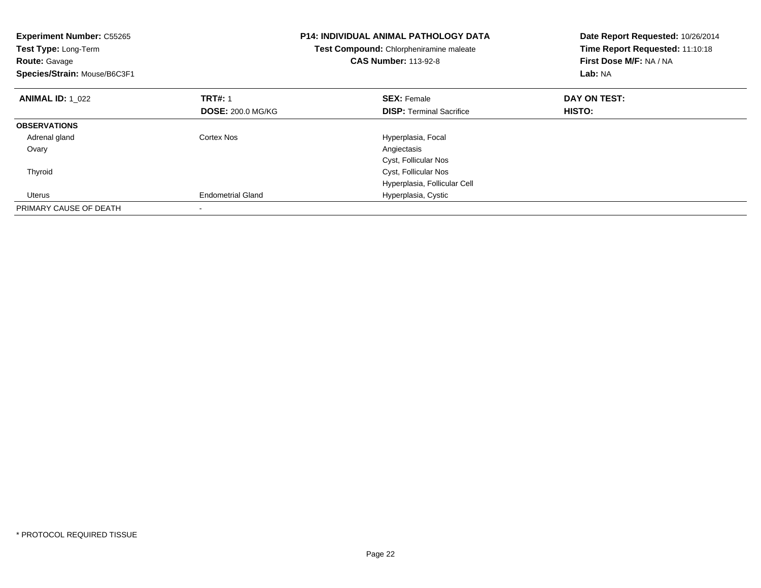| <b>Experiment Number: C55265</b><br>Test Type: Long-Term<br><b>Route: Gavage</b><br>Species/Strain: Mouse/B6C3F1 |                          | <b>P14: INDIVIDUAL ANIMAL PATHOLOGY DATA</b><br>Test Compound: Chlorpheniramine maleate<br><b>CAS Number: 113-92-8</b> | Date Report Requested: 10/26/2014<br>Time Report Requested: 11:10:18<br>First Dose M/F: NA / NA<br>Lab: NA |
|------------------------------------------------------------------------------------------------------------------|--------------------------|------------------------------------------------------------------------------------------------------------------------|------------------------------------------------------------------------------------------------------------|
| <b>ANIMAL ID: 1 022</b>                                                                                          | <b>TRT#: 1</b>           | <b>SEX: Female</b>                                                                                                     | DAY ON TEST:                                                                                               |
|                                                                                                                  | <b>DOSE: 200.0 MG/KG</b> | <b>DISP:</b> Terminal Sacrifice                                                                                        | HISTO:                                                                                                     |
| <b>OBSERVATIONS</b>                                                                                              |                          |                                                                                                                        |                                                                                                            |
| Adrenal gland                                                                                                    | Cortex Nos               | Hyperplasia, Focal                                                                                                     |                                                                                                            |
| Ovary                                                                                                            |                          | Angiectasis                                                                                                            |                                                                                                            |
|                                                                                                                  |                          | Cyst, Follicular Nos                                                                                                   |                                                                                                            |
| Thyroid                                                                                                          |                          | Cyst, Follicular Nos                                                                                                   |                                                                                                            |
|                                                                                                                  |                          | Hyperplasia, Follicular Cell                                                                                           |                                                                                                            |
| Uterus                                                                                                           | <b>Endometrial Gland</b> | Hyperplasia, Cystic                                                                                                    |                                                                                                            |
| PRIMARY CAUSE OF DEATH                                                                                           |                          |                                                                                                                        |                                                                                                            |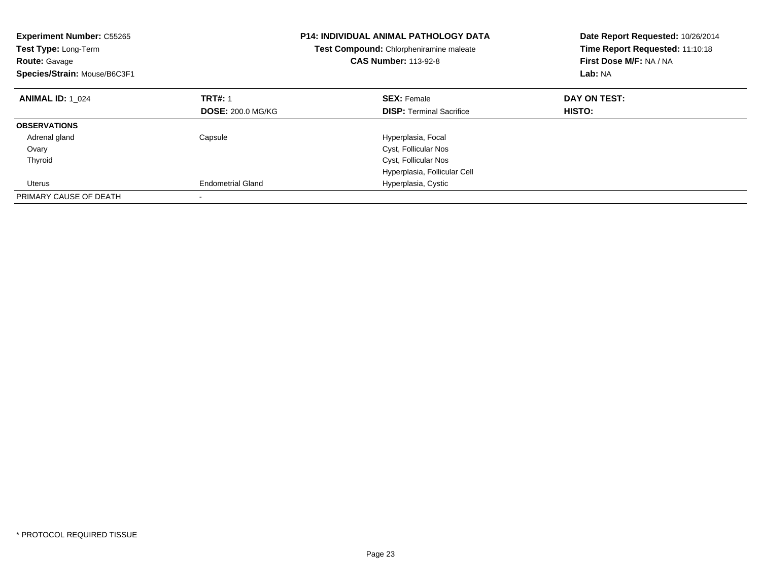| <b>Experiment Number: C55265</b><br>Test Type: Long-Term<br><b>Route: Gavage</b><br>Species/Strain: Mouse/B6C3F1 |                          | <b>P14: INDIVIDUAL ANIMAL PATHOLOGY DATA</b><br>Test Compound: Chlorpheniramine maleate<br><b>CAS Number: 113-92-8</b> | Date Report Requested: 10/26/2014<br>Time Report Requested: 11:10:18<br>First Dose M/F: NA / NA<br>Lab: NA |
|------------------------------------------------------------------------------------------------------------------|--------------------------|------------------------------------------------------------------------------------------------------------------------|------------------------------------------------------------------------------------------------------------|
| <b>ANIMAL ID: 1 024</b>                                                                                          | <b>TRT#: 1</b>           | <b>SEX: Female</b>                                                                                                     | DAY ON TEST:                                                                                               |
|                                                                                                                  | <b>DOSE: 200.0 MG/KG</b> | <b>DISP:</b> Terminal Sacrifice                                                                                        | <b>HISTO:</b>                                                                                              |
| <b>OBSERVATIONS</b>                                                                                              |                          |                                                                                                                        |                                                                                                            |
| Adrenal gland                                                                                                    | Capsule                  | Hyperplasia, Focal                                                                                                     |                                                                                                            |
| Ovary                                                                                                            |                          | Cyst, Follicular Nos                                                                                                   |                                                                                                            |
| Thyroid                                                                                                          |                          | Cyst, Follicular Nos                                                                                                   |                                                                                                            |
|                                                                                                                  |                          | Hyperplasia, Follicular Cell                                                                                           |                                                                                                            |
| Uterus                                                                                                           | <b>Endometrial Gland</b> | Hyperplasia, Cystic                                                                                                    |                                                                                                            |
| PRIMARY CAUSE OF DEATH                                                                                           |                          |                                                                                                                        |                                                                                                            |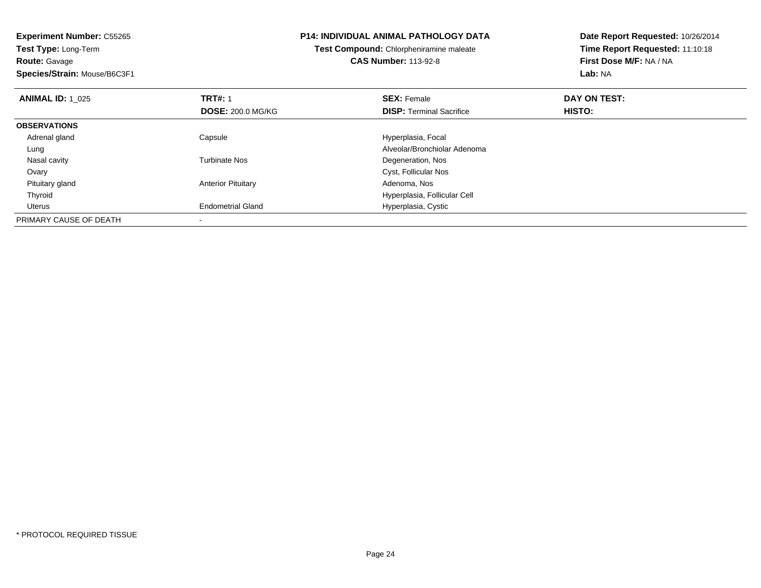**Experiment Number:** C55265**Test Type:** Long-Term**Route:** Gavage **Species/Strain:** Mouse/B6C3F1**P14: INDIVIDUAL ANIMAL PATHOLOGY DATATest Compound:** Chlorpheniramine maleate**CAS Number:** 113-92-8**Date Report Requested:** 10/26/2014**Time Report Requested:** 11:10:18**First Dose M/F:** NA / NA**Lab:** NA**ANIMAL ID:** 1\_025**TRT#:** 1 **SEX:** Female **DAY ON TEST: DOSE:** 200.0 MG/KG**DISP:** Terminal Sacrifice **HISTO: OBSERVATIONS** Adrenal glandCapsule **Capsule Hyperplasia**, Focal LungAlveolar/Bronchiolar Adenoma<br>
Turbinate Nos<br>
Degeneration, Nos Nasal cavityDegeneration, Nos **Ovary**  Cyst, Follicular Nos Pituitary glandAnterior Pituitary **Adenoma, Nos** Adenoma, Nos Thyroid Hyperplasia, Follicular Cell Uterus Endometrial Gland Hyperplasia, Cystic PRIMARY CAUSE OF DEATH-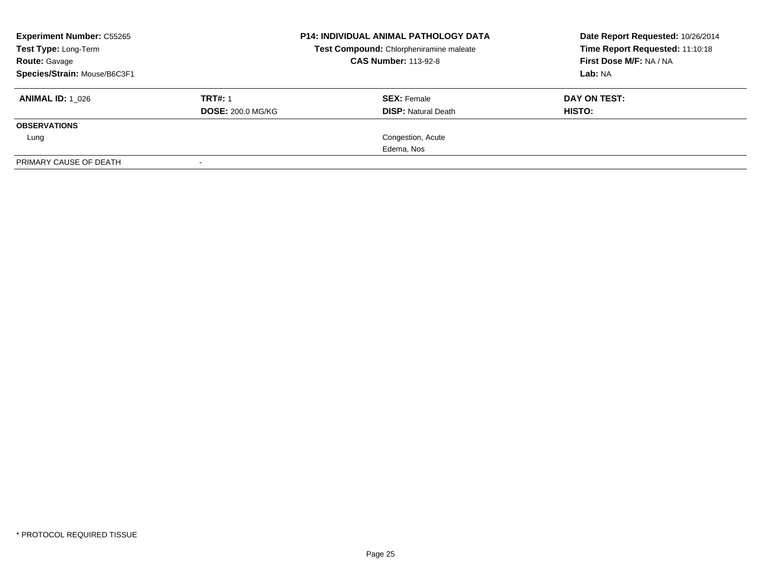| <b>Experiment Number: C55265</b><br>Test Type: Long-Term<br><b>Route: Gavage</b><br>Species/Strain: Mouse/B6C3F1 |                                            | <b>P14: INDIVIDUAL ANIMAL PATHOLOGY DATA</b><br>Test Compound: Chlorpheniramine maleate<br><b>CAS Number: 113-92-8</b> | Date Report Requested: 10/26/2014<br>Time Report Requested: 11:10:18<br>First Dose M/F: NA / NA<br><b>Lab: NA</b> |
|------------------------------------------------------------------------------------------------------------------|--------------------------------------------|------------------------------------------------------------------------------------------------------------------------|-------------------------------------------------------------------------------------------------------------------|
| <b>ANIMAL ID: 1_026</b>                                                                                          | <b>TRT#: 1</b><br><b>DOSE: 200.0 MG/KG</b> | <b>SEX: Female</b><br><b>DISP: Natural Death</b>                                                                       | DAY ON TEST:<br>HISTO:                                                                                            |
| <b>OBSERVATIONS</b>                                                                                              |                                            |                                                                                                                        |                                                                                                                   |
| Lung                                                                                                             |                                            | Congestion, Acute                                                                                                      |                                                                                                                   |
|                                                                                                                  |                                            | Edema, Nos                                                                                                             |                                                                                                                   |
| PRIMARY CAUSE OF DEATH                                                                                           |                                            |                                                                                                                        |                                                                                                                   |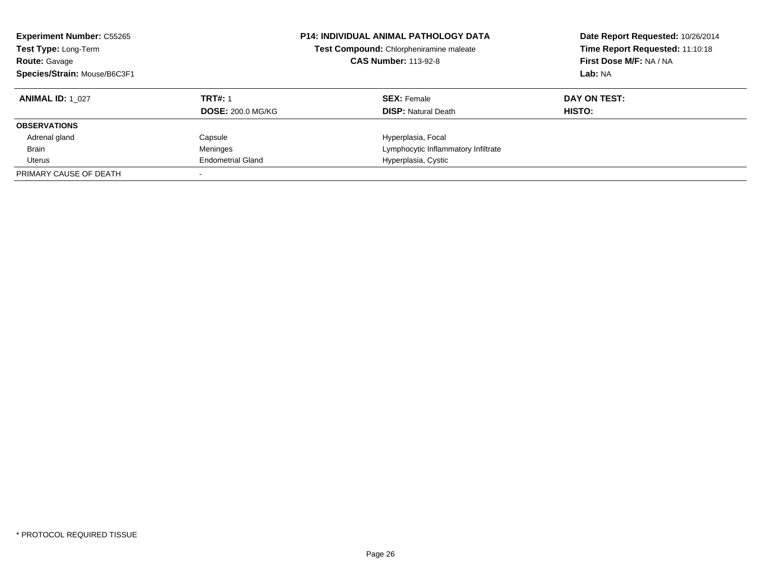| <b>Experiment Number: C55265</b><br>Test Type: Long-Term<br><b>Route: Gavage</b><br>Species/Strain: Mouse/B6C3F1 |                          | <b>P14: INDIVIDUAL ANIMAL PATHOLOGY DATA</b><br>Test Compound: Chlorpheniramine maleate<br><b>CAS Number: 113-92-8</b> | Date Report Requested: 10/26/2014<br>Time Report Requested: 11:10:18<br>First Dose M/F: NA / NA<br>Lab: NA |
|------------------------------------------------------------------------------------------------------------------|--------------------------|------------------------------------------------------------------------------------------------------------------------|------------------------------------------------------------------------------------------------------------|
| <b>ANIMAL ID: 1 027</b>                                                                                          | <b>TRT#: 1</b>           | <b>SEX:</b> Female                                                                                                     | DAY ON TEST:                                                                                               |
|                                                                                                                  | <b>DOSE: 200.0 MG/KG</b> | <b>DISP:</b> Natural Death                                                                                             | <b>HISTO:</b>                                                                                              |
| <b>OBSERVATIONS</b>                                                                                              |                          |                                                                                                                        |                                                                                                            |
| Adrenal gland                                                                                                    | Capsule                  | Hyperplasia, Focal                                                                                                     |                                                                                                            |
| <b>Brain</b>                                                                                                     | Meninges                 | Lymphocytic Inflammatory Infiltrate                                                                                    |                                                                                                            |
| Uterus                                                                                                           | <b>Endometrial Gland</b> | Hyperplasia, Cystic                                                                                                    |                                                                                                            |
| PRIMARY CAUSE OF DEATH                                                                                           |                          |                                                                                                                        |                                                                                                            |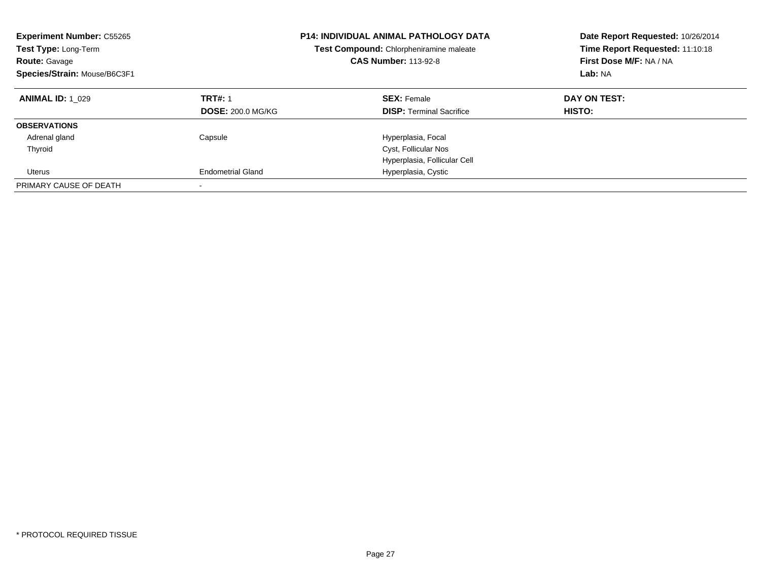| <b>Experiment Number: C55265</b><br>Test Type: Long-Term<br><b>Route: Gavage</b><br>Species/Strain: Mouse/B6C3F1 |                          | <b>P14: INDIVIDUAL ANIMAL PATHOLOGY DATA</b><br>Test Compound: Chlorpheniramine maleate<br><b>CAS Number: 113-92-8</b> | Date Report Requested: 10/26/2014<br>Time Report Requested: 11:10:18<br>First Dose M/F: NA / NA<br>Lab: NA |
|------------------------------------------------------------------------------------------------------------------|--------------------------|------------------------------------------------------------------------------------------------------------------------|------------------------------------------------------------------------------------------------------------|
| <b>ANIMAL ID: 1 029</b>                                                                                          | <b>TRT#: 1</b>           | <b>SEX: Female</b>                                                                                                     | DAY ON TEST:                                                                                               |
|                                                                                                                  | <b>DOSE: 200.0 MG/KG</b> | <b>DISP:</b> Terminal Sacrifice                                                                                        | <b>HISTO:</b>                                                                                              |
| <b>OBSERVATIONS</b>                                                                                              |                          |                                                                                                                        |                                                                                                            |
| Adrenal gland                                                                                                    | Capsule                  | Hyperplasia, Focal                                                                                                     |                                                                                                            |
| Thyroid                                                                                                          |                          | Cyst, Follicular Nos                                                                                                   |                                                                                                            |
|                                                                                                                  |                          | Hyperplasia, Follicular Cell                                                                                           |                                                                                                            |
| Uterus                                                                                                           | <b>Endometrial Gland</b> | Hyperplasia, Cystic                                                                                                    |                                                                                                            |
| PRIMARY CAUSE OF DEATH                                                                                           |                          |                                                                                                                        |                                                                                                            |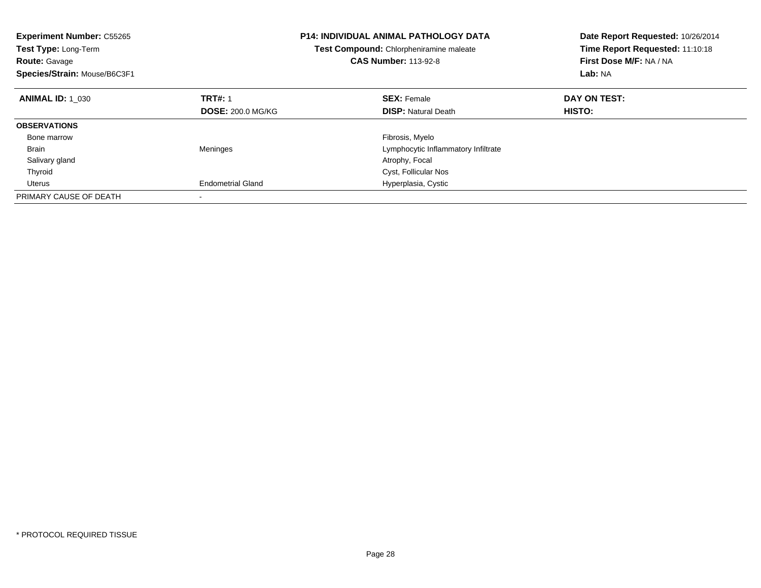| <b>Experiment Number: C55265</b><br>Test Type: Long-Term<br><b>Route: Gavage</b><br>Species/Strain: Mouse/B6C3F1 |                          | <b>P14: INDIVIDUAL ANIMAL PATHOLOGY DATA</b><br>Test Compound: Chlorpheniramine maleate<br><b>CAS Number: 113-92-8</b> | Date Report Requested: 10/26/2014<br>Time Report Requested: 11:10:18<br>First Dose M/F: NA / NA<br>Lab: NA |
|------------------------------------------------------------------------------------------------------------------|--------------------------|------------------------------------------------------------------------------------------------------------------------|------------------------------------------------------------------------------------------------------------|
| <b>ANIMAL ID: 1 030</b>                                                                                          | <b>TRT#: 1</b>           | <b>SEX: Female</b>                                                                                                     | DAY ON TEST:                                                                                               |
|                                                                                                                  | <b>DOSE: 200.0 MG/KG</b> | <b>DISP:</b> Natural Death                                                                                             | <b>HISTO:</b>                                                                                              |
| <b>OBSERVATIONS</b>                                                                                              |                          |                                                                                                                        |                                                                                                            |
| Bone marrow                                                                                                      |                          | Fibrosis, Myelo                                                                                                        |                                                                                                            |
| <b>Brain</b>                                                                                                     | Meninges                 | Lymphocytic Inflammatory Infiltrate                                                                                    |                                                                                                            |
| Salivary gland                                                                                                   |                          | Atrophy, Focal                                                                                                         |                                                                                                            |
| Thyroid                                                                                                          |                          | Cyst, Follicular Nos                                                                                                   |                                                                                                            |
| Uterus                                                                                                           | <b>Endometrial Gland</b> | Hyperplasia, Cystic                                                                                                    |                                                                                                            |
| PRIMARY CAUSE OF DEATH                                                                                           |                          |                                                                                                                        |                                                                                                            |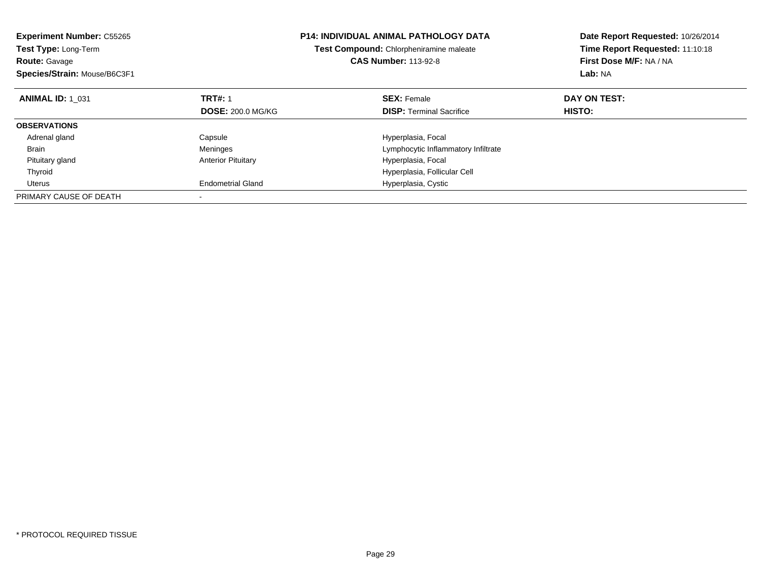| <b>Experiment Number: C55265</b><br>Test Type: Long-Term<br><b>Route: Gavage</b><br>Species/Strain: Mouse/B6C3F1 |                           | <b>P14: INDIVIDUAL ANIMAL PATHOLOGY DATA</b><br>Test Compound: Chlorpheniramine maleate<br><b>CAS Number: 113-92-8</b> | Date Report Requested: 10/26/2014<br>Time Report Requested: 11:10:18<br>First Dose M/F: NA / NA<br>Lab: NA |
|------------------------------------------------------------------------------------------------------------------|---------------------------|------------------------------------------------------------------------------------------------------------------------|------------------------------------------------------------------------------------------------------------|
| <b>ANIMAL ID: 1 031</b>                                                                                          | <b>TRT#: 1</b>            | <b>SEX: Female</b>                                                                                                     | DAY ON TEST:                                                                                               |
|                                                                                                                  | <b>DOSE: 200.0 MG/KG</b>  | <b>DISP:</b> Terminal Sacrifice                                                                                        | <b>HISTO:</b>                                                                                              |
| <b>OBSERVATIONS</b>                                                                                              |                           |                                                                                                                        |                                                                                                            |
| Adrenal gland                                                                                                    | Capsule                   | Hyperplasia, Focal                                                                                                     |                                                                                                            |
| Brain                                                                                                            | Meninges                  | Lymphocytic Inflammatory Infiltrate                                                                                    |                                                                                                            |
| Pituitary gland                                                                                                  | <b>Anterior Pituitary</b> | Hyperplasia, Focal                                                                                                     |                                                                                                            |
| Thyroid                                                                                                          |                           | Hyperplasia, Follicular Cell                                                                                           |                                                                                                            |
| Uterus                                                                                                           | <b>Endometrial Gland</b>  | Hyperplasia, Cystic                                                                                                    |                                                                                                            |
| PRIMARY CAUSE OF DEATH                                                                                           |                           |                                                                                                                        |                                                                                                            |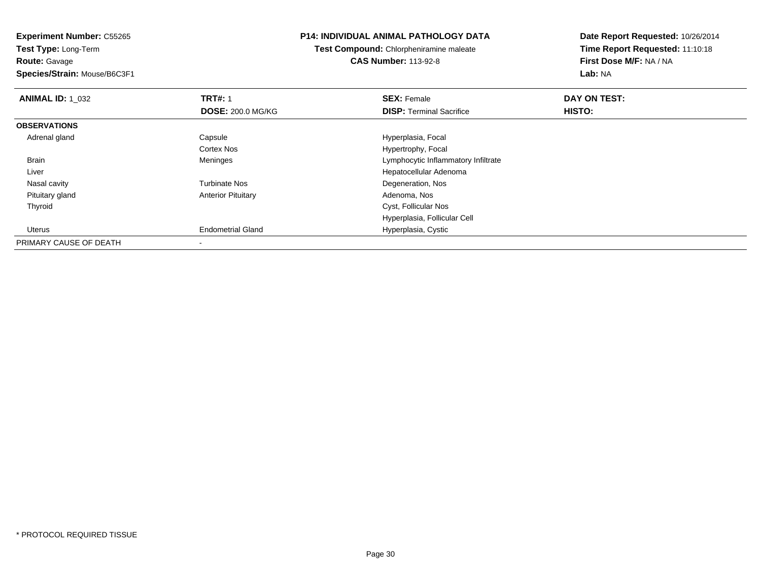**Route:** Gavage

**Species/Strain:** Mouse/B6C3F1

### **P14: INDIVIDUAL ANIMAL PATHOLOGY DATA**

**Test Compound:** Chlorpheniramine maleate**CAS Number:** 113-92-8

| <b>ANIMAL ID: 1 032</b> | <b>TRT#: 1</b>            | <b>SEX: Female</b>                  | DAY ON TEST: |  |
|-------------------------|---------------------------|-------------------------------------|--------------|--|
|                         | <b>DOSE: 200.0 MG/KG</b>  | <b>DISP: Terminal Sacrifice</b>     | HISTO:       |  |
| <b>OBSERVATIONS</b>     |                           |                                     |              |  |
| Adrenal gland           | Capsule                   | Hyperplasia, Focal                  |              |  |
|                         | <b>Cortex Nos</b>         | Hypertrophy, Focal                  |              |  |
| Brain                   | Meninges                  | Lymphocytic Inflammatory Infiltrate |              |  |
| Liver                   |                           | Hepatocellular Adenoma              |              |  |
| Nasal cavity            | <b>Turbinate Nos</b>      | Degeneration, Nos                   |              |  |
| Pituitary gland         | <b>Anterior Pituitary</b> | Adenoma, Nos                        |              |  |
| Thyroid                 |                           | Cyst, Follicular Nos                |              |  |
|                         |                           | Hyperplasia, Follicular Cell        |              |  |
| Uterus                  | <b>Endometrial Gland</b>  | Hyperplasia, Cystic                 |              |  |
| PRIMARY CAUSE OF DEATH  |                           |                                     |              |  |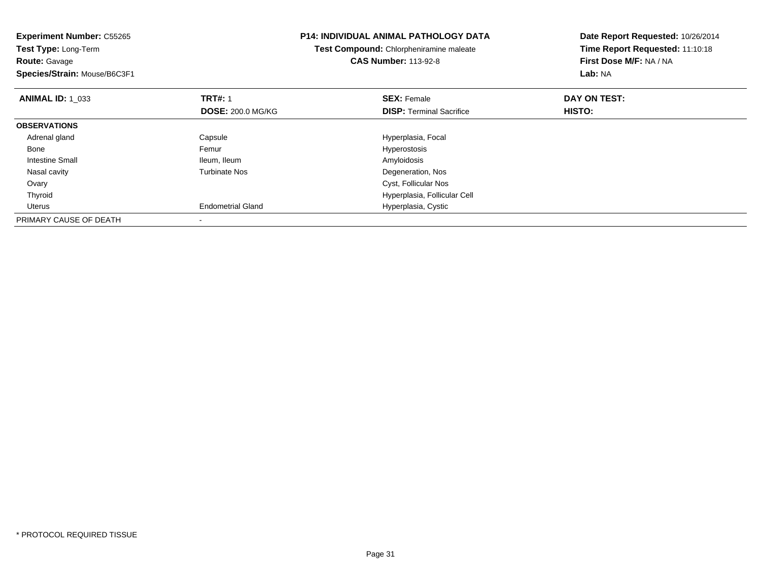| <b>Experiment Number: C55265</b><br>Test Type: Long-Term<br><b>Route: Gavage</b><br>Species/Strain: Mouse/B6C3F1 |                          | <b>P14: INDIVIDUAL ANIMAL PATHOLOGY DATA</b><br>Test Compound: Chlorpheniramine maleate<br><b>CAS Number: 113-92-8</b> | Date Report Requested: 10/26/2014<br>Time Report Requested: 11:10:18<br>First Dose M/F: NA / NA<br>Lab: NA |
|------------------------------------------------------------------------------------------------------------------|--------------------------|------------------------------------------------------------------------------------------------------------------------|------------------------------------------------------------------------------------------------------------|
| <b>ANIMAL ID: 1 033</b>                                                                                          | <b>TRT#: 1</b>           | <b>SEX: Female</b>                                                                                                     | DAY ON TEST:                                                                                               |
|                                                                                                                  | <b>DOSE: 200.0 MG/KG</b> | <b>DISP:</b> Terminal Sacrifice                                                                                        | <b>HISTO:</b>                                                                                              |
| <b>OBSERVATIONS</b>                                                                                              |                          |                                                                                                                        |                                                                                                            |
| Adrenal gland                                                                                                    | Capsule                  | Hyperplasia, Focal                                                                                                     |                                                                                                            |
| Bone                                                                                                             | Femur                    | <b>Hyperostosis</b>                                                                                                    |                                                                                                            |
| Intestine Small                                                                                                  | Ileum, Ileum             | Amyloidosis                                                                                                            |                                                                                                            |
| Nasal cavity                                                                                                     | <b>Turbinate Nos</b>     | Degeneration, Nos                                                                                                      |                                                                                                            |
| Ovary                                                                                                            |                          | Cyst, Follicular Nos                                                                                                   |                                                                                                            |
| Thyroid                                                                                                          |                          | Hyperplasia, Follicular Cell                                                                                           |                                                                                                            |
| Uterus                                                                                                           | <b>Endometrial Gland</b> | Hyperplasia, Cystic                                                                                                    |                                                                                                            |
| PRIMARY CAUSE OF DEATH                                                                                           |                          |                                                                                                                        |                                                                                                            |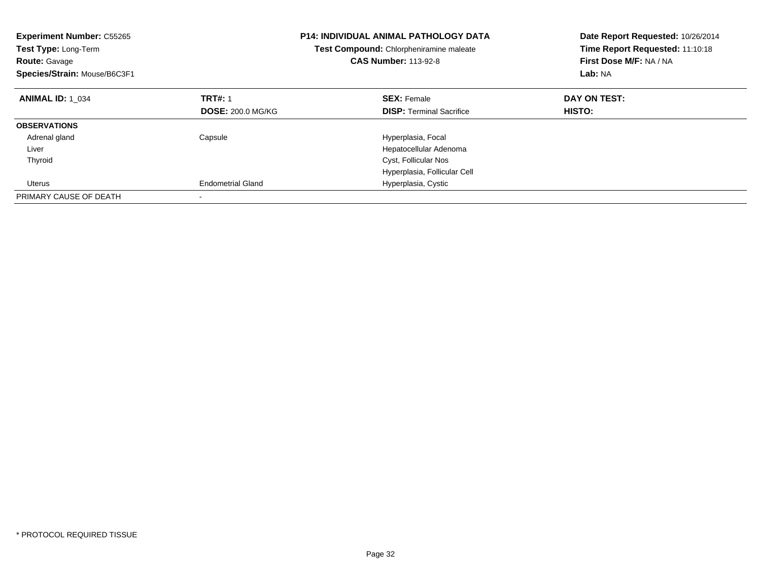| <b>Experiment Number: C55265</b><br><b>Test Type: Long-Term</b><br><b>Route: Gavage</b><br>Species/Strain: Mouse/B6C3F1 |                          | <b>P14: INDIVIDUAL ANIMAL PATHOLOGY DATA</b><br><b>Test Compound:</b> Chlorpheniramine maleate<br><b>CAS Number: 113-92-8</b> | Date Report Requested: 10/26/2014<br>Time Report Requested: 11:10:18<br>First Dose M/F: NA / NA<br>Lab: NA |
|-------------------------------------------------------------------------------------------------------------------------|--------------------------|-------------------------------------------------------------------------------------------------------------------------------|------------------------------------------------------------------------------------------------------------|
| <b>ANIMAL ID: 1 034</b>                                                                                                 | <b>TRT#: 1</b>           | <b>SEX: Female</b>                                                                                                            | DAY ON TEST:                                                                                               |
|                                                                                                                         | <b>DOSE: 200.0 MG/KG</b> | <b>DISP:</b> Terminal Sacrifice                                                                                               | <b>HISTO:</b>                                                                                              |
| <b>OBSERVATIONS</b>                                                                                                     |                          |                                                                                                                               |                                                                                                            |
| Adrenal gland                                                                                                           | Capsule                  | Hyperplasia, Focal                                                                                                            |                                                                                                            |
| Liver                                                                                                                   |                          | Hepatocellular Adenoma                                                                                                        |                                                                                                            |
| Thyroid                                                                                                                 |                          | Cyst, Follicular Nos                                                                                                          |                                                                                                            |
|                                                                                                                         |                          | Hyperplasia, Follicular Cell                                                                                                  |                                                                                                            |
| Uterus                                                                                                                  | <b>Endometrial Gland</b> | Hyperplasia, Cystic                                                                                                           |                                                                                                            |
| PRIMARY CAUSE OF DEATH                                                                                                  |                          |                                                                                                                               |                                                                                                            |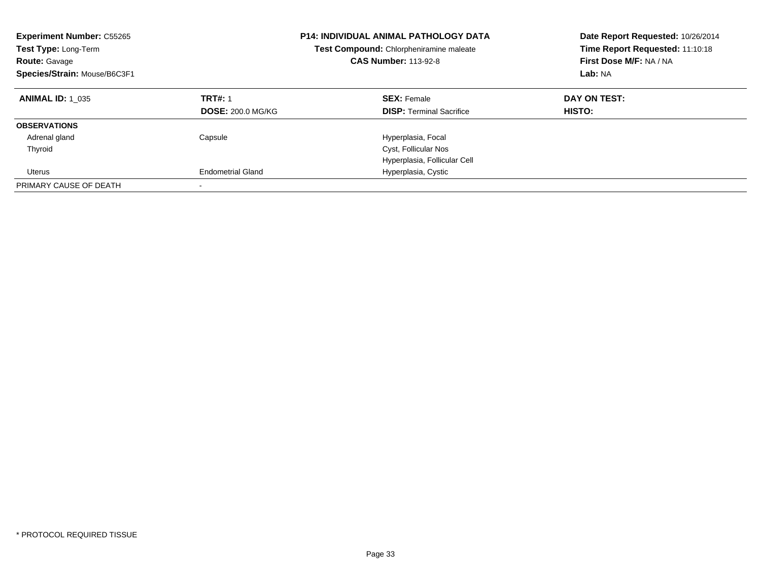| <b>Experiment Number: C55265</b><br>Test Type: Long-Term<br><b>Route: Gavage</b><br>Species/Strain: Mouse/B6C3F1 |                          | <b>P14: INDIVIDUAL ANIMAL PATHOLOGY DATA</b><br>Test Compound: Chlorpheniramine maleate<br><b>CAS Number: 113-92-8</b> | Date Report Requested: 10/26/2014<br>Time Report Requested: 11:10:18<br>First Dose M/F: NA / NA<br>Lab: NA |
|------------------------------------------------------------------------------------------------------------------|--------------------------|------------------------------------------------------------------------------------------------------------------------|------------------------------------------------------------------------------------------------------------|
| <b>ANIMAL ID: 1 035</b>                                                                                          | <b>TRT#: 1</b>           | <b>SEX: Female</b>                                                                                                     | DAY ON TEST:                                                                                               |
|                                                                                                                  | <b>DOSE: 200.0 MG/KG</b> | <b>DISP:</b> Terminal Sacrifice                                                                                        | <b>HISTO:</b>                                                                                              |
| <b>OBSERVATIONS</b>                                                                                              |                          |                                                                                                                        |                                                                                                            |
| Adrenal gland                                                                                                    | Capsule                  | Hyperplasia, Focal                                                                                                     |                                                                                                            |
| Thyroid                                                                                                          |                          | Cyst, Follicular Nos                                                                                                   |                                                                                                            |
|                                                                                                                  |                          | Hyperplasia, Follicular Cell                                                                                           |                                                                                                            |
| Uterus                                                                                                           | <b>Endometrial Gland</b> | Hyperplasia, Cystic                                                                                                    |                                                                                                            |
| PRIMARY CAUSE OF DEATH                                                                                           |                          |                                                                                                                        |                                                                                                            |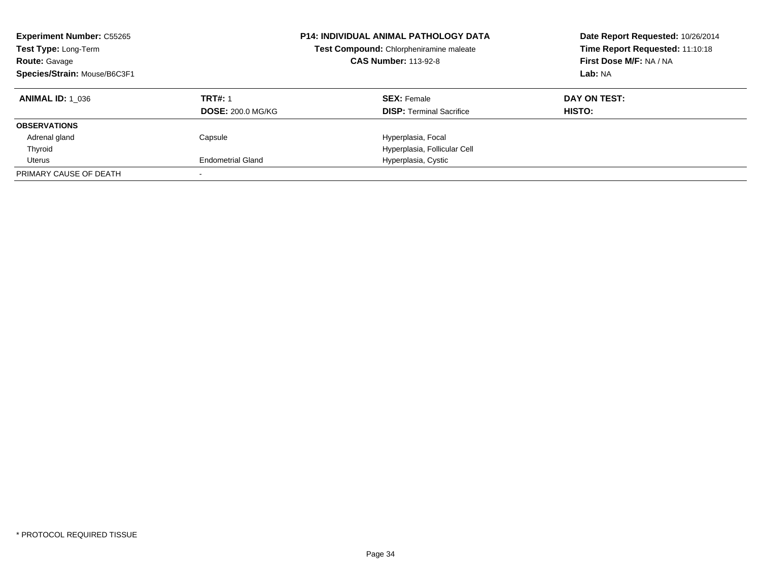| <b>Experiment Number: C55265</b><br>Test Type: Long-Term<br><b>Route: Gavage</b><br>Species/Strain: Mouse/B6C3F1 |                          | <b>P14: INDIVIDUAL ANIMAL PATHOLOGY DATA</b><br>Test Compound: Chlorpheniramine maleate<br><b>CAS Number: 113-92-8</b> | Date Report Requested: 10/26/2014<br>Time Report Requested: 11:10:18<br>First Dose M/F: NA / NA<br>Lab: NA |
|------------------------------------------------------------------------------------------------------------------|--------------------------|------------------------------------------------------------------------------------------------------------------------|------------------------------------------------------------------------------------------------------------|
| <b>ANIMAL ID: 1 036</b>                                                                                          | <b>TRT#: 1</b>           | <b>SEX: Female</b>                                                                                                     | DAY ON TEST:                                                                                               |
|                                                                                                                  | <b>DOSE: 200.0 MG/KG</b> | <b>DISP:</b> Terminal Sacrifice                                                                                        | HISTO:                                                                                                     |
| <b>OBSERVATIONS</b>                                                                                              |                          |                                                                                                                        |                                                                                                            |
| Adrenal gland                                                                                                    | Capsule                  | Hyperplasia, Focal                                                                                                     |                                                                                                            |
| Thyroid                                                                                                          |                          | Hyperplasia, Follicular Cell                                                                                           |                                                                                                            |
| Uterus                                                                                                           | <b>Endometrial Gland</b> | Hyperplasia, Cystic                                                                                                    |                                                                                                            |
| PRIMARY CAUSE OF DEATH                                                                                           |                          |                                                                                                                        |                                                                                                            |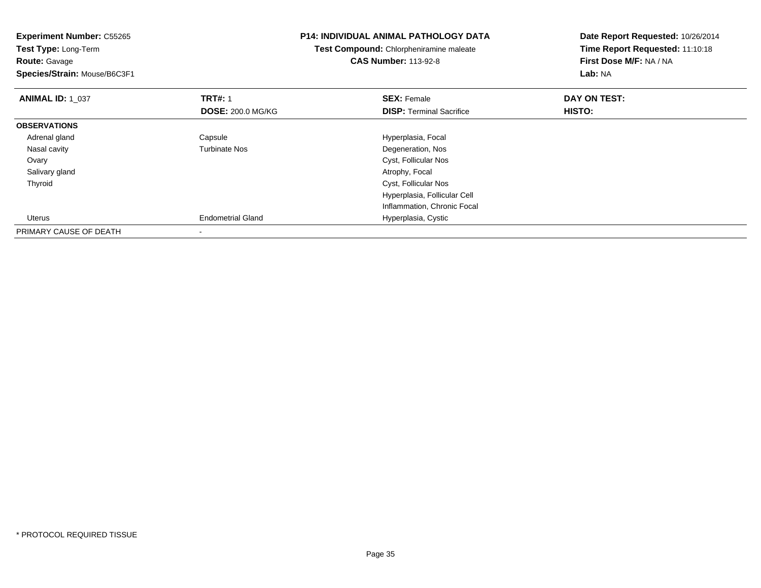| <b>Experiment Number: C55265</b><br>Test Type: Long-Term<br><b>Route: Gavage</b><br>Species/Strain: Mouse/B6C3F1 |                          | <b>P14: INDIVIDUAL ANIMAL PATHOLOGY DATA</b><br>Test Compound: Chlorpheniramine maleate<br><b>CAS Number: 113-92-8</b> | Date Report Requested: 10/26/2014<br>Time Report Requested: 11:10:18<br>First Dose M/F: NA / NA<br><b>Lab: NA</b> |
|------------------------------------------------------------------------------------------------------------------|--------------------------|------------------------------------------------------------------------------------------------------------------------|-------------------------------------------------------------------------------------------------------------------|
| <b>ANIMAL ID: 1 037</b>                                                                                          | <b>TRT#: 1</b>           | <b>SEX: Female</b>                                                                                                     | DAY ON TEST:                                                                                                      |
|                                                                                                                  | <b>DOSE: 200.0 MG/KG</b> | <b>DISP:</b> Terminal Sacrifice                                                                                        | HISTO:                                                                                                            |
| <b>OBSERVATIONS</b>                                                                                              |                          |                                                                                                                        |                                                                                                                   |
| Adrenal gland                                                                                                    | Capsule                  | Hyperplasia, Focal                                                                                                     |                                                                                                                   |
| Nasal cavity                                                                                                     | <b>Turbinate Nos</b>     | Degeneration, Nos                                                                                                      |                                                                                                                   |
| Ovary                                                                                                            |                          | Cyst, Follicular Nos                                                                                                   |                                                                                                                   |
| Salivary gland                                                                                                   |                          | Atrophy, Focal                                                                                                         |                                                                                                                   |
| Thyroid                                                                                                          |                          | Cyst, Follicular Nos                                                                                                   |                                                                                                                   |
|                                                                                                                  |                          | Hyperplasia, Follicular Cell                                                                                           |                                                                                                                   |
|                                                                                                                  |                          | Inflammation, Chronic Focal                                                                                            |                                                                                                                   |
| Uterus                                                                                                           | <b>Endometrial Gland</b> | Hyperplasia, Cystic                                                                                                    |                                                                                                                   |
| PRIMARY CAUSE OF DEATH                                                                                           | $\overline{\phantom{a}}$ |                                                                                                                        |                                                                                                                   |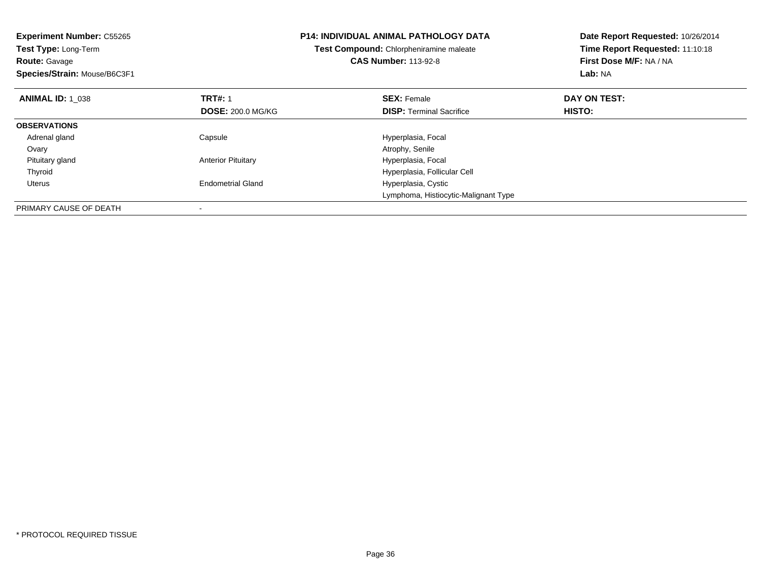| <b>Experiment Number: C55265</b><br>Test Type: Long-Term<br><b>Route: Gavage</b><br>Species/Strain: Mouse/B6C3F1 |                           | <b>P14: INDIVIDUAL ANIMAL PATHOLOGY DATA</b><br>Test Compound: Chlorpheniramine maleate<br><b>CAS Number: 113-92-8</b> | Date Report Requested: 10/26/2014<br>Time Report Requested: 11:10:18<br>First Dose M/F: NA / NA<br>Lab: NA |
|------------------------------------------------------------------------------------------------------------------|---------------------------|------------------------------------------------------------------------------------------------------------------------|------------------------------------------------------------------------------------------------------------|
| <b>ANIMAL ID: 1 038</b>                                                                                          | <b>TRT#: 1</b>            | <b>SEX: Female</b>                                                                                                     | DAY ON TEST:                                                                                               |
|                                                                                                                  | <b>DOSE: 200.0 MG/KG</b>  | <b>DISP:</b> Terminal Sacrifice                                                                                        | <b>HISTO:</b>                                                                                              |
| <b>OBSERVATIONS</b>                                                                                              |                           |                                                                                                                        |                                                                                                            |
| Adrenal gland                                                                                                    | Capsule                   | Hyperplasia, Focal                                                                                                     |                                                                                                            |
| Ovary                                                                                                            |                           | Atrophy, Senile                                                                                                        |                                                                                                            |
| Pituitary gland                                                                                                  | <b>Anterior Pituitary</b> | Hyperplasia, Focal                                                                                                     |                                                                                                            |
| Thyroid                                                                                                          |                           | Hyperplasia, Follicular Cell                                                                                           |                                                                                                            |
| Uterus                                                                                                           | <b>Endometrial Gland</b>  | Hyperplasia, Cystic                                                                                                    |                                                                                                            |
|                                                                                                                  |                           | Lymphoma, Histiocytic-Malignant Type                                                                                   |                                                                                                            |
| PRIMARY CAUSE OF DEATH                                                                                           |                           |                                                                                                                        |                                                                                                            |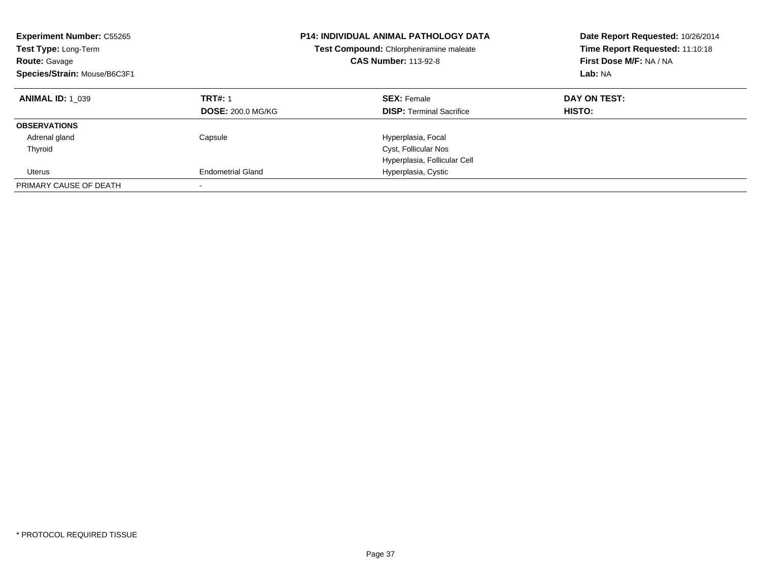| <b>Experiment Number: C55265</b><br>Test Type: Long-Term<br><b>Route: Gavage</b><br>Species/Strain: Mouse/B6C3F1 |                          | <b>P14: INDIVIDUAL ANIMAL PATHOLOGY DATA</b><br>Test Compound: Chlorpheniramine maleate<br><b>CAS Number: 113-92-8</b> | Date Report Requested: 10/26/2014<br>Time Report Requested: 11:10:18<br>First Dose M/F: NA / NA<br>Lab: NA |
|------------------------------------------------------------------------------------------------------------------|--------------------------|------------------------------------------------------------------------------------------------------------------------|------------------------------------------------------------------------------------------------------------|
| <b>ANIMAL ID: 1 039</b>                                                                                          | <b>TRT#: 1</b>           | <b>SEX: Female</b>                                                                                                     | DAY ON TEST:                                                                                               |
|                                                                                                                  | <b>DOSE: 200.0 MG/KG</b> | <b>DISP:</b> Terminal Sacrifice                                                                                        | <b>HISTO:</b>                                                                                              |
| <b>OBSERVATIONS</b>                                                                                              |                          |                                                                                                                        |                                                                                                            |
| Adrenal gland                                                                                                    | Capsule                  | Hyperplasia, Focal                                                                                                     |                                                                                                            |
| Thyroid                                                                                                          |                          | Cyst, Follicular Nos                                                                                                   |                                                                                                            |
|                                                                                                                  |                          | Hyperplasia, Follicular Cell                                                                                           |                                                                                                            |
| Uterus                                                                                                           | <b>Endometrial Gland</b> | Hyperplasia, Cystic                                                                                                    |                                                                                                            |
| PRIMARY CAUSE OF DEATH                                                                                           |                          |                                                                                                                        |                                                                                                            |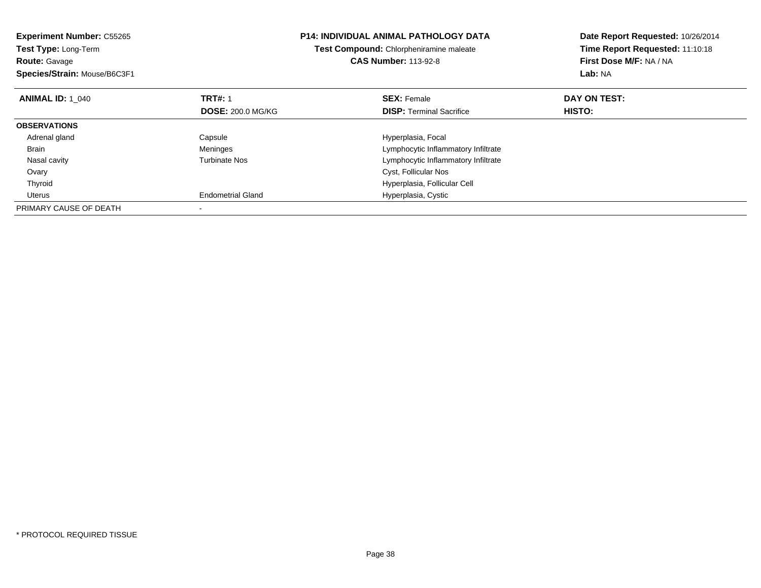| <b>Experiment Number: C55265</b><br>Test Type: Long-Term<br><b>Route: Gavage</b><br>Species/Strain: Mouse/B6C3F1 |                          | <b>P14: INDIVIDUAL ANIMAL PATHOLOGY DATA</b><br>Test Compound: Chlorpheniramine maleate<br><b>CAS Number: 113-92-8</b> | Date Report Requested: 10/26/2014<br>Time Report Requested: 11:10:18<br>First Dose M/F: NA / NA<br>Lab: NA |
|------------------------------------------------------------------------------------------------------------------|--------------------------|------------------------------------------------------------------------------------------------------------------------|------------------------------------------------------------------------------------------------------------|
| <b>ANIMAL ID: 1 040</b>                                                                                          | <b>TRT#: 1</b>           | <b>SEX: Female</b>                                                                                                     | DAY ON TEST:                                                                                               |
|                                                                                                                  | <b>DOSE: 200.0 MG/KG</b> | <b>DISP:</b> Terminal Sacrifice                                                                                        | <b>HISTO:</b>                                                                                              |
| <b>OBSERVATIONS</b>                                                                                              |                          |                                                                                                                        |                                                                                                            |
| Adrenal gland                                                                                                    | Capsule                  | Hyperplasia, Focal                                                                                                     |                                                                                                            |
| <b>Brain</b>                                                                                                     | Meninges                 | Lymphocytic Inflammatory Infiltrate                                                                                    |                                                                                                            |
| Nasal cavity                                                                                                     | Turbinate Nos            | Lymphocytic Inflammatory Infiltrate                                                                                    |                                                                                                            |
| Ovary                                                                                                            |                          | Cyst, Follicular Nos                                                                                                   |                                                                                                            |
| Thyroid                                                                                                          |                          | Hyperplasia, Follicular Cell                                                                                           |                                                                                                            |
| Uterus                                                                                                           | <b>Endometrial Gland</b> | Hyperplasia, Cystic                                                                                                    |                                                                                                            |
| PRIMARY CAUSE OF DEATH                                                                                           |                          |                                                                                                                        |                                                                                                            |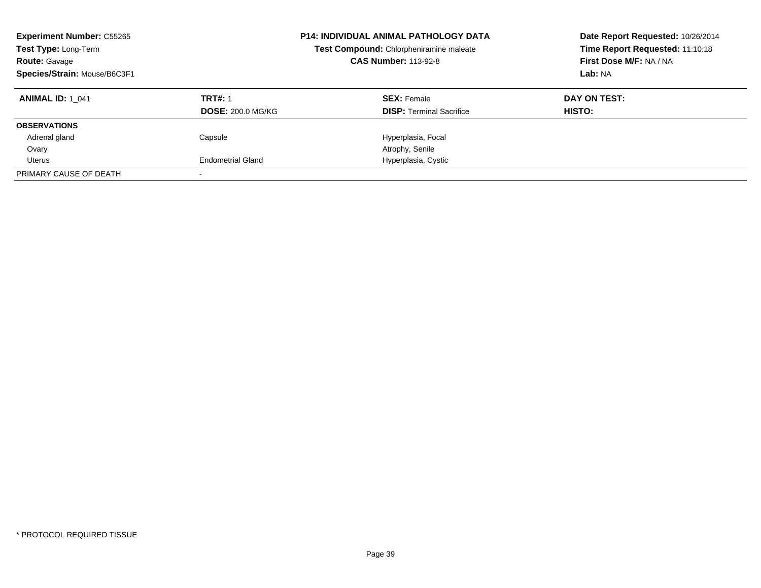| <b>Experiment Number: C55265</b><br>Test Type: Long-Term<br><b>Route: Gavage</b><br>Species/Strain: Mouse/B6C3F1 |                          | <b>P14: INDIVIDUAL ANIMAL PATHOLOGY DATA</b><br>Test Compound: Chlorpheniramine maleate<br><b>CAS Number: 113-92-8</b> | Date Report Requested: 10/26/2014<br>Time Report Requested: 11:10:18<br>First Dose M/F: NA / NA<br>Lab: NA |
|------------------------------------------------------------------------------------------------------------------|--------------------------|------------------------------------------------------------------------------------------------------------------------|------------------------------------------------------------------------------------------------------------|
| <b>ANIMAL ID: 1 041</b>                                                                                          | <b>TRT#: 1</b>           | <b>SEX: Female</b>                                                                                                     | DAY ON TEST:                                                                                               |
|                                                                                                                  | <b>DOSE: 200.0 MG/KG</b> | <b>DISP:</b> Terminal Sacrifice                                                                                        | <b>HISTO:</b>                                                                                              |
| <b>OBSERVATIONS</b>                                                                                              |                          |                                                                                                                        |                                                                                                            |
| Adrenal gland                                                                                                    | Capsule                  | Hyperplasia, Focal                                                                                                     |                                                                                                            |
| Ovary                                                                                                            |                          | Atrophy, Senile                                                                                                        |                                                                                                            |
| Uterus                                                                                                           | <b>Endometrial Gland</b> | Hyperplasia, Cystic                                                                                                    |                                                                                                            |
| PRIMARY CAUSE OF DEATH                                                                                           |                          |                                                                                                                        |                                                                                                            |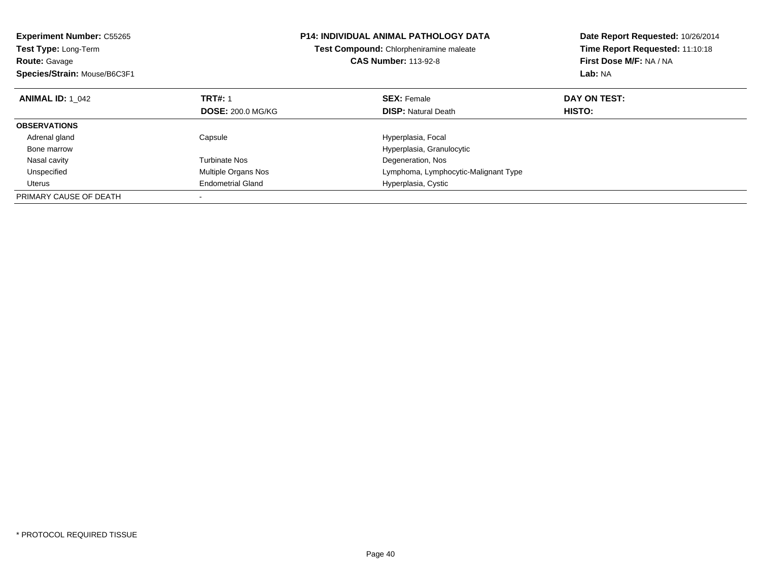| <b>Experiment Number: C55265</b><br><b>Test Type: Long-Term</b> |                          | <b>P14: INDIVIDUAL ANIMAL PATHOLOGY DATA</b> | Date Report Requested: 10/26/2014<br>Time Report Requested: 11:10:18 |  |
|-----------------------------------------------------------------|--------------------------|----------------------------------------------|----------------------------------------------------------------------|--|
|                                                                 |                          | Test Compound: Chlorpheniramine maleate      |                                                                      |  |
| <b>Route: Gavage</b>                                            |                          | <b>CAS Number: 113-92-8</b>                  | First Dose M/F: NA / NA                                              |  |
| Species/Strain: Mouse/B6C3F1                                    |                          |                                              | Lab: NA                                                              |  |
| <b>ANIMAL ID: 1 042</b>                                         | <b>TRT#: 1</b>           | <b>SEX: Female</b>                           | DAY ON TEST:                                                         |  |
|                                                                 | <b>DOSE: 200.0 MG/KG</b> | <b>DISP:</b> Natural Death                   | HISTO:                                                               |  |
| <b>OBSERVATIONS</b>                                             |                          |                                              |                                                                      |  |
| Adrenal gland                                                   | Capsule                  | Hyperplasia, Focal                           |                                                                      |  |
| Bone marrow                                                     |                          | Hyperplasia, Granulocytic                    |                                                                      |  |
| Nasal cavity                                                    | <b>Turbinate Nos</b>     | Degeneration, Nos                            |                                                                      |  |
| Unspecified                                                     | Multiple Organs Nos      | Lymphoma, Lymphocytic-Malignant Type         |                                                                      |  |
| Uterus                                                          | <b>Endometrial Gland</b> | Hyperplasia, Cystic                          |                                                                      |  |
| PRIMARY CAUSE OF DEATH                                          |                          |                                              |                                                                      |  |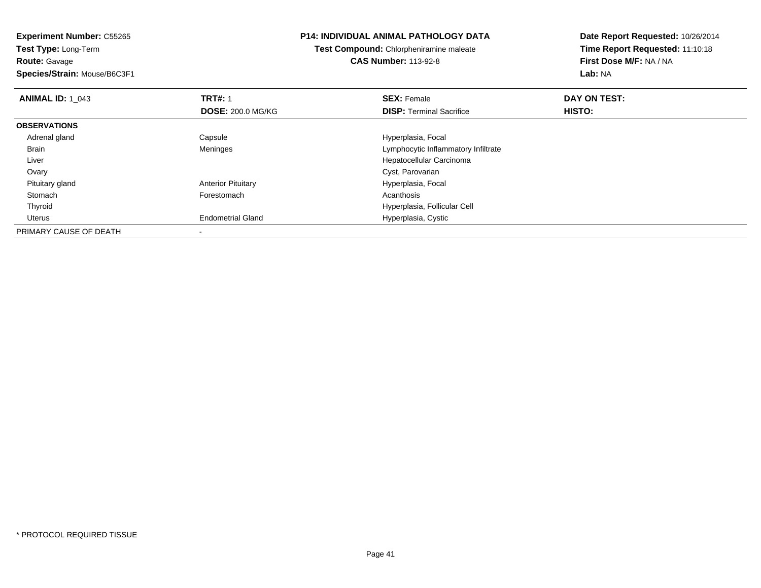**Route:** Gavage

**Species/Strain:** Mouse/B6C3F1

## **P14: INDIVIDUAL ANIMAL PATHOLOGY DATA**

**Test Compound:** Chlorpheniramine maleate**CAS Number:** 113-92-8

| <b>ANIMAL ID: 1 043</b> | <b>TRT#: 1</b>            | <b>SEX: Female</b>                  | DAY ON TEST: |  |
|-------------------------|---------------------------|-------------------------------------|--------------|--|
|                         | <b>DOSE: 200.0 MG/KG</b>  | <b>DISP: Terminal Sacrifice</b>     | HISTO:       |  |
| <b>OBSERVATIONS</b>     |                           |                                     |              |  |
| Adrenal gland           | Capsule                   | Hyperplasia, Focal                  |              |  |
| <b>Brain</b>            | Meninges                  | Lymphocytic Inflammatory Infiltrate |              |  |
| Liver                   |                           | Hepatocellular Carcinoma            |              |  |
| Ovary                   |                           | Cyst, Parovarian                    |              |  |
| Pituitary gland         | <b>Anterior Pituitary</b> | Hyperplasia, Focal                  |              |  |
| Stomach                 | Forestomach               | Acanthosis                          |              |  |
| Thyroid                 |                           | Hyperplasia, Follicular Cell        |              |  |
| Uterus                  | <b>Endometrial Gland</b>  | Hyperplasia, Cystic                 |              |  |
| PRIMARY CAUSE OF DEATH  |                           |                                     |              |  |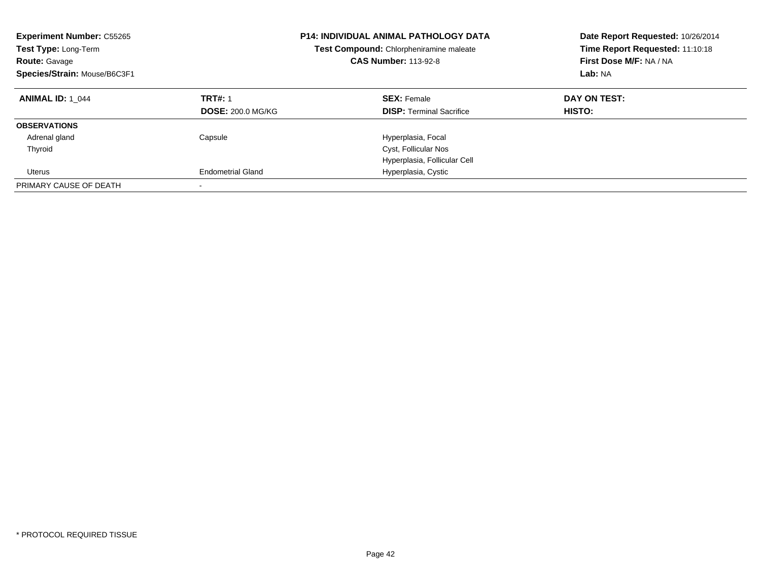| <b>Experiment Number: C55265</b><br>Test Type: Long-Term<br><b>Route: Gavage</b><br>Species/Strain: Mouse/B6C3F1 |                          | <b>P14: INDIVIDUAL ANIMAL PATHOLOGY DATA</b><br>Test Compound: Chlorpheniramine maleate<br><b>CAS Number: 113-92-8</b> | Date Report Requested: 10/26/2014<br>Time Report Requested: 11:10:18<br>First Dose M/F: NA / NA<br>Lab: NA |
|------------------------------------------------------------------------------------------------------------------|--------------------------|------------------------------------------------------------------------------------------------------------------------|------------------------------------------------------------------------------------------------------------|
| <b>ANIMAL ID: 1 044</b>                                                                                          | <b>TRT#: 1</b>           | <b>SEX: Female</b>                                                                                                     | DAY ON TEST:                                                                                               |
|                                                                                                                  | <b>DOSE: 200.0 MG/KG</b> | <b>DISP:</b> Terminal Sacrifice                                                                                        | <b>HISTO:</b>                                                                                              |
| <b>OBSERVATIONS</b>                                                                                              |                          |                                                                                                                        |                                                                                                            |
| Adrenal gland                                                                                                    | Capsule                  | Hyperplasia, Focal                                                                                                     |                                                                                                            |
| Thyroid                                                                                                          |                          | Cyst, Follicular Nos                                                                                                   |                                                                                                            |
|                                                                                                                  |                          | Hyperplasia, Follicular Cell                                                                                           |                                                                                                            |
| Uterus                                                                                                           | <b>Endometrial Gland</b> | Hyperplasia, Cystic                                                                                                    |                                                                                                            |
| PRIMARY CAUSE OF DEATH                                                                                           |                          |                                                                                                                        |                                                                                                            |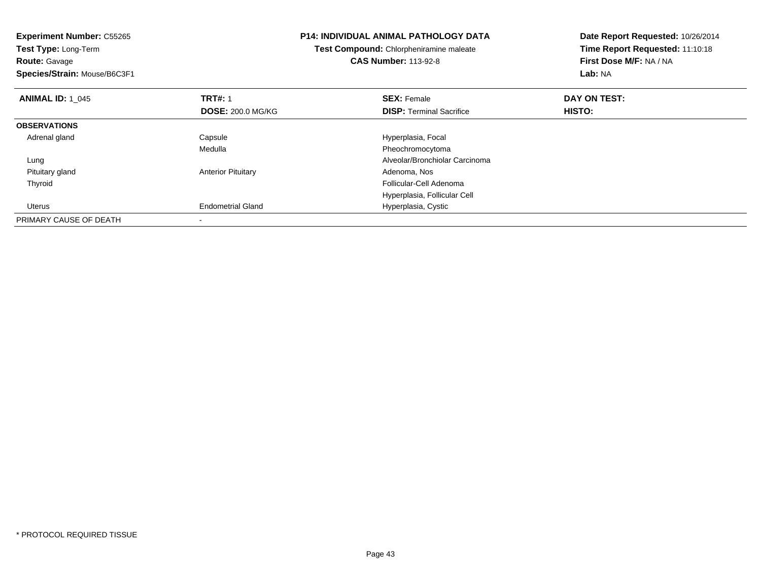| <b>Experiment Number: C55265</b><br>Test Type: Long-Term<br><b>Route: Gavage</b><br>Species/Strain: Mouse/B6C3F1 |                           | <b>P14: INDIVIDUAL ANIMAL PATHOLOGY DATA</b><br>Test Compound: Chlorpheniramine maleate<br><b>CAS Number: 113-92-8</b> | Date Report Requested: 10/26/2014<br>Time Report Requested: 11:10:18<br>First Dose M/F: NA / NA<br>Lab: NA |
|------------------------------------------------------------------------------------------------------------------|---------------------------|------------------------------------------------------------------------------------------------------------------------|------------------------------------------------------------------------------------------------------------|
| <b>ANIMAL ID: 1_045</b>                                                                                          | <b>TRT#: 1</b>            | <b>SEX: Female</b>                                                                                                     | DAY ON TEST:                                                                                               |
|                                                                                                                  | <b>DOSE: 200.0 MG/KG</b>  | <b>DISP:</b> Terminal Sacrifice                                                                                        | <b>HISTO:</b>                                                                                              |
| <b>OBSERVATIONS</b>                                                                                              |                           |                                                                                                                        |                                                                                                            |
| Adrenal gland                                                                                                    | Capsule                   | Hyperplasia, Focal                                                                                                     |                                                                                                            |
|                                                                                                                  | Medulla                   | Pheochromocytoma                                                                                                       |                                                                                                            |
| Lung                                                                                                             |                           | Alveolar/Bronchiolar Carcinoma                                                                                         |                                                                                                            |
| Pituitary gland                                                                                                  | <b>Anterior Pituitary</b> | Adenoma, Nos                                                                                                           |                                                                                                            |
| Thyroid                                                                                                          |                           | Follicular-Cell Adenoma                                                                                                |                                                                                                            |
|                                                                                                                  |                           | Hyperplasia, Follicular Cell                                                                                           |                                                                                                            |
| Uterus                                                                                                           | <b>Endometrial Gland</b>  | Hyperplasia, Cystic                                                                                                    |                                                                                                            |
| PRIMARY CAUSE OF DEATH                                                                                           |                           |                                                                                                                        |                                                                                                            |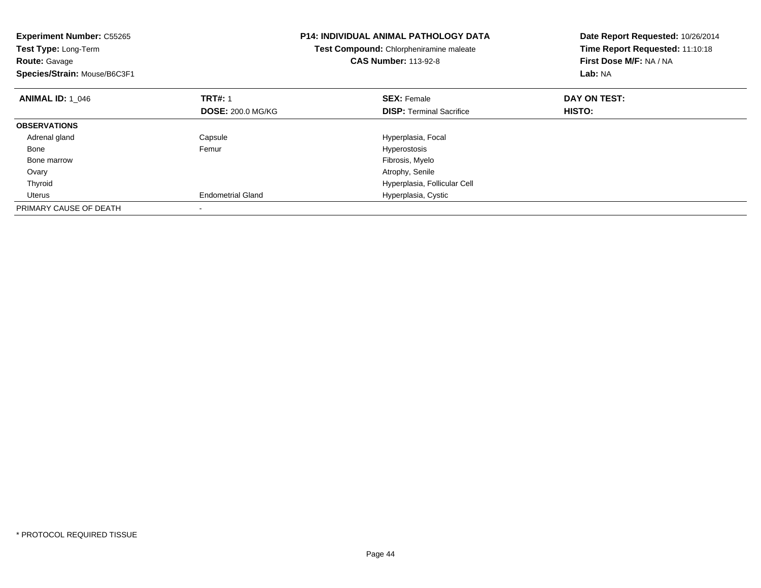| <b>Experiment Number: C55265</b><br>Test Type: Long-Term<br><b>Route: Gavage</b><br>Species/Strain: Mouse/B6C3F1 |                          | <b>P14: INDIVIDUAL ANIMAL PATHOLOGY DATA</b><br>Test Compound: Chlorpheniramine maleate<br><b>CAS Number: 113-92-8</b> | Date Report Requested: 10/26/2014<br>Time Report Requested: 11:10:18<br>First Dose M/F: NA / NA<br>Lab: NA |
|------------------------------------------------------------------------------------------------------------------|--------------------------|------------------------------------------------------------------------------------------------------------------------|------------------------------------------------------------------------------------------------------------|
| <b>ANIMAL ID: 1 046</b>                                                                                          | <b>TRT#: 1</b>           | <b>SEX: Female</b>                                                                                                     | DAY ON TEST:                                                                                               |
|                                                                                                                  | <b>DOSE: 200.0 MG/KG</b> | <b>DISP:</b> Terminal Sacrifice                                                                                        | HISTO:                                                                                                     |
| <b>OBSERVATIONS</b>                                                                                              |                          |                                                                                                                        |                                                                                                            |
| Adrenal gland                                                                                                    | Capsule                  | Hyperplasia, Focal                                                                                                     |                                                                                                            |
| Bone                                                                                                             | Femur                    | Hyperostosis                                                                                                           |                                                                                                            |
| Bone marrow                                                                                                      |                          | Fibrosis, Myelo                                                                                                        |                                                                                                            |
| Ovary                                                                                                            |                          | Atrophy, Senile                                                                                                        |                                                                                                            |
| Thyroid                                                                                                          |                          | Hyperplasia, Follicular Cell                                                                                           |                                                                                                            |
| Uterus                                                                                                           | <b>Endometrial Gland</b> | Hyperplasia, Cystic                                                                                                    |                                                                                                            |
| PRIMARY CAUSE OF DEATH                                                                                           |                          |                                                                                                                        |                                                                                                            |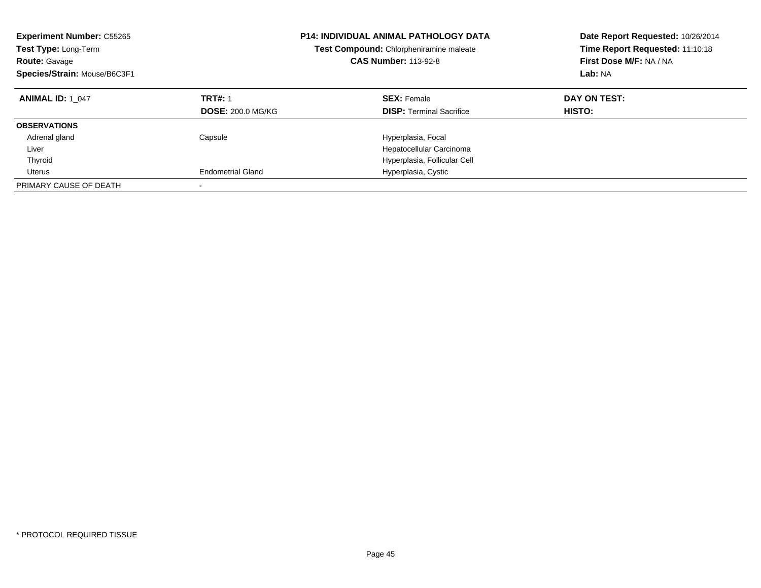| <b>Experiment Number: C55265</b><br>Test Type: Long-Term<br><b>Route: Gavage</b><br>Species/Strain: Mouse/B6C3F1 |                                            | <b>P14: INDIVIDUAL ANIMAL PATHOLOGY DATA</b><br>Test Compound: Chlorpheniramine maleate<br><b>CAS Number: 113-92-8</b> | Date Report Requested: 10/26/2014<br>Time Report Requested: 11:10:18<br>First Dose M/F: NA / NA<br>Lab: NA |
|------------------------------------------------------------------------------------------------------------------|--------------------------------------------|------------------------------------------------------------------------------------------------------------------------|------------------------------------------------------------------------------------------------------------|
| <b>ANIMAL ID: 1 047</b>                                                                                          | <b>TRT#: 1</b><br><b>DOSE: 200.0 MG/KG</b> | <b>SEX: Female</b><br><b>DISP:</b> Terminal Sacrifice                                                                  | DAY ON TEST:<br>HISTO:                                                                                     |
| <b>OBSERVATIONS</b>                                                                                              |                                            |                                                                                                                        |                                                                                                            |
| Adrenal gland<br>Liver                                                                                           | Capsule                                    | Hyperplasia, Focal<br>Hepatocellular Carcinoma                                                                         |                                                                                                            |
| Thyroid                                                                                                          |                                            | Hyperplasia, Follicular Cell                                                                                           |                                                                                                            |
| Uterus                                                                                                           | <b>Endometrial Gland</b>                   | Hyperplasia, Cystic                                                                                                    |                                                                                                            |
| PRIMARY CAUSE OF DEATH                                                                                           |                                            |                                                                                                                        |                                                                                                            |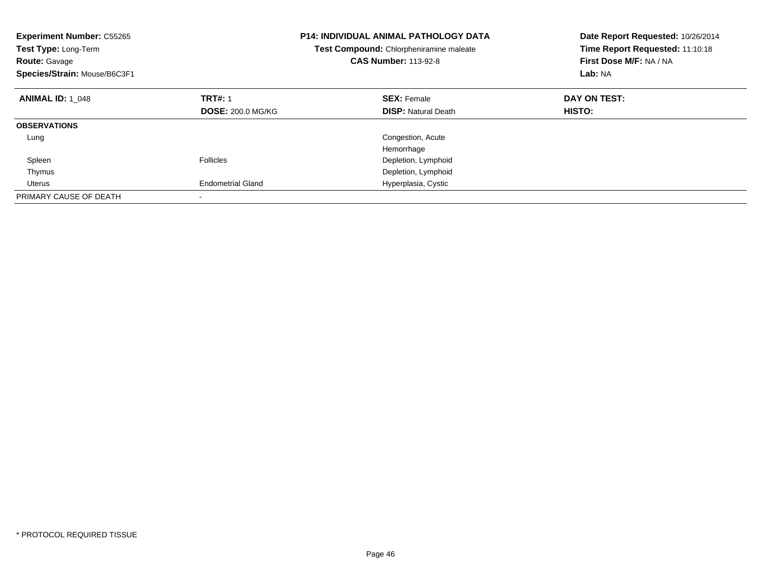| <b>Experiment Number: C55265</b><br>Test Type: Long-Term<br><b>Route: Gavage</b><br>Species/Strain: Mouse/B6C3F1 |                          | <b>P14: INDIVIDUAL ANIMAL PATHOLOGY DATA</b><br>Test Compound: Chlorpheniramine maleate<br><b>CAS Number: 113-92-8</b> | Date Report Requested: 10/26/2014<br>Time Report Requested: 11:10:18<br>First Dose M/F: NA / NA<br>Lab: NA |
|------------------------------------------------------------------------------------------------------------------|--------------------------|------------------------------------------------------------------------------------------------------------------------|------------------------------------------------------------------------------------------------------------|
| <b>ANIMAL ID: 1 048</b>                                                                                          | <b>TRT#: 1</b>           | <b>SEX: Female</b>                                                                                                     | DAY ON TEST:                                                                                               |
|                                                                                                                  | <b>DOSE: 200.0 MG/KG</b> | <b>DISP:</b> Natural Death                                                                                             | HISTO:                                                                                                     |
| <b>OBSERVATIONS</b>                                                                                              |                          |                                                                                                                        |                                                                                                            |
| Lung                                                                                                             |                          | Congestion, Acute                                                                                                      |                                                                                                            |
|                                                                                                                  |                          | Hemorrhage                                                                                                             |                                                                                                            |
| Spleen                                                                                                           | Follicles                | Depletion, Lymphoid                                                                                                    |                                                                                                            |
| Thymus                                                                                                           |                          | Depletion, Lymphoid                                                                                                    |                                                                                                            |
| Uterus                                                                                                           | <b>Endometrial Gland</b> | Hyperplasia, Cystic                                                                                                    |                                                                                                            |
| PRIMARY CAUSE OF DEATH                                                                                           |                          |                                                                                                                        |                                                                                                            |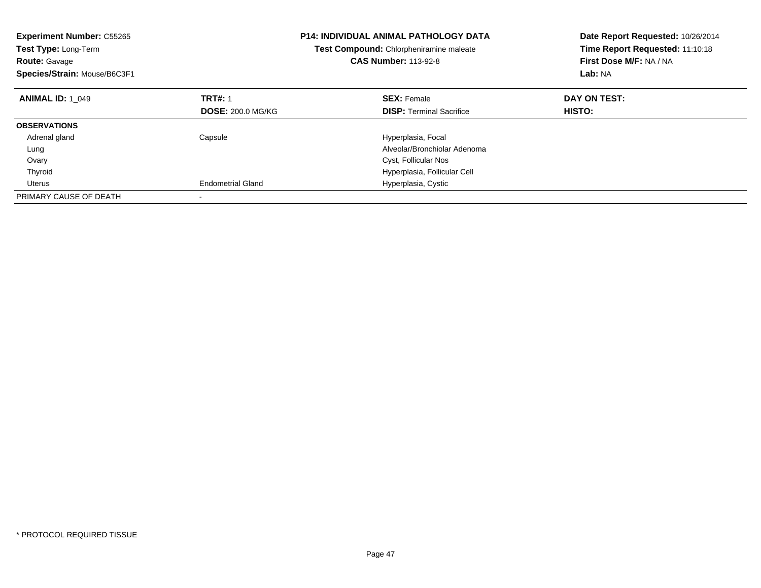| <b>Experiment Number: C55265</b><br>Test Type: Long-Term<br><b>Route: Gavage</b><br>Species/Strain: Mouse/B6C3F1 |                          | <b>P14: INDIVIDUAL ANIMAL PATHOLOGY DATA</b><br>Test Compound: Chlorpheniramine maleate<br><b>CAS Number: 113-92-8</b> | Date Report Requested: 10/26/2014<br>Time Report Requested: 11:10:18<br>First Dose M/F: NA / NA<br>Lab: NA |
|------------------------------------------------------------------------------------------------------------------|--------------------------|------------------------------------------------------------------------------------------------------------------------|------------------------------------------------------------------------------------------------------------|
| <b>ANIMAL ID: 1 049</b>                                                                                          | <b>TRT#: 1</b>           | <b>SEX: Female</b>                                                                                                     | DAY ON TEST:                                                                                               |
|                                                                                                                  | <b>DOSE: 200.0 MG/KG</b> | <b>DISP:</b> Terminal Sacrifice                                                                                        | <b>HISTO:</b>                                                                                              |
| <b>OBSERVATIONS</b>                                                                                              |                          |                                                                                                                        |                                                                                                            |
| Adrenal gland                                                                                                    | Capsule                  | Hyperplasia, Focal                                                                                                     |                                                                                                            |
| Lung                                                                                                             |                          | Alveolar/Bronchiolar Adenoma                                                                                           |                                                                                                            |
| Ovary                                                                                                            |                          | Cyst, Follicular Nos                                                                                                   |                                                                                                            |
| Thyroid                                                                                                          |                          | Hyperplasia, Follicular Cell                                                                                           |                                                                                                            |
| Uterus                                                                                                           | <b>Endometrial Gland</b> | Hyperplasia, Cystic                                                                                                    |                                                                                                            |
| PRIMARY CAUSE OF DEATH                                                                                           |                          |                                                                                                                        |                                                                                                            |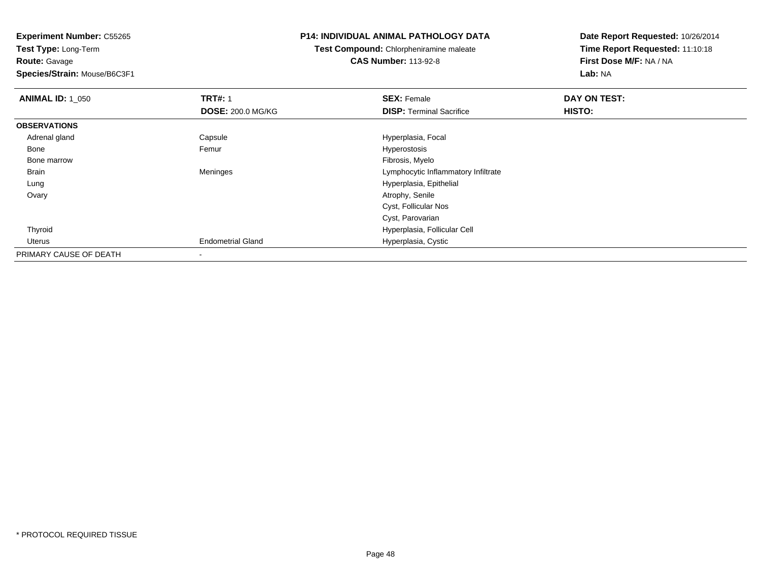**Route:** Gavage

**Species/Strain:** Mouse/B6C3F1

## **P14: INDIVIDUAL ANIMAL PATHOLOGY DATA**

**Test Compound:** Chlorpheniramine maleate**CAS Number:** 113-92-8

| <b>ANIMAL ID: 1 050</b> | <b>TRT#: 1</b>           | <b>SEX: Female</b>                  | DAY ON TEST: |
|-------------------------|--------------------------|-------------------------------------|--------------|
|                         | <b>DOSE: 200.0 MG/KG</b> | <b>DISP: Terminal Sacrifice</b>     | HISTO:       |
| <b>OBSERVATIONS</b>     |                          |                                     |              |
| Adrenal gland           | Capsule                  | Hyperplasia, Focal                  |              |
| Bone                    | Femur                    | Hyperostosis                        |              |
| Bone marrow             |                          | Fibrosis, Myelo                     |              |
| Brain                   | Meninges                 | Lymphocytic Inflammatory Infiltrate |              |
| Lung                    |                          | Hyperplasia, Epithelial             |              |
| Ovary                   |                          | Atrophy, Senile                     |              |
|                         |                          | Cyst, Follicular Nos                |              |
|                         |                          | Cyst, Parovarian                    |              |
| Thyroid                 |                          | Hyperplasia, Follicular Cell        |              |
| Uterus                  | <b>Endometrial Gland</b> | Hyperplasia, Cystic                 |              |
| PRIMARY CAUSE OF DEATH  |                          |                                     |              |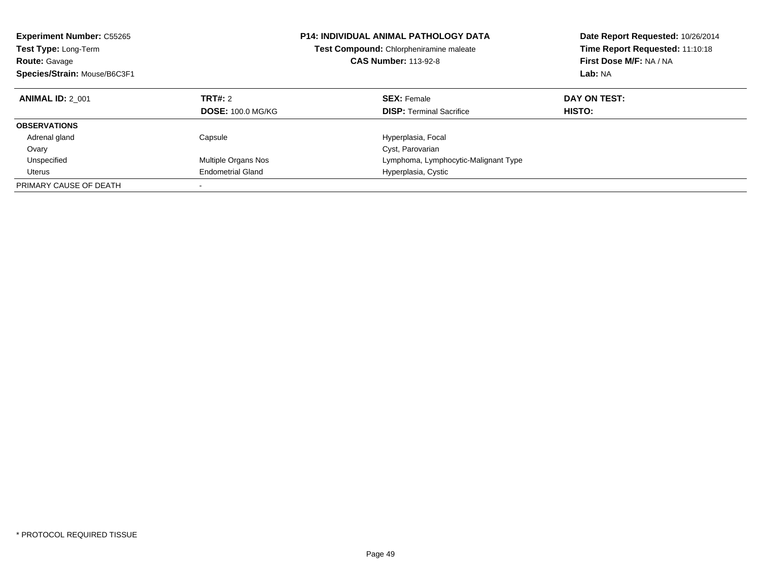| <b>Experiment Number: C55265</b><br><b>Test Type: Long-Term</b><br><b>Route: Gavage</b><br>Species/Strain: Mouse/B6C3F1 |                                     | <b>P14: INDIVIDUAL ANIMAL PATHOLOGY DATA</b><br><b>Test Compound:</b> Chlorpheniramine maleate<br><b>CAS Number: 113-92-8</b> | Date Report Requested: 10/26/2014<br>Time Report Requested: 11:10:18<br>First Dose M/F: NA / NA<br>Lab: NA |
|-------------------------------------------------------------------------------------------------------------------------|-------------------------------------|-------------------------------------------------------------------------------------------------------------------------------|------------------------------------------------------------------------------------------------------------|
| <b>ANIMAL ID: 2 001</b>                                                                                                 | TRT#: 2<br><b>DOSE: 100.0 MG/KG</b> | <b>SEX: Female</b><br><b>DISP:</b> Terminal Sacrifice                                                                         | DAY ON TEST:<br><b>HISTO:</b>                                                                              |
| <b>OBSERVATIONS</b>                                                                                                     |                                     |                                                                                                                               |                                                                                                            |
| Adrenal gland                                                                                                           | Capsule                             | Hyperplasia, Focal                                                                                                            |                                                                                                            |
| Ovary                                                                                                                   |                                     | Cyst, Parovarian                                                                                                              |                                                                                                            |
| Unspecified                                                                                                             | Multiple Organs Nos                 | Lymphoma, Lymphocytic-Malignant Type                                                                                          |                                                                                                            |
| Uterus                                                                                                                  | <b>Endometrial Gland</b>            | Hyperplasia, Cystic                                                                                                           |                                                                                                            |
| PRIMARY CAUSE OF DEATH                                                                                                  |                                     |                                                                                                                               |                                                                                                            |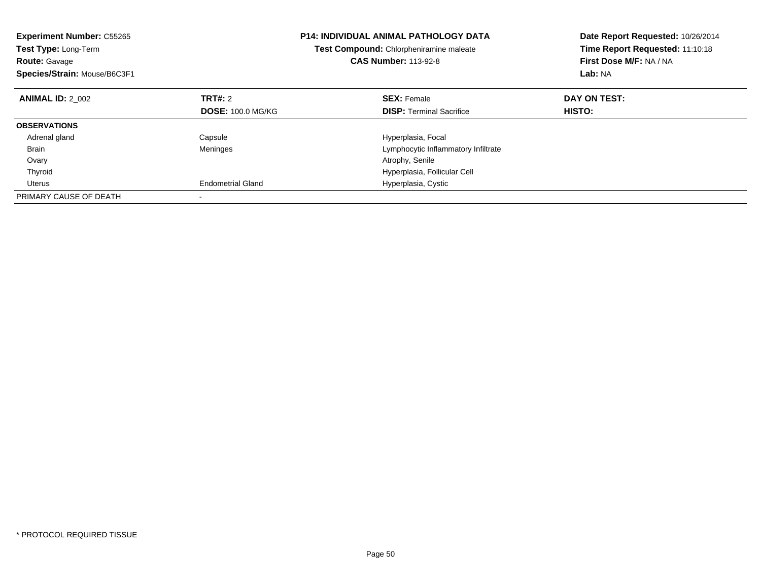| <b>Experiment Number: C55265</b><br>Test Type: Long-Term<br><b>Route: Gavage</b><br>Species/Strain: Mouse/B6C3F1 |                          | <b>P14: INDIVIDUAL ANIMAL PATHOLOGY DATA</b><br>Test Compound: Chlorpheniramine maleate<br><b>CAS Number: 113-92-8</b> | Date Report Requested: 10/26/2014<br>Time Report Requested: 11:10:18<br>First Dose M/F: NA / NA<br>Lab: NA |
|------------------------------------------------------------------------------------------------------------------|--------------------------|------------------------------------------------------------------------------------------------------------------------|------------------------------------------------------------------------------------------------------------|
| <b>ANIMAL ID: 2 002</b>                                                                                          | TRT#: 2                  | <b>SEX: Female</b>                                                                                                     | DAY ON TEST:                                                                                               |
|                                                                                                                  | <b>DOSE: 100.0 MG/KG</b> | <b>DISP:</b> Terminal Sacrifice                                                                                        | <b>HISTO:</b>                                                                                              |
| <b>OBSERVATIONS</b>                                                                                              |                          |                                                                                                                        |                                                                                                            |
| Adrenal gland                                                                                                    | Capsule                  | Hyperplasia, Focal                                                                                                     |                                                                                                            |
| Brain                                                                                                            | Meninges                 | Lymphocytic Inflammatory Infiltrate                                                                                    |                                                                                                            |
| Ovary                                                                                                            |                          | Atrophy, Senile                                                                                                        |                                                                                                            |
| Thyroid                                                                                                          |                          | Hyperplasia, Follicular Cell                                                                                           |                                                                                                            |
| Uterus                                                                                                           | <b>Endometrial Gland</b> | Hyperplasia, Cystic                                                                                                    |                                                                                                            |
| PRIMARY CAUSE OF DEATH                                                                                           |                          |                                                                                                                        |                                                                                                            |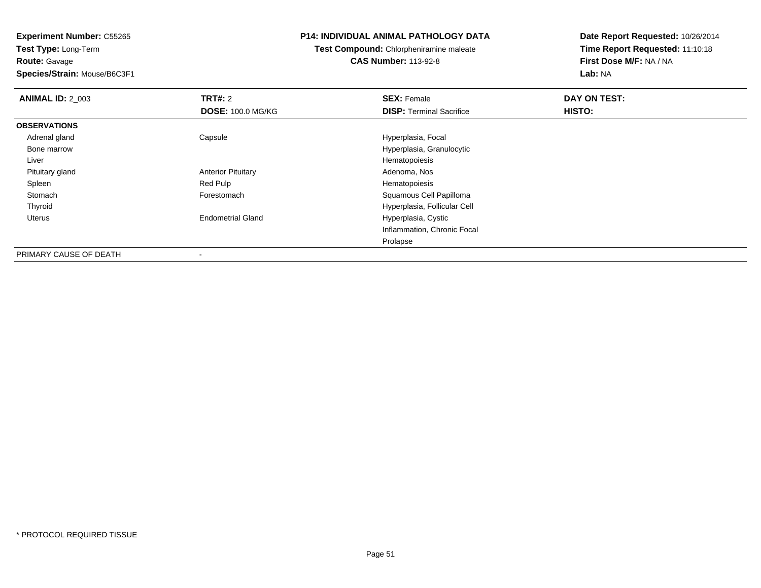**Experiment Number:** C55265**Test Type:** Long-Term**Route:** Gavage

**Species/Strain:** Mouse/B6C3F1

-

## **P14: INDIVIDUAL ANIMAL PATHOLOGY DATA**

# **Test Compound:** Chlorpheniramine maleate**CAS Number:** 113-92-8

| <b>ANIMAL ID: 2 003</b> | TRT#: 2                   | <b>SEX: Female</b>              | DAY ON TEST: |  |
|-------------------------|---------------------------|---------------------------------|--------------|--|
|                         | <b>DOSE: 100.0 MG/KG</b>  | <b>DISP: Terminal Sacrifice</b> | HISTO:       |  |
| <b>OBSERVATIONS</b>     |                           |                                 |              |  |
| Adrenal gland           | Capsule                   | Hyperplasia, Focal              |              |  |
| Bone marrow             |                           | Hyperplasia, Granulocytic       |              |  |
| Liver                   |                           | Hematopoiesis                   |              |  |
| Pituitary gland         | <b>Anterior Pituitary</b> | Adenoma, Nos                    |              |  |
| Spleen                  | Red Pulp                  | Hematopoiesis                   |              |  |
| Stomach                 | Forestomach               | Squamous Cell Papilloma         |              |  |
| Thyroid                 |                           | Hyperplasia, Follicular Cell    |              |  |
| Uterus                  | <b>Endometrial Gland</b>  | Hyperplasia, Cystic             |              |  |
|                         |                           | Inflammation, Chronic Focal     |              |  |
|                         |                           | Prolapse                        |              |  |
| PRIMARY CAUSE OF DEATH  | $\,$                      |                                 |              |  |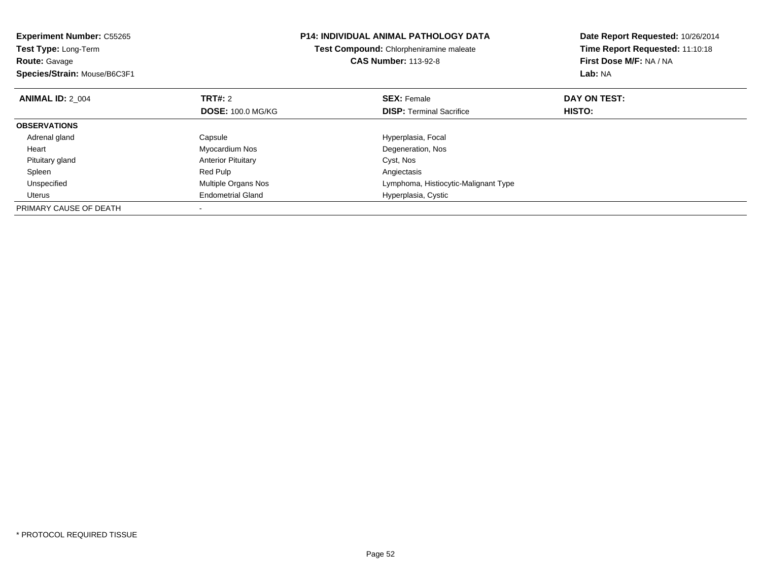| <b>Experiment Number: C55265</b><br>Test Type: Long-Term<br><b>Route: Gavage</b><br>Species/Strain: Mouse/B6C3F1 |                           | <b>P14: INDIVIDUAL ANIMAL PATHOLOGY DATA</b><br>Test Compound: Chlorpheniramine maleate<br><b>CAS Number: 113-92-8</b> | Date Report Requested: 10/26/2014<br>Time Report Requested: 11:10:18<br>First Dose M/F: NA / NA<br>Lab: NA |
|------------------------------------------------------------------------------------------------------------------|---------------------------|------------------------------------------------------------------------------------------------------------------------|------------------------------------------------------------------------------------------------------------|
| <b>ANIMAL ID: 2 004</b>                                                                                          | TRT#: 2                   | <b>SEX: Female</b>                                                                                                     | DAY ON TEST:                                                                                               |
|                                                                                                                  | <b>DOSE: 100.0 MG/KG</b>  | <b>DISP:</b> Terminal Sacrifice                                                                                        | HISTO:                                                                                                     |
| <b>OBSERVATIONS</b>                                                                                              |                           |                                                                                                                        |                                                                                                            |
| Adrenal gland                                                                                                    | Capsule                   | Hyperplasia, Focal                                                                                                     |                                                                                                            |
| Heart                                                                                                            | Myocardium Nos            | Degeneration, Nos                                                                                                      |                                                                                                            |
| Pituitary gland                                                                                                  | <b>Anterior Pituitary</b> | Cyst, Nos                                                                                                              |                                                                                                            |
| Spleen                                                                                                           | Red Pulp                  | Angiectasis                                                                                                            |                                                                                                            |
| Unspecified                                                                                                      | Multiple Organs Nos       | Lymphoma, Histiocytic-Malignant Type                                                                                   |                                                                                                            |
| Uterus                                                                                                           | <b>Endometrial Gland</b>  | Hyperplasia, Cystic                                                                                                    |                                                                                                            |
| PRIMARY CAUSE OF DEATH                                                                                           |                           |                                                                                                                        |                                                                                                            |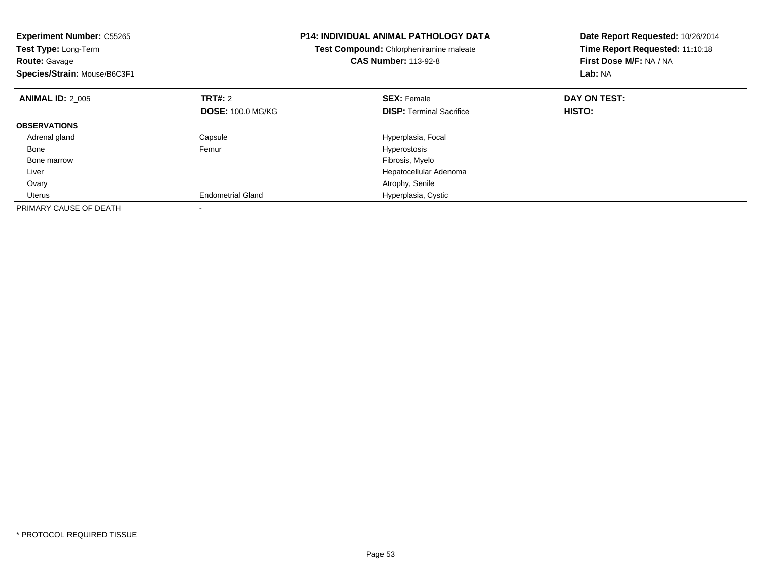| <b>Experiment Number: C55265</b><br>Test Type: Long-Term<br><b>Route: Gavage</b><br>Species/Strain: Mouse/B6C3F1 |                          | <b>P14: INDIVIDUAL ANIMAL PATHOLOGY DATA</b><br>Test Compound: Chlorpheniramine maleate<br><b>CAS Number: 113-92-8</b> | Date Report Requested: 10/26/2014<br>Time Report Requested: 11:10:18<br>First Dose M/F: NA / NA<br>Lab: NA |
|------------------------------------------------------------------------------------------------------------------|--------------------------|------------------------------------------------------------------------------------------------------------------------|------------------------------------------------------------------------------------------------------------|
| <b>ANIMAL ID: 2 005</b>                                                                                          | TRT#: 2                  | <b>SEX: Female</b>                                                                                                     | DAY ON TEST:                                                                                               |
|                                                                                                                  | <b>DOSE: 100.0 MG/KG</b> | <b>DISP:</b> Terminal Sacrifice                                                                                        | HISTO:                                                                                                     |
| <b>OBSERVATIONS</b>                                                                                              |                          |                                                                                                                        |                                                                                                            |
| Adrenal gland                                                                                                    | Capsule                  | Hyperplasia, Focal                                                                                                     |                                                                                                            |
| Bone                                                                                                             | Femur                    | Hyperostosis                                                                                                           |                                                                                                            |
| Bone marrow                                                                                                      |                          | Fibrosis, Myelo                                                                                                        |                                                                                                            |
| Liver                                                                                                            |                          | Hepatocellular Adenoma                                                                                                 |                                                                                                            |
| Ovary                                                                                                            |                          | Atrophy, Senile                                                                                                        |                                                                                                            |
| Uterus                                                                                                           | <b>Endometrial Gland</b> | Hyperplasia, Cystic                                                                                                    |                                                                                                            |
| PRIMARY CAUSE OF DEATH                                                                                           |                          |                                                                                                                        |                                                                                                            |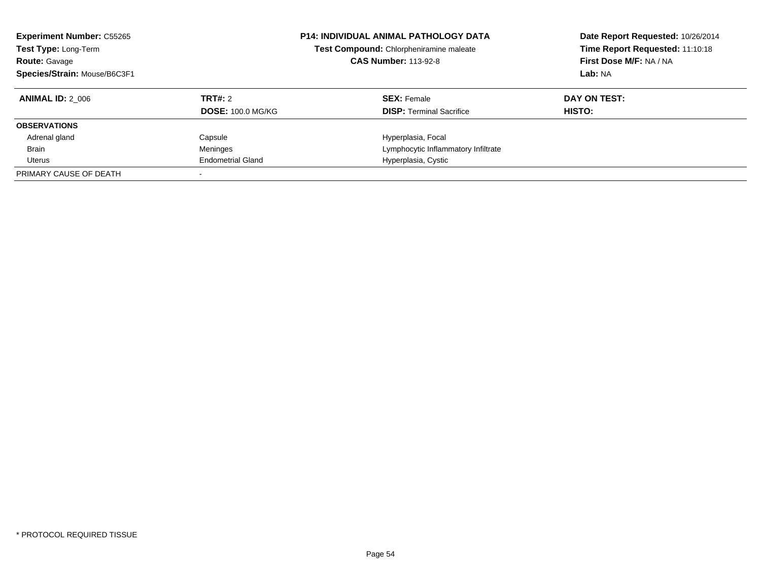| <b>Experiment Number: C55265</b><br>Test Type: Long-Term<br><b>Route: Gavage</b><br>Species/Strain: Mouse/B6C3F1 |                          | <b>P14: INDIVIDUAL ANIMAL PATHOLOGY DATA</b><br>Test Compound: Chlorpheniramine maleate<br><b>CAS Number: 113-92-8</b> | Date Report Requested: 10/26/2014<br>Time Report Requested: 11:10:18<br>First Dose M/F: NA / NA<br>Lab: NA |  |
|------------------------------------------------------------------------------------------------------------------|--------------------------|------------------------------------------------------------------------------------------------------------------------|------------------------------------------------------------------------------------------------------------|--|
| <b>ANIMAL ID: 2 006</b>                                                                                          | TRT#: 2                  | <b>SEX: Female</b>                                                                                                     | DAY ON TEST:                                                                                               |  |
|                                                                                                                  | <b>DOSE: 100.0 MG/KG</b> | <b>DISP:</b> Terminal Sacrifice                                                                                        | <b>HISTO:</b>                                                                                              |  |
| <b>OBSERVATIONS</b>                                                                                              |                          |                                                                                                                        |                                                                                                            |  |
| Adrenal gland                                                                                                    | Capsule                  | Hyperplasia, Focal                                                                                                     |                                                                                                            |  |
| <b>Brain</b>                                                                                                     | Meninges                 | Lymphocytic Inflammatory Infiltrate                                                                                    |                                                                                                            |  |
| Uterus                                                                                                           | <b>Endometrial Gland</b> | Hyperplasia, Cystic                                                                                                    |                                                                                                            |  |
| PRIMARY CAUSE OF DEATH                                                                                           |                          |                                                                                                                        |                                                                                                            |  |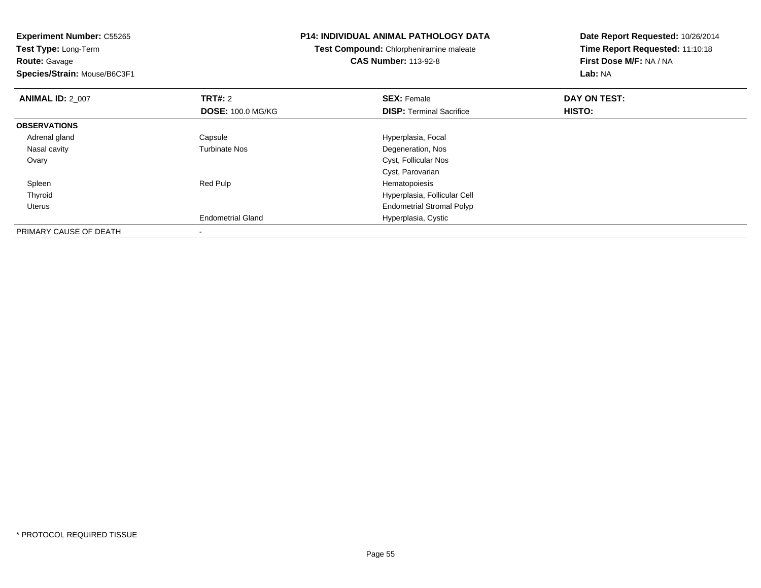| <b>Experiment Number: C55265</b><br>Test Type: Long-Term |                          | <b>P14: INDIVIDUAL ANIMAL PATHOLOGY DATA</b> | Date Report Requested: 10/26/2014 |
|----------------------------------------------------------|--------------------------|----------------------------------------------|-----------------------------------|
|                                                          |                          | Test Compound: Chlorpheniramine maleate      | Time Report Requested: 11:10:18   |
| <b>Route: Gavage</b>                                     |                          | <b>CAS Number: 113-92-8</b>                  | First Dose M/F: NA / NA           |
| Species/Strain: Mouse/B6C3F1                             |                          |                                              | Lab: NA                           |
| <b>ANIMAL ID: 2 007</b>                                  | <b>TRT#: 2</b>           | <b>SEX: Female</b>                           | DAY ON TEST:                      |
|                                                          | <b>DOSE: 100.0 MG/KG</b> | <b>DISP:</b> Terminal Sacrifice              | <b>HISTO:</b>                     |
| <b>OBSERVATIONS</b>                                      |                          |                                              |                                   |
| Adrenal gland                                            | Capsule                  | Hyperplasia, Focal                           |                                   |
| Nasal cavity                                             | <b>Turbinate Nos</b>     | Degeneration, Nos                            |                                   |
| Ovary                                                    |                          | Cyst, Follicular Nos                         |                                   |
|                                                          |                          | Cyst, Parovarian                             |                                   |
| Spleen                                                   | Red Pulp                 | Hematopoiesis                                |                                   |
| Thyroid                                                  |                          | Hyperplasia, Follicular Cell                 |                                   |
| Uterus                                                   |                          | <b>Endometrial Stromal Polyp</b>             |                                   |
|                                                          | <b>Endometrial Gland</b> | Hyperplasia, Cystic                          |                                   |
| PRIMARY CAUSE OF DEATH                                   |                          |                                              |                                   |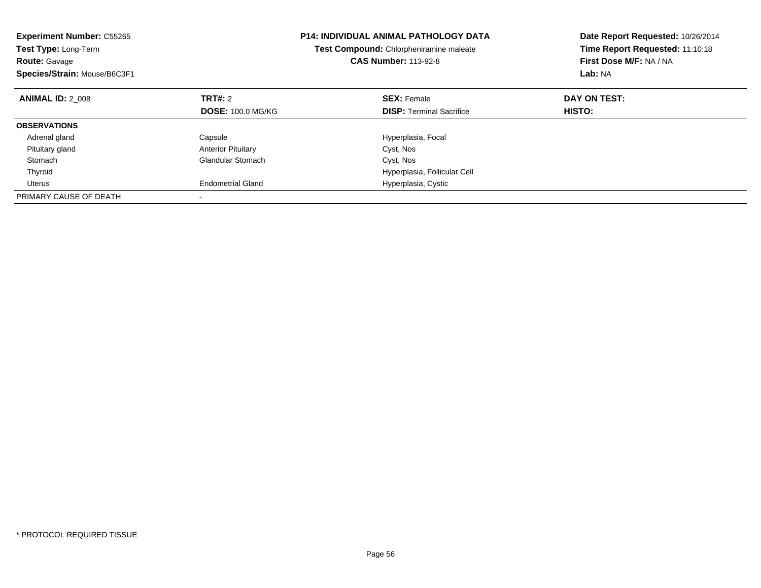| <b>Experiment Number: C55265</b><br>Test Type: Long-Term<br><b>Route: Gavage</b><br>Species/Strain: Mouse/B6C3F1 |                           | <b>P14: INDIVIDUAL ANIMAL PATHOLOGY DATA</b><br>Test Compound: Chlorpheniramine maleate<br><b>CAS Number: 113-92-8</b> | Date Report Requested: 10/26/2014<br>Time Report Requested: 11:10:18<br>First Dose M/F: NA / NA<br>Lab: NA |
|------------------------------------------------------------------------------------------------------------------|---------------------------|------------------------------------------------------------------------------------------------------------------------|------------------------------------------------------------------------------------------------------------|
| <b>ANIMAL ID: 2 008</b>                                                                                          | TRT#: 2                   | <b>SEX: Female</b>                                                                                                     | DAY ON TEST:                                                                                               |
|                                                                                                                  | <b>DOSE: 100.0 MG/KG</b>  | <b>DISP:</b> Terminal Sacrifice                                                                                        | HISTO:                                                                                                     |
| <b>OBSERVATIONS</b>                                                                                              |                           |                                                                                                                        |                                                                                                            |
| Adrenal gland                                                                                                    | Capsule                   | Hyperplasia, Focal                                                                                                     |                                                                                                            |
| Pituitary gland                                                                                                  | <b>Anterior Pituitary</b> | Cyst, Nos                                                                                                              |                                                                                                            |
| Stomach                                                                                                          | Glandular Stomach         | Cyst, Nos                                                                                                              |                                                                                                            |
| Thyroid                                                                                                          |                           | Hyperplasia, Follicular Cell                                                                                           |                                                                                                            |
| Uterus                                                                                                           | <b>Endometrial Gland</b>  | Hyperplasia, Cystic                                                                                                    |                                                                                                            |
| PRIMARY CAUSE OF DEATH                                                                                           |                           |                                                                                                                        |                                                                                                            |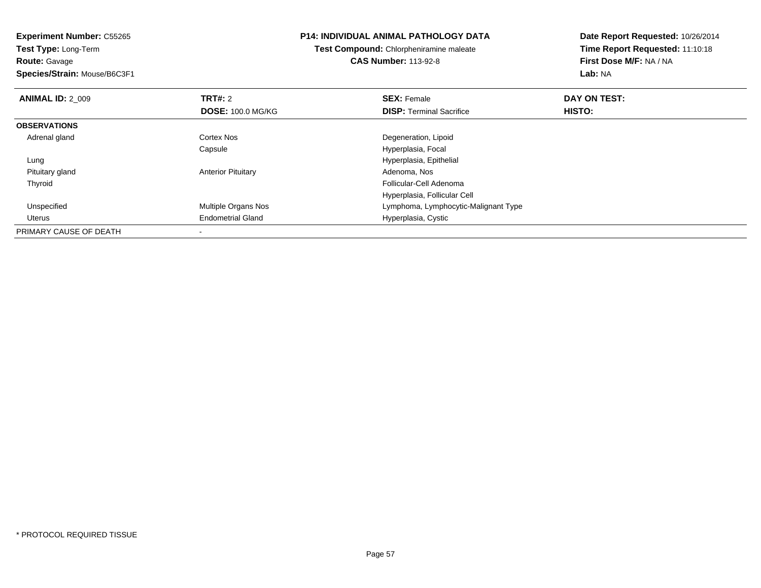**Experiment Number:** C55265**Test Type:** Long-Term**Route:** Gavage **Species/Strain:** Mouse/B6C3F1**P14: INDIVIDUAL ANIMAL PATHOLOGY DATATest Compound:** Chlorpheniramine maleate**CAS Number:** 113-92-8**Date Report Requested:** 10/26/2014**Time Report Requested:** 11:10:18**First Dose M/F:** NA / NA**Lab:** NA**ANIMAL ID: 2 009 TRT#:** 2 **SEX:** Female **DAY ON TEST: DOSE:** 100.0 MG/KG**DISP:** Terminal Sacrifice **HISTO: OBSERVATIONS** Adrenal glandCortex Nos **Cortex Nos** Degeneration, Lipoid Capsule Hyperplasia, Focal Lung Hyperplasia, Epithelial Pituitary glandAnterior Pituitary Thyroid Follicular-Cell Adenoma Hyperplasia, Follicular Cell UnspecifiedMultiple Organs Nos **Multiple Organs Nos** Lymphoma, Lymphocytic-Malignant Type Uterus Endometrial Gland Hyperplasia, Cystic PRIMARY CAUSE OF DEATH-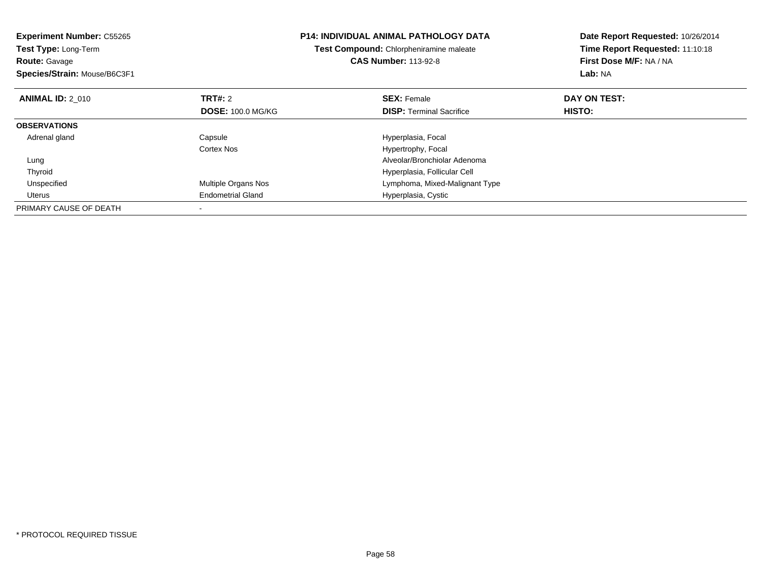| <b>Experiment Number: C55265</b><br><b>Test Type: Long-Term</b><br><b>Route: Gavage</b><br>Species/Strain: Mouse/B6C3F1 |                          | <b>P14: INDIVIDUAL ANIMAL PATHOLOGY DATA</b><br>Test Compound: Chlorpheniramine maleate<br><b>CAS Number: 113-92-8</b> | Date Report Requested: 10/26/2014<br>Time Report Requested: 11:10:18<br>First Dose M/F: NA / NA<br>Lab: NA |
|-------------------------------------------------------------------------------------------------------------------------|--------------------------|------------------------------------------------------------------------------------------------------------------------|------------------------------------------------------------------------------------------------------------|
| <b>ANIMAL ID: 2 010</b>                                                                                                 | TRT#: 2                  | <b>SEX: Female</b>                                                                                                     | DAY ON TEST:                                                                                               |
|                                                                                                                         | <b>DOSE: 100.0 MG/KG</b> | <b>DISP:</b> Terminal Sacrifice                                                                                        | <b>HISTO:</b>                                                                                              |
| <b>OBSERVATIONS</b>                                                                                                     |                          |                                                                                                                        |                                                                                                            |
| Adrenal gland                                                                                                           | Capsule                  | Hyperplasia, Focal                                                                                                     |                                                                                                            |
|                                                                                                                         | Cortex Nos               | Hypertrophy, Focal                                                                                                     |                                                                                                            |
| Lung                                                                                                                    |                          | Alveolar/Bronchiolar Adenoma                                                                                           |                                                                                                            |
| Thyroid                                                                                                                 |                          | Hyperplasia, Follicular Cell                                                                                           |                                                                                                            |
| Unspecified                                                                                                             | Multiple Organs Nos      | Lymphoma, Mixed-Malignant Type                                                                                         |                                                                                                            |
| Uterus                                                                                                                  | <b>Endometrial Gland</b> | Hyperplasia, Cystic                                                                                                    |                                                                                                            |
| PRIMARY CAUSE OF DEATH                                                                                                  |                          |                                                                                                                        |                                                                                                            |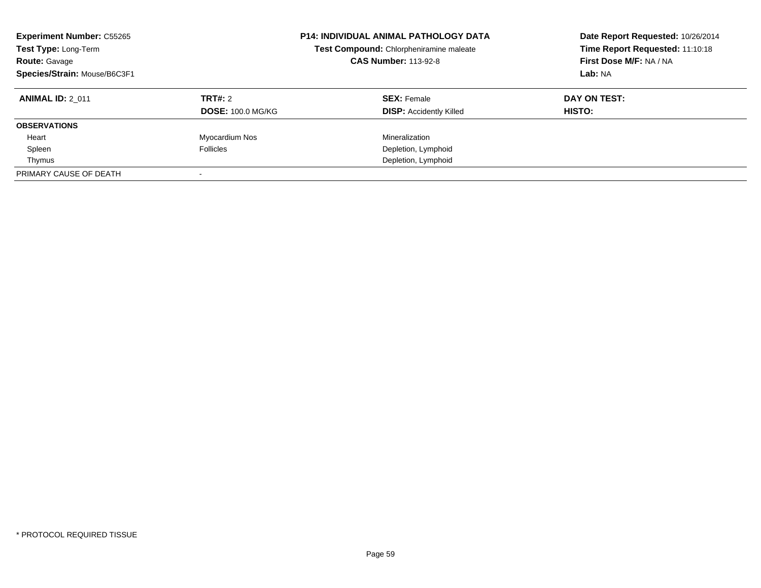| <b>Experiment Number: C55265</b><br>Test Type: Long-Term<br><b>Route: Gavage</b><br>Species/Strain: Mouse/B6C3F1 | <b>P14: INDIVIDUAL ANIMAL PATHOLOGY DATA</b><br>Test Compound: Chlorpheniramine maleate<br><b>CAS Number: 113-92-8</b> |                                | Date Report Requested: 10/26/2014<br>Time Report Requested: 11:10:18<br>First Dose M/F: NA / NA<br>Lab: NA |
|------------------------------------------------------------------------------------------------------------------|------------------------------------------------------------------------------------------------------------------------|--------------------------------|------------------------------------------------------------------------------------------------------------|
| <b>ANIMAL ID: 2 011</b>                                                                                          | TRT#: 2                                                                                                                | <b>SEX: Female</b>             | DAY ON TEST:                                                                                               |
|                                                                                                                  | <b>DOSE: 100.0 MG/KG</b>                                                                                               | <b>DISP:</b> Accidently Killed | HISTO:                                                                                                     |
| <b>OBSERVATIONS</b>                                                                                              |                                                                                                                        |                                |                                                                                                            |
| Heart                                                                                                            | Myocardium Nos                                                                                                         | Mineralization                 |                                                                                                            |
| Spleen                                                                                                           | <b>Follicles</b>                                                                                                       | Depletion, Lymphoid            |                                                                                                            |
| Thymus                                                                                                           |                                                                                                                        | Depletion, Lymphoid            |                                                                                                            |
| PRIMARY CAUSE OF DEATH                                                                                           |                                                                                                                        |                                |                                                                                                            |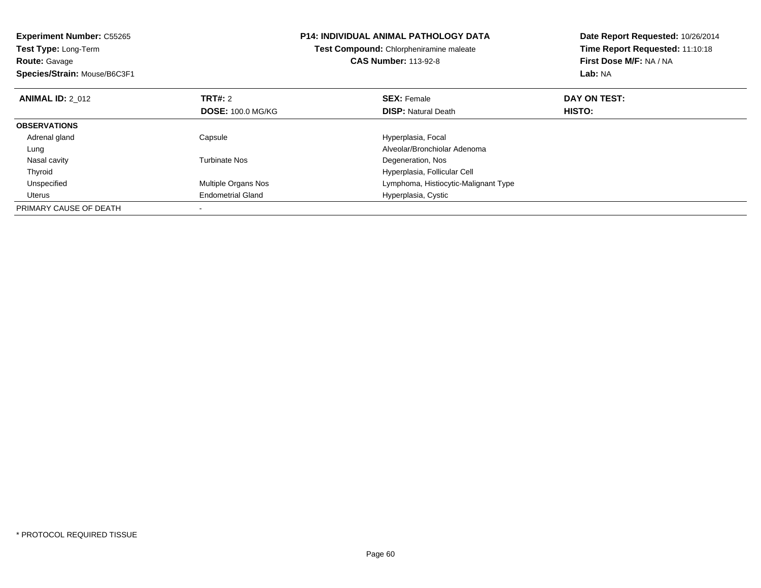| <b>Experiment Number: C55265</b><br>Test Type: Long-Term<br><b>Route: Gavage</b> |                          | <b>P14: INDIVIDUAL ANIMAL PATHOLOGY DATA</b><br>Test Compound: Chlorpheniramine maleate<br><b>CAS Number: 113-92-8</b> | Date Report Requested: 10/26/2014<br>Time Report Requested: 11:10:18<br>First Dose M/F: NA / NA |  |
|----------------------------------------------------------------------------------|--------------------------|------------------------------------------------------------------------------------------------------------------------|-------------------------------------------------------------------------------------------------|--|
| Species/Strain: Mouse/B6C3F1                                                     |                          |                                                                                                                        | Lab: NA                                                                                         |  |
| <b>ANIMAL ID: 2 012</b>                                                          | <b>TRT#:</b> 2           | <b>SEX: Female</b>                                                                                                     | DAY ON TEST:                                                                                    |  |
|                                                                                  | <b>DOSE: 100.0 MG/KG</b> | <b>DISP:</b> Natural Death                                                                                             | <b>HISTO:</b>                                                                                   |  |
| <b>OBSERVATIONS</b>                                                              |                          |                                                                                                                        |                                                                                                 |  |
| Adrenal gland                                                                    | Capsule                  | Hyperplasia, Focal                                                                                                     |                                                                                                 |  |
| Lung                                                                             |                          | Alveolar/Bronchiolar Adenoma                                                                                           |                                                                                                 |  |
| Nasal cavity                                                                     | <b>Turbinate Nos</b>     | Degeneration, Nos                                                                                                      |                                                                                                 |  |
| Thyroid                                                                          |                          | Hyperplasia, Follicular Cell                                                                                           |                                                                                                 |  |
| Unspecified                                                                      | Multiple Organs Nos      | Lymphoma, Histiocytic-Malignant Type                                                                                   |                                                                                                 |  |
| Uterus                                                                           | <b>Endometrial Gland</b> | Hyperplasia, Cystic                                                                                                    |                                                                                                 |  |
| PRIMARY CAUSE OF DEATH                                                           |                          |                                                                                                                        |                                                                                                 |  |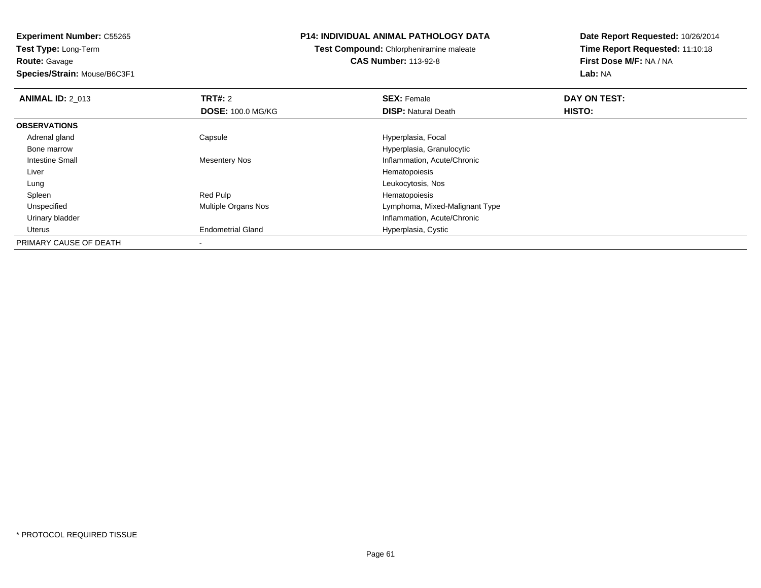**Experiment Number:** C55265**Test Type:** Long-Term**Route:** Gavage

## **Species/Strain:** Mouse/B6C3F1

## **P14: INDIVIDUAL ANIMAL PATHOLOGY DATA**

**Test Compound:** Chlorpheniramine maleate**CAS Number:** 113-92-8

| <b>ANIMAL ID: 2 013</b> | <b>TRT#: 2</b>           | <b>SEX: Female</b>             | DAY ON TEST: |  |
|-------------------------|--------------------------|--------------------------------|--------------|--|
|                         | <b>DOSE: 100.0 MG/KG</b> | <b>DISP: Natural Death</b>     | HISTO:       |  |
| <b>OBSERVATIONS</b>     |                          |                                |              |  |
| Adrenal gland           | Capsule                  | Hyperplasia, Focal             |              |  |
| Bone marrow             |                          | Hyperplasia, Granulocytic      |              |  |
| Intestine Small         | Mesentery Nos            | Inflammation, Acute/Chronic    |              |  |
| Liver                   |                          | Hematopoiesis                  |              |  |
| Lung                    |                          | Leukocytosis, Nos              |              |  |
| Spleen                  | Red Pulp                 | Hematopoiesis                  |              |  |
| Unspecified             | Multiple Organs Nos      | Lymphoma, Mixed-Malignant Type |              |  |
| Urinary bladder         |                          | Inflammation, Acute/Chronic    |              |  |
| Uterus                  | <b>Endometrial Gland</b> | Hyperplasia, Cystic            |              |  |
| PRIMARY CAUSE OF DEATH  |                          |                                |              |  |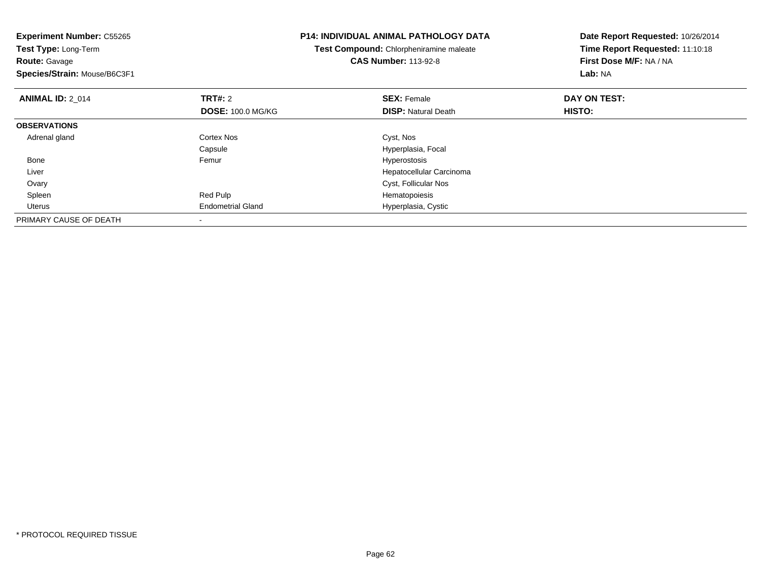| <b>Experiment Number: C55265</b><br>Test Type: Long-Term<br><b>Route: Gavage</b><br>Species/Strain: Mouse/B6C3F1 |                          | <b>P14: INDIVIDUAL ANIMAL PATHOLOGY DATA</b><br>Test Compound: Chlorpheniramine maleate<br><b>CAS Number: 113-92-8</b> | Date Report Requested: 10/26/2014<br>Time Report Requested: 11:10:18<br>First Dose M/F: NA / NA<br>Lab: NA |
|------------------------------------------------------------------------------------------------------------------|--------------------------|------------------------------------------------------------------------------------------------------------------------|------------------------------------------------------------------------------------------------------------|
| <b>ANIMAL ID: 2 014</b>                                                                                          | <b>TRT#: 2</b>           | <b>SEX: Female</b>                                                                                                     | DAY ON TEST:                                                                                               |
|                                                                                                                  | <b>DOSE: 100.0 MG/KG</b> | <b>DISP:</b> Natural Death                                                                                             | HISTO:                                                                                                     |
| <b>OBSERVATIONS</b>                                                                                              |                          |                                                                                                                        |                                                                                                            |
| Adrenal gland                                                                                                    | <b>Cortex Nos</b>        | Cyst, Nos                                                                                                              |                                                                                                            |
|                                                                                                                  | Capsule                  | Hyperplasia, Focal                                                                                                     |                                                                                                            |
| Bone                                                                                                             | Femur                    | <b>Hyperostosis</b>                                                                                                    |                                                                                                            |
| Liver                                                                                                            |                          | Hepatocellular Carcinoma                                                                                               |                                                                                                            |
| Ovary                                                                                                            |                          | Cyst, Follicular Nos                                                                                                   |                                                                                                            |
| Spleen                                                                                                           | Red Pulp                 | Hematopoiesis                                                                                                          |                                                                                                            |
| Uterus                                                                                                           | <b>Endometrial Gland</b> | Hyperplasia, Cystic                                                                                                    |                                                                                                            |
| PRIMARY CAUSE OF DEATH                                                                                           |                          |                                                                                                                        |                                                                                                            |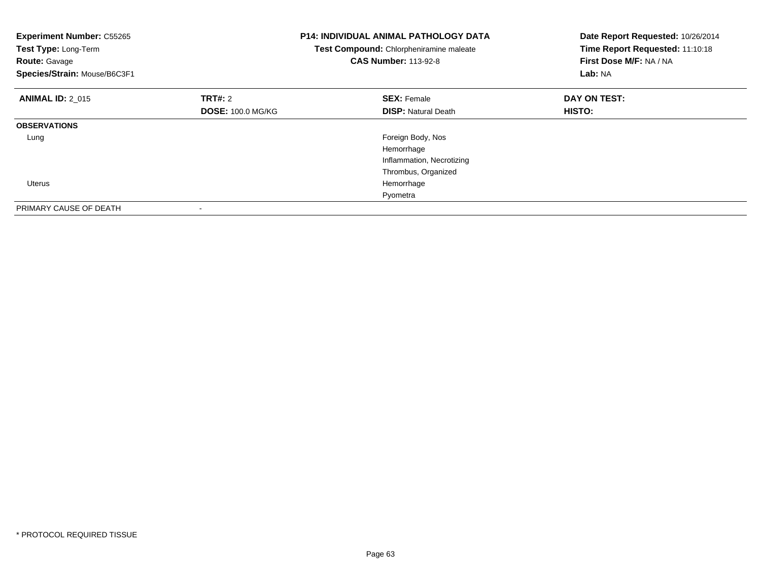| <b>Experiment Number: C55265</b><br>Test Type: Long-Term<br><b>Route: Gavage</b><br>Species/Strain: Mouse/B6C3F1 |                          | <b>P14: INDIVIDUAL ANIMAL PATHOLOGY DATA</b><br>Test Compound: Chlorpheniramine maleate<br><b>CAS Number: 113-92-8</b> | Date Report Requested: 10/26/2014<br>Time Report Requested: 11:10:18<br>First Dose M/F: NA / NA<br>Lab: NA |
|------------------------------------------------------------------------------------------------------------------|--------------------------|------------------------------------------------------------------------------------------------------------------------|------------------------------------------------------------------------------------------------------------|
| <b>ANIMAL ID: 2_015</b>                                                                                          | TRT#: 2                  | <b>SEX: Female</b>                                                                                                     | DAY ON TEST:                                                                                               |
|                                                                                                                  | <b>DOSE: 100.0 MG/KG</b> | <b>DISP:</b> Natural Death                                                                                             | HISTO:                                                                                                     |
| <b>OBSERVATIONS</b>                                                                                              |                          |                                                                                                                        |                                                                                                            |
| Lung                                                                                                             |                          | Foreign Body, Nos                                                                                                      |                                                                                                            |
|                                                                                                                  |                          | Hemorrhage                                                                                                             |                                                                                                            |
|                                                                                                                  |                          | Inflammation, Necrotizing                                                                                              |                                                                                                            |
|                                                                                                                  |                          | Thrombus, Organized                                                                                                    |                                                                                                            |
| Uterus                                                                                                           |                          | Hemorrhage                                                                                                             |                                                                                                            |
|                                                                                                                  |                          | Pyometra                                                                                                               |                                                                                                            |
| PRIMARY CAUSE OF DEATH                                                                                           |                          |                                                                                                                        |                                                                                                            |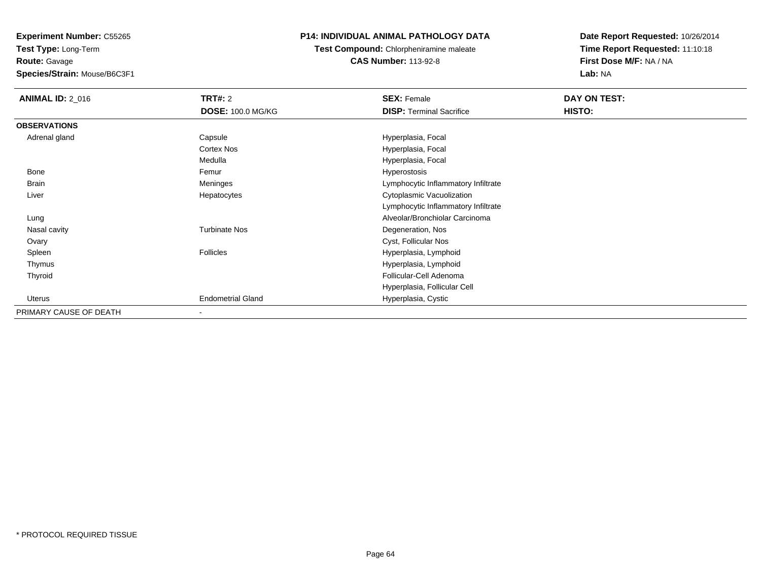**Experiment Number:** C55265

**Test Type:** Long-Term**Route:** Gavage

**Species/Strain:** Mouse/B6C3F1

# **P14: INDIVIDUAL ANIMAL PATHOLOGY DATA**

**Test Compound:** Chlorpheniramine maleate**CAS Number:** 113-92-8

| <b>ANIMAL ID: 2_016</b> | <b>TRT#: 2</b>           | <b>SEX: Female</b>                  | DAY ON TEST: |
|-------------------------|--------------------------|-------------------------------------|--------------|
|                         | <b>DOSE: 100.0 MG/KG</b> | <b>DISP:</b> Terminal Sacrifice     | HISTO:       |
| <b>OBSERVATIONS</b>     |                          |                                     |              |
| Adrenal gland           | Capsule                  | Hyperplasia, Focal                  |              |
|                         | <b>Cortex Nos</b>        | Hyperplasia, Focal                  |              |
|                         | Medulla                  | Hyperplasia, Focal                  |              |
| Bone                    | Femur                    | <b>Hyperostosis</b>                 |              |
| Brain                   | Meninges                 | Lymphocytic Inflammatory Infiltrate |              |
| Liver                   | Hepatocytes              | Cytoplasmic Vacuolization           |              |
|                         |                          | Lymphocytic Inflammatory Infiltrate |              |
| Lung                    |                          | Alveolar/Bronchiolar Carcinoma      |              |
| Nasal cavity            | <b>Turbinate Nos</b>     | Degeneration, Nos                   |              |
| Ovary                   |                          | Cyst, Follicular Nos                |              |
| Spleen                  | <b>Follicles</b>         | Hyperplasia, Lymphoid               |              |
| Thymus                  |                          | Hyperplasia, Lymphoid               |              |
| Thyroid                 |                          | Follicular-Cell Adenoma             |              |
|                         |                          | Hyperplasia, Follicular Cell        |              |
| Uterus                  | <b>Endometrial Gland</b> | Hyperplasia, Cystic                 |              |
| PRIMARY CAUSE OF DEATH  | $\overline{\phantom{a}}$ |                                     |              |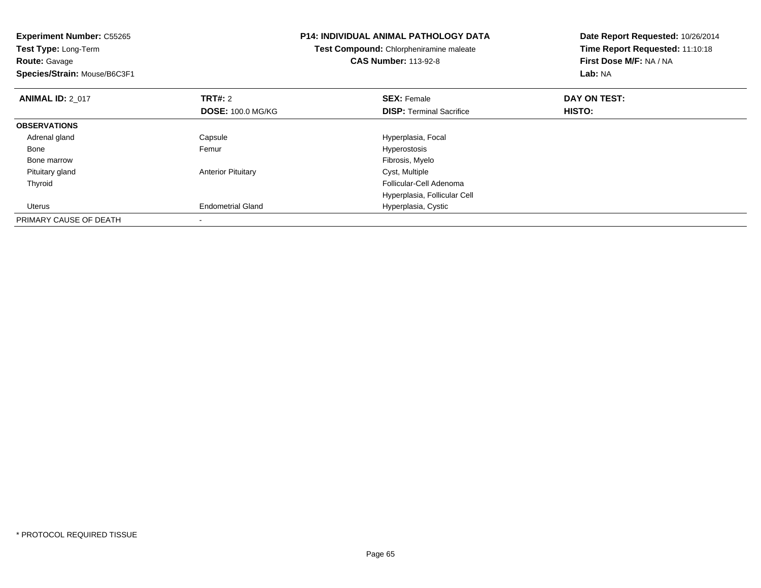| <b>Experiment Number: C55265</b><br><b>Test Type: Long-Term</b><br><b>Route: Gavage</b><br>Species/Strain: Mouse/B6C3F1 |                           | <b>P14: INDIVIDUAL ANIMAL PATHOLOGY DATA</b><br>Test Compound: Chlorpheniramine maleate<br><b>CAS Number: 113-92-8</b> | Date Report Requested: 10/26/2014<br>Time Report Requested: 11:10:18<br>First Dose M/F: NA / NA<br>Lab: NA |
|-------------------------------------------------------------------------------------------------------------------------|---------------------------|------------------------------------------------------------------------------------------------------------------------|------------------------------------------------------------------------------------------------------------|
| <b>ANIMAL ID: 2_017</b>                                                                                                 | <b>TRT#: 2</b>            | <b>SEX: Female</b>                                                                                                     | DAY ON TEST:                                                                                               |
|                                                                                                                         | <b>DOSE: 100.0 MG/KG</b>  | <b>DISP:</b> Terminal Sacrifice                                                                                        | HISTO:                                                                                                     |
| <b>OBSERVATIONS</b>                                                                                                     |                           |                                                                                                                        |                                                                                                            |
| Adrenal gland                                                                                                           | Capsule                   | Hyperplasia, Focal                                                                                                     |                                                                                                            |
| Bone                                                                                                                    | Femur                     | <b>Hyperostosis</b>                                                                                                    |                                                                                                            |
| Bone marrow                                                                                                             |                           | Fibrosis, Myelo                                                                                                        |                                                                                                            |
| Pituitary gland                                                                                                         | <b>Anterior Pituitary</b> | Cyst, Multiple                                                                                                         |                                                                                                            |
| Thyroid                                                                                                                 |                           | Follicular-Cell Adenoma                                                                                                |                                                                                                            |
|                                                                                                                         |                           | Hyperplasia, Follicular Cell                                                                                           |                                                                                                            |
| Uterus                                                                                                                  | <b>Endometrial Gland</b>  | Hyperplasia, Cystic                                                                                                    |                                                                                                            |
| PRIMARY CAUSE OF DEATH                                                                                                  |                           |                                                                                                                        |                                                                                                            |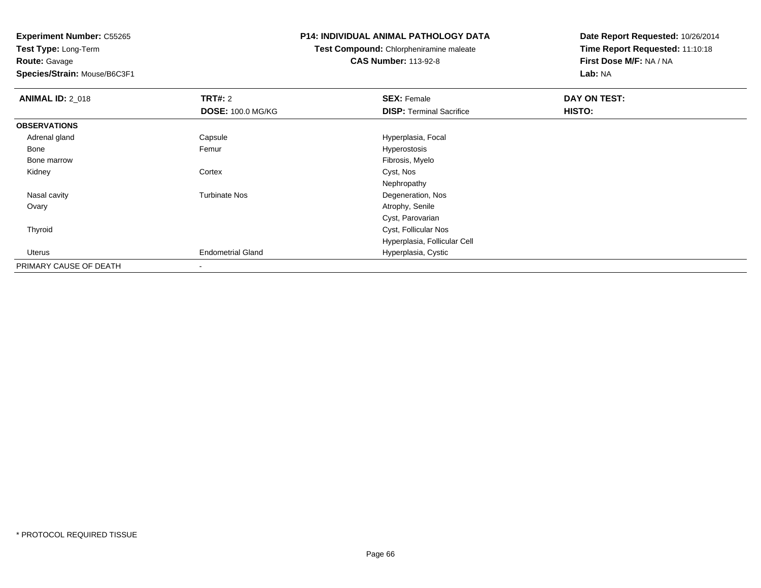**Route:** Gavage

**Species/Strain:** Mouse/B6C3F1

## **P14: INDIVIDUAL ANIMAL PATHOLOGY DATA**

**Test Compound:** Chlorpheniramine maleate

**CAS Number:** 113-92-8

| <b>ANIMAL ID: 2_018</b> | <b>TRT#: 2</b><br><b>DOSE: 100.0 MG/KG</b> | <b>SEX: Female</b><br><b>DISP: Terminal Sacrifice</b> | DAY ON TEST:<br>HISTO: |
|-------------------------|--------------------------------------------|-------------------------------------------------------|------------------------|
| <b>OBSERVATIONS</b>     |                                            |                                                       |                        |
| Adrenal gland           | Capsule                                    | Hyperplasia, Focal                                    |                        |
| Bone                    | Femur                                      | Hyperostosis                                          |                        |
| Bone marrow             |                                            | Fibrosis, Myelo                                       |                        |
| Kidney                  | Cortex                                     | Cyst, Nos                                             |                        |
|                         |                                            | Nephropathy                                           |                        |
| Nasal cavity            | <b>Turbinate Nos</b>                       | Degeneration, Nos                                     |                        |
| Ovary                   |                                            | Atrophy, Senile                                       |                        |
|                         |                                            | Cyst, Parovarian                                      |                        |
| Thyroid                 |                                            | Cyst, Follicular Nos                                  |                        |
|                         |                                            | Hyperplasia, Follicular Cell                          |                        |
| Uterus                  | <b>Endometrial Gland</b>                   | Hyperplasia, Cystic                                   |                        |
| PRIMARY CAUSE OF DEATH  |                                            |                                                       |                        |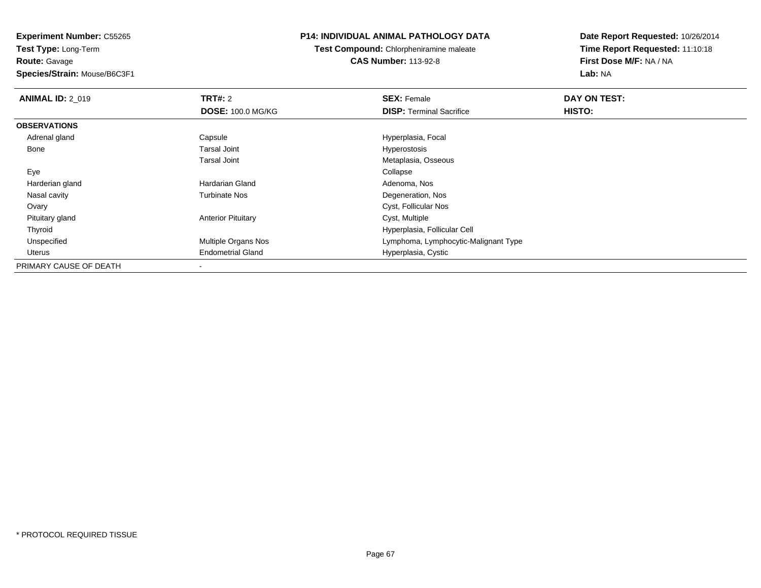**Route:** Gavage

**Species/Strain:** Mouse/B6C3F1

# **P14: INDIVIDUAL ANIMAL PATHOLOGY DATA**

**Test Compound:** Chlorpheniramine maleate**CAS Number:** 113-92-8

| <b>ANIMAL ID: 2 019</b> | TRT#: 2                   | <b>SEX: Female</b>                   | DAY ON TEST: |  |
|-------------------------|---------------------------|--------------------------------------|--------------|--|
|                         | <b>DOSE: 100.0 MG/KG</b>  | <b>DISP:</b> Terminal Sacrifice      | HISTO:       |  |
| <b>OBSERVATIONS</b>     |                           |                                      |              |  |
| Adrenal gland           | Capsule                   | Hyperplasia, Focal                   |              |  |
| Bone                    | <b>Tarsal Joint</b>       | Hyperostosis                         |              |  |
|                         | <b>Tarsal Joint</b>       | Metaplasia, Osseous                  |              |  |
| Eye                     |                           | Collapse                             |              |  |
| Harderian gland         | <b>Hardarian Gland</b>    | Adenoma, Nos                         |              |  |
| Nasal cavity            | <b>Turbinate Nos</b>      | Degeneration, Nos                    |              |  |
| Ovary                   |                           | Cyst, Follicular Nos                 |              |  |
| Pituitary gland         | <b>Anterior Pituitary</b> | Cyst, Multiple                       |              |  |
| Thyroid                 |                           | Hyperplasia, Follicular Cell         |              |  |
| Unspecified             | Multiple Organs Nos       | Lymphoma, Lymphocytic-Malignant Type |              |  |
| Uterus                  | <b>Endometrial Gland</b>  | Hyperplasia, Cystic                  |              |  |
| PRIMARY CAUSE OF DEATH  | $\,$                      |                                      |              |  |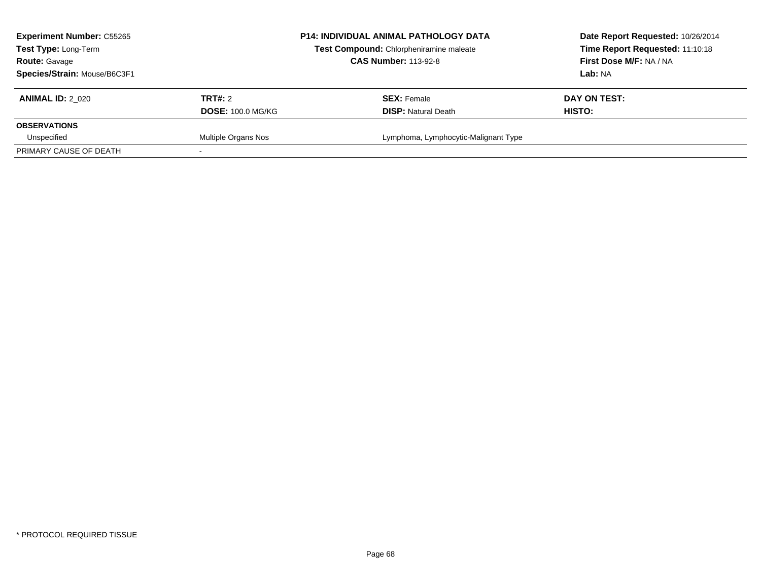| <b>Experiment Number: C55265</b><br>Test Type: Long-Term<br><b>Route: Gavage</b><br>Species/Strain: Mouse/B6C3F1 |                                            | <b>P14: INDIVIDUAL ANIMAL PATHOLOGY DATA</b><br>Test Compound: Chlorpheniramine maleate<br><b>CAS Number: 113-92-8</b> | Date Report Requested: 10/26/2014<br>Time Report Requested: 11:10:18<br>First Dose M/F: NA / NA<br>Lab: NA |
|------------------------------------------------------------------------------------------------------------------|--------------------------------------------|------------------------------------------------------------------------------------------------------------------------|------------------------------------------------------------------------------------------------------------|
| <b>ANIMAL ID: 2 020</b>                                                                                          | <b>TRT#:</b> 2<br><b>DOSE: 100.0 MG/KG</b> | <b>SEX: Female</b><br><b>DISP:</b> Natural Death                                                                       | DAY ON TEST:<br>HISTO:                                                                                     |
| <b>OBSERVATIONS</b>                                                                                              |                                            |                                                                                                                        |                                                                                                            |
| Unspecified                                                                                                      | Multiple Organs Nos                        | Lymphoma, Lymphocytic-Malignant Type                                                                                   |                                                                                                            |
| PRIMARY CAUSE OF DEATH                                                                                           |                                            |                                                                                                                        |                                                                                                            |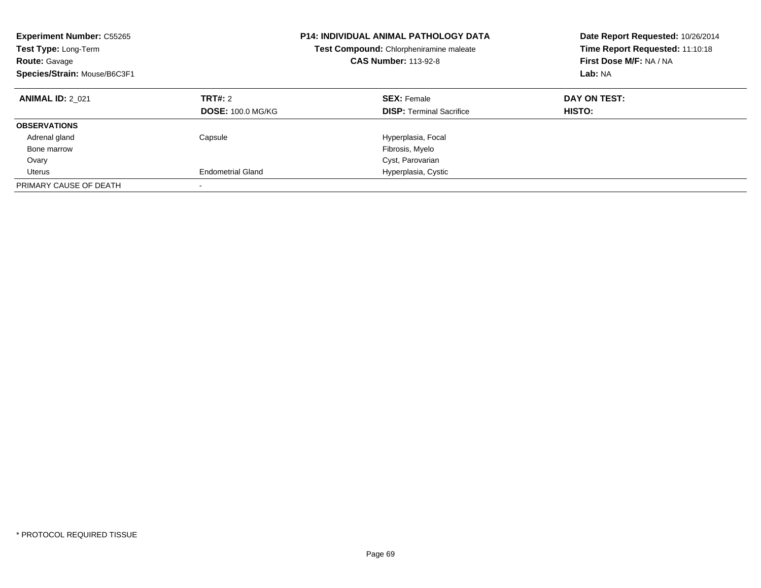| <b>Experiment Number: C55265</b><br>Test Type: Long-Term<br><b>Route: Gavage</b><br>Species/Strain: Mouse/B6C3F1 |                                     | <b>P14: INDIVIDUAL ANIMAL PATHOLOGY DATA</b><br>Test Compound: Chlorpheniramine maleate<br><b>CAS Number: 113-92-8</b> | Date Report Requested: 10/26/2014<br>Time Report Requested: 11:10:18<br>First Dose M/F: NA / NA<br>Lab: NA |
|------------------------------------------------------------------------------------------------------------------|-------------------------------------|------------------------------------------------------------------------------------------------------------------------|------------------------------------------------------------------------------------------------------------|
| <b>ANIMAL ID: 2 021</b>                                                                                          | TRT#: 2<br><b>DOSE: 100.0 MG/KG</b> | <b>SEX: Female</b><br><b>DISP:</b> Terminal Sacrifice                                                                  | DAY ON TEST:<br><b>HISTO:</b>                                                                              |
| <b>OBSERVATIONS</b>                                                                                              |                                     |                                                                                                                        |                                                                                                            |
| Adrenal gland                                                                                                    | Capsule                             | Hyperplasia, Focal                                                                                                     |                                                                                                            |
| Bone marrow                                                                                                      |                                     | Fibrosis, Myelo                                                                                                        |                                                                                                            |
| Ovary                                                                                                            |                                     | Cyst, Parovarian                                                                                                       |                                                                                                            |
| Uterus                                                                                                           | <b>Endometrial Gland</b>            | Hyperplasia, Cystic                                                                                                    |                                                                                                            |
| PRIMARY CAUSE OF DEATH                                                                                           |                                     |                                                                                                                        |                                                                                                            |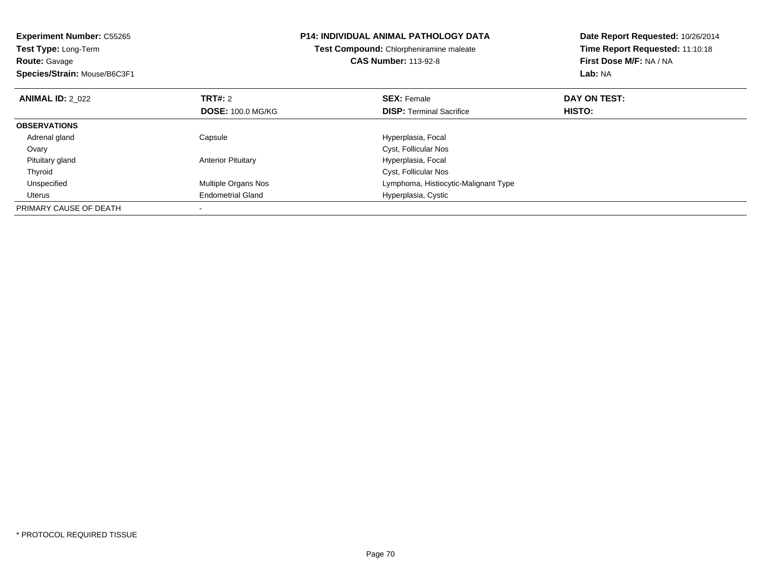| <b>Experiment Number: C55265</b><br>Test Type: Long-Term<br><b>Route: Gavage</b><br>Species/Strain: Mouse/B6C3F1 |                           | <b>P14: INDIVIDUAL ANIMAL PATHOLOGY DATA</b><br>Test Compound: Chlorpheniramine maleate<br><b>CAS Number: 113-92-8</b> | Date Report Requested: 10/26/2014<br>Time Report Requested: 11:10:18<br>First Dose M/F: NA / NA<br>Lab: NA |
|------------------------------------------------------------------------------------------------------------------|---------------------------|------------------------------------------------------------------------------------------------------------------------|------------------------------------------------------------------------------------------------------------|
| <b>ANIMAL ID: 2 022</b>                                                                                          | TRT#: 2                   | <b>SEX: Female</b>                                                                                                     | DAY ON TEST:                                                                                               |
|                                                                                                                  | <b>DOSE: 100.0 MG/KG</b>  | <b>DISP:</b> Terminal Sacrifice                                                                                        | HISTO:                                                                                                     |
| <b>OBSERVATIONS</b>                                                                                              |                           |                                                                                                                        |                                                                                                            |
| Adrenal gland                                                                                                    | Capsule                   | Hyperplasia, Focal                                                                                                     |                                                                                                            |
| Ovary                                                                                                            |                           | Cyst, Follicular Nos                                                                                                   |                                                                                                            |
| Pituitary gland                                                                                                  | <b>Anterior Pituitary</b> | Hyperplasia, Focal                                                                                                     |                                                                                                            |
| Thyroid                                                                                                          |                           | Cyst, Follicular Nos                                                                                                   |                                                                                                            |
| Unspecified                                                                                                      | Multiple Organs Nos       | Lymphoma, Histiocytic-Malignant Type                                                                                   |                                                                                                            |
| Uterus                                                                                                           | <b>Endometrial Gland</b>  | Hyperplasia, Cystic                                                                                                    |                                                                                                            |
| PRIMARY CAUSE OF DEATH                                                                                           |                           |                                                                                                                        |                                                                                                            |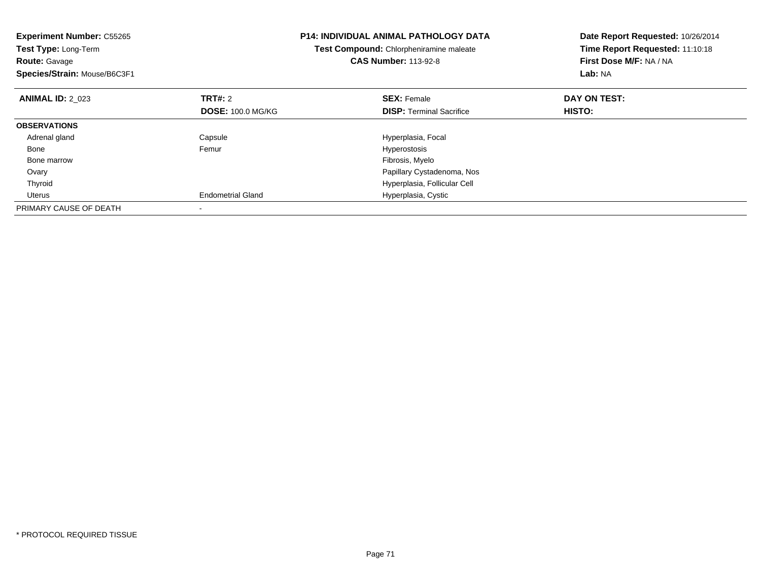| <b>Experiment Number: C55265</b><br>Test Type: Long-Term<br><b>Route: Gavage</b><br>Species/Strain: Mouse/B6C3F1 |                          | <b>P14: INDIVIDUAL ANIMAL PATHOLOGY DATA</b><br>Test Compound: Chlorpheniramine maleate<br><b>CAS Number: 113-92-8</b> | Date Report Requested: 10/26/2014<br>Time Report Requested: 11:10:18<br>First Dose M/F: NA / NA<br>Lab: NA |
|------------------------------------------------------------------------------------------------------------------|--------------------------|------------------------------------------------------------------------------------------------------------------------|------------------------------------------------------------------------------------------------------------|
| <b>ANIMAL ID: 2 023</b>                                                                                          | TRT#: 2                  | <b>SEX: Female</b>                                                                                                     | DAY ON TEST:                                                                                               |
|                                                                                                                  | <b>DOSE: 100.0 MG/KG</b> | <b>DISP:</b> Terminal Sacrifice                                                                                        | <b>HISTO:</b>                                                                                              |
| <b>OBSERVATIONS</b>                                                                                              |                          |                                                                                                                        |                                                                                                            |
| Adrenal gland                                                                                                    | Capsule                  | Hyperplasia, Focal                                                                                                     |                                                                                                            |
| Bone                                                                                                             | Femur                    | Hyperostosis                                                                                                           |                                                                                                            |
| Bone marrow                                                                                                      |                          | Fibrosis, Myelo                                                                                                        |                                                                                                            |
| Ovary                                                                                                            |                          | Papillary Cystadenoma, Nos                                                                                             |                                                                                                            |
| Thyroid                                                                                                          |                          | Hyperplasia, Follicular Cell                                                                                           |                                                                                                            |
| Uterus                                                                                                           | <b>Endometrial Gland</b> | Hyperplasia, Cystic                                                                                                    |                                                                                                            |
| PRIMARY CAUSE OF DEATH                                                                                           |                          |                                                                                                                        |                                                                                                            |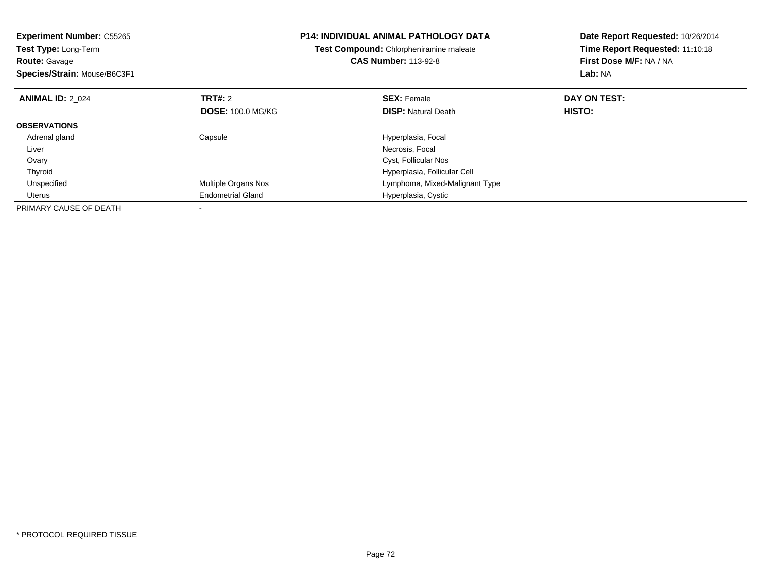| <b>Experiment Number: C55265</b><br>Test Type: Long-Term<br><b>Route: Gavage</b> |                          | P14: INDIVIDUAL ANIMAL PATHOLOGY DATA<br>Test Compound: Chlorpheniramine maleate<br><b>CAS Number: 113-92-8</b> | Date Report Requested: 10/26/2014<br>Time Report Requested: 11:10:18<br>First Dose M/F: NA / NA |
|----------------------------------------------------------------------------------|--------------------------|-----------------------------------------------------------------------------------------------------------------|-------------------------------------------------------------------------------------------------|
| Species/Strain: Mouse/B6C3F1                                                     |                          |                                                                                                                 | Lab: NA                                                                                         |
| <b>ANIMAL ID: 2 024</b>                                                          | <b>TRT#:</b> 2           | <b>SEX: Female</b>                                                                                              | DAY ON TEST:                                                                                    |
|                                                                                  | <b>DOSE: 100.0 MG/KG</b> | <b>DISP: Natural Death</b>                                                                                      | <b>HISTO:</b>                                                                                   |
| <b>OBSERVATIONS</b>                                                              |                          |                                                                                                                 |                                                                                                 |
| Adrenal gland                                                                    | Capsule                  | Hyperplasia, Focal                                                                                              |                                                                                                 |
| Liver                                                                            |                          | Necrosis, Focal                                                                                                 |                                                                                                 |
| Ovary                                                                            |                          | Cyst, Follicular Nos                                                                                            |                                                                                                 |
| Thyroid                                                                          |                          | Hyperplasia, Follicular Cell                                                                                    |                                                                                                 |
| Unspecified                                                                      | Multiple Organs Nos      | Lymphoma, Mixed-Malignant Type                                                                                  |                                                                                                 |
| Uterus                                                                           | <b>Endometrial Gland</b> | Hyperplasia, Cystic                                                                                             |                                                                                                 |
| PRIMARY CAUSE OF DEATH                                                           |                          |                                                                                                                 |                                                                                                 |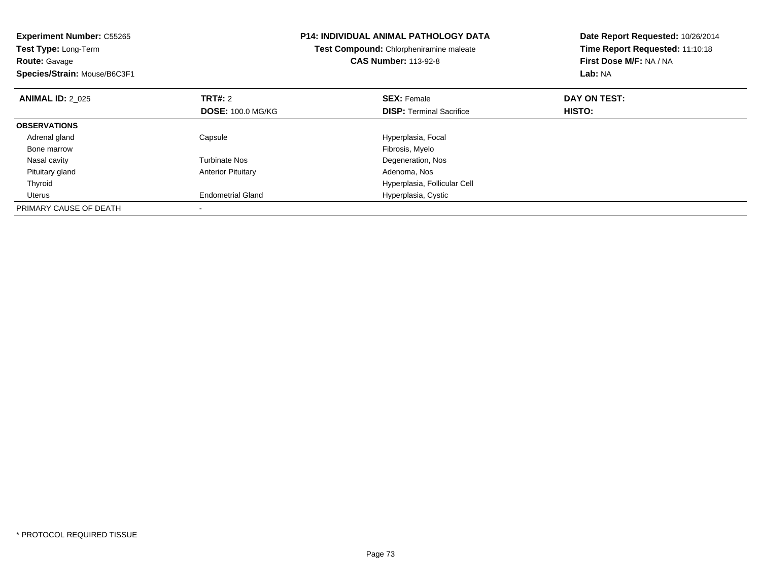| <b>Experiment Number: C55265</b><br>Test Type: Long-Term<br><b>Route: Gavage</b><br>Species/Strain: Mouse/B6C3F1 |                           | <b>P14: INDIVIDUAL ANIMAL PATHOLOGY DATA</b><br>Test Compound: Chlorpheniramine maleate<br><b>CAS Number: 113-92-8</b> | Date Report Requested: 10/26/2014<br>Time Report Requested: 11:10:18<br>First Dose M/F: NA / NA<br>Lab: NA |
|------------------------------------------------------------------------------------------------------------------|---------------------------|------------------------------------------------------------------------------------------------------------------------|------------------------------------------------------------------------------------------------------------|
| <b>ANIMAL ID: 2 025</b>                                                                                          | <b>TRT#: 2</b>            | <b>SEX: Female</b>                                                                                                     | DAY ON TEST:                                                                                               |
|                                                                                                                  | <b>DOSE: 100.0 MG/KG</b>  | <b>DISP:</b> Terminal Sacrifice                                                                                        | HISTO:                                                                                                     |
| <b>OBSERVATIONS</b>                                                                                              |                           |                                                                                                                        |                                                                                                            |
| Adrenal gland                                                                                                    | Capsule                   | Hyperplasia, Focal                                                                                                     |                                                                                                            |
| Bone marrow                                                                                                      |                           | Fibrosis, Myelo                                                                                                        |                                                                                                            |
| Nasal cavity                                                                                                     | <b>Turbinate Nos</b>      | Degeneration, Nos                                                                                                      |                                                                                                            |
| Pituitary gland                                                                                                  | <b>Anterior Pituitary</b> | Adenoma, Nos                                                                                                           |                                                                                                            |
| Thyroid                                                                                                          |                           | Hyperplasia, Follicular Cell                                                                                           |                                                                                                            |
| Uterus                                                                                                           | <b>Endometrial Gland</b>  | Hyperplasia, Cystic                                                                                                    |                                                                                                            |
| PRIMARY CAUSE OF DEATH                                                                                           |                           |                                                                                                                        |                                                                                                            |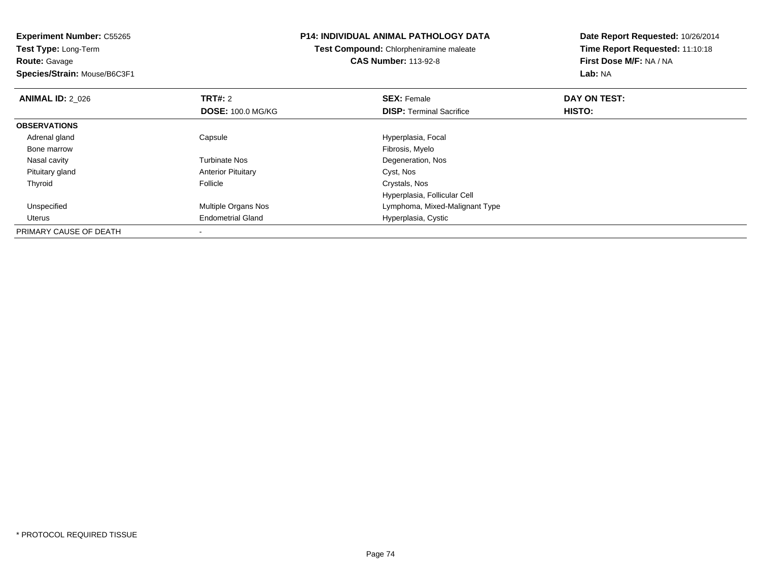**Experiment Number:** C55265**Test Type:** Long-Term**Route:** Gavage **Species/Strain:** Mouse/B6C3F1**P14: INDIVIDUAL ANIMAL PATHOLOGY DATATest Compound:** Chlorpheniramine maleate**CAS Number:** 113-92-8**Date Report Requested:** 10/26/2014**Time Report Requested:** 11:10:18**First Dose M/F:** NA / NA**Lab:** NA**ANIMAL ID: 2 026 6 DAY ON TEST: TRT#:** 2 **SEX:** Female **SEX:** Female **DOSE:** 100.0 MG/KG**DISP:** Terminal Sacrifice **HISTO: OBSERVATIONS** Adrenal glandCapsule **Capsule Capsule Capsule**<br>
Fibrosis, Myelo Bone marroww which is a state of the state of the state of the state of the state of the Fibrosis, Myelo state of the state of the state of the state of the state of the state of the state of the state of the state of the state of th Nasal cavityTurbinate Nos **Degeneration**, Nos Pituitary glandAnterior Pituitary Cyst, Nos<br>
Follicle Crystals, Nos Thyroidd Crystals, Nos **Follicle** Communication Constants Constants Constants Constants Constants Constants Constants Constants Constants Constants and Constants Constants Constants Constants Constants Constants Constants Constan Hyperplasia, Follicular Cell Unspecified Multiple Organs Nos Lymphoma, Mixed-Malignant Type Uterus Endometrial Gland Hyperplasia, Cystic PRIMARY CAUSE OF DEATH-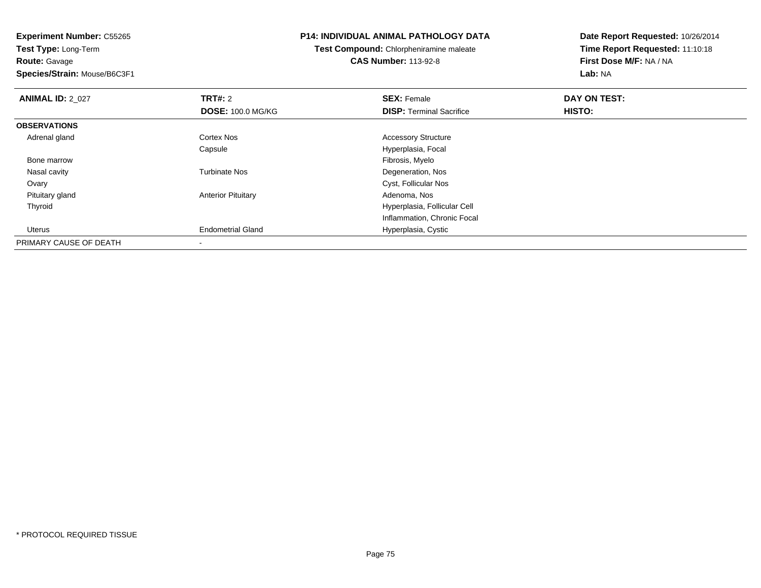**Experiment Number:** C55265**Test Type:** Long-Term**Route:** Gavage **Species/Strain:** Mouse/B6C3F1**P14: INDIVIDUAL ANIMAL PATHOLOGY DATATest Compound:** Chlorpheniramine maleate**CAS Number:** 113-92-8**Date Report Requested:** 10/26/2014**Time Report Requested:** 11:10:18**First Dose M/F:** NA / NA**Lab:** NA**ANIMAL ID: 2 027 TRT#:** <sup>2</sup> **SEX:** Female **DAY ON TEST: DOSE:** 100.0 MG/KG**DISP:** Terminal Sacrifice **HISTO: OBSERVATIONS** Adrenal glandCortex Nos **Accessory Structure** CapsuleHyperplasia, Focal<br>Fibrosis, Myelo Bone marroww which is a state of the state of the state of the state of the state of the Fibrosis, Myelo state of the state of the state of the state of the state of the state of the state of the state of the state of the state of th Nasal cavityTurbinate Nos **Degeneration**, Nos Ovary Cyst, Follicular Nos Pituitary glandAnterior Pituitary **Adenoma, Nos** Adenoma, Nos Thyroid Hyperplasia, Follicular Cell Inflammation, Chronic Focal Uterus Endometrial Gland Hyperplasia, Cystic PRIMARY CAUSE OF DEATH-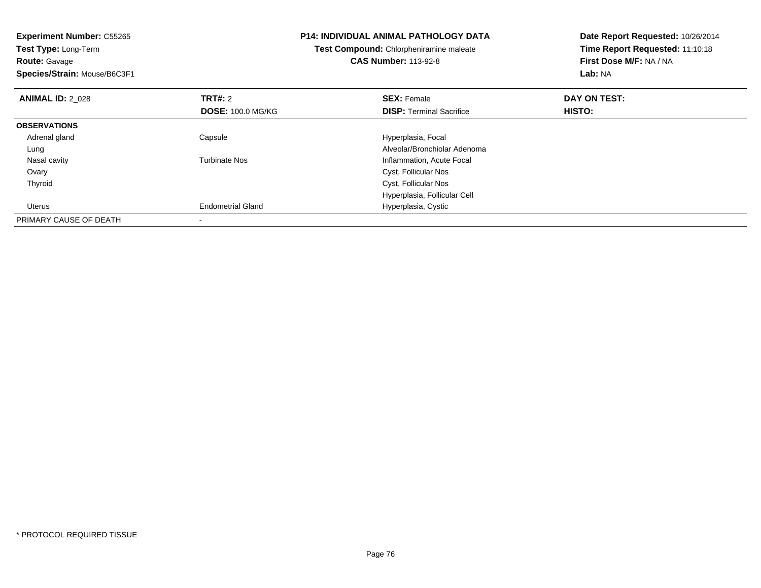| <b>Experiment Number: C55265</b><br><b>Test Type: Long-Term</b><br><b>Route: Gavage</b><br>Species/Strain: Mouse/B6C3F1 |                          | <b>P14: INDIVIDUAL ANIMAL PATHOLOGY DATA</b><br>Test Compound: Chlorpheniramine maleate<br><b>CAS Number: 113-92-8</b> | Date Report Requested: 10/26/2014<br>Time Report Requested: 11:10:18<br>First Dose M/F: NA / NA<br>Lab: NA |
|-------------------------------------------------------------------------------------------------------------------------|--------------------------|------------------------------------------------------------------------------------------------------------------------|------------------------------------------------------------------------------------------------------------|
| <b>ANIMAL ID: 2_028</b>                                                                                                 | <b>TRT#: 2</b>           | <b>SEX: Female</b>                                                                                                     | DAY ON TEST:                                                                                               |
|                                                                                                                         | <b>DOSE: 100.0 MG/KG</b> | <b>DISP:</b> Terminal Sacrifice                                                                                        | HISTO:                                                                                                     |
| <b>OBSERVATIONS</b>                                                                                                     |                          |                                                                                                                        |                                                                                                            |
| Adrenal gland                                                                                                           | Capsule                  | Hyperplasia, Focal                                                                                                     |                                                                                                            |
| Lung                                                                                                                    |                          | Alveolar/Bronchiolar Adenoma                                                                                           |                                                                                                            |
| Nasal cavity                                                                                                            | <b>Turbinate Nos</b>     | Inflammation, Acute Focal                                                                                              |                                                                                                            |
| Ovary                                                                                                                   |                          | Cyst, Follicular Nos                                                                                                   |                                                                                                            |
| Thyroid                                                                                                                 |                          | Cyst, Follicular Nos                                                                                                   |                                                                                                            |
|                                                                                                                         |                          | Hyperplasia, Follicular Cell                                                                                           |                                                                                                            |
| Uterus                                                                                                                  | <b>Endometrial Gland</b> | Hyperplasia, Cystic                                                                                                    |                                                                                                            |
| PRIMARY CAUSE OF DEATH                                                                                                  |                          |                                                                                                                        |                                                                                                            |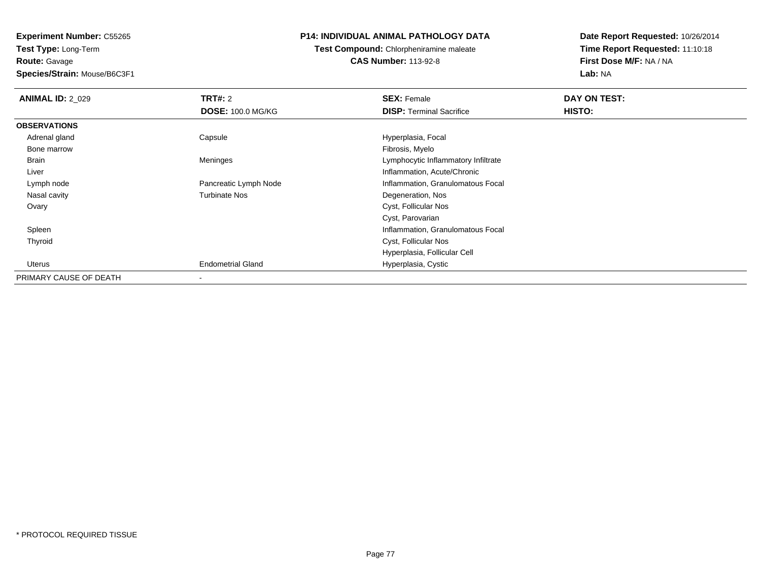**Experiment Number:** C55265**Test Type:** Long-Term

**Route:** Gavage

**Species/Strain:** Mouse/B6C3F1

## **P14: INDIVIDUAL ANIMAL PATHOLOGY DATA**

**Test Compound:** Chlorpheniramine maleate**CAS Number:** 113-92-8

**Date Report Requested:** 10/26/2014**Time Report Requested:** 11:10:18**First Dose M/F:** NA / NA**Lab:** NA

| <b>ANIMAL ID: 2_029</b> | TRT#: 2                  | <b>SEX: Female</b>                  | DAY ON TEST: |  |
|-------------------------|--------------------------|-------------------------------------|--------------|--|
|                         | <b>DOSE: 100.0 MG/KG</b> | <b>DISP:</b> Terminal Sacrifice     | HISTO:       |  |
| <b>OBSERVATIONS</b>     |                          |                                     |              |  |
| Adrenal gland           | Capsule                  | Hyperplasia, Focal                  |              |  |
| Bone marrow             |                          | Fibrosis, Myelo                     |              |  |
| Brain                   | Meninges                 | Lymphocytic Inflammatory Infiltrate |              |  |
| Liver                   |                          | Inflammation, Acute/Chronic         |              |  |
| Lymph node              | Pancreatic Lymph Node    | Inflammation, Granulomatous Focal   |              |  |
| Nasal cavity            | <b>Turbinate Nos</b>     | Degeneration, Nos                   |              |  |
| Ovary                   |                          | Cyst, Follicular Nos                |              |  |
|                         |                          | Cyst, Parovarian                    |              |  |
| Spleen                  |                          | Inflammation, Granulomatous Focal   |              |  |
| Thyroid                 |                          | Cyst, Follicular Nos                |              |  |
|                         |                          | Hyperplasia, Follicular Cell        |              |  |
| Uterus                  | <b>Endometrial Gland</b> | Hyperplasia, Cystic                 |              |  |
| PRIMARY CAUSE OF DEATH  |                          |                                     |              |  |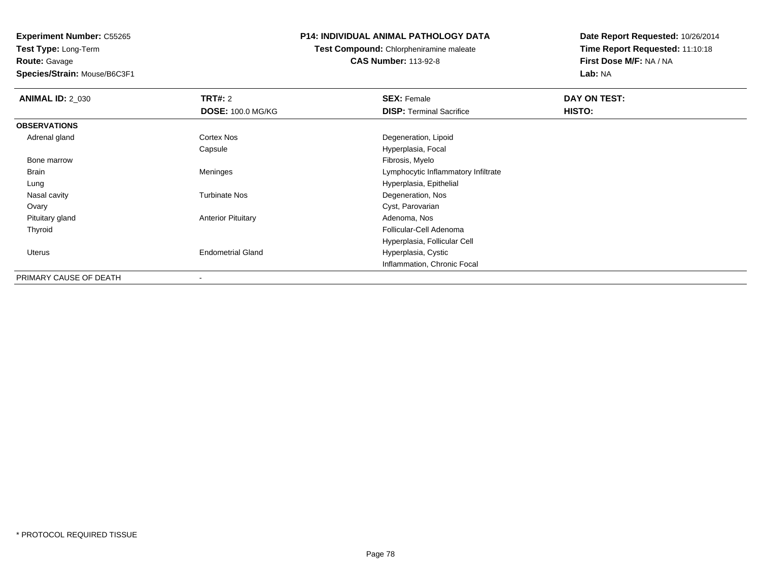**Experiment Number:** C55265**Test Type:** Long-Term**Route:** Gavage

## **Species/Strain:** Mouse/B6C3F1

## **P14: INDIVIDUAL ANIMAL PATHOLOGY DATA**

**Test Compound:** Chlorpheniramine maleate**CAS Number:** 113-92-8

**Date Report Requested:** 10/26/2014**Time Report Requested:** 11:10:18**First Dose M/F:** NA / NA**Lab:** NA

| <b>ANIMAL ID: 2 030</b> | <b>TRT#: 2</b>            | <b>SEX: Female</b><br><b>DISP: Terminal Sacrifice</b> | DAY ON TEST:<br>HISTO: |
|-------------------------|---------------------------|-------------------------------------------------------|------------------------|
|                         | <b>DOSE: 100.0 MG/KG</b>  |                                                       |                        |
| <b>OBSERVATIONS</b>     |                           |                                                       |                        |
| Adrenal gland           | Cortex Nos                | Degeneration, Lipoid                                  |                        |
|                         | Capsule                   | Hyperplasia, Focal                                    |                        |
| Bone marrow             |                           | Fibrosis, Myelo                                       |                        |
| Brain                   | Meninges                  | Lymphocytic Inflammatory Infiltrate                   |                        |
| Lung                    |                           | Hyperplasia, Epithelial                               |                        |
| Nasal cavity            | <b>Turbinate Nos</b>      | Degeneration, Nos                                     |                        |
| Ovary                   |                           | Cyst, Parovarian                                      |                        |
| Pituitary gland         | <b>Anterior Pituitary</b> | Adenoma, Nos                                          |                        |
| Thyroid                 |                           | Follicular-Cell Adenoma                               |                        |
|                         |                           | Hyperplasia, Follicular Cell                          |                        |
| <b>Uterus</b>           | <b>Endometrial Gland</b>  | Hyperplasia, Cystic                                   |                        |
|                         |                           | Inflammation, Chronic Focal                           |                        |
| PRIMARY CAUSE OF DEATH  | $\overline{\phantom{a}}$  |                                                       |                        |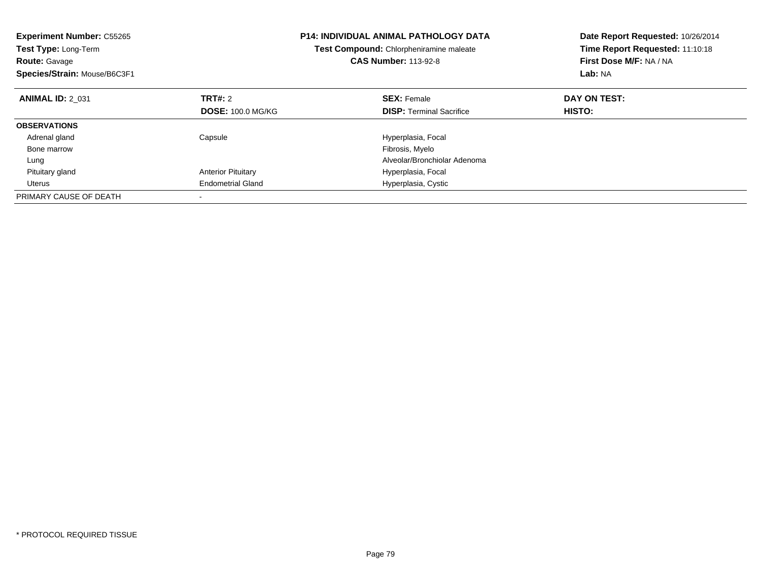| <b>Experiment Number: C55265</b><br>Test Type: Long-Term<br><b>Route: Gavage</b><br>Species/Strain: Mouse/B6C3F1 |                           | P14: INDIVIDUAL ANIMAL PATHOLOGY DATA<br>Test Compound: Chlorpheniramine maleate<br><b>CAS Number: 113-92-8</b> | Date Report Requested: 10/26/2014<br>Time Report Requested: 11:10:18<br>First Dose M/F: NA / NA<br>Lab: NA |
|------------------------------------------------------------------------------------------------------------------|---------------------------|-----------------------------------------------------------------------------------------------------------------|------------------------------------------------------------------------------------------------------------|
| <b>ANIMAL ID: 2 031</b>                                                                                          | TRT#: 2                   | <b>SEX: Female</b>                                                                                              | DAY ON TEST:                                                                                               |
|                                                                                                                  | <b>DOSE: 100.0 MG/KG</b>  | <b>DISP:</b> Terminal Sacrifice                                                                                 | HISTO:                                                                                                     |
| <b>OBSERVATIONS</b>                                                                                              |                           |                                                                                                                 |                                                                                                            |
| Adrenal gland                                                                                                    | Capsule                   | Hyperplasia, Focal                                                                                              |                                                                                                            |
| Bone marrow                                                                                                      |                           | Fibrosis, Myelo                                                                                                 |                                                                                                            |
| Lung                                                                                                             |                           | Alveolar/Bronchiolar Adenoma                                                                                    |                                                                                                            |
| Pituitary gland                                                                                                  | <b>Anterior Pituitary</b> | Hyperplasia, Focal                                                                                              |                                                                                                            |
| Uterus                                                                                                           | <b>Endometrial Gland</b>  | Hyperplasia, Cystic                                                                                             |                                                                                                            |
| PRIMARY CAUSE OF DEATH                                                                                           |                           |                                                                                                                 |                                                                                                            |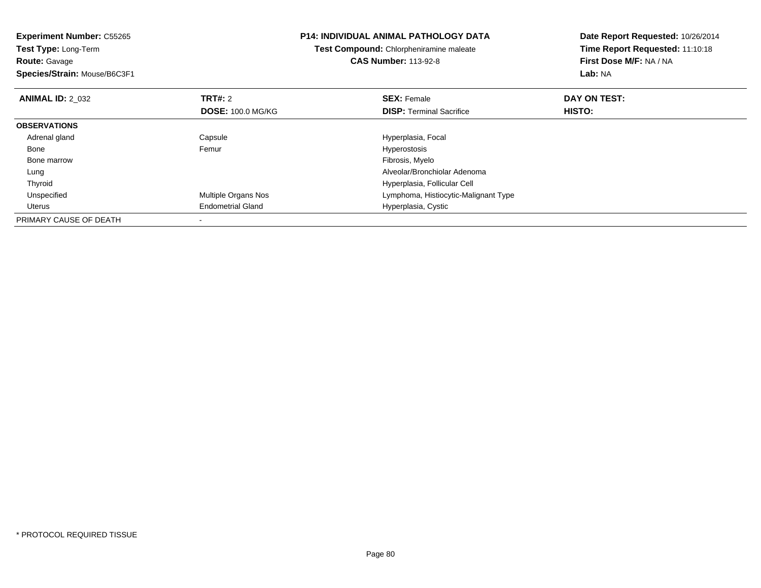| <b>Experiment Number: C55265</b> |                          | <b>P14: INDIVIDUAL ANIMAL PATHOLOGY DATA</b>   | Date Report Requested: 10/26/2014 |
|----------------------------------|--------------------------|------------------------------------------------|-----------------------------------|
| Test Type: Long-Term             |                          | <b>Test Compound: Chlorpheniramine maleate</b> | Time Report Requested: 11:10:18   |
| <b>Route: Gavage</b>             |                          | <b>CAS Number: 113-92-8</b>                    | First Dose M/F: NA / NA           |
| Species/Strain: Mouse/B6C3F1     |                          |                                                | Lab: NA                           |
| <b>ANIMAL ID: 2 032</b>          | <b>TRT#: 2</b>           | <b>SEX: Female</b>                             | DAY ON TEST:                      |
|                                  | <b>DOSE: 100.0 MG/KG</b> | <b>DISP: Terminal Sacrifice</b>                | HISTO:                            |
| <b>OBSERVATIONS</b>              |                          |                                                |                                   |
| Adrenal gland                    | Capsule                  | Hyperplasia, Focal                             |                                   |
| Bone                             | Femur                    | Hyperostosis                                   |                                   |
| Bone marrow                      |                          | Fibrosis, Myelo                                |                                   |
| Lung                             |                          | Alveolar/Bronchiolar Adenoma                   |                                   |
| Thyroid                          |                          | Hyperplasia, Follicular Cell                   |                                   |
| Unspecified                      | Multiple Organs Nos      | Lymphoma, Histiocytic-Malignant Type           |                                   |
| Uterus                           | <b>Endometrial Gland</b> | Hyperplasia, Cystic                            |                                   |
| PRIMARY CAUSE OF DEATH           |                          |                                                |                                   |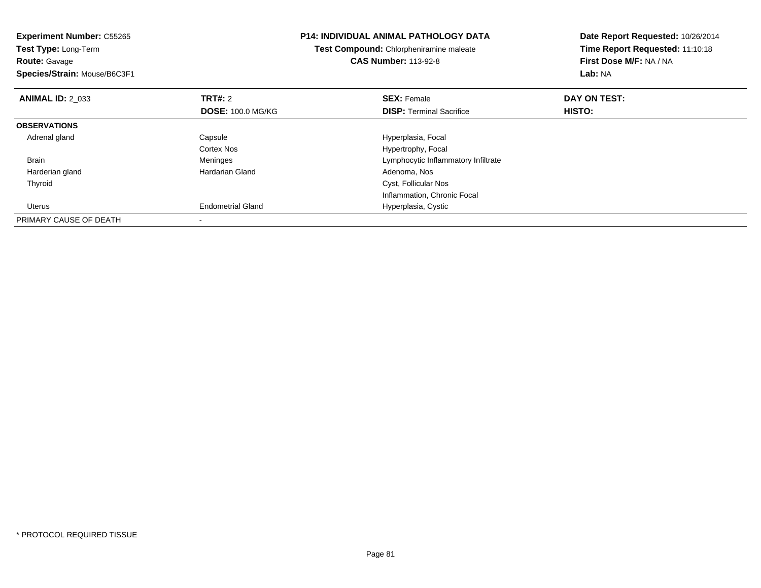| <b>Experiment Number: C55265</b> |                          | <b>P14: INDIVIDUAL ANIMAL PATHOLOGY DATA</b> | Date Report Requested: 10/26/2014 |
|----------------------------------|--------------------------|----------------------------------------------|-----------------------------------|
| Test Type: Long-Term             |                          | Test Compound: Chlorpheniramine maleate      | Time Report Requested: 11:10:18   |
| <b>Route: Gavage</b>             |                          | <b>CAS Number: 113-92-8</b>                  | First Dose M/F: NA / NA           |
| Species/Strain: Mouse/B6C3F1     |                          |                                              | Lab: NA                           |
| <b>ANIMAL ID: 2 033</b>          | <b>TRT#: 2</b>           | <b>SEX: Female</b>                           | DAY ON TEST:                      |
|                                  | <b>DOSE: 100.0 MG/KG</b> | <b>DISP:</b> Terminal Sacrifice              | HISTO:                            |
| <b>OBSERVATIONS</b>              |                          |                                              |                                   |
| Adrenal gland                    | Capsule                  | Hyperplasia, Focal                           |                                   |
|                                  | Cortex Nos               | Hypertrophy, Focal                           |                                   |
| <b>Brain</b>                     | Meninges                 | Lymphocytic Inflammatory Infiltrate          |                                   |
| Harderian gland                  | Hardarian Gland          | Adenoma, Nos                                 |                                   |
| Thyroid                          |                          | Cyst, Follicular Nos                         |                                   |
|                                  |                          | Inflammation, Chronic Focal                  |                                   |
| Uterus                           | <b>Endometrial Gland</b> | Hyperplasia, Cystic                          |                                   |
| PRIMARY CAUSE OF DEATH           |                          |                                              |                                   |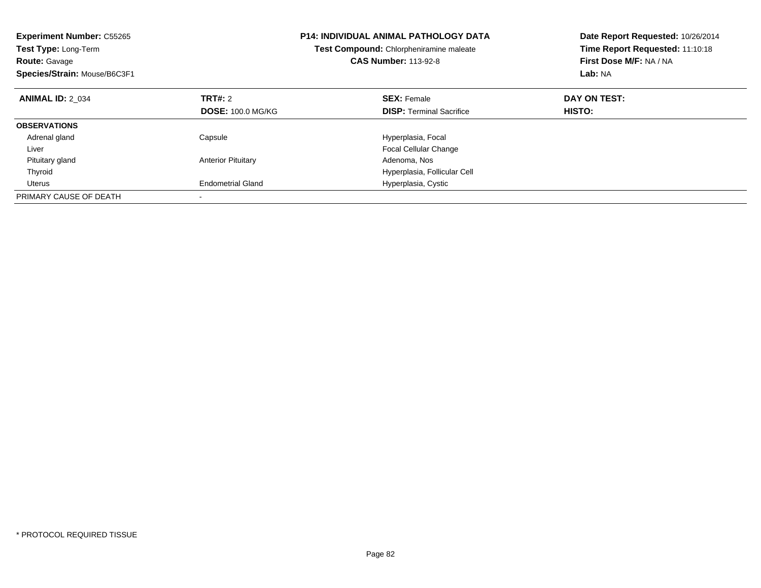| <b>Experiment Number: C55265</b><br>Test Type: Long-Term<br><b>Route: Gavage</b><br>Species/Strain: Mouse/B6C3F1 |                           | <b>P14: INDIVIDUAL ANIMAL PATHOLOGY DATA</b><br>Test Compound: Chlorpheniramine maleate<br><b>CAS Number: 113-92-8</b> | Date Report Requested: 10/26/2014<br>Time Report Requested: 11:10:18<br>First Dose M/F: NA / NA<br>Lab: NA |
|------------------------------------------------------------------------------------------------------------------|---------------------------|------------------------------------------------------------------------------------------------------------------------|------------------------------------------------------------------------------------------------------------|
| <b>ANIMAL ID: 2 034</b>                                                                                          | TRT#: 2                   | <b>SEX: Female</b>                                                                                                     | DAY ON TEST:                                                                                               |
|                                                                                                                  | <b>DOSE: 100.0 MG/KG</b>  | <b>DISP:</b> Terminal Sacrifice                                                                                        | HISTO:                                                                                                     |
| <b>OBSERVATIONS</b>                                                                                              |                           |                                                                                                                        |                                                                                                            |
| Adrenal gland                                                                                                    | Capsule                   | Hyperplasia, Focal                                                                                                     |                                                                                                            |
| Liver                                                                                                            |                           | <b>Focal Cellular Change</b>                                                                                           |                                                                                                            |
| Pituitary gland                                                                                                  | <b>Anterior Pituitary</b> | Adenoma, Nos                                                                                                           |                                                                                                            |
| Thyroid                                                                                                          |                           | Hyperplasia, Follicular Cell                                                                                           |                                                                                                            |
| Uterus                                                                                                           | <b>Endometrial Gland</b>  | Hyperplasia, Cystic                                                                                                    |                                                                                                            |
| PRIMARY CAUSE OF DEATH                                                                                           |                           |                                                                                                                        |                                                                                                            |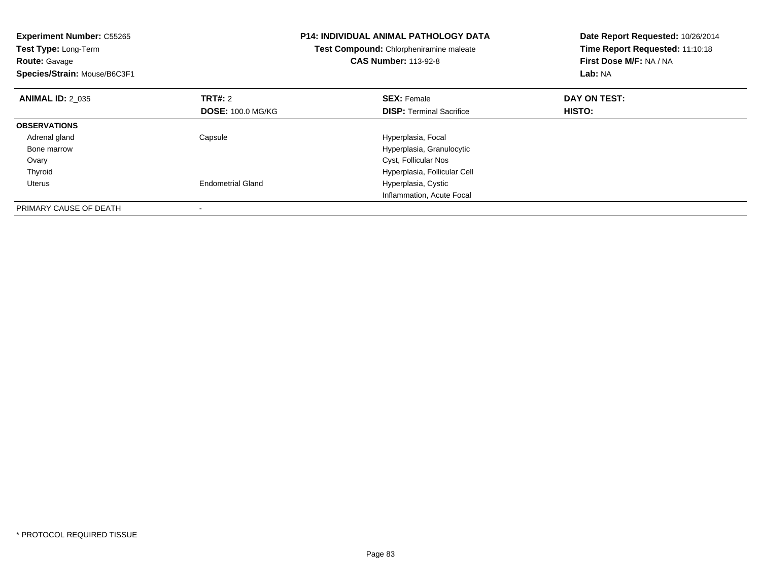| <b>Experiment Number: C55265</b><br><b>Test Type: Long-Term</b><br><b>Route: Gavage</b><br>Species/Strain: Mouse/B6C3F1 |                          | <b>P14: INDIVIDUAL ANIMAL PATHOLOGY DATA</b><br>Test Compound: Chlorpheniramine maleate<br><b>CAS Number: 113-92-8</b> | Date Report Requested: 10/26/2014<br>Time Report Requested: 11:10:18<br>First Dose M/F: NA / NA<br>Lab: NA |
|-------------------------------------------------------------------------------------------------------------------------|--------------------------|------------------------------------------------------------------------------------------------------------------------|------------------------------------------------------------------------------------------------------------|
| <b>ANIMAL ID: 2 035</b>                                                                                                 | TRT#: 2                  | <b>SEX: Female</b>                                                                                                     | DAY ON TEST:                                                                                               |
|                                                                                                                         | <b>DOSE: 100.0 MG/KG</b> | <b>DISP:</b> Terminal Sacrifice                                                                                        | <b>HISTO:</b>                                                                                              |
| <b>OBSERVATIONS</b>                                                                                                     |                          |                                                                                                                        |                                                                                                            |
| Adrenal gland                                                                                                           | Capsule                  | Hyperplasia, Focal                                                                                                     |                                                                                                            |
| Bone marrow                                                                                                             |                          | Hyperplasia, Granulocytic                                                                                              |                                                                                                            |
| Ovary                                                                                                                   |                          | Cyst, Follicular Nos                                                                                                   |                                                                                                            |
| Thyroid                                                                                                                 |                          | Hyperplasia, Follicular Cell                                                                                           |                                                                                                            |
| Uterus                                                                                                                  | <b>Endometrial Gland</b> | Hyperplasia, Cystic                                                                                                    |                                                                                                            |
|                                                                                                                         |                          | Inflammation, Acute Focal                                                                                              |                                                                                                            |
| PRIMARY CAUSE OF DEATH                                                                                                  |                          |                                                                                                                        |                                                                                                            |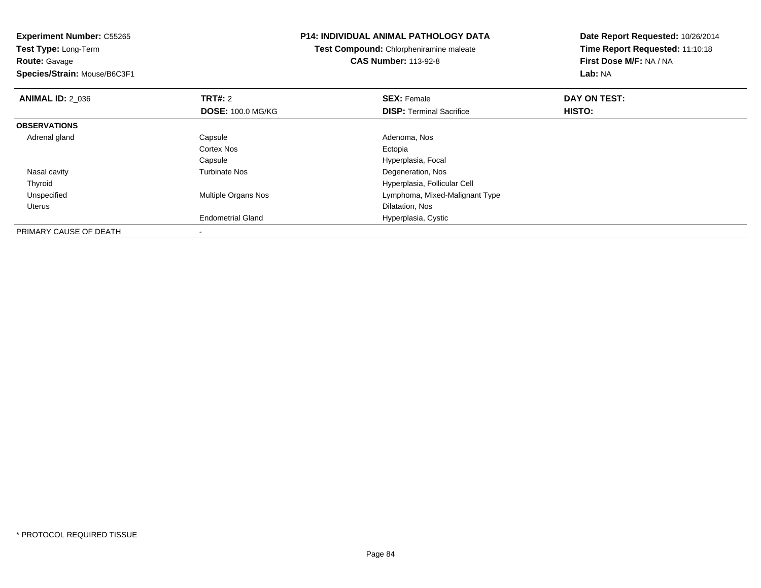**Experiment Number:** C55265**Test Type:** Long-Term**Route:** Gavage **Species/Strain:** Mouse/B6C3F1**P14: INDIVIDUAL ANIMAL PATHOLOGY DATATest Compound:** Chlorpheniramine maleate**CAS Number:** 113-92-8**Date Report Requested:** 10/26/2014**Time Report Requested:** 11:10:18**First Dose M/F:** NA / NA**Lab:** NA**ANIMAL ID: 2 036 6 DAY ON TEST: TRT#:** 2 **SEX:** Female **SEX:** Female **DOSE:** 100.0 MG/KG**DISP:** Terminal Sacrifice **HISTO: OBSERVATIONS** Adrenal glandd and Capsule Capsule Capsus and Adenoma, Nos Cortex Nos Ectopiae entry the extension of the Hyperplasia, Focal Capsule Nasal cavityTurbinate Nos **Degeneration**, Nos ThyroidHyperplasia, Follicular Cell<br>Multiple Organs Nos extension and the Uymphoma, Mixed-Malignal UnspecifiedLymphoma, Mixed-Malignant Type Uterus Dilatation, Nos Endometrial Gland Hyperplasia, Cystic PRIMARY CAUSE OF DEATH

-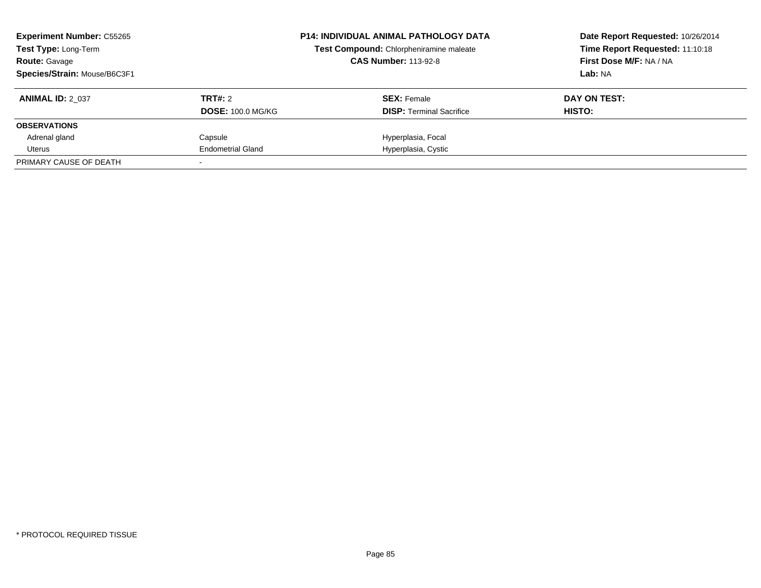| <b>Experiment Number: C55265</b><br><b>Test Type: Long-Term</b><br><b>Route: Gavage</b> |                          | <b>P14: INDIVIDUAL ANIMAL PATHOLOGY DATA</b><br>Test Compound: Chlorpheniramine maleate<br><b>CAS Number: 113-92-8</b> | Date Report Requested: 10/26/2014<br>Time Report Requested: 11:10:18<br>First Dose M/F: NA / NA |
|-----------------------------------------------------------------------------------------|--------------------------|------------------------------------------------------------------------------------------------------------------------|-------------------------------------------------------------------------------------------------|
| Species/Strain: Mouse/B6C3F1                                                            |                          |                                                                                                                        | Lab: NA                                                                                         |
| <b>ANIMAL ID: 2 037</b>                                                                 | TRT#: 2                  | <b>SEX: Female</b>                                                                                                     | DAY ON TEST:                                                                                    |
|                                                                                         | <b>DOSE: 100.0 MG/KG</b> | <b>DISP:</b> Terminal Sacrifice                                                                                        | HISTO:                                                                                          |
| <b>OBSERVATIONS</b>                                                                     |                          |                                                                                                                        |                                                                                                 |
| Adrenal gland                                                                           | Capsule                  | Hyperplasia, Focal                                                                                                     |                                                                                                 |
| Uterus                                                                                  | <b>Endometrial Gland</b> | Hyperplasia, Cystic                                                                                                    |                                                                                                 |
| PRIMARY CAUSE OF DEATH                                                                  |                          |                                                                                                                        |                                                                                                 |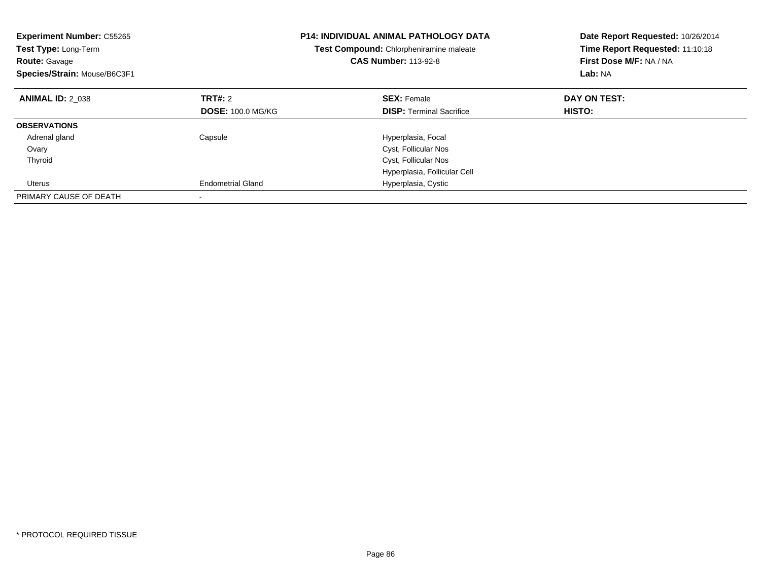| <b>Experiment Number: C55265</b><br>Test Type: Long-Term<br><b>Route: Gavage</b><br>Species/Strain: Mouse/B6C3F1 |                          | <b>P14: INDIVIDUAL ANIMAL PATHOLOGY DATA</b><br>Test Compound: Chlorpheniramine maleate<br><b>CAS Number: 113-92-8</b> | Date Report Requested: 10/26/2014<br>Time Report Requested: 11:10:18<br>First Dose M/F: NA / NA<br>Lab: NA |
|------------------------------------------------------------------------------------------------------------------|--------------------------|------------------------------------------------------------------------------------------------------------------------|------------------------------------------------------------------------------------------------------------|
| <b>ANIMAL ID: 2 038</b>                                                                                          | TRT#: 2                  | <b>SEX: Female</b>                                                                                                     | DAY ON TEST:                                                                                               |
|                                                                                                                  | <b>DOSE: 100.0 MG/KG</b> | <b>DISP:</b> Terminal Sacrifice                                                                                        | <b>HISTO:</b>                                                                                              |
| <b>OBSERVATIONS</b>                                                                                              |                          |                                                                                                                        |                                                                                                            |
| Adrenal gland                                                                                                    | Capsule                  | Hyperplasia, Focal                                                                                                     |                                                                                                            |
| Ovary                                                                                                            |                          | Cyst, Follicular Nos                                                                                                   |                                                                                                            |
| Thyroid                                                                                                          |                          | Cyst, Follicular Nos                                                                                                   |                                                                                                            |
|                                                                                                                  |                          | Hyperplasia, Follicular Cell                                                                                           |                                                                                                            |
| Uterus                                                                                                           | <b>Endometrial Gland</b> | Hyperplasia, Cystic                                                                                                    |                                                                                                            |
| PRIMARY CAUSE OF DEATH                                                                                           |                          |                                                                                                                        |                                                                                                            |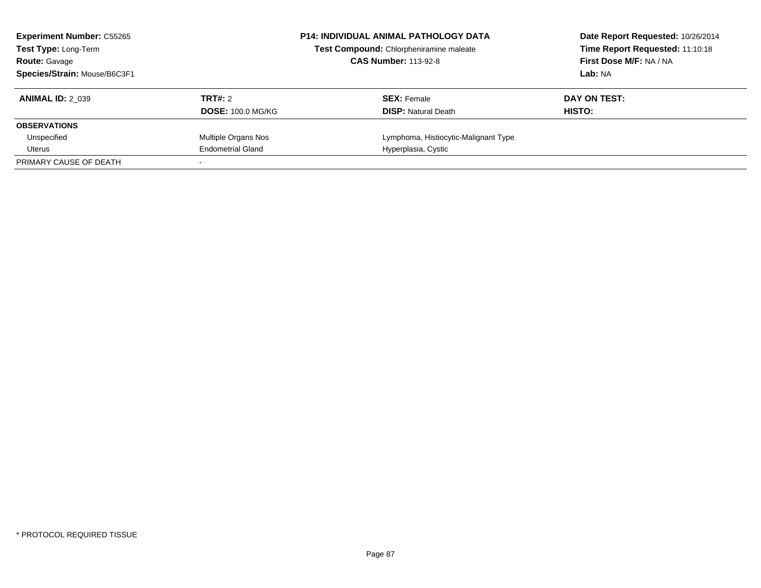| <b>Experiment Number: C55265</b><br><b>Test Type: Long-Term</b><br><b>Route: Gavage</b><br>Species/Strain: Mouse/B6C3F1 | <b>P14: INDIVIDUAL ANIMAL PATHOLOGY DATA</b><br>Test Compound: Chlorpheniramine maleate<br><b>CAS Number: 113-92-8</b> |                                                  | Date Report Requested: 10/26/2014<br>Time Report Requested: 11:10:18<br>First Dose M/F: NA / NA<br>Lab: NA |
|-------------------------------------------------------------------------------------------------------------------------|------------------------------------------------------------------------------------------------------------------------|--------------------------------------------------|------------------------------------------------------------------------------------------------------------|
| <b>ANIMAL ID: 2 039</b>                                                                                                 | TRT#: 2<br><b>DOSE: 100.0 MG/KG</b>                                                                                    | <b>SEX: Female</b><br><b>DISP:</b> Natural Death | DAY ON TEST:<br>HISTO:                                                                                     |
| <b>OBSERVATIONS</b>                                                                                                     |                                                                                                                        |                                                  |                                                                                                            |
| Unspecified                                                                                                             | Multiple Organs Nos                                                                                                    | Lymphoma, Histiocytic-Malignant Type             |                                                                                                            |
| Uterus                                                                                                                  | <b>Endometrial Gland</b>                                                                                               | Hyperplasia, Cystic                              |                                                                                                            |
| PRIMARY CAUSE OF DEATH                                                                                                  |                                                                                                                        |                                                  |                                                                                                            |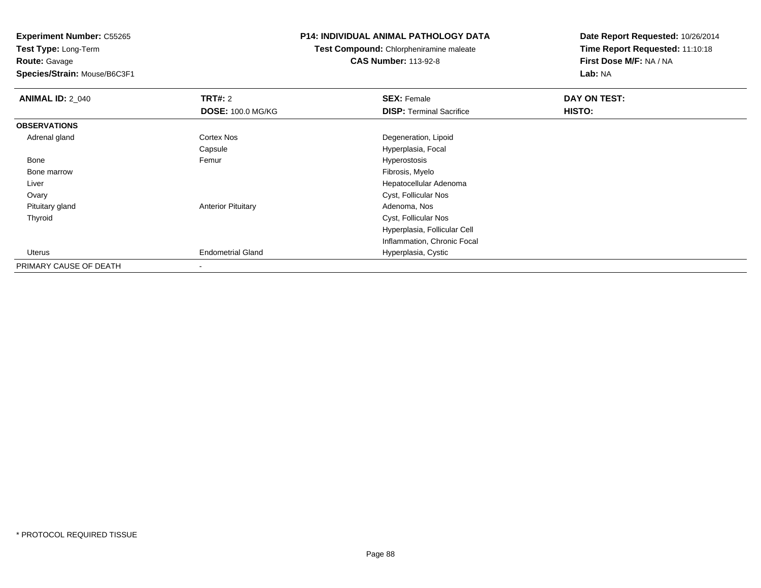**Experiment Number:** C55265

**Test Type:** Long-Term**Route:** Gavage

**Species/Strain:** Mouse/B6C3F1

## **P14: INDIVIDUAL ANIMAL PATHOLOGY DATA**

**Test Compound:** Chlorpheniramine maleate**CAS Number:** 113-92-8

**Date Report Requested:** 10/26/2014**Time Report Requested:** 11:10:18**First Dose M/F:** NA / NA**Lab:** NA

| <b>ANIMAL ID: 2_040</b> | <b>TRT#: 2</b>            | <b>SEX: Female</b>              | DAY ON TEST: |  |
|-------------------------|---------------------------|---------------------------------|--------------|--|
|                         | <b>DOSE: 100.0 MG/KG</b>  | <b>DISP: Terminal Sacrifice</b> | HISTO:       |  |
| <b>OBSERVATIONS</b>     |                           |                                 |              |  |
| Adrenal gland           | Cortex Nos                | Degeneration, Lipoid            |              |  |
|                         | Capsule                   | Hyperplasia, Focal              |              |  |
| Bone                    | Femur                     | Hyperostosis                    |              |  |
| Bone marrow             |                           | Fibrosis, Myelo                 |              |  |
| Liver                   |                           | Hepatocellular Adenoma          |              |  |
| Ovary                   |                           | Cyst, Follicular Nos            |              |  |
| Pituitary gland         | <b>Anterior Pituitary</b> | Adenoma, Nos                    |              |  |
| Thyroid                 |                           | Cyst, Follicular Nos            |              |  |
|                         |                           | Hyperplasia, Follicular Cell    |              |  |
|                         |                           | Inflammation, Chronic Focal     |              |  |
| Uterus                  | <b>Endometrial Gland</b>  | Hyperplasia, Cystic             |              |  |
| PRIMARY CAUSE OF DEATH  |                           |                                 |              |  |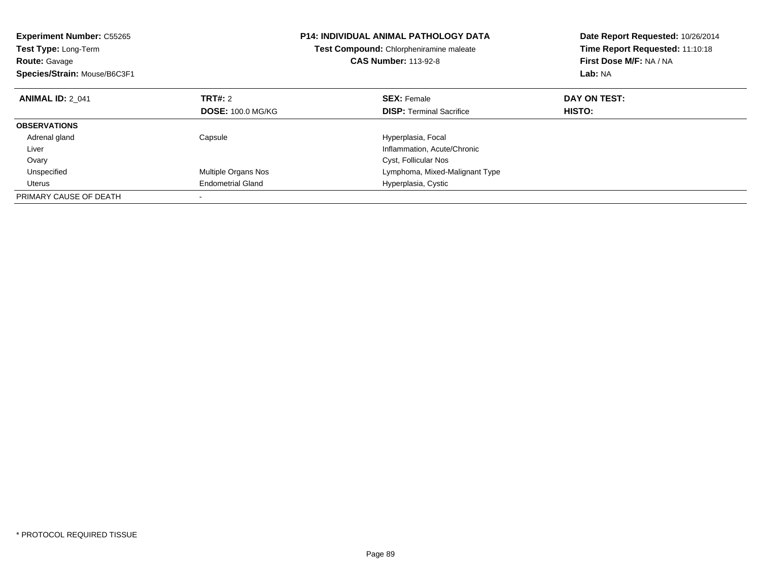| <b>Experiment Number: C55265</b><br>Test Type: Long-Term<br><b>Route: Gavage</b><br>Species/Strain: Mouse/B6C3F1 |                          | P14: INDIVIDUAL ANIMAL PATHOLOGY DATA<br>Test Compound: Chlorpheniramine maleate<br><b>CAS Number: 113-92-8</b> | Date Report Requested: 10/26/2014<br>Time Report Requested: 11:10:18<br>First Dose M/F: NA / NA<br>Lab: NA |
|------------------------------------------------------------------------------------------------------------------|--------------------------|-----------------------------------------------------------------------------------------------------------------|------------------------------------------------------------------------------------------------------------|
| <b>ANIMAL ID: 2 041</b>                                                                                          | TRT#: 2                  | <b>SEX: Female</b>                                                                                              | DAY ON TEST:                                                                                               |
|                                                                                                                  | <b>DOSE: 100.0 MG/KG</b> | <b>DISP:</b> Terminal Sacrifice                                                                                 | HISTO:                                                                                                     |
| <b>OBSERVATIONS</b>                                                                                              |                          |                                                                                                                 |                                                                                                            |
| Adrenal gland                                                                                                    | Capsule                  | Hyperplasia, Focal                                                                                              |                                                                                                            |
| Liver                                                                                                            |                          | Inflammation, Acute/Chronic                                                                                     |                                                                                                            |
| Ovary                                                                                                            |                          | Cyst, Follicular Nos                                                                                            |                                                                                                            |
| Unspecified                                                                                                      | Multiple Organs Nos      | Lymphoma, Mixed-Malignant Type                                                                                  |                                                                                                            |
| Uterus                                                                                                           | <b>Endometrial Gland</b> | Hyperplasia, Cystic                                                                                             |                                                                                                            |
| PRIMARY CAUSE OF DEATH                                                                                           |                          |                                                                                                                 |                                                                                                            |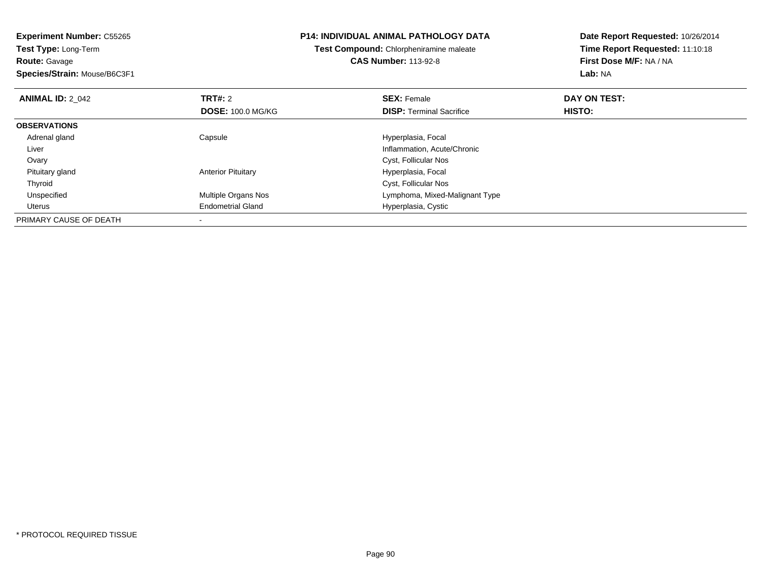**Experiment Number:** C55265**Test Type:** Long-Term**Route:** Gavage **Species/Strain:** Mouse/B6C3F1**P14: INDIVIDUAL ANIMAL PATHOLOGY DATATest Compound:** Chlorpheniramine maleate**CAS Number:** 113-92-8**Date Report Requested:** 10/26/2014**Time Report Requested:** 11:10:18**First Dose M/F:** NA / NA**Lab:** NA**ANIMAL ID: 2 042 TRT#:** 2 **SEX:** Female **DAY ON TEST: DOSE:** 100.0 MG/KG**DISP:** Terminal Sacrifice **HISTO: OBSERVATIONS** Adrenal glandCapsule **Capsule Hyperplasia**, Focal Liver Inflammation, Acute/Chronic Ovary Cyst, Follicular Nos Pituitary glandAnterior Pituitary **Material Executive Contracts** Hyperplasia, Focal ThyroidCyst, Follicular Nos<br>
Multiple Organs Nos<br>
Lymphoma, Mixed-I UnspecifiedLymphoma, Mixed-Malignant Type Uterus Endometrial Gland Hyperplasia, Cystic PRIMARY CAUSE OF DEATH-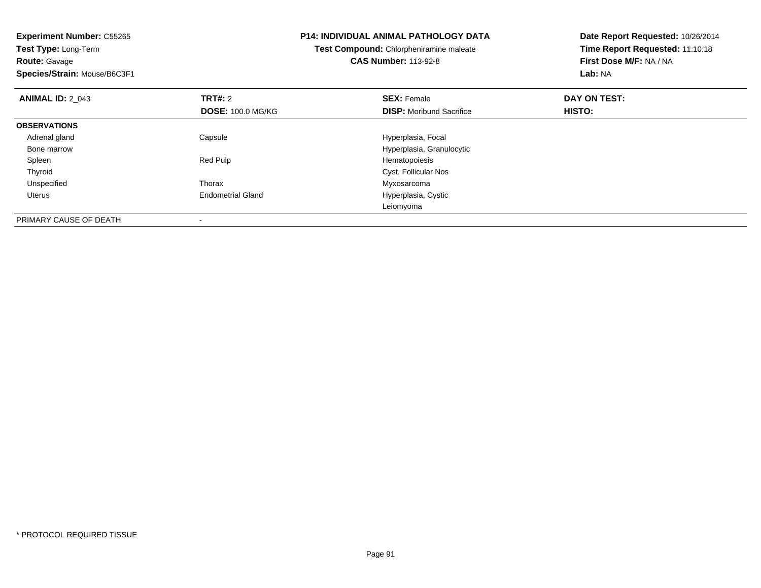| <b>Experiment Number: C55265</b><br>Test Type: Long-Term |                          | <b>P14: INDIVIDUAL ANIMAL PATHOLOGY DATA</b> | Date Report Requested: 10/26/2014<br>Time Report Requested: 11:10:18 |  |
|----------------------------------------------------------|--------------------------|----------------------------------------------|----------------------------------------------------------------------|--|
|                                                          |                          | Test Compound: Chlorpheniramine maleate      |                                                                      |  |
| Route: Gavage                                            |                          | <b>CAS Number: 113-92-8</b>                  | First Dose M/F: NA / NA                                              |  |
| Species/Strain: Mouse/B6C3F1                             |                          |                                              | Lab: NA                                                              |  |
| <b>ANIMAL ID: 2 043</b>                                  | <b>TRT#: 2</b>           | <b>SEX: Female</b>                           | DAY ON TEST:                                                         |  |
|                                                          | <b>DOSE: 100.0 MG/KG</b> | <b>DISP:</b> Moribund Sacrifice              | HISTO:                                                               |  |
| <b>OBSERVATIONS</b>                                      |                          |                                              |                                                                      |  |
| Adrenal gland                                            | Capsule                  | Hyperplasia, Focal                           |                                                                      |  |
| Bone marrow                                              |                          | Hyperplasia, Granulocytic                    |                                                                      |  |
| Spleen                                                   | Red Pulp                 | Hematopoiesis                                |                                                                      |  |
| Thyroid                                                  |                          | Cyst, Follicular Nos                         |                                                                      |  |
| Unspecified                                              | Thorax                   | Myxosarcoma                                  |                                                                      |  |
| Uterus                                                   | <b>Endometrial Gland</b> | Hyperplasia, Cystic                          |                                                                      |  |
|                                                          |                          | Leiomyoma                                    |                                                                      |  |
| PRIMARY CAUSE OF DEATH                                   |                          |                                              |                                                                      |  |

-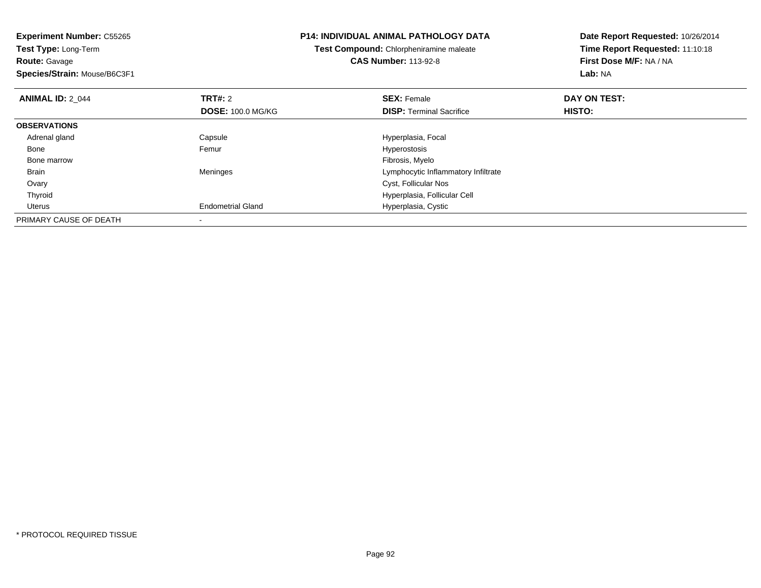| <b>Experiment Number: C55265</b><br>Test Type: Long-Term<br><b>Route: Gavage</b><br>Species/Strain: Mouse/B6C3F1 |                          | <b>P14: INDIVIDUAL ANIMAL PATHOLOGY DATA</b>   | Date Report Requested: 10/26/2014 |  |
|------------------------------------------------------------------------------------------------------------------|--------------------------|------------------------------------------------|-----------------------------------|--|
|                                                                                                                  |                          | <b>Test Compound: Chlorpheniramine maleate</b> | Time Report Requested: 11:10:18   |  |
|                                                                                                                  |                          | <b>CAS Number: 113-92-8</b>                    | First Dose M/F: NA / NA           |  |
|                                                                                                                  |                          |                                                | Lab: NA                           |  |
| <b>ANIMAL ID: 2 044</b>                                                                                          | <b>TRT#: 2</b>           | <b>SEX: Female</b>                             | DAY ON TEST:                      |  |
|                                                                                                                  | <b>DOSE: 100.0 MG/KG</b> | <b>DISP: Terminal Sacrifice</b>                | HISTO:                            |  |
| <b>OBSERVATIONS</b>                                                                                              |                          |                                                |                                   |  |
| Adrenal gland                                                                                                    | Capsule                  | Hyperplasia, Focal                             |                                   |  |
| Bone                                                                                                             | Femur                    | Hyperostosis                                   |                                   |  |
| Bone marrow                                                                                                      |                          | Fibrosis, Myelo                                |                                   |  |
| Brain                                                                                                            | Meninges                 | Lymphocytic Inflammatory Infiltrate            |                                   |  |
| Ovary                                                                                                            |                          | Cyst, Follicular Nos                           |                                   |  |
| Thyroid                                                                                                          |                          | Hyperplasia, Follicular Cell                   |                                   |  |
| Uterus                                                                                                           | <b>Endometrial Gland</b> | Hyperplasia, Cystic                            |                                   |  |
| PRIMARY CAUSE OF DEATH                                                                                           |                          |                                                |                                   |  |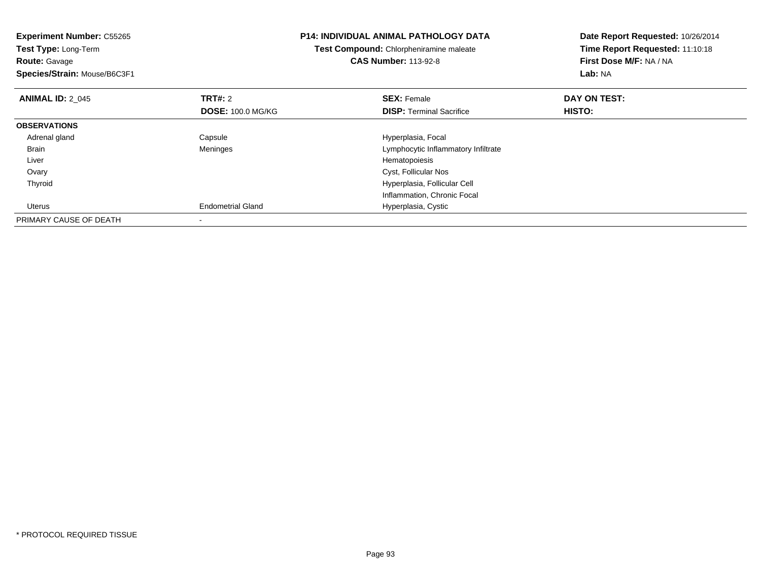| <b>Experiment Number: C55265</b><br>Test Type: Long-Term<br><b>Route: Gavage</b><br>Species/Strain: Mouse/B6C3F1 |                          | <b>P14: INDIVIDUAL ANIMAL PATHOLOGY DATA</b><br>Test Compound: Chlorpheniramine maleate<br><b>CAS Number: 113-92-8</b> | Date Report Requested: 10/26/2014<br>Time Report Requested: 11:10:18<br>First Dose M/F: NA / NA<br>Lab: NA |
|------------------------------------------------------------------------------------------------------------------|--------------------------|------------------------------------------------------------------------------------------------------------------------|------------------------------------------------------------------------------------------------------------|
| <b>ANIMAL ID: 2 045</b>                                                                                          | <b>TRT#: 2</b>           | <b>SEX: Female</b>                                                                                                     | DAY ON TEST:                                                                                               |
|                                                                                                                  | <b>DOSE: 100.0 MG/KG</b> | <b>DISP:</b> Terminal Sacrifice                                                                                        | HISTO:                                                                                                     |
| <b>OBSERVATIONS</b>                                                                                              |                          |                                                                                                                        |                                                                                                            |
| Adrenal gland                                                                                                    | Capsule                  | Hyperplasia, Focal                                                                                                     |                                                                                                            |
| Brain                                                                                                            | Meninges                 | Lymphocytic Inflammatory Infiltrate                                                                                    |                                                                                                            |
| Liver                                                                                                            |                          | Hematopoiesis                                                                                                          |                                                                                                            |
| Ovary                                                                                                            |                          | Cyst, Follicular Nos                                                                                                   |                                                                                                            |
| Thyroid                                                                                                          |                          | Hyperplasia, Follicular Cell                                                                                           |                                                                                                            |
|                                                                                                                  |                          | Inflammation, Chronic Focal                                                                                            |                                                                                                            |
| Uterus                                                                                                           | <b>Endometrial Gland</b> | Hyperplasia, Cystic                                                                                                    |                                                                                                            |
| PRIMARY CAUSE OF DEATH                                                                                           |                          |                                                                                                                        |                                                                                                            |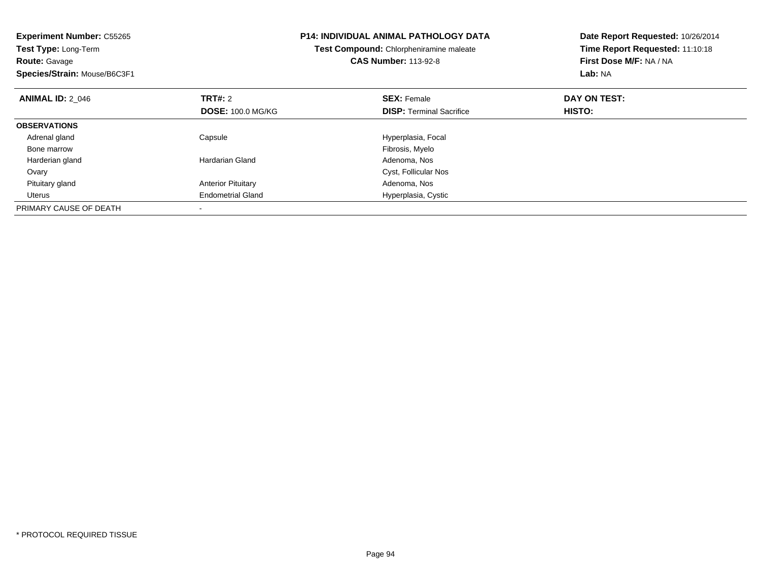| <b>Experiment Number: C55265</b><br>Test Type: Long-Term<br><b>Route: Gavage</b><br>Species/Strain: Mouse/B6C3F1 |                           | <b>P14: INDIVIDUAL ANIMAL PATHOLOGY DATA</b><br>Test Compound: Chlorpheniramine maleate<br><b>CAS Number: 113-92-8</b> | Date Report Requested: 10/26/2014<br>Time Report Requested: 11:10:18<br>First Dose M/F: NA / NA<br>Lab: NA |
|------------------------------------------------------------------------------------------------------------------|---------------------------|------------------------------------------------------------------------------------------------------------------------|------------------------------------------------------------------------------------------------------------|
| <b>ANIMAL ID: 2 046</b>                                                                                          | <b>TRT#: 2</b>            | <b>SEX: Female</b>                                                                                                     | DAY ON TEST:                                                                                               |
|                                                                                                                  | <b>DOSE: 100.0 MG/KG</b>  | <b>DISP:</b> Terminal Sacrifice                                                                                        | HISTO:                                                                                                     |
| <b>OBSERVATIONS</b>                                                                                              |                           |                                                                                                                        |                                                                                                            |
| Adrenal gland                                                                                                    | Capsule                   | Hyperplasia, Focal                                                                                                     |                                                                                                            |
| Bone marrow                                                                                                      |                           | Fibrosis, Myelo                                                                                                        |                                                                                                            |
| Harderian gland                                                                                                  | Hardarian Gland           | Adenoma, Nos                                                                                                           |                                                                                                            |
| Ovary                                                                                                            |                           | Cyst, Follicular Nos                                                                                                   |                                                                                                            |
| Pituitary gland                                                                                                  | <b>Anterior Pituitary</b> | Adenoma, Nos                                                                                                           |                                                                                                            |
| Uterus                                                                                                           | <b>Endometrial Gland</b>  | Hyperplasia, Cystic                                                                                                    |                                                                                                            |
| PRIMARY CAUSE OF DEATH                                                                                           |                           |                                                                                                                        |                                                                                                            |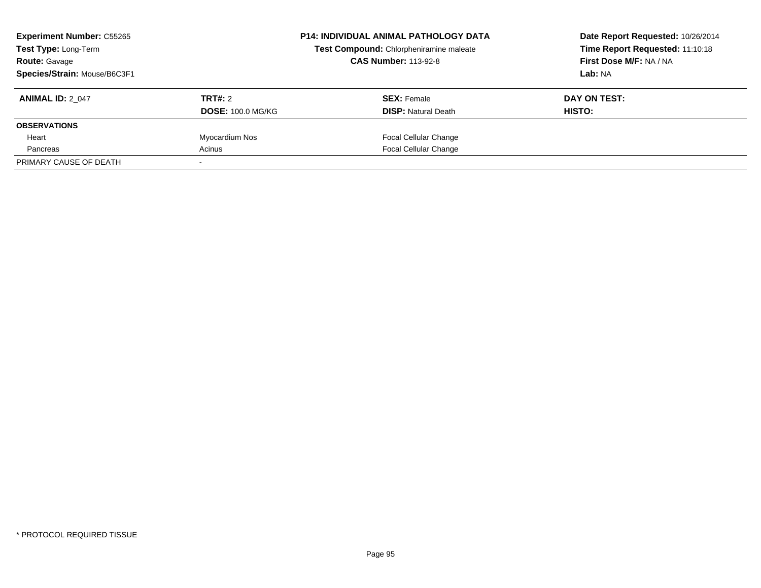| <b>Experiment Number: C55265</b><br><b>Test Type: Long-Term</b><br><b>Route: Gavage</b><br>Species/Strain: Mouse/B6C3F1 |                                     | <b>P14: INDIVIDUAL ANIMAL PATHOLOGY DATA</b><br>Test Compound: Chlorpheniramine maleate<br><b>CAS Number: 113-92-8</b> | Date Report Requested: 10/26/2014<br>Time Report Requested: 11:10:18<br>First Dose M/F: NA / NA<br>Lab: NA |
|-------------------------------------------------------------------------------------------------------------------------|-------------------------------------|------------------------------------------------------------------------------------------------------------------------|------------------------------------------------------------------------------------------------------------|
| <b>ANIMAL ID: 2 047</b>                                                                                                 | TRT#: 2<br><b>DOSE: 100.0 MG/KG</b> | <b>SEX:</b> Female<br><b>DISP: Natural Death</b>                                                                       | DAY ON TEST:<br>HISTO:                                                                                     |
| <b>OBSERVATIONS</b>                                                                                                     |                                     |                                                                                                                        |                                                                                                            |
| Heart                                                                                                                   | Myocardium Nos                      | <b>Focal Cellular Change</b>                                                                                           |                                                                                                            |
| Pancreas                                                                                                                | Acinus                              | <b>Focal Cellular Change</b>                                                                                           |                                                                                                            |
| PRIMARY CAUSE OF DEATH                                                                                                  |                                     |                                                                                                                        |                                                                                                            |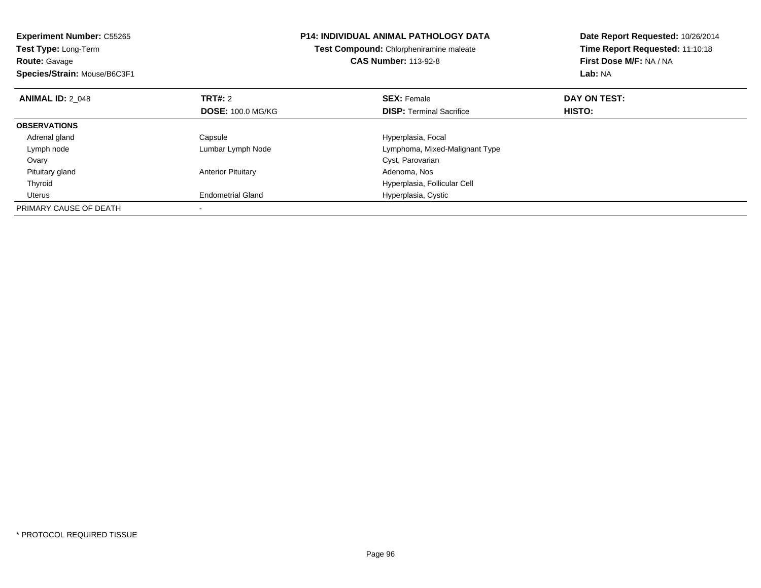| <b>Experiment Number: C55265</b><br>Test Type: Long-Term<br><b>Route: Gavage</b><br>Species/Strain: Mouse/B6C3F1 |                           | P14: INDIVIDUAL ANIMAL PATHOLOGY DATA<br>Test Compound: Chlorpheniramine maleate<br><b>CAS Number: 113-92-8</b> | Date Report Requested: 10/26/2014<br>Time Report Requested: 11:10:18<br>First Dose M/F: NA / NA<br>Lab: NA |
|------------------------------------------------------------------------------------------------------------------|---------------------------|-----------------------------------------------------------------------------------------------------------------|------------------------------------------------------------------------------------------------------------|
| <b>ANIMAL ID: 2 048</b>                                                                                          | <b>TRT#: 2</b>            | <b>SEX: Female</b>                                                                                              | DAY ON TEST:                                                                                               |
|                                                                                                                  | <b>DOSE: 100.0 MG/KG</b>  | <b>DISP:</b> Terminal Sacrifice                                                                                 | HISTO:                                                                                                     |
| <b>OBSERVATIONS</b>                                                                                              |                           |                                                                                                                 |                                                                                                            |
| Adrenal gland                                                                                                    | Capsule                   | Hyperplasia, Focal                                                                                              |                                                                                                            |
| Lymph node                                                                                                       | Lumbar Lymph Node         | Lymphoma, Mixed-Malignant Type                                                                                  |                                                                                                            |
| Ovary                                                                                                            |                           | Cyst, Parovarian                                                                                                |                                                                                                            |
| Pituitary gland                                                                                                  | <b>Anterior Pituitary</b> | Adenoma, Nos                                                                                                    |                                                                                                            |
| Thyroid                                                                                                          |                           | Hyperplasia, Follicular Cell                                                                                    |                                                                                                            |
| Uterus                                                                                                           | <b>Endometrial Gland</b>  | Hyperplasia, Cystic                                                                                             |                                                                                                            |
| PRIMARY CAUSE OF DEATH                                                                                           |                           |                                                                                                                 |                                                                                                            |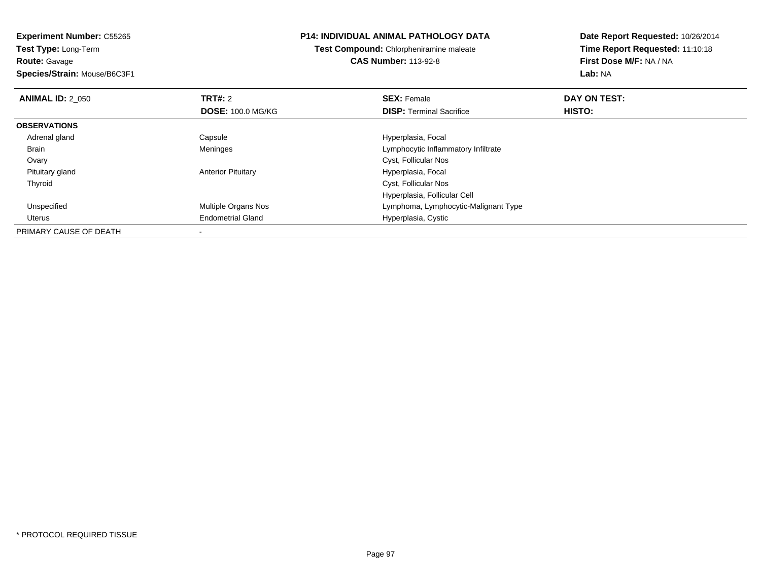**Experiment Number:** C55265**Test Type:** Long-Term**Route:** Gavage **Species/Strain:** Mouse/B6C3F1**P14: INDIVIDUAL ANIMAL PATHOLOGY DATATest Compound:** Chlorpheniramine maleate**CAS Number:** 113-92-8**Date Report Requested:** 10/26/2014**Time Report Requested:** 11:10:18**First Dose M/F:** NA / NA**Lab:** NA**ANIMAL ID: 2 050 Communist SEX: Female DAY ON TEST: DAY ON TEST: DOSE:** 100.0 MG/KG**DISP:** Terminal Sacrifice **HISTO: OBSERVATIONS** Adrenal gland Capsule Hyperplasia, Focal BrainLymphocytic Inflammatory Infiltrate Ovary Cyst, Follicular Nos Pituitary glandAnterior Pituitary **Material Contract Contract Pituitary** Hyperplasia, Focal Thyroid Cyst, Follicular Nos Hyperplasia, Follicular Cell UnspecifiedMultiple Organs Nos **Multiple Organs Nos** Lymphoma, Lymphocytic-Malignant Type Uterus Endometrial GlandHyperplasia, Cystic

PRIMARY CAUSE OF DEATH-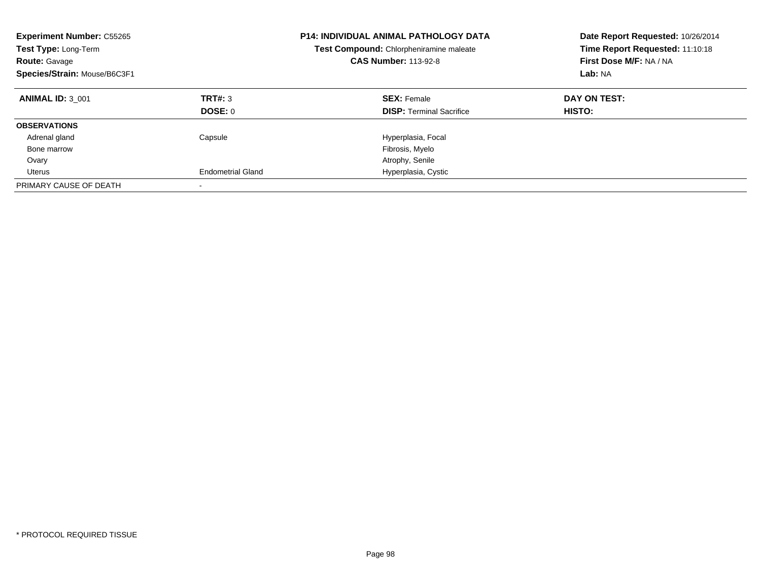| <b>Experiment Number: C55265</b><br>Test Type: Long-Term<br><b>Route: Gavage</b><br>Species/Strain: Mouse/B6C3F1 |                          | <b>P14: INDIVIDUAL ANIMAL PATHOLOGY DATA</b><br>Test Compound: Chlorpheniramine maleate<br><b>CAS Number: 113-92-8</b> | Date Report Requested: 10/26/2014<br>Time Report Requested: 11:10:18<br>First Dose M/F: NA / NA<br>Lab: NA |
|------------------------------------------------------------------------------------------------------------------|--------------------------|------------------------------------------------------------------------------------------------------------------------|------------------------------------------------------------------------------------------------------------|
| <b>ANIMAL ID: 3 001</b>                                                                                          | TRT#: 3                  | <b>SEX: Female</b>                                                                                                     | DAY ON TEST:                                                                                               |
|                                                                                                                  | DOSE: 0                  | <b>DISP:</b> Terminal Sacrifice                                                                                        | <b>HISTO:</b>                                                                                              |
| <b>OBSERVATIONS</b>                                                                                              |                          |                                                                                                                        |                                                                                                            |
| Adrenal gland                                                                                                    | Capsule                  | Hyperplasia, Focal                                                                                                     |                                                                                                            |
| Bone marrow                                                                                                      |                          | Fibrosis, Myelo                                                                                                        |                                                                                                            |
| Ovary                                                                                                            |                          | Atrophy, Senile                                                                                                        |                                                                                                            |
| Uterus                                                                                                           | <b>Endometrial Gland</b> | Hyperplasia, Cystic                                                                                                    |                                                                                                            |
| PRIMARY CAUSE OF DEATH                                                                                           |                          |                                                                                                                        |                                                                                                            |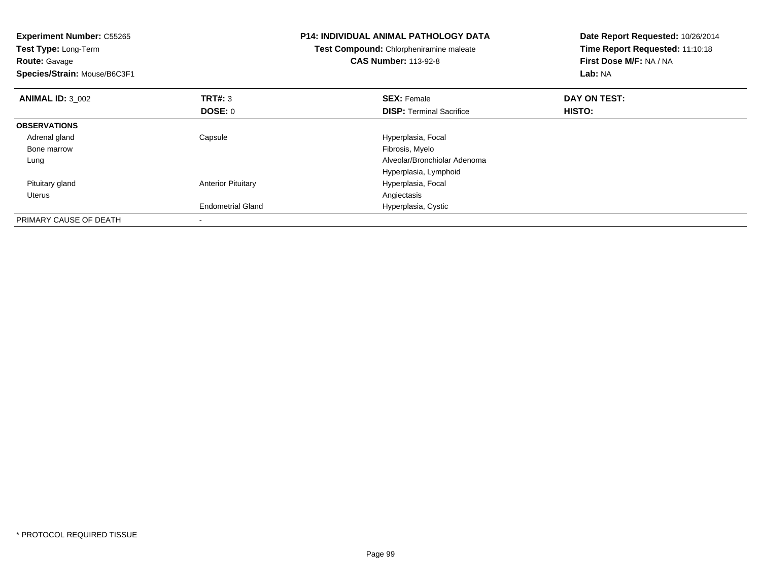| <b>Experiment Number: C55265</b><br>Test Type: Long-Term<br><b>Route: Gavage</b><br>Species/Strain: Mouse/B6C3F1 |                           | <b>P14: INDIVIDUAL ANIMAL PATHOLOGY DATA</b><br>Test Compound: Chlorpheniramine maleate<br><b>CAS Number: 113-92-8</b> | Date Report Requested: 10/26/2014<br>Time Report Requested: 11:10:18<br>First Dose M/F: NA / NA<br>Lab: NA |
|------------------------------------------------------------------------------------------------------------------|---------------------------|------------------------------------------------------------------------------------------------------------------------|------------------------------------------------------------------------------------------------------------|
| <b>ANIMAL ID: 3 002</b>                                                                                          | <b>TRT#: 3</b>            | <b>SEX: Female</b>                                                                                                     | DAY ON TEST:                                                                                               |
|                                                                                                                  | DOSE: 0                   | <b>DISP:</b> Terminal Sacrifice                                                                                        | HISTO:                                                                                                     |
| <b>OBSERVATIONS</b>                                                                                              |                           |                                                                                                                        |                                                                                                            |
| Adrenal gland                                                                                                    | Capsule                   | Hyperplasia, Focal                                                                                                     |                                                                                                            |
| Bone marrow                                                                                                      |                           | Fibrosis, Myelo                                                                                                        |                                                                                                            |
| Lung                                                                                                             |                           | Alveolar/Bronchiolar Adenoma                                                                                           |                                                                                                            |
|                                                                                                                  |                           | Hyperplasia, Lymphoid                                                                                                  |                                                                                                            |
| Pituitary gland                                                                                                  | <b>Anterior Pituitary</b> | Hyperplasia, Focal                                                                                                     |                                                                                                            |
| Uterus                                                                                                           |                           | Angiectasis                                                                                                            |                                                                                                            |
|                                                                                                                  | <b>Endometrial Gland</b>  | Hyperplasia, Cystic                                                                                                    |                                                                                                            |
| PRIMARY CAUSE OF DEATH                                                                                           |                           |                                                                                                                        |                                                                                                            |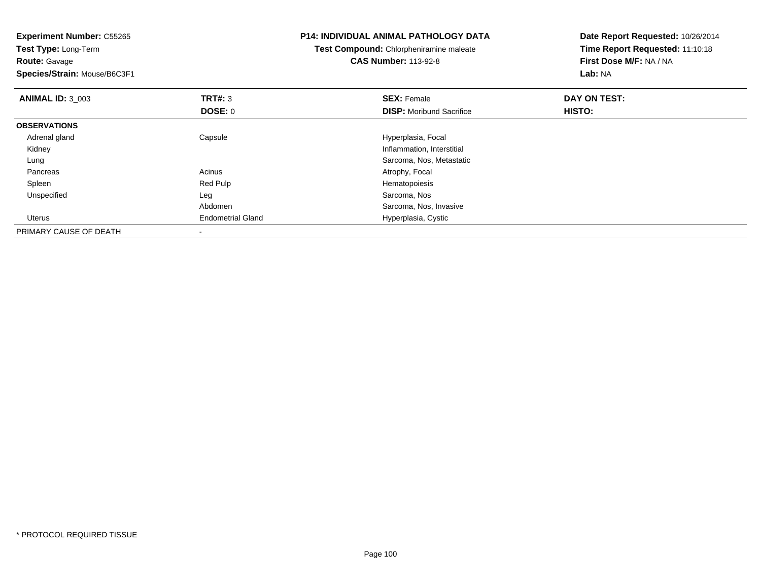| <b>Experiment Number: C55265</b><br>Test Type: Long-Term |                          | <b>P14: INDIVIDUAL ANIMAL PATHOLOGY DATA</b><br>Test Compound: Chlorpheniramine maleate | Date Report Requested: 10/26/2014<br>Time Report Requested: 11:10:18 |  |
|----------------------------------------------------------|--------------------------|-----------------------------------------------------------------------------------------|----------------------------------------------------------------------|--|
| <b>Route:</b> Gavage                                     |                          | <b>CAS Number: 113-92-8</b>                                                             | First Dose M/F: NA / NA                                              |  |
| Species/Strain: Mouse/B6C3F1                             |                          |                                                                                         | Lab: NA                                                              |  |
| <b>ANIMAL ID: 3 003</b>                                  | TRT#: 3                  | <b>SEX: Female</b>                                                                      | DAY ON TEST:                                                         |  |
|                                                          | <b>DOSE: 0</b>           | <b>DISP:</b> Moribund Sacrifice                                                         | HISTO:                                                               |  |
| <b>OBSERVATIONS</b>                                      |                          |                                                                                         |                                                                      |  |
| Adrenal gland                                            | Capsule                  | Hyperplasia, Focal                                                                      |                                                                      |  |
| Kidney                                                   |                          | Inflammation, Interstitial                                                              |                                                                      |  |
| Lung                                                     |                          | Sarcoma, Nos, Metastatic                                                                |                                                                      |  |
| Pancreas                                                 | Acinus                   | Atrophy, Focal                                                                          |                                                                      |  |
| Spleen                                                   | Red Pulp                 | Hematopoiesis                                                                           |                                                                      |  |
| Unspecified                                              | Leg                      | Sarcoma, Nos                                                                            |                                                                      |  |
|                                                          | Abdomen                  | Sarcoma, Nos, Invasive                                                                  |                                                                      |  |
| Uterus                                                   | <b>Endometrial Gland</b> | Hyperplasia, Cystic                                                                     |                                                                      |  |
| PRIMARY CAUSE OF DEATH                                   |                          |                                                                                         |                                                                      |  |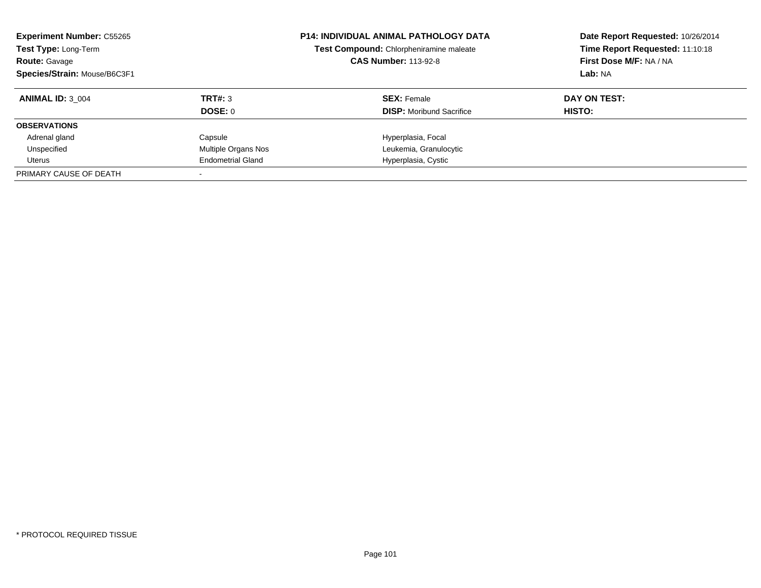| <b>Experiment Number: C55265</b><br>Test Type: Long-Term<br><b>Route: Gavage</b><br>Species/Strain: Mouse/B6C3F1 |                          | <b>P14: INDIVIDUAL ANIMAL PATHOLOGY DATA</b><br>Test Compound: Chlorpheniramine maleate<br><b>CAS Number: 113-92-8</b> | Date Report Requested: 10/26/2014<br>Time Report Requested: 11:10:18<br>First Dose M/F: NA / NA<br>Lab: NA |
|------------------------------------------------------------------------------------------------------------------|--------------------------|------------------------------------------------------------------------------------------------------------------------|------------------------------------------------------------------------------------------------------------|
| <b>ANIMAL ID: 3 004</b>                                                                                          | TRT#: 3                  | <b>SEX:</b> Female                                                                                                     | DAY ON TEST:                                                                                               |
|                                                                                                                  | DOSE: 0                  | <b>DISP:</b> Moribund Sacrifice                                                                                        | HISTO:                                                                                                     |
| <b>OBSERVATIONS</b>                                                                                              |                          |                                                                                                                        |                                                                                                            |
| Adrenal gland                                                                                                    | Capsule                  | Hyperplasia, Focal                                                                                                     |                                                                                                            |
| Unspecified                                                                                                      | Multiple Organs Nos      | Leukemia, Granulocytic                                                                                                 |                                                                                                            |
| Uterus                                                                                                           | <b>Endometrial Gland</b> | Hyperplasia, Cystic                                                                                                    |                                                                                                            |
| PRIMARY CAUSE OF DEATH                                                                                           |                          |                                                                                                                        |                                                                                                            |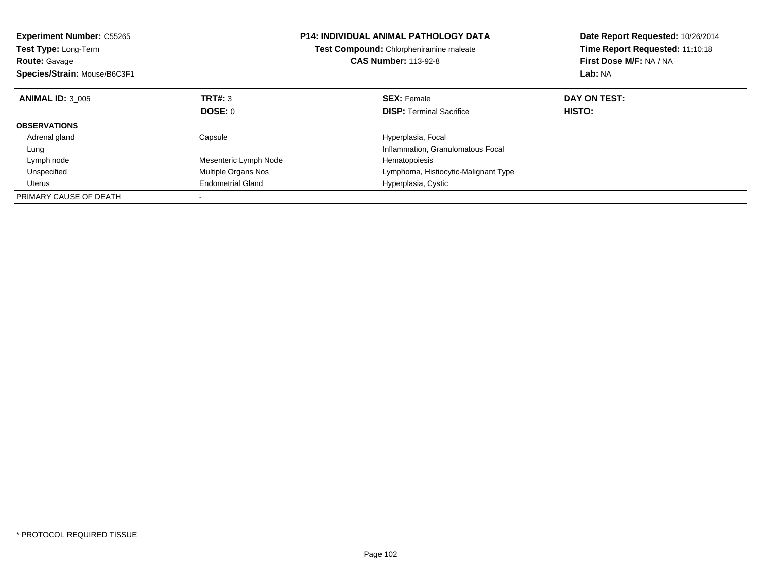| <b>Experiment Number: C55265</b><br>Test Type: Long-Term<br><b>Route: Gavage</b><br>Species/Strain: Mouse/B6C3F1 |                          | <b>P14: INDIVIDUAL ANIMAL PATHOLOGY DATA</b><br>Test Compound: Chlorpheniramine maleate<br><b>CAS Number: 113-92-8</b> | Date Report Requested: 10/26/2014<br>Time Report Requested: 11:10:18<br>First Dose M/F: NA / NA<br>Lab: NA |
|------------------------------------------------------------------------------------------------------------------|--------------------------|------------------------------------------------------------------------------------------------------------------------|------------------------------------------------------------------------------------------------------------|
| <b>ANIMAL ID: 3 005</b>                                                                                          | TRT#: 3                  | <b>SEX: Female</b>                                                                                                     | DAY ON TEST:                                                                                               |
|                                                                                                                  | <b>DOSE: 0</b>           | <b>DISP:</b> Terminal Sacrifice                                                                                        | HISTO:                                                                                                     |
| <b>OBSERVATIONS</b>                                                                                              |                          |                                                                                                                        |                                                                                                            |
| Adrenal gland                                                                                                    | Capsule                  | Hyperplasia, Focal                                                                                                     |                                                                                                            |
| Lung                                                                                                             |                          | Inflammation, Granulomatous Focal                                                                                      |                                                                                                            |
| Lymph node                                                                                                       | Mesenteric Lymph Node    | Hematopoiesis                                                                                                          |                                                                                                            |
| Unspecified                                                                                                      | Multiple Organs Nos      | Lymphoma, Histiocytic-Malignant Type                                                                                   |                                                                                                            |
| Uterus                                                                                                           | <b>Endometrial Gland</b> | Hyperplasia, Cystic                                                                                                    |                                                                                                            |
| PRIMARY CAUSE OF DEATH                                                                                           |                          |                                                                                                                        |                                                                                                            |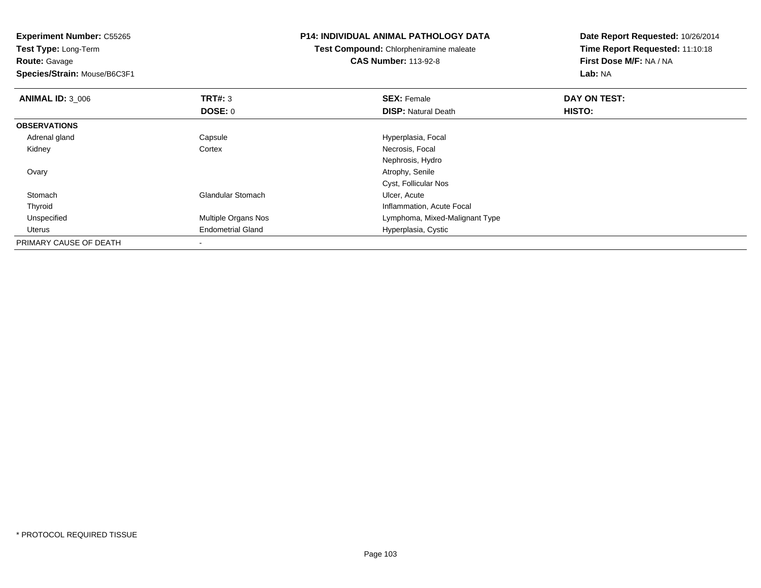**Experiment Number:** C55265**Test Type:** Long-Term**Route:** Gavage **Species/Strain:** Mouse/B6C3F1**P14: INDIVIDUAL ANIMAL PATHOLOGY DATATest Compound:** Chlorpheniramine maleate**CAS Number:** 113-92-8**Date Report Requested:** 10/26/2014**Time Report Requested:** 11:10:18**First Dose M/F:** NA / NA**Lab:** NA**ANIMAL ID:** 3\_006**6 DAY ON TEST: TRT#:** 3 **SEX: Female SEX: Female DAY ON TEST: DOSE:** 0**DISP:** Natural Death **HISTO: OBSERVATIONS** Adrenal glandCapsule Capsule Capsular Capsule Hyperplasia, Focal Cortex Capsular Capsular Capsular Capsular Capsular Capsular Capsular Capsular Capsular Capsular Capsular Capsular Capsular Capsular Capsular Capsular Capsular Capsular C Kidneyy states of the Cortex Cortex and the Cortex of the Necrosis, Focal and the Necrosis, Focal and the Necrosial A Nephrosis, Hydro Ovary Atrophy, Senile Cyst, Follicular Nos StomachGlandular Stomach **Ulcer**, Acute ThyroidInflammation, Acute Focal<br>Multiple Organs Nos **Action** Lymphoma, Mixed-Maligna UnspecifiedLymphoma, Mixed-Malignant Type Uterus Endometrial Gland Hyperplasia, Cystic PRIMARY CAUSE OF DEATH

-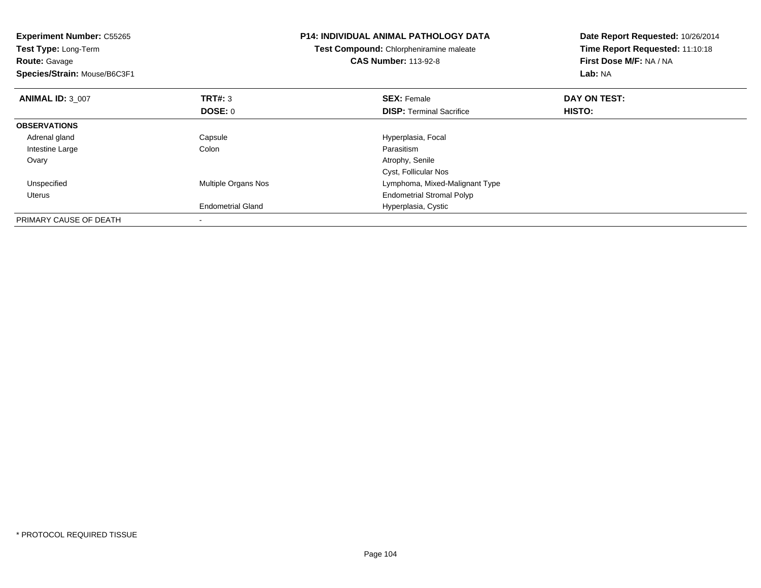| <b>Experiment Number: C55265</b><br>Test Type: Long-Term<br><b>Route: Gavage</b><br>Species/Strain: Mouse/B6C3F1 |                          | <b>P14: INDIVIDUAL ANIMAL PATHOLOGY DATA</b><br>Test Compound: Chlorpheniramine maleate<br><b>CAS Number: 113-92-8</b> | Date Report Requested: 10/26/2014<br>Time Report Requested: 11:10:18<br>First Dose M/F: NA / NA<br>Lab: NA |
|------------------------------------------------------------------------------------------------------------------|--------------------------|------------------------------------------------------------------------------------------------------------------------|------------------------------------------------------------------------------------------------------------|
| <b>ANIMAL ID: 3 007</b>                                                                                          | <b>TRT#: 3</b>           | <b>SEX: Female</b>                                                                                                     | DAY ON TEST:                                                                                               |
|                                                                                                                  | DOSE: 0                  | <b>DISP:</b> Terminal Sacrifice                                                                                        | <b>HISTO:</b>                                                                                              |
| <b>OBSERVATIONS</b>                                                                                              |                          |                                                                                                                        |                                                                                                            |
| Adrenal gland                                                                                                    | Capsule                  | Hyperplasia, Focal                                                                                                     |                                                                                                            |
| Intestine Large                                                                                                  | Colon                    | Parasitism                                                                                                             |                                                                                                            |
| Ovary                                                                                                            |                          | Atrophy, Senile                                                                                                        |                                                                                                            |
|                                                                                                                  |                          | Cyst, Follicular Nos                                                                                                   |                                                                                                            |
| Unspecified                                                                                                      | Multiple Organs Nos      | Lymphoma, Mixed-Malignant Type                                                                                         |                                                                                                            |
| Uterus                                                                                                           |                          | <b>Endometrial Stromal Polyp</b>                                                                                       |                                                                                                            |
|                                                                                                                  | <b>Endometrial Gland</b> | Hyperplasia, Cystic                                                                                                    |                                                                                                            |
| PRIMARY CAUSE OF DEATH                                                                                           |                          |                                                                                                                        |                                                                                                            |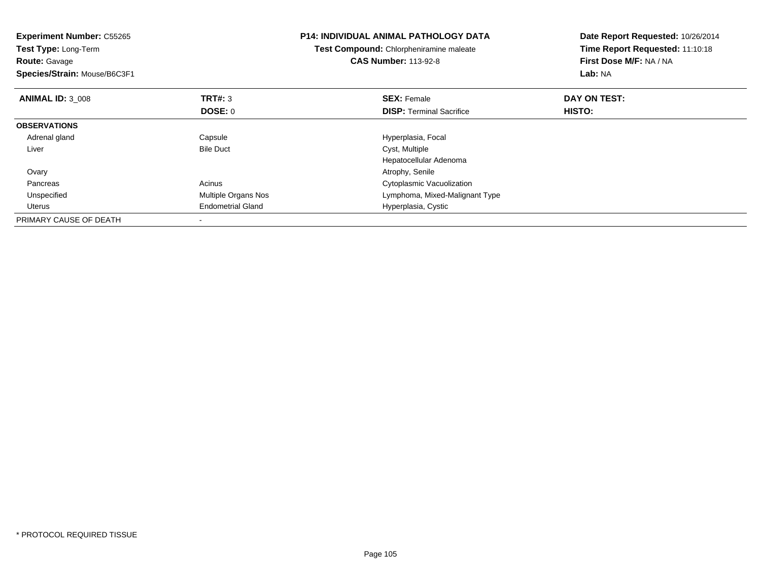| <b>Experiment Number: C55265</b><br>Test Type: Long-Term<br><b>Route: Gavage</b><br>Species/Strain: Mouse/B6C3F1 |                          | <b>P14: INDIVIDUAL ANIMAL PATHOLOGY DATA</b><br>Test Compound: Chlorpheniramine maleate<br><b>CAS Number: 113-92-8</b> | Date Report Requested: 10/26/2014<br>Time Report Requested: 11:10:18<br>First Dose M/F: NA / NA<br>Lab: NA |
|------------------------------------------------------------------------------------------------------------------|--------------------------|------------------------------------------------------------------------------------------------------------------------|------------------------------------------------------------------------------------------------------------|
| <b>ANIMAL ID: 3 008</b>                                                                                          | <b>TRT#: 3</b>           | <b>SEX: Female</b>                                                                                                     | DAY ON TEST:                                                                                               |
|                                                                                                                  | DOSE: 0                  | <b>DISP:</b> Terminal Sacrifice                                                                                        | HISTO:                                                                                                     |
| <b>OBSERVATIONS</b>                                                                                              |                          |                                                                                                                        |                                                                                                            |
| Adrenal gland                                                                                                    | Capsule                  | Hyperplasia, Focal                                                                                                     |                                                                                                            |
| Liver                                                                                                            | <b>Bile Duct</b>         | Cyst, Multiple                                                                                                         |                                                                                                            |
|                                                                                                                  |                          | Hepatocellular Adenoma                                                                                                 |                                                                                                            |
| Ovary                                                                                                            |                          | Atrophy, Senile                                                                                                        |                                                                                                            |
| Pancreas                                                                                                         | Acinus                   | Cytoplasmic Vacuolization                                                                                              |                                                                                                            |
| Unspecified                                                                                                      | Multiple Organs Nos      | Lymphoma, Mixed-Malignant Type                                                                                         |                                                                                                            |
| Uterus                                                                                                           | <b>Endometrial Gland</b> | Hyperplasia, Cystic                                                                                                    |                                                                                                            |
| PRIMARY CAUSE OF DEATH                                                                                           |                          |                                                                                                                        |                                                                                                            |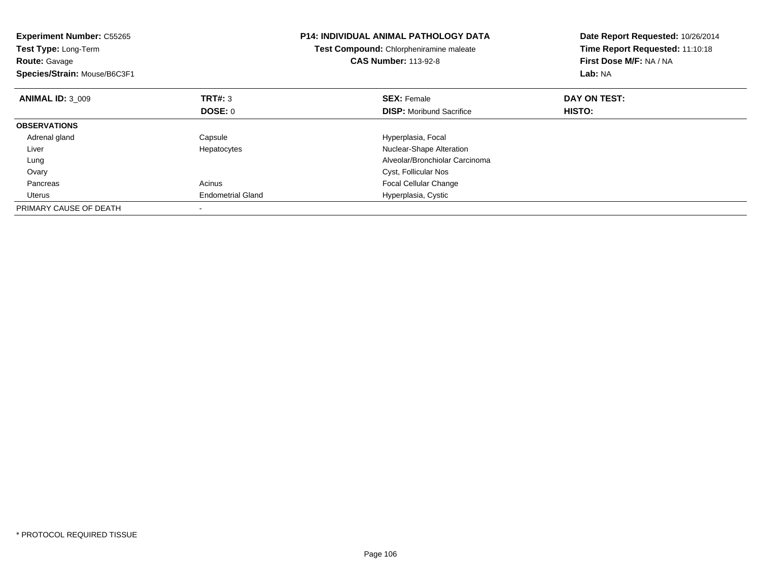| <b>Experiment Number: C55265</b><br>Test Type: Long-Term<br><b>Route: Gavage</b><br>Species/Strain: Mouse/B6C3F1 |                          | <b>P14: INDIVIDUAL ANIMAL PATHOLOGY DATA</b><br>Test Compound: Chlorpheniramine maleate<br><b>CAS Number: 113-92-8</b> | Date Report Requested: 10/26/2014<br>Time Report Requested: 11:10:18<br>First Dose M/F: NA / NA<br>Lab: NA |
|------------------------------------------------------------------------------------------------------------------|--------------------------|------------------------------------------------------------------------------------------------------------------------|------------------------------------------------------------------------------------------------------------|
| <b>ANIMAL ID: 3 009</b>                                                                                          | TRT#: 3                  | <b>SEX: Female</b>                                                                                                     | DAY ON TEST:                                                                                               |
|                                                                                                                  | DOSE: 0                  | <b>DISP:</b> Moribund Sacrifice                                                                                        | HISTO:                                                                                                     |
| <b>OBSERVATIONS</b>                                                                                              |                          |                                                                                                                        |                                                                                                            |
| Adrenal gland                                                                                                    | Capsule                  | Hyperplasia, Focal                                                                                                     |                                                                                                            |
| Liver                                                                                                            | Hepatocytes              | Nuclear-Shape Alteration                                                                                               |                                                                                                            |
| Lung                                                                                                             |                          | Alveolar/Bronchiolar Carcinoma                                                                                         |                                                                                                            |
| Ovary                                                                                                            |                          | Cyst, Follicular Nos                                                                                                   |                                                                                                            |
| Pancreas                                                                                                         | Acinus                   | <b>Focal Cellular Change</b>                                                                                           |                                                                                                            |
| Uterus                                                                                                           | <b>Endometrial Gland</b> | Hyperplasia, Cystic                                                                                                    |                                                                                                            |
| PRIMARY CAUSE OF DEATH                                                                                           |                          |                                                                                                                        |                                                                                                            |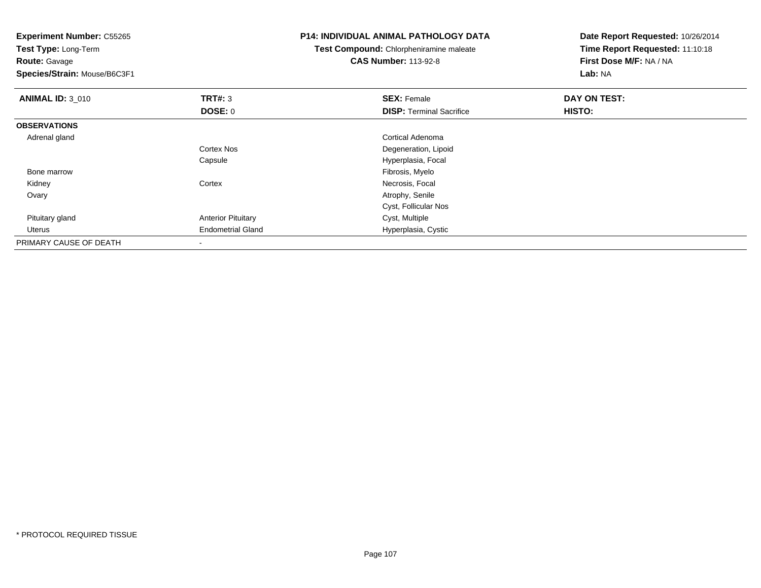**Experiment Number:** C55265**Test Type:** Long-Term**Route:** Gavage **Species/Strain:** Mouse/B6C3F1**P14: INDIVIDUAL ANIMAL PATHOLOGY DATATest Compound:** Chlorpheniramine maleate**CAS Number:** 113-92-8**Date Report Requested:** 10/26/2014**Time Report Requested:** 11:10:18**First Dose M/F:** NA / NA**Lab:** NA**ANIMAL ID:** 3\_010**C SEX:** Female **DAY ON TEST: DAY ON TEST: DOSE:** 0**DISP:** Terminal Sacrifice **HISTO: OBSERVATIONS** Adrenal gland Cortical Adenoma Cortex Nos Degeneration, LipoidCapsuleHyperplasia, Focal<br>Fibrosis, Myelo Bone marroww which is a state of the state of the state of the state of the state of the Fibrosis, Myelo state of the state of the state of the state of the state of the state of the state of the state of the state of the state of th KidneyCortex **Necrosis**, Focal Ovaryy the control of the control of the control of the control of the control of the control of the control of the control of the control of the control of the control of the control of the control of the control of the contro Cyst, Follicular Nos Pituitary glandAnterior Pituitary **Cyst, Multiple**  Uterus Endometrial Gland Hyperplasia, Cystic PRIMARY CAUSE OF DEATH-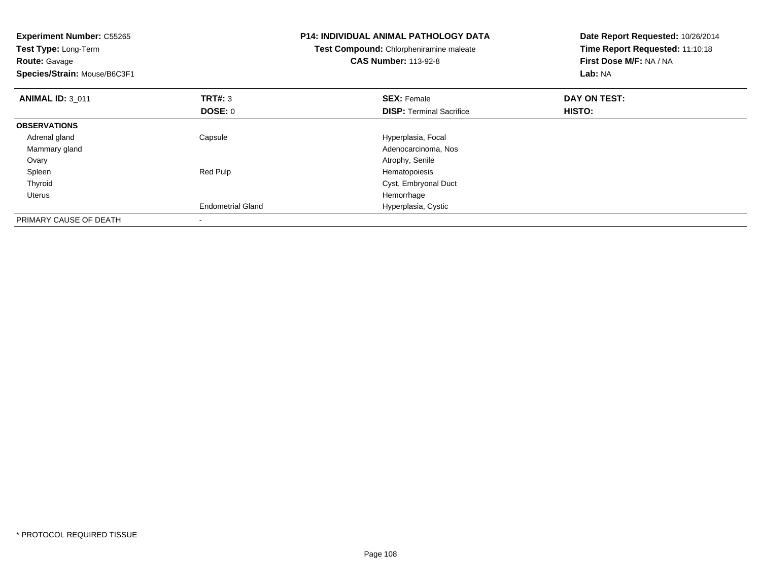| <b>Experiment Number: C55265</b><br>Test Type: Long-Term<br><b>Route: Gavage</b><br>Species/Strain: Mouse/B6C3F1 |                           | <b>P14: INDIVIDUAL ANIMAL PATHOLOGY DATA</b><br>Test Compound: Chlorpheniramine maleate<br><b>CAS Number: 113-92-8</b> | Date Report Requested: 10/26/2014<br>Time Report Requested: 11:10:18<br>First Dose M/F: NA / NA<br>Lab: NA |
|------------------------------------------------------------------------------------------------------------------|---------------------------|------------------------------------------------------------------------------------------------------------------------|------------------------------------------------------------------------------------------------------------|
| <b>ANIMAL ID: 3 011</b>                                                                                          | TRT#: 3<br><b>DOSE: 0</b> | <b>SEX: Female</b><br><b>DISP:</b> Terminal Sacrifice                                                                  | DAY ON TEST:<br>HISTO:                                                                                     |
| <b>OBSERVATIONS</b>                                                                                              |                           |                                                                                                                        |                                                                                                            |
| Adrenal gland<br>Mammary gland                                                                                   | Capsule                   | Hyperplasia, Focal<br>Adenocarcinoma, Nos                                                                              |                                                                                                            |
| Ovary                                                                                                            |                           | Atrophy, Senile                                                                                                        |                                                                                                            |
| Spleen<br>Thyroid<br>Uterus                                                                                      | Red Pulp                  | Hematopoiesis<br>Cyst, Embryonal Duct<br>Hemorrhage                                                                    |                                                                                                            |
|                                                                                                                  | <b>Endometrial Gland</b>  | Hyperplasia, Cystic                                                                                                    |                                                                                                            |
| PRIMARY CAUSE OF DEATH                                                                                           |                           |                                                                                                                        |                                                                                                            |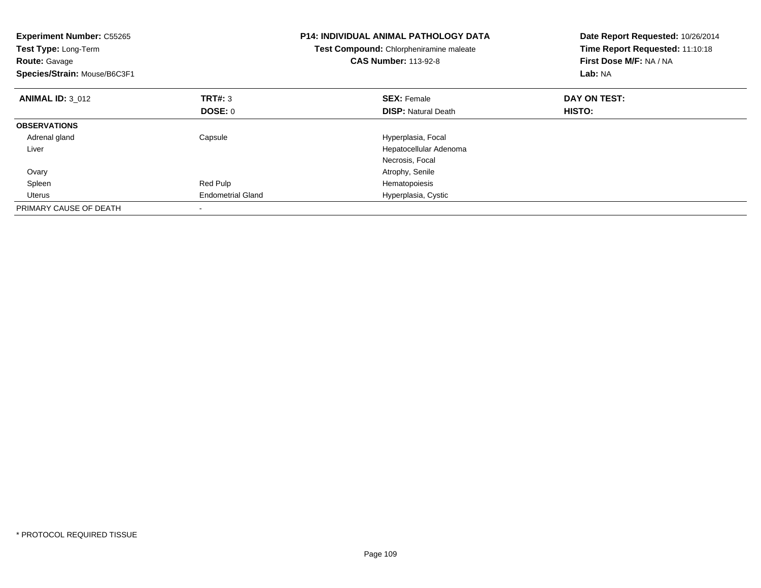| <b>Experiment Number: C55265</b><br>Test Type: Long-Term<br><b>Route: Gavage</b><br>Species/Strain: Mouse/B6C3F1 |                          | <b>P14: INDIVIDUAL ANIMAL PATHOLOGY DATA</b><br>Test Compound: Chlorpheniramine maleate<br><b>CAS Number: 113-92-8</b> | Date Report Requested: 10/26/2014<br>Time Report Requested: 11:10:18<br>First Dose M/F: NA / NA<br>Lab: NA |
|------------------------------------------------------------------------------------------------------------------|--------------------------|------------------------------------------------------------------------------------------------------------------------|------------------------------------------------------------------------------------------------------------|
| <b>ANIMAL ID: 3 012</b>                                                                                          | TRT#: 3                  | <b>SEX: Female</b>                                                                                                     | DAY ON TEST:                                                                                               |
|                                                                                                                  | <b>DOSE: 0</b>           | <b>DISP: Natural Death</b>                                                                                             | <b>HISTO:</b>                                                                                              |
| <b>OBSERVATIONS</b>                                                                                              |                          |                                                                                                                        |                                                                                                            |
| Adrenal gland                                                                                                    | Capsule                  | Hyperplasia, Focal                                                                                                     |                                                                                                            |
| Liver                                                                                                            |                          | Hepatocellular Adenoma                                                                                                 |                                                                                                            |
|                                                                                                                  |                          | Necrosis, Focal                                                                                                        |                                                                                                            |
| Ovary                                                                                                            |                          | Atrophy, Senile                                                                                                        |                                                                                                            |
| Spleen                                                                                                           | Red Pulp                 | Hematopoiesis                                                                                                          |                                                                                                            |
| <b>Uterus</b>                                                                                                    | <b>Endometrial Gland</b> | Hyperplasia, Cystic                                                                                                    |                                                                                                            |
| PRIMARY CAUSE OF DEATH                                                                                           |                          |                                                                                                                        |                                                                                                            |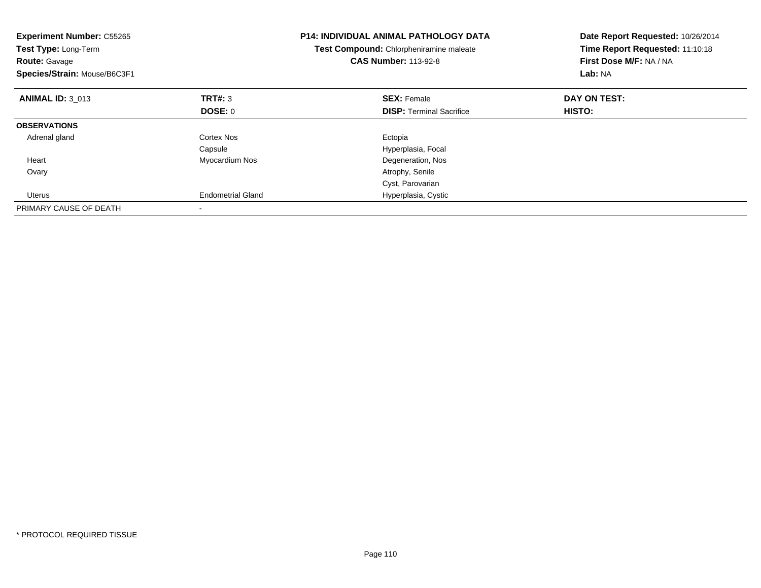| <b>Experiment Number: C55265</b><br>Test Type: Long-Term<br><b>Route: Gavage</b><br>Species/Strain: Mouse/B6C3F1 |                          | <b>P14: INDIVIDUAL ANIMAL PATHOLOGY DATA</b><br>Test Compound: Chlorpheniramine maleate<br><b>CAS Number: 113-92-8</b> | Date Report Requested: 10/26/2014<br>Time Report Requested: 11:10:18<br>First Dose M/F: NA / NA<br>Lab: NA |
|------------------------------------------------------------------------------------------------------------------|--------------------------|------------------------------------------------------------------------------------------------------------------------|------------------------------------------------------------------------------------------------------------|
| <b>ANIMAL ID: 3 013</b>                                                                                          | TRT#: 3                  | <b>SEX: Female</b>                                                                                                     | DAY ON TEST:                                                                                               |
|                                                                                                                  | DOSE: 0                  | <b>DISP:</b> Terminal Sacrifice                                                                                        | <b>HISTO:</b>                                                                                              |
| <b>OBSERVATIONS</b>                                                                                              |                          |                                                                                                                        |                                                                                                            |
| Adrenal gland                                                                                                    | Cortex Nos               | Ectopia                                                                                                                |                                                                                                            |
|                                                                                                                  | Capsule                  | Hyperplasia, Focal                                                                                                     |                                                                                                            |
| Heart                                                                                                            | Myocardium Nos           | Degeneration, Nos                                                                                                      |                                                                                                            |
| Ovary                                                                                                            |                          | Atrophy, Senile                                                                                                        |                                                                                                            |
|                                                                                                                  |                          | Cyst, Parovarian                                                                                                       |                                                                                                            |
| Uterus                                                                                                           | <b>Endometrial Gland</b> | Hyperplasia, Cystic                                                                                                    |                                                                                                            |
| PRIMARY CAUSE OF DEATH                                                                                           |                          |                                                                                                                        |                                                                                                            |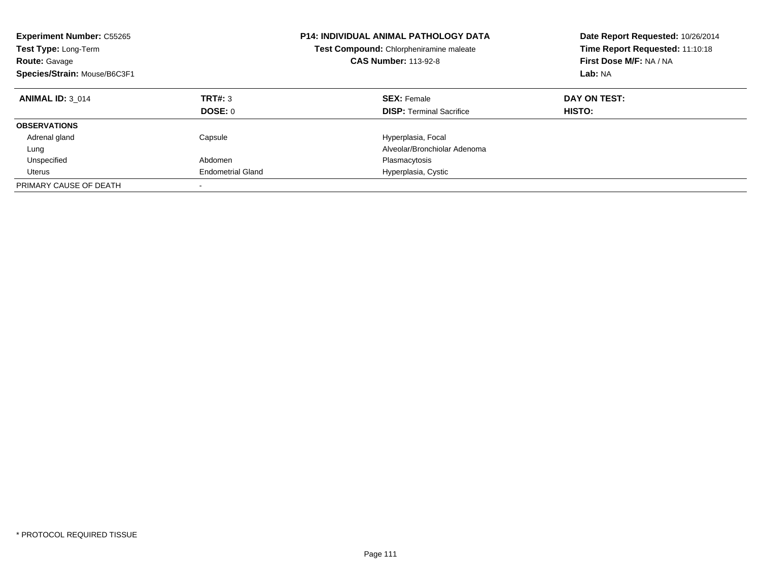| <b>Experiment Number: C55265</b><br>Test Type: Long-Term<br><b>Route: Gavage</b><br>Species/Strain: Mouse/B6C3F1 |                           | <b>P14: INDIVIDUAL ANIMAL PATHOLOGY DATA</b><br>Test Compound: Chlorpheniramine maleate<br><b>CAS Number: 113-92-8</b> | Date Report Requested: 10/26/2014<br>Time Report Requested: 11:10:18<br>First Dose M/F: NA / NA<br>Lab: NA |
|------------------------------------------------------------------------------------------------------------------|---------------------------|------------------------------------------------------------------------------------------------------------------------|------------------------------------------------------------------------------------------------------------|
| <b>ANIMAL ID: 3 014</b>                                                                                          | TRT#: 3<br><b>DOSE: 0</b> | <b>SEX: Female</b><br><b>DISP:</b> Terminal Sacrifice                                                                  | DAY ON TEST:<br><b>HISTO:</b>                                                                              |
|                                                                                                                  |                           |                                                                                                                        |                                                                                                            |
| <b>OBSERVATIONS</b>                                                                                              |                           |                                                                                                                        |                                                                                                            |
| Adrenal gland                                                                                                    | Capsule                   | Hyperplasia, Focal                                                                                                     |                                                                                                            |
| Lung                                                                                                             |                           | Alveolar/Bronchiolar Adenoma                                                                                           |                                                                                                            |
| Unspecified                                                                                                      | Abdomen                   | Plasmacytosis                                                                                                          |                                                                                                            |
| Uterus                                                                                                           | <b>Endometrial Gland</b>  | Hyperplasia, Cystic                                                                                                    |                                                                                                            |
| PRIMARY CAUSE OF DEATH                                                                                           |                           |                                                                                                                        |                                                                                                            |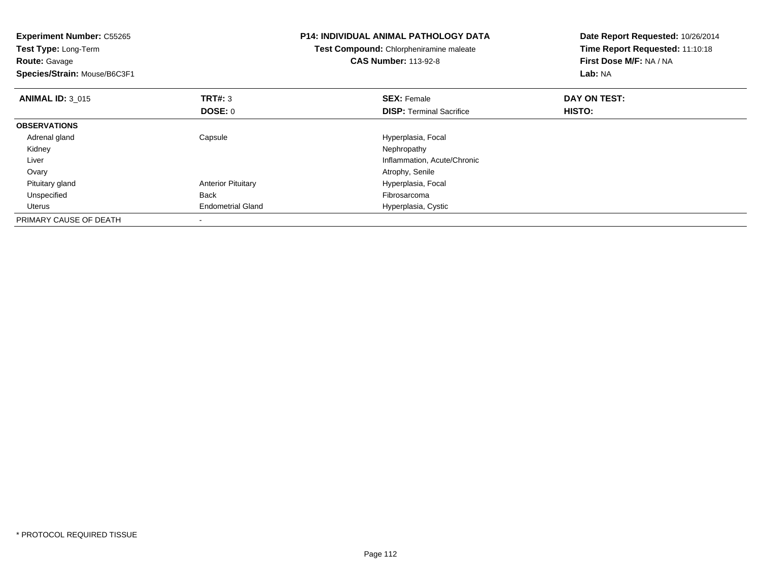| <b>Experiment Number: C55265</b><br>Test Type: Long-Term<br><b>Route: Gavage</b><br>Species/Strain: Mouse/B6C3F1 |                           | <b>P14: INDIVIDUAL ANIMAL PATHOLOGY DATA</b><br>Test Compound: Chlorpheniramine maleate<br><b>CAS Number: 113-92-8</b> | Date Report Requested: 10/26/2014<br>Time Report Requested: 11:10:18<br>First Dose M/F: NA / NA<br>Lab: NA |
|------------------------------------------------------------------------------------------------------------------|---------------------------|------------------------------------------------------------------------------------------------------------------------|------------------------------------------------------------------------------------------------------------|
| <b>ANIMAL ID: 3 015</b>                                                                                          | <b>TRT#: 3</b>            | <b>SEX: Female</b>                                                                                                     | DAY ON TEST:                                                                                               |
|                                                                                                                  | DOSE: 0                   | <b>DISP:</b> Terminal Sacrifice                                                                                        | HISTO:                                                                                                     |
| <b>OBSERVATIONS</b>                                                                                              |                           |                                                                                                                        |                                                                                                            |
| Adrenal gland                                                                                                    | Capsule                   | Hyperplasia, Focal                                                                                                     |                                                                                                            |
| Kidney                                                                                                           |                           | Nephropathy                                                                                                            |                                                                                                            |
| Liver                                                                                                            |                           | Inflammation, Acute/Chronic                                                                                            |                                                                                                            |
| Ovary                                                                                                            |                           | Atrophy, Senile                                                                                                        |                                                                                                            |
| Pituitary gland                                                                                                  | <b>Anterior Pituitary</b> | Hyperplasia, Focal                                                                                                     |                                                                                                            |
| Unspecified                                                                                                      | <b>Back</b>               | Fibrosarcoma                                                                                                           |                                                                                                            |
| Uterus                                                                                                           | <b>Endometrial Gland</b>  | Hyperplasia, Cystic                                                                                                    |                                                                                                            |
| PRIMARY CAUSE OF DEATH                                                                                           |                           |                                                                                                                        |                                                                                                            |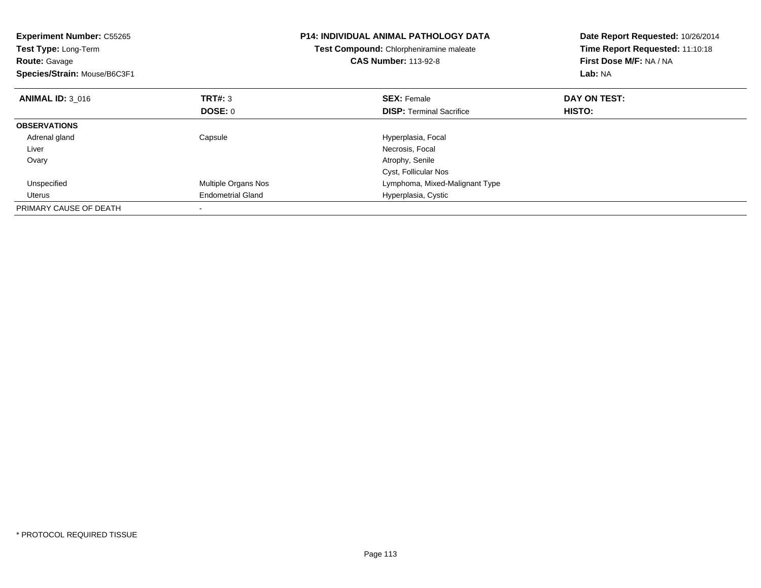| <b>Experiment Number: C55265</b><br>Test Type: Long-Term<br><b>Route: Gavage</b><br>Species/Strain: Mouse/B6C3F1 |                            | <b>P14: INDIVIDUAL ANIMAL PATHOLOGY DATA</b><br>Test Compound: Chlorpheniramine maleate<br><b>CAS Number: 113-92-8</b> | Date Report Requested: 10/26/2014<br>Time Report Requested: 11:10:18<br>First Dose M/F: NA / NA<br>Lab: NA |
|------------------------------------------------------------------------------------------------------------------|----------------------------|------------------------------------------------------------------------------------------------------------------------|------------------------------------------------------------------------------------------------------------|
| <b>ANIMAL ID: 3 016</b>                                                                                          | TRT#: 3                    | <b>SEX: Female</b>                                                                                                     | DAY ON TEST:                                                                                               |
|                                                                                                                  | DOSE: 0                    | <b>DISP:</b> Terminal Sacrifice                                                                                        | <b>HISTO:</b>                                                                                              |
| <b>OBSERVATIONS</b>                                                                                              |                            |                                                                                                                        |                                                                                                            |
| Adrenal gland                                                                                                    | Capsule                    | Hyperplasia, Focal                                                                                                     |                                                                                                            |
| Liver                                                                                                            |                            | Necrosis, Focal                                                                                                        |                                                                                                            |
| Ovary                                                                                                            |                            | Atrophy, Senile                                                                                                        |                                                                                                            |
|                                                                                                                  |                            | Cyst, Follicular Nos                                                                                                   |                                                                                                            |
| Unspecified                                                                                                      | <b>Multiple Organs Nos</b> | Lymphoma, Mixed-Malignant Type                                                                                         |                                                                                                            |
| Uterus                                                                                                           | <b>Endometrial Gland</b>   | Hyperplasia, Cystic                                                                                                    |                                                                                                            |
| PRIMARY CAUSE OF DEATH                                                                                           |                            |                                                                                                                        |                                                                                                            |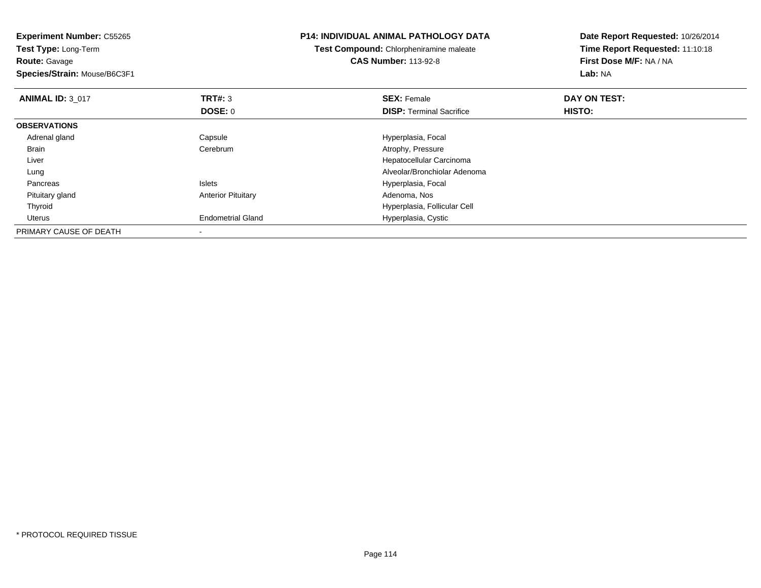**Experiment Number:** C55265**Test Type:** Long-Term**Route:** Gavage **Species/Strain:** Mouse/B6C3F1**P14: INDIVIDUAL ANIMAL PATHOLOGY DATATest Compound:** Chlorpheniramine maleate**CAS Number:** 113-92-8**Date Report Requested:** 10/26/2014**Time Report Requested:** 11:10:18**First Dose M/F:** NA / NA**Lab:** NA**ANIMAL ID:** 3\_017 **TRT#:** <sup>3</sup> **SEX:** Female **DAY ON TEST: DOSE:** 0**DISP:** Terminal Sacrifice **HISTO: OBSERVATIONS** Adrenal glandCapsule **Capsule Hyperplasia**, Focal Brain Cerebrum Atrophy, Pressure Liver Hepatocellular Carcinoma Alveolar/Bronchiolar Adenoma Lung PancreasIslets **Hyperplasia, Focal**  Pituitary glandAnterior Pituitary **Adenoma, Nos** Adenoma, Nos Thyroid Hyperplasia, Follicular Cell Uterus Endometrial Gland Hyperplasia, Cystic PRIMARY CAUSE OF DEATH-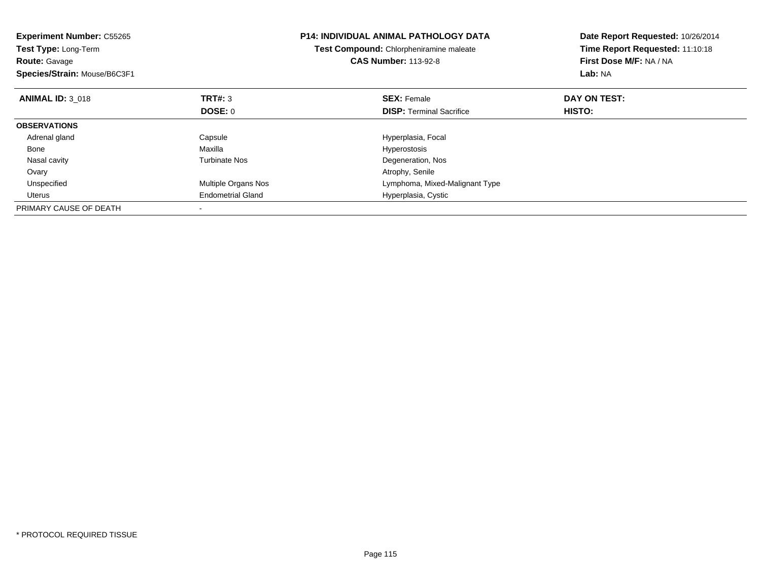| <b>Experiment Number: C55265</b><br><b>Test Type: Long-Term</b><br><b>Route: Gavage</b><br>Species/Strain: Mouse/B6C3F1 |                          | <b>P14: INDIVIDUAL ANIMAL PATHOLOGY DATA</b><br>Test Compound: Chlorpheniramine maleate<br><b>CAS Number: 113-92-8</b> | Date Report Requested: 10/26/2014<br>Time Report Requested: 11:10:18<br>First Dose M/F: NA / NA<br>Lab: NA |
|-------------------------------------------------------------------------------------------------------------------------|--------------------------|------------------------------------------------------------------------------------------------------------------------|------------------------------------------------------------------------------------------------------------|
| <b>ANIMAL ID: 3 018</b>                                                                                                 | TRT#: 3                  | <b>SEX: Female</b>                                                                                                     | DAY ON TEST:                                                                                               |
|                                                                                                                         | <b>DOSE: 0</b>           | <b>DISP:</b> Terminal Sacrifice                                                                                        | <b>HISTO:</b>                                                                                              |
| <b>OBSERVATIONS</b>                                                                                                     |                          |                                                                                                                        |                                                                                                            |
| Adrenal gland                                                                                                           | Capsule                  | Hyperplasia, Focal                                                                                                     |                                                                                                            |
| Bone                                                                                                                    | Maxilla                  | Hyperostosis                                                                                                           |                                                                                                            |
| Nasal cavity                                                                                                            | Turbinate Nos            | Degeneration, Nos                                                                                                      |                                                                                                            |
| Ovary                                                                                                                   |                          | Atrophy, Senile                                                                                                        |                                                                                                            |
| Unspecified                                                                                                             | Multiple Organs Nos      | Lymphoma, Mixed-Malignant Type                                                                                         |                                                                                                            |
| Uterus                                                                                                                  | <b>Endometrial Gland</b> | Hyperplasia, Cystic                                                                                                    |                                                                                                            |
| PRIMARY CAUSE OF DEATH                                                                                                  |                          |                                                                                                                        |                                                                                                            |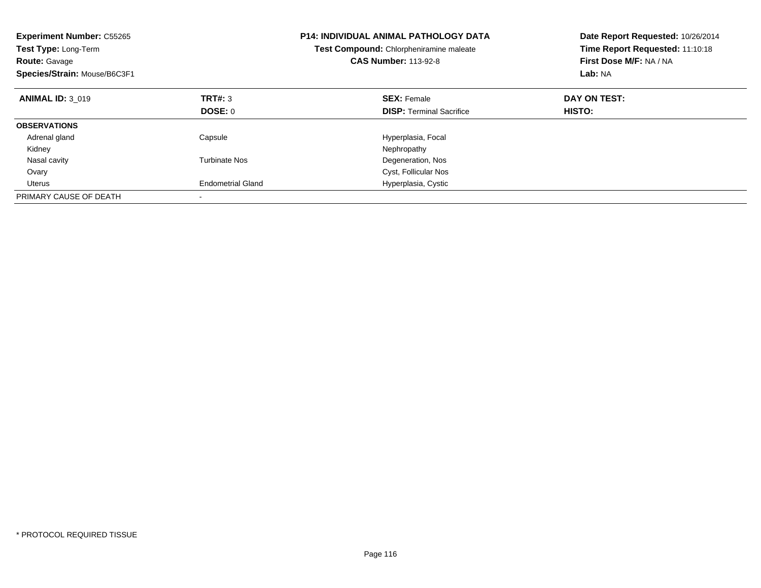| <b>Experiment Number: C55265</b><br><b>Test Type: Long-Term</b><br><b>Route: Gavage</b><br>Species/Strain: Mouse/B6C3F1 |                          | <b>P14: INDIVIDUAL ANIMAL PATHOLOGY DATA</b><br>Test Compound: Chlorpheniramine maleate<br><b>CAS Number: 113-92-8</b> | Date Report Requested: 10/26/2014<br>Time Report Requested: 11:10:18<br>First Dose M/F: NA / NA<br>Lab: NA |
|-------------------------------------------------------------------------------------------------------------------------|--------------------------|------------------------------------------------------------------------------------------------------------------------|------------------------------------------------------------------------------------------------------------|
| <b>ANIMAL ID: 3 019</b>                                                                                                 | TRT#: 3                  | <b>SEX: Female</b>                                                                                                     | DAY ON TEST:                                                                                               |
|                                                                                                                         | DOSE: 0                  | <b>DISP:</b> Terminal Sacrifice                                                                                        | HISTO:                                                                                                     |
| <b>OBSERVATIONS</b>                                                                                                     |                          |                                                                                                                        |                                                                                                            |
| Adrenal gland                                                                                                           | Capsule                  | Hyperplasia, Focal                                                                                                     |                                                                                                            |
| Kidney                                                                                                                  |                          | Nephropathy                                                                                                            |                                                                                                            |
| Nasal cavity                                                                                                            | Turbinate Nos            | Degeneration, Nos                                                                                                      |                                                                                                            |
| Ovary                                                                                                                   |                          | Cyst, Follicular Nos                                                                                                   |                                                                                                            |
| Uterus                                                                                                                  | <b>Endometrial Gland</b> | Hyperplasia, Cystic                                                                                                    |                                                                                                            |
| PRIMARY CAUSE OF DEATH                                                                                                  |                          |                                                                                                                        |                                                                                                            |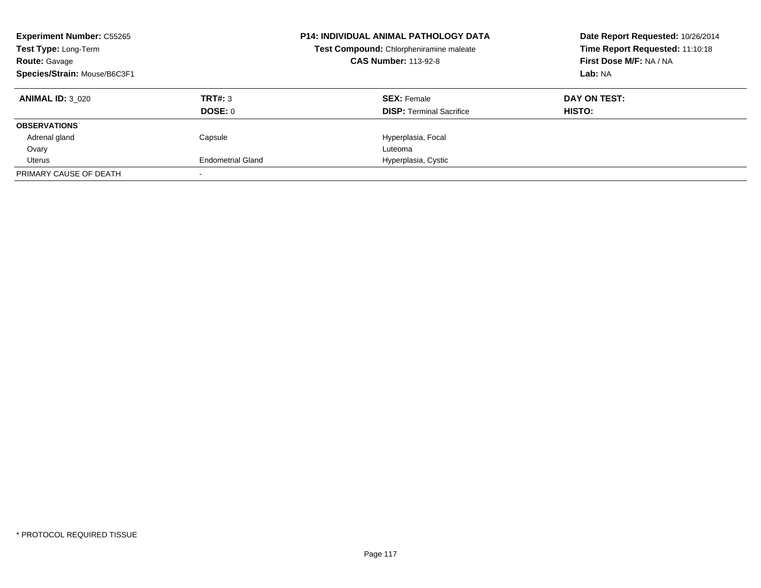| <b>Experiment Number: C55265</b><br>Test Type: Long-Term<br><b>Route: Gavage</b><br>Species/Strain: Mouse/B6C3F1 |                          | <b>P14: INDIVIDUAL ANIMAL PATHOLOGY DATA</b><br>Test Compound: Chlorpheniramine maleate<br><b>CAS Number: 113-92-8</b> | Date Report Requested: 10/26/2014<br>Time Report Requested: 11:10:18<br>First Dose M/F: NA / NA<br>Lab: NA |
|------------------------------------------------------------------------------------------------------------------|--------------------------|------------------------------------------------------------------------------------------------------------------------|------------------------------------------------------------------------------------------------------------|
| <b>ANIMAL ID: 3 020</b>                                                                                          | TRT#: 3                  | <b>SEX: Female</b>                                                                                                     | DAY ON TEST:                                                                                               |
|                                                                                                                  | DOSE: 0                  | <b>DISP:</b> Terminal Sacrifice                                                                                        | HISTO:                                                                                                     |
| <b>OBSERVATIONS</b>                                                                                              |                          |                                                                                                                        |                                                                                                            |
| Adrenal gland                                                                                                    | Capsule                  | Hyperplasia, Focal                                                                                                     |                                                                                                            |
| Ovary                                                                                                            |                          | Luteoma                                                                                                                |                                                                                                            |
| Uterus                                                                                                           | <b>Endometrial Gland</b> | Hyperplasia, Cystic                                                                                                    |                                                                                                            |
| PRIMARY CAUSE OF DEATH                                                                                           |                          |                                                                                                                        |                                                                                                            |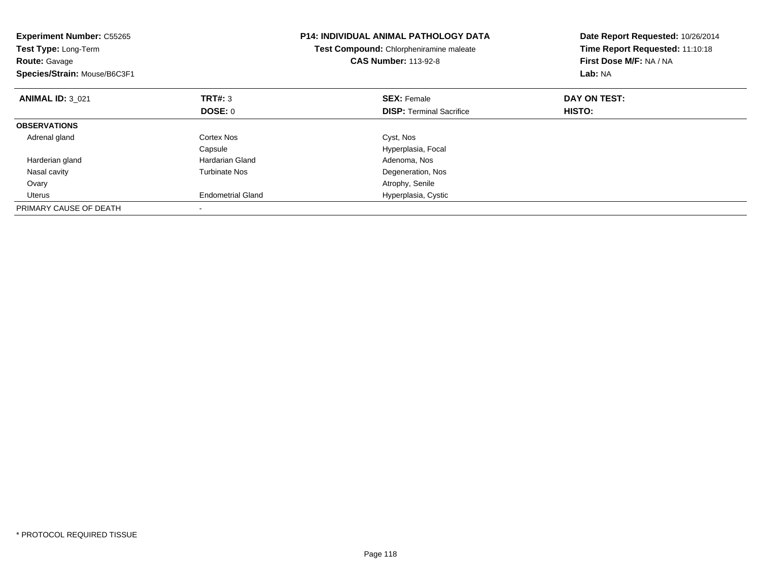| <b>Experiment Number: C55265</b><br>Test Type: Long-Term<br><b>Route: Gavage</b><br>Species/Strain: Mouse/B6C3F1 |                          | <b>P14: INDIVIDUAL ANIMAL PATHOLOGY DATA</b><br>Test Compound: Chlorpheniramine maleate<br><b>CAS Number: 113-92-8</b> | Date Report Requested: 10/26/2014<br>Time Report Requested: 11:10:18<br>First Dose M/F: NA / NA<br>Lab: NA |
|------------------------------------------------------------------------------------------------------------------|--------------------------|------------------------------------------------------------------------------------------------------------------------|------------------------------------------------------------------------------------------------------------|
| <b>ANIMAL ID: 3 021</b>                                                                                          | TRT#: 3                  | <b>SEX: Female</b>                                                                                                     | DAY ON TEST:                                                                                               |
|                                                                                                                  | <b>DOSE: 0</b>           | <b>DISP:</b> Terminal Sacrifice                                                                                        | <b>HISTO:</b>                                                                                              |
| <b>OBSERVATIONS</b>                                                                                              |                          |                                                                                                                        |                                                                                                            |
| Adrenal gland                                                                                                    | Cortex Nos               | Cyst, Nos                                                                                                              |                                                                                                            |
|                                                                                                                  | Capsule                  | Hyperplasia, Focal                                                                                                     |                                                                                                            |
| Harderian gland                                                                                                  | Hardarian Gland          | Adenoma, Nos                                                                                                           |                                                                                                            |
| Nasal cavity                                                                                                     | <b>Turbinate Nos</b>     | Degeneration, Nos                                                                                                      |                                                                                                            |
| Ovary                                                                                                            |                          | Atrophy, Senile                                                                                                        |                                                                                                            |
| Uterus                                                                                                           | <b>Endometrial Gland</b> | Hyperplasia, Cystic                                                                                                    |                                                                                                            |
| PRIMARY CAUSE OF DEATH                                                                                           |                          |                                                                                                                        |                                                                                                            |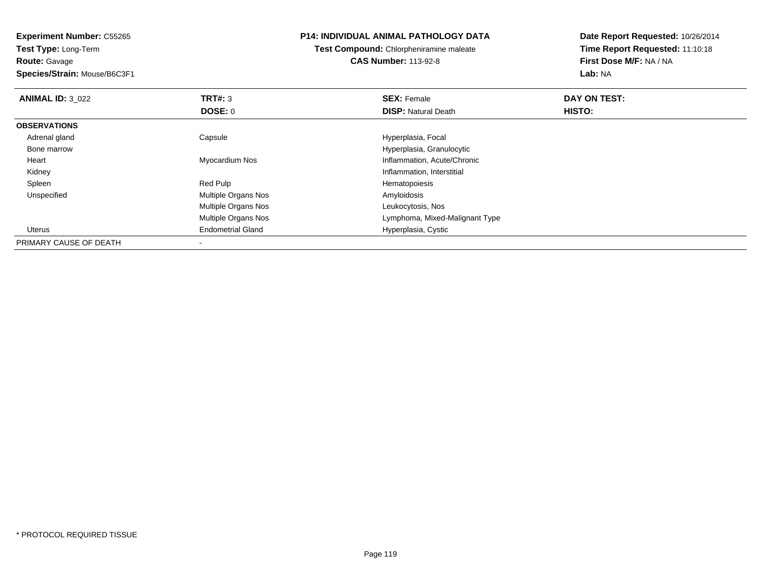**Experiment Number:** C55265**Test Type:** Long-Term

**Route:** Gavage

**Species/Strain:** Mouse/B6C3F1

## **P14: INDIVIDUAL ANIMAL PATHOLOGY DATA**

**Test Compound:** Chlorpheniramine maleate**CAS Number:** 113-92-8

**Date Report Requested:** 10/26/2014**Time Report Requested:** 11:10:18**First Dose M/F:** NA / NA**Lab:** NA

| <b>ANIMAL ID: 3 022</b> | TRT#: 3                    | <b>SEX: Female</b>             | DAY ON TEST: |  |
|-------------------------|----------------------------|--------------------------------|--------------|--|
|                         | <b>DOSE: 0</b>             | <b>DISP:</b> Natural Death     | HISTO:       |  |
| <b>OBSERVATIONS</b>     |                            |                                |              |  |
| Adrenal gland           | Capsule                    | Hyperplasia, Focal             |              |  |
| Bone marrow             |                            | Hyperplasia, Granulocytic      |              |  |
| Heart                   | Myocardium Nos             | Inflammation, Acute/Chronic    |              |  |
| Kidney                  |                            | Inflammation, Interstitial     |              |  |
| Spleen                  | Red Pulp                   | Hematopoiesis                  |              |  |
| Unspecified             | Multiple Organs Nos        | Amyloidosis                    |              |  |
|                         | <b>Multiple Organs Nos</b> | Leukocytosis, Nos              |              |  |
|                         | <b>Multiple Organs Nos</b> | Lymphoma, Mixed-Malignant Type |              |  |
| Uterus                  | <b>Endometrial Gland</b>   | Hyperplasia, Cystic            |              |  |
| PRIMARY CAUSE OF DEATH  |                            |                                |              |  |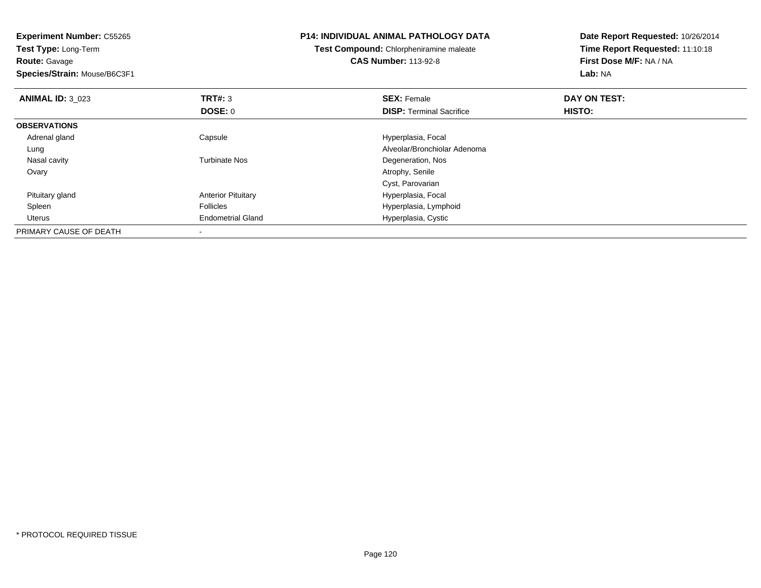| <b>Experiment Number: C55265</b><br>Test Type: Long-Term<br><b>Route: Gavage</b><br>Species/Strain: Mouse/B6C3F1 |                           | <b>P14: INDIVIDUAL ANIMAL PATHOLOGY DATA</b><br>Test Compound: Chlorpheniramine maleate<br><b>CAS Number: 113-92-8</b> | Date Report Requested: 10/26/2014<br>Time Report Requested: 11:10:18<br>First Dose M/F: NA / NA<br>Lab: NA |
|------------------------------------------------------------------------------------------------------------------|---------------------------|------------------------------------------------------------------------------------------------------------------------|------------------------------------------------------------------------------------------------------------|
| <b>ANIMAL ID: 3 023</b>                                                                                          | TRT#: 3                   | <b>SEX: Female</b>                                                                                                     | DAY ON TEST:                                                                                               |
|                                                                                                                  | DOSE: 0                   | <b>DISP:</b> Terminal Sacrifice                                                                                        | <b>HISTO:</b>                                                                                              |
| <b>OBSERVATIONS</b>                                                                                              |                           |                                                                                                                        |                                                                                                            |
| Adrenal gland                                                                                                    | Capsule                   | Hyperplasia, Focal                                                                                                     |                                                                                                            |
| Lung                                                                                                             |                           | Alveolar/Bronchiolar Adenoma                                                                                           |                                                                                                            |
| Nasal cavity                                                                                                     | <b>Turbinate Nos</b>      | Degeneration, Nos                                                                                                      |                                                                                                            |
| Ovary                                                                                                            |                           | Atrophy, Senile                                                                                                        |                                                                                                            |
|                                                                                                                  |                           | Cyst, Parovarian                                                                                                       |                                                                                                            |
| Pituitary gland                                                                                                  | <b>Anterior Pituitary</b> | Hyperplasia, Focal                                                                                                     |                                                                                                            |
| Spleen                                                                                                           | <b>Follicles</b>          | Hyperplasia, Lymphoid                                                                                                  |                                                                                                            |
| Uterus                                                                                                           | <b>Endometrial Gland</b>  | Hyperplasia, Cystic                                                                                                    |                                                                                                            |
| PRIMARY CAUSE OF DEATH                                                                                           |                           |                                                                                                                        |                                                                                                            |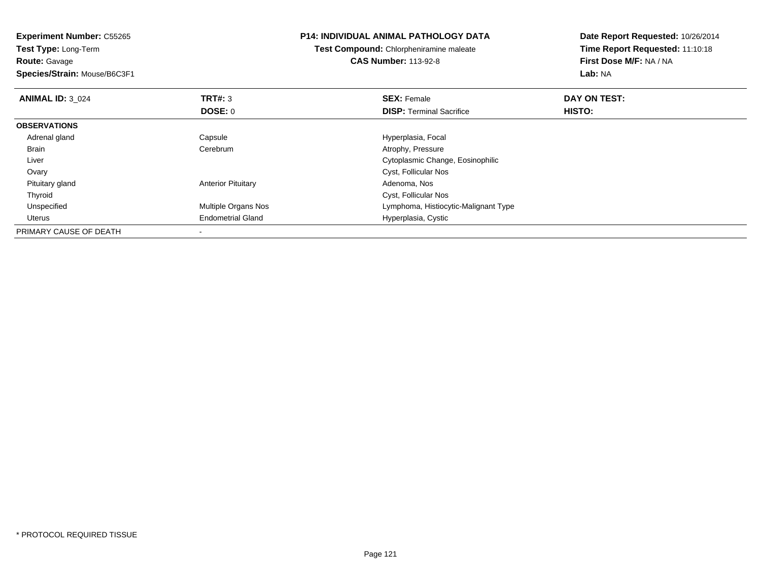**Experiment Number:** C55265**Test Type:** Long-Term**Route:** Gavage **Species/Strain:** Mouse/B6C3F1**P14: INDIVIDUAL ANIMAL PATHOLOGY DATATest Compound:** Chlorpheniramine maleate**CAS Number:** 113-92-8**Date Report Requested:** 10/26/2014**Time Report Requested:** 11:10:18**First Dose M/F:** NA / NA**Lab:** NA**ANIMAL ID:** 3\_024**TRT#:** 3 **SEX:** Female **DAY ON TEST: DOSE:** 0**DISP:** Terminal Sacrifice **HISTO: OBSERVATIONS** Adrenal glandCapsule **Capsule Hyperplasia**, Focal Brain Cerebrum Atrophy, Pressure Liver Cytoplasmic Change, Eosinophilic**Ovary**  Cyst, Follicular Nos Pituitary glandAnterior Pituitary **Adenoma, Nos** Adenoma, Nos ThyroidCyst, Follicular Nos<br>
Multiple Organs Nos<br>
Lymphoma, Histiocy UnspecifiedLymphoma, Histiocytic-Malignant Type Uterus Endometrial Gland Hyperplasia, Cystic PRIMARY CAUSE OF DEATH-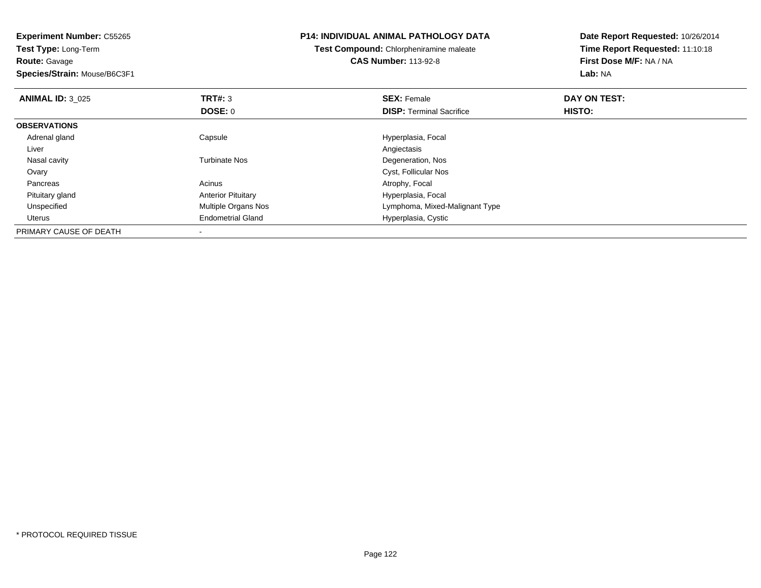| <b>Experiment Number: C55265</b> |                           | <b>P14: INDIVIDUAL ANIMAL PATHOLOGY DATA</b>   | Date Report Requested: 10/26/2014 |
|----------------------------------|---------------------------|------------------------------------------------|-----------------------------------|
| Test Type: Long-Term             |                           | <b>Test Compound:</b> Chlorpheniramine maleate | Time Report Requested: 11:10:18   |
| <b>Route: Gavage</b>             |                           | <b>CAS Number: 113-92-8</b>                    | First Dose M/F: NA / NA           |
| Species/Strain: Mouse/B6C3F1     |                           |                                                | Lab: NA                           |
| <b>ANIMAL ID: 3 025</b>          | <b>TRT#: 3</b>            | <b>SEX: Female</b>                             | DAY ON TEST:                      |
|                                  | <b>DOSE: 0</b>            | <b>DISP:</b> Terminal Sacrifice                | HISTO:                            |
| <b>OBSERVATIONS</b>              |                           |                                                |                                   |
| Adrenal gland                    | Capsule                   | Hyperplasia, Focal                             |                                   |
| Liver                            |                           | Angiectasis                                    |                                   |
| Nasal cavity                     | <b>Turbinate Nos</b>      | Degeneration, Nos                              |                                   |
| Ovary                            |                           | Cyst, Follicular Nos                           |                                   |
| Pancreas                         | Acinus                    | Atrophy, Focal                                 |                                   |
| Pituitary gland                  | <b>Anterior Pituitary</b> | Hyperplasia, Focal                             |                                   |
| Unspecified                      | Multiple Organs Nos       | Lymphoma, Mixed-Malignant Type                 |                                   |
| <b>Uterus</b>                    | <b>Endometrial Gland</b>  | Hyperplasia, Cystic                            |                                   |
| PRIMARY CAUSE OF DEATH           |                           |                                                |                                   |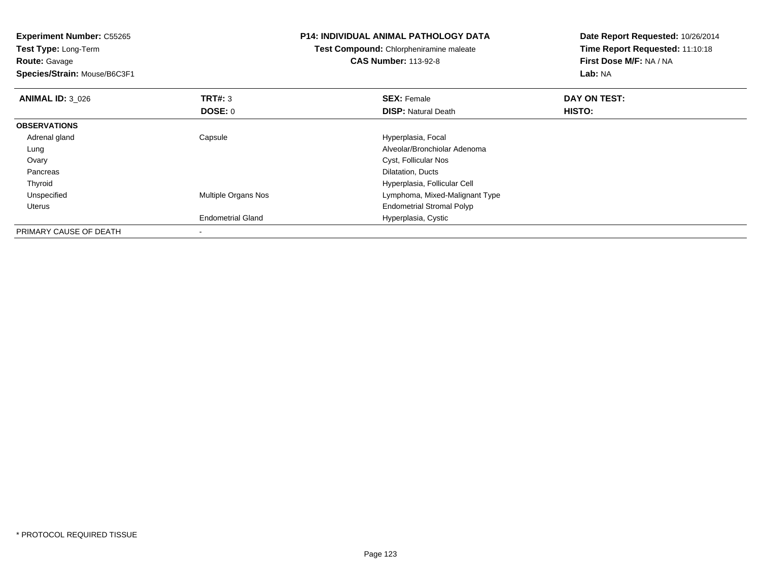**Experiment Number:** C55265**Test Type:** Long-Term**Route:** Gavage **Species/Strain:** Mouse/B6C3F1**P14: INDIVIDUAL ANIMAL PATHOLOGY DATATest Compound:** Chlorpheniramine maleate**CAS Number:** 113-92-8**Date Report Requested:** 10/26/2014**Time Report Requested:** 11:10:18**First Dose M/F:** NA / NA**Lab:** NA**ANIMAL ID:** 3\_026**6 DAY ON TEST: TRT#:** 3 **SEX: Female SEX: Female DAY ON TEST: DOSE:** 0**DISP:** Natural Death **HISTO: OBSERVATIONS** Adrenal glandCapsule **Capsule Hyperplasia**, Focal Lung Alveolar/Bronchiolar Adenoma Ovary Cyst, Follicular Nos Pancreas Dilatation, Ducts ThyroidHyperplasia, Follicular Cell<br>Multiple Organs Nos extension and the Uymphoma, Mixed-Malignal UnspecifiedLymphoma, Mixed-Malignant Type Uterus Endometrial Stromal PolypEndometrial Gland Hyperplasia, Cystic PRIMARY CAUSE OF DEATH-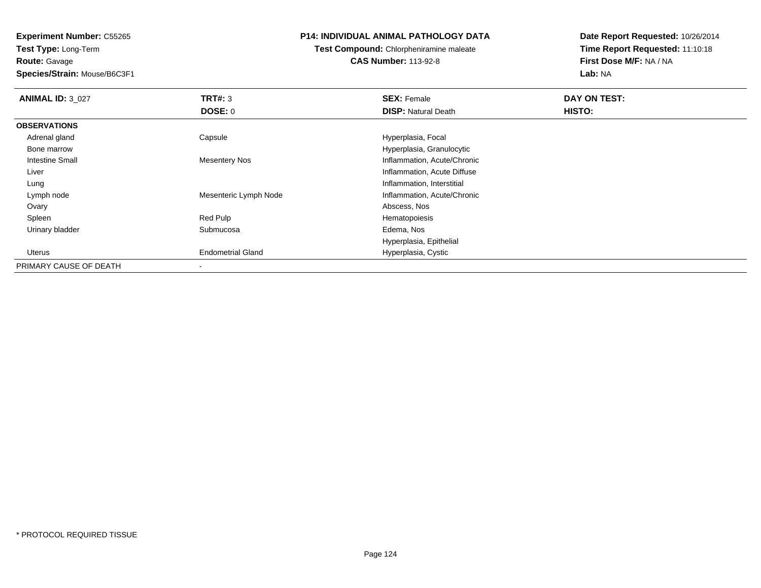**Experiment Number:** C55265**Test Type:** Long-Term

**Route:** Gavage

**Species/Strain:** Mouse/B6C3F1

## **P14: INDIVIDUAL ANIMAL PATHOLOGY DATA**

**Test Compound:** Chlorpheniramine maleate**CAS Number:** 113-92-8

**Date Report Requested:** 10/26/2014**Time Report Requested:** 11:10:18**First Dose M/F:** NA / NA**Lab:** NA

| <b>ANIMAL ID: 3_027</b> | TRT#: 3                  | <b>SEX: Female</b>          | DAY ON TEST: |  |
|-------------------------|--------------------------|-----------------------------|--------------|--|
|                         | DOSE: 0                  | <b>DISP: Natural Death</b>  | HISTO:       |  |
| <b>OBSERVATIONS</b>     |                          |                             |              |  |
| Adrenal gland           | Capsule                  | Hyperplasia, Focal          |              |  |
| Bone marrow             |                          | Hyperplasia, Granulocytic   |              |  |
| <b>Intestine Small</b>  | Mesentery Nos            | Inflammation, Acute/Chronic |              |  |
| Liver                   |                          | Inflammation, Acute Diffuse |              |  |
| Lung                    |                          | Inflammation, Interstitial  |              |  |
| Lymph node              | Mesenteric Lymph Node    | Inflammation, Acute/Chronic |              |  |
| Ovary                   |                          | Abscess, Nos                |              |  |
| Spleen                  | Red Pulp                 | Hematopoiesis               |              |  |
| Urinary bladder         | Submucosa                | Edema, Nos                  |              |  |
|                         |                          | Hyperplasia, Epithelial     |              |  |
| Uterus                  | <b>Endometrial Gland</b> | Hyperplasia, Cystic         |              |  |
| PRIMARY CAUSE OF DEATH  |                          |                             |              |  |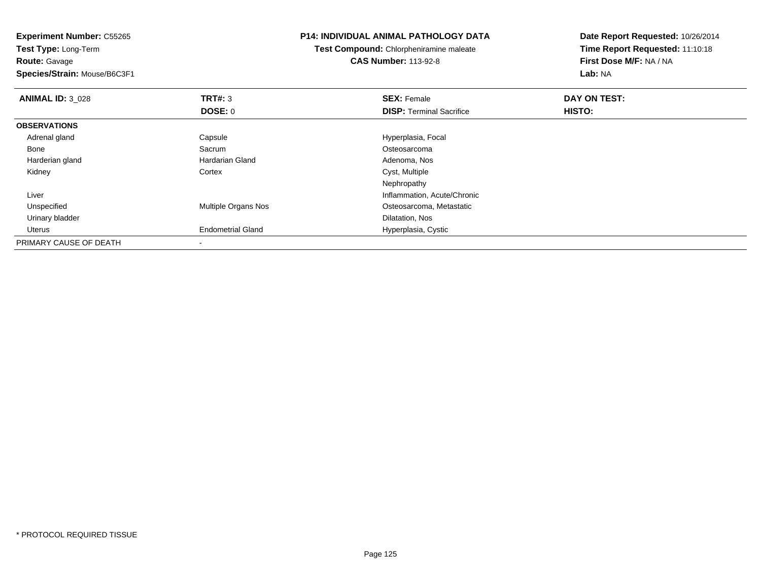**Experiment Number:** C55265**Test Type:** Long-Term**Route:** Gavage **Species/Strain:** Mouse/B6C3F1**P14: INDIVIDUAL ANIMAL PATHOLOGY DATATest Compound:** Chlorpheniramine maleate**CAS Number:** 113-92-8**Date Report Requested:** 10/26/2014**Time Report Requested:** 11:10:18**First Dose M/F:** NA / NA**Lab:** NA**ANIMAL ID:** 3\_028**REX:** Female **DAY ON TEST: SEX:** Female **SEX:** Female **DOSE:** 0**DISP:** Terminal Sacrifice **HISTO: OBSERVATIONS** Adrenal glandCapsule **Capsule Hyperplasia**, Focal Bone SacrumOsteosarcoma<br>Adenoma, Nos Harderian glandHardarian Gland **Adenoma, No**<br>
Cortex Cortex Cyst, Multiple Kidneyy which cortex context context context context context context context context context context context context  $\sim$  Nephropathy Inflammation, Acute/Chronic Liver UnspecifiedMultiple Organs Nos **Norwald Strutter Controller Controller** Osteosarcoma, Metastatic Urinary bladder Dilatation, Nosd Hyperplasia, Cystic Uterus Endometrial GlandPRIMARY CAUSE OF DEATH-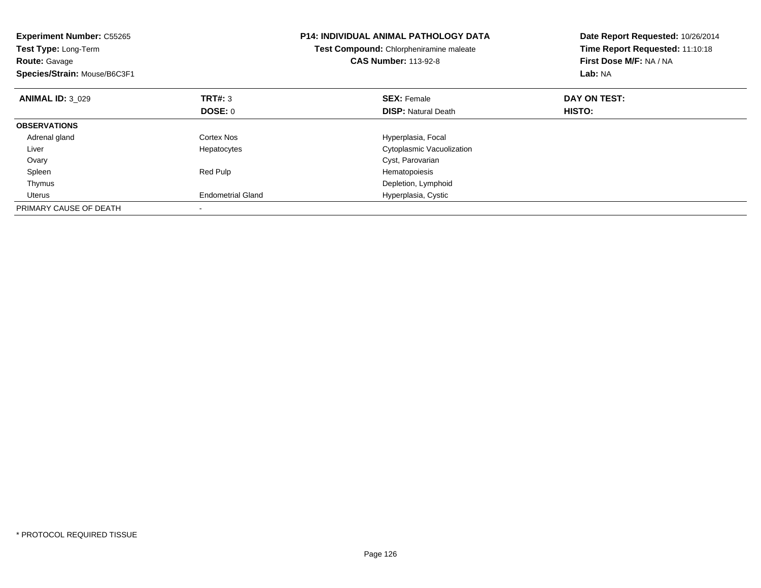| <b>Experiment Number: C55265</b><br>Test Type: Long-Term<br><b>Route: Gavage</b><br>Species/Strain: Mouse/B6C3F1 |                          | <b>P14: INDIVIDUAL ANIMAL PATHOLOGY DATA</b><br>Test Compound: Chlorpheniramine maleate<br><b>CAS Number: 113-92-8</b> | Date Report Requested: 10/26/2014<br>Time Report Requested: 11:10:18<br>First Dose M/F: NA / NA<br>Lab: NA |
|------------------------------------------------------------------------------------------------------------------|--------------------------|------------------------------------------------------------------------------------------------------------------------|------------------------------------------------------------------------------------------------------------|
| <b>ANIMAL ID: 3 029</b>                                                                                          | <b>TRT#: 3</b>           | <b>SEX: Female</b>                                                                                                     | DAY ON TEST:                                                                                               |
|                                                                                                                  | DOSE: 0                  | <b>DISP:</b> Natural Death                                                                                             | HISTO:                                                                                                     |
| <b>OBSERVATIONS</b>                                                                                              |                          |                                                                                                                        |                                                                                                            |
| Adrenal gland                                                                                                    | Cortex Nos               | Hyperplasia, Focal                                                                                                     |                                                                                                            |
| Liver                                                                                                            | Hepatocytes              | Cytoplasmic Vacuolization                                                                                              |                                                                                                            |
| Ovary                                                                                                            |                          | Cyst, Parovarian                                                                                                       |                                                                                                            |
| Spleen                                                                                                           | Red Pulp                 | Hematopoiesis                                                                                                          |                                                                                                            |
| Thymus                                                                                                           |                          | Depletion, Lymphoid                                                                                                    |                                                                                                            |
| Uterus                                                                                                           | <b>Endometrial Gland</b> | Hyperplasia, Cystic                                                                                                    |                                                                                                            |
| PRIMARY CAUSE OF DEATH                                                                                           |                          |                                                                                                                        |                                                                                                            |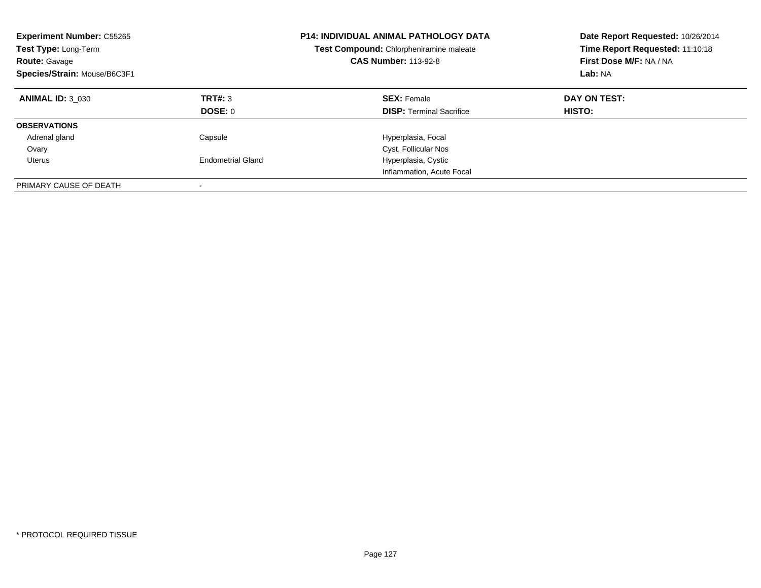| <b>Experiment Number: C55265</b><br><b>Test Type: Long-Term</b><br><b>Route: Gavage</b><br>Species/Strain: Mouse/B6C3F1 |                           | <b>P14: INDIVIDUAL ANIMAL PATHOLOGY DATA</b><br>Test Compound: Chlorpheniramine maleate<br><b>CAS Number: 113-92-8</b> | Date Report Requested: 10/26/2014<br>Time Report Requested: 11:10:18<br>First Dose M/F: NA / NA<br>Lab: NA |
|-------------------------------------------------------------------------------------------------------------------------|---------------------------|------------------------------------------------------------------------------------------------------------------------|------------------------------------------------------------------------------------------------------------|
| <b>ANIMAL ID: 3 030</b>                                                                                                 | TRT#: 3<br><b>DOSE: 0</b> | <b>SEX: Female</b><br><b>DISP:</b> Terminal Sacrifice                                                                  | DAY ON TEST:<br><b>HISTO:</b>                                                                              |
| <b>OBSERVATIONS</b>                                                                                                     |                           |                                                                                                                        |                                                                                                            |
| Adrenal gland                                                                                                           | Capsule                   | Hyperplasia, Focal                                                                                                     |                                                                                                            |
| Ovary                                                                                                                   |                           | Cyst, Follicular Nos                                                                                                   |                                                                                                            |
| Uterus                                                                                                                  | <b>Endometrial Gland</b>  | Hyperplasia, Cystic                                                                                                    |                                                                                                            |
|                                                                                                                         |                           | Inflammation, Acute Focal                                                                                              |                                                                                                            |
| PRIMARY CAUSE OF DEATH                                                                                                  |                           |                                                                                                                        |                                                                                                            |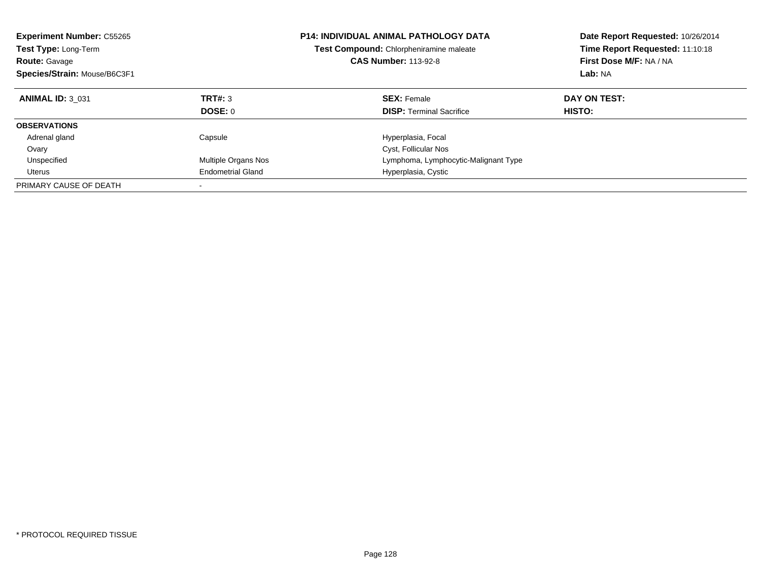| <b>Experiment Number: C55265</b><br><b>Test Type: Long-Term</b><br><b>Route: Gavage</b><br>Species/Strain: Mouse/B6C3F1 |                          | <b>P14: INDIVIDUAL ANIMAL PATHOLOGY DATA</b><br>Test Compound: Chlorpheniramine maleate<br><b>CAS Number: 113-92-8</b> | Date Report Requested: 10/26/2014<br>Time Report Requested: 11:10:18<br>First Dose M/F: NA / NA<br>Lab: NA |
|-------------------------------------------------------------------------------------------------------------------------|--------------------------|------------------------------------------------------------------------------------------------------------------------|------------------------------------------------------------------------------------------------------------|
| <b>ANIMAL ID: 3 031</b>                                                                                                 | TRT#: 3                  | <b>SEX: Female</b>                                                                                                     | DAY ON TEST:                                                                                               |
|                                                                                                                         | DOSE: 0                  | <b>DISP:</b> Terminal Sacrifice                                                                                        | <b>HISTO:</b>                                                                                              |
| <b>OBSERVATIONS</b>                                                                                                     |                          |                                                                                                                        |                                                                                                            |
| Adrenal gland                                                                                                           | Capsule                  | Hyperplasia, Focal                                                                                                     |                                                                                                            |
| Ovary                                                                                                                   |                          | Cyst, Follicular Nos                                                                                                   |                                                                                                            |
| Unspecified                                                                                                             | Multiple Organs Nos      | Lymphoma, Lymphocytic-Malignant Type                                                                                   |                                                                                                            |
| Uterus                                                                                                                  | <b>Endometrial Gland</b> | Hyperplasia, Cystic                                                                                                    |                                                                                                            |
| PRIMARY CAUSE OF DEATH                                                                                                  |                          |                                                                                                                        |                                                                                                            |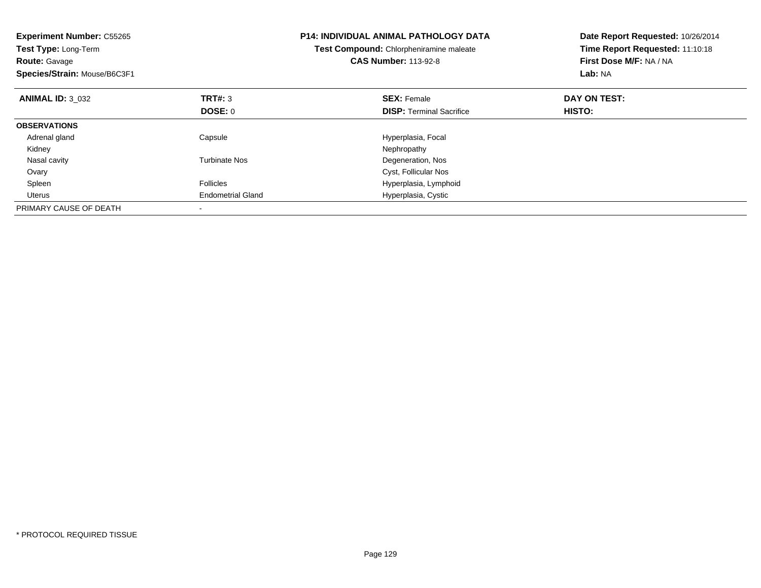| <b>Experiment Number: C55265</b><br>Test Type: Long-Term<br><b>Route: Gavage</b><br>Species/Strain: Mouse/B6C3F1 |                          | <b>P14: INDIVIDUAL ANIMAL PATHOLOGY DATA</b><br>Test Compound: Chlorpheniramine maleate<br><b>CAS Number: 113-92-8</b> | Date Report Requested: 10/26/2014<br>Time Report Requested: 11:10:18<br>First Dose M/F: NA / NA<br>Lab: NA |
|------------------------------------------------------------------------------------------------------------------|--------------------------|------------------------------------------------------------------------------------------------------------------------|------------------------------------------------------------------------------------------------------------|
| <b>ANIMAL ID: 3 032</b>                                                                                          | <b>TRT#: 3</b>           | <b>SEX: Female</b>                                                                                                     | DAY ON TEST:                                                                                               |
|                                                                                                                  | DOSE: 0                  | <b>DISP:</b> Terminal Sacrifice                                                                                        | HISTO:                                                                                                     |
| <b>OBSERVATIONS</b>                                                                                              |                          |                                                                                                                        |                                                                                                            |
| Adrenal gland                                                                                                    | Capsule                  | Hyperplasia, Focal                                                                                                     |                                                                                                            |
| Kidney                                                                                                           |                          | Nephropathy                                                                                                            |                                                                                                            |
| Nasal cavity                                                                                                     | <b>Turbinate Nos</b>     | Degeneration, Nos                                                                                                      |                                                                                                            |
| Ovary                                                                                                            |                          | Cyst, Follicular Nos                                                                                                   |                                                                                                            |
| Spleen                                                                                                           | <b>Follicles</b>         | Hyperplasia, Lymphoid                                                                                                  |                                                                                                            |
| Uterus                                                                                                           | <b>Endometrial Gland</b> | Hyperplasia, Cystic                                                                                                    |                                                                                                            |
| PRIMARY CAUSE OF DEATH                                                                                           |                          |                                                                                                                        |                                                                                                            |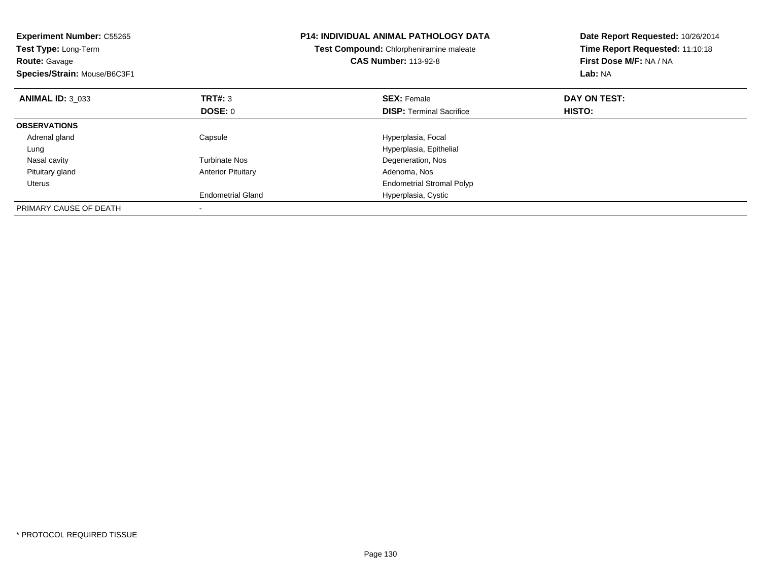| <b>Experiment Number: C55265</b><br>Test Type: Long-Term<br><b>Route: Gavage</b><br>Species/Strain: Mouse/B6C3F1 |                           | <b>P14: INDIVIDUAL ANIMAL PATHOLOGY DATA</b><br>Test Compound: Chlorpheniramine maleate<br><b>CAS Number: 113-92-8</b> | Date Report Requested: 10/26/2014<br>Time Report Requested: 11:10:18<br>First Dose M/F: NA / NA<br>Lab: NA |
|------------------------------------------------------------------------------------------------------------------|---------------------------|------------------------------------------------------------------------------------------------------------------------|------------------------------------------------------------------------------------------------------------|
| <b>ANIMAL ID: 3 033</b>                                                                                          | TRT#: 3                   | <b>SEX: Female</b>                                                                                                     | DAY ON TEST:                                                                                               |
|                                                                                                                  | <b>DOSE: 0</b>            | <b>DISP:</b> Terminal Sacrifice                                                                                        | HISTO:                                                                                                     |
| <b>OBSERVATIONS</b>                                                                                              |                           |                                                                                                                        |                                                                                                            |
| Adrenal gland                                                                                                    | Capsule                   | Hyperplasia, Focal                                                                                                     |                                                                                                            |
| Lung                                                                                                             |                           | Hyperplasia, Epithelial                                                                                                |                                                                                                            |
| Nasal cavity                                                                                                     | <b>Turbinate Nos</b>      | Degeneration, Nos                                                                                                      |                                                                                                            |
| Pituitary gland                                                                                                  | <b>Anterior Pituitary</b> | Adenoma, Nos                                                                                                           |                                                                                                            |
| Uterus                                                                                                           |                           | <b>Endometrial Stromal Polyp</b>                                                                                       |                                                                                                            |
|                                                                                                                  | <b>Endometrial Gland</b>  | Hyperplasia, Cystic                                                                                                    |                                                                                                            |
| PRIMARY CAUSE OF DEATH                                                                                           |                           |                                                                                                                        |                                                                                                            |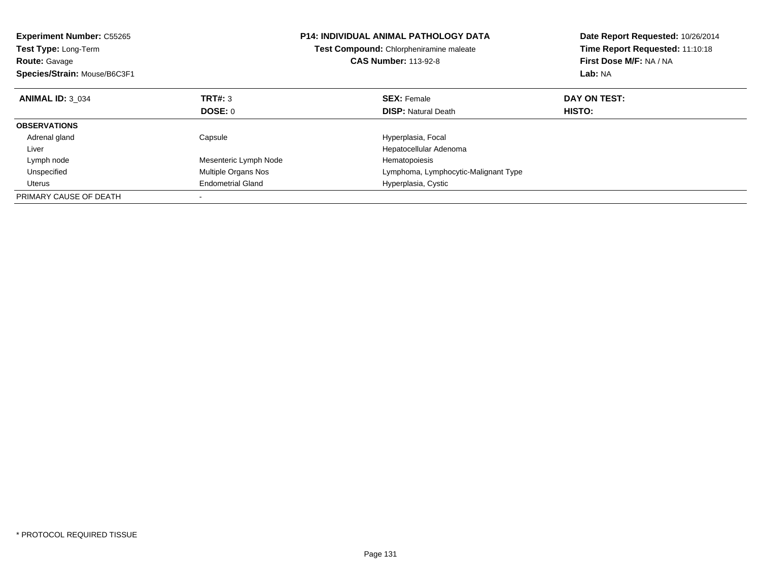| <b>Experiment Number: C55265</b><br><b>Test Type: Long-Term</b><br><b>Route: Gavage</b><br>Species/Strain: Mouse/B6C3F1 |                          | <b>P14: INDIVIDUAL ANIMAL PATHOLOGY DATA</b><br>Test Compound: Chlorpheniramine maleate<br><b>CAS Number: 113-92-8</b> | Date Report Requested: 10/26/2014<br>Time Report Requested: 11:10:18<br>First Dose M/F: NA / NA<br>Lab: NA |
|-------------------------------------------------------------------------------------------------------------------------|--------------------------|------------------------------------------------------------------------------------------------------------------------|------------------------------------------------------------------------------------------------------------|
| <b>ANIMAL ID: 3 034</b>                                                                                                 | TRT#: 3                  | <b>SEX: Female</b>                                                                                                     | DAY ON TEST:                                                                                               |
|                                                                                                                         | DOSE: 0                  | <b>DISP:</b> Natural Death                                                                                             | HISTO:                                                                                                     |
| <b>OBSERVATIONS</b>                                                                                                     |                          |                                                                                                                        |                                                                                                            |
| Adrenal gland                                                                                                           | Capsule                  | Hyperplasia, Focal                                                                                                     |                                                                                                            |
| Liver                                                                                                                   |                          | Hepatocellular Adenoma                                                                                                 |                                                                                                            |
| Lymph node                                                                                                              | Mesenteric Lymph Node    | Hematopoiesis                                                                                                          |                                                                                                            |
| Unspecified                                                                                                             | Multiple Organs Nos      | Lymphoma, Lymphocytic-Malignant Type                                                                                   |                                                                                                            |
| Uterus                                                                                                                  | <b>Endometrial Gland</b> | Hyperplasia, Cystic                                                                                                    |                                                                                                            |
| PRIMARY CAUSE OF DEATH                                                                                                  |                          |                                                                                                                        |                                                                                                            |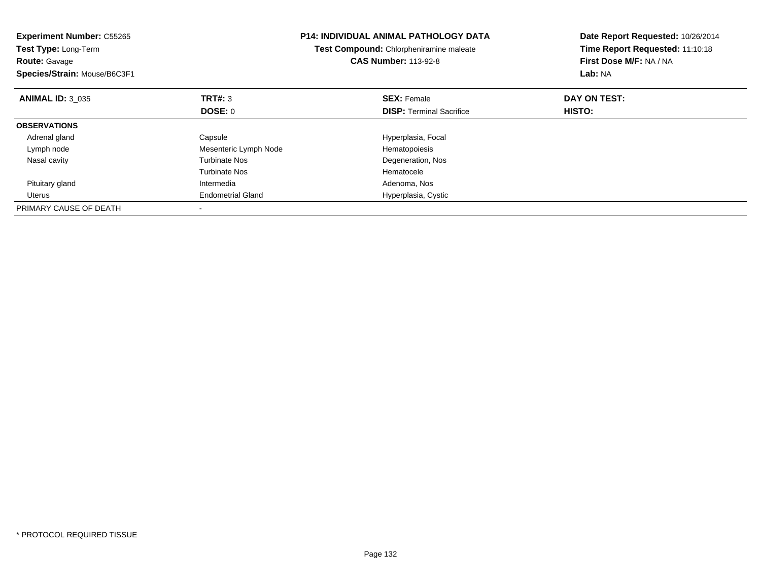| <b>Experiment Number: C55265</b><br>Test Type: Long-Term<br><b>Route: Gavage</b><br>Species/Strain: Mouse/B6C3F1 |                          | <b>P14: INDIVIDUAL ANIMAL PATHOLOGY DATA</b><br>Test Compound: Chlorpheniramine maleate<br><b>CAS Number: 113-92-8</b> | Date Report Requested: 10/26/2014<br>Time Report Requested: 11:10:18<br>First Dose M/F: NA / NA<br>Lab: NA |
|------------------------------------------------------------------------------------------------------------------|--------------------------|------------------------------------------------------------------------------------------------------------------------|------------------------------------------------------------------------------------------------------------|
| <b>ANIMAL ID: 3 035</b>                                                                                          | TRT#: 3                  | <b>SEX: Female</b>                                                                                                     | DAY ON TEST:                                                                                               |
|                                                                                                                  | <b>DOSE: 0</b>           | <b>DISP:</b> Terminal Sacrifice                                                                                        | <b>HISTO:</b>                                                                                              |
| <b>OBSERVATIONS</b>                                                                                              |                          |                                                                                                                        |                                                                                                            |
| Adrenal gland                                                                                                    | Capsule                  | Hyperplasia, Focal                                                                                                     |                                                                                                            |
| Lymph node                                                                                                       | Mesenteric Lymph Node    | Hematopoiesis                                                                                                          |                                                                                                            |
| Nasal cavity                                                                                                     | <b>Turbinate Nos</b>     | Degeneration, Nos                                                                                                      |                                                                                                            |
|                                                                                                                  | <b>Turbinate Nos</b>     | Hematocele                                                                                                             |                                                                                                            |
| Pituitary gland                                                                                                  | Intermedia               | Adenoma, Nos                                                                                                           |                                                                                                            |
| Uterus                                                                                                           | <b>Endometrial Gland</b> | Hyperplasia, Cystic                                                                                                    |                                                                                                            |
| PRIMARY CAUSE OF DEATH                                                                                           |                          |                                                                                                                        |                                                                                                            |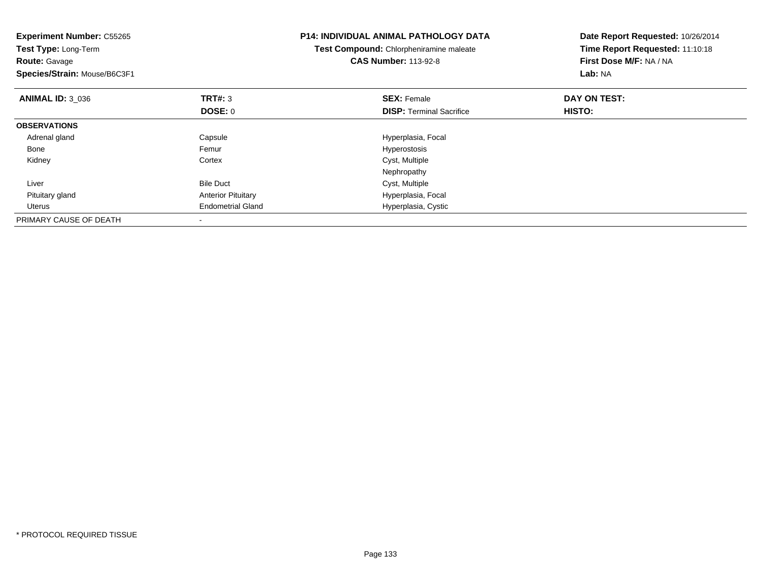| <b>Experiment Number: C55265</b><br>Test Type: Long-Term<br><b>Route: Gavage</b><br>Species/Strain: Mouse/B6C3F1 |                           | <b>P14: INDIVIDUAL ANIMAL PATHOLOGY DATA</b><br>Test Compound: Chlorpheniramine maleate<br><b>CAS Number: 113-92-8</b> | Date Report Requested: 10/26/2014<br>Time Report Requested: 11:10:18<br>First Dose M/F: NA / NA<br>Lab: NA |
|------------------------------------------------------------------------------------------------------------------|---------------------------|------------------------------------------------------------------------------------------------------------------------|------------------------------------------------------------------------------------------------------------|
| <b>ANIMAL ID: 3 036</b>                                                                                          | <b>TRT#: 3</b><br>DOSE: 0 | <b>SEX: Female</b><br><b>DISP:</b> Terminal Sacrifice                                                                  | DAY ON TEST:<br>HISTO:                                                                                     |
| <b>OBSERVATIONS</b>                                                                                              |                           |                                                                                                                        |                                                                                                            |
| Adrenal gland                                                                                                    | Capsule                   | Hyperplasia, Focal                                                                                                     |                                                                                                            |
| Bone                                                                                                             | Femur                     | Hyperostosis                                                                                                           |                                                                                                            |
| Kidney                                                                                                           | Cortex                    | Cyst, Multiple                                                                                                         |                                                                                                            |
|                                                                                                                  |                           | Nephropathy                                                                                                            |                                                                                                            |
| Liver                                                                                                            | <b>Bile Duct</b>          | Cyst, Multiple                                                                                                         |                                                                                                            |
| Pituitary gland                                                                                                  | <b>Anterior Pituitary</b> | Hyperplasia, Focal                                                                                                     |                                                                                                            |
| Uterus                                                                                                           | <b>Endometrial Gland</b>  | Hyperplasia, Cystic                                                                                                    |                                                                                                            |
| PRIMARY CAUSE OF DEATH                                                                                           |                           |                                                                                                                        |                                                                                                            |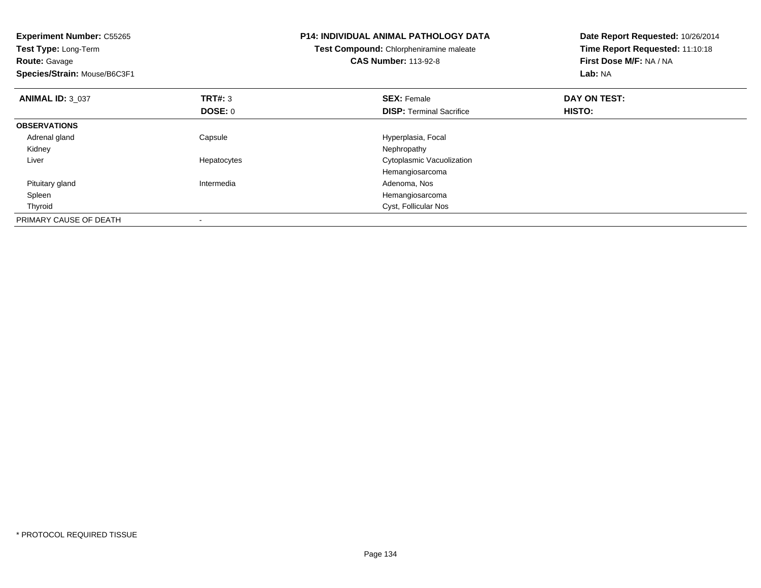| <b>Experiment Number: C55265</b><br>Test Type: Long-Term<br><b>Route: Gavage</b><br>Species/Strain: Mouse/B6C3F1 |             | <b>P14: INDIVIDUAL ANIMAL PATHOLOGY DATA</b><br>Test Compound: Chlorpheniramine maleate<br><b>CAS Number: 113-92-8</b> | Date Report Requested: 10/26/2014<br>Time Report Requested: 11:10:18<br>First Dose M/F: NA / NA<br>Lab: NA |
|------------------------------------------------------------------------------------------------------------------|-------------|------------------------------------------------------------------------------------------------------------------------|------------------------------------------------------------------------------------------------------------|
| <b>ANIMAL ID: 3 037</b>                                                                                          | TRT#: 3     | <b>SEX: Female</b>                                                                                                     | DAY ON TEST:                                                                                               |
|                                                                                                                  | DOSE: 0     | <b>DISP:</b> Terminal Sacrifice                                                                                        | HISTO:                                                                                                     |
| <b>OBSERVATIONS</b>                                                                                              |             |                                                                                                                        |                                                                                                            |
| Adrenal gland                                                                                                    | Capsule     | Hyperplasia, Focal                                                                                                     |                                                                                                            |
| Kidney                                                                                                           |             | Nephropathy                                                                                                            |                                                                                                            |
| Liver                                                                                                            | Hepatocytes | Cytoplasmic Vacuolization                                                                                              |                                                                                                            |
|                                                                                                                  |             | Hemangiosarcoma                                                                                                        |                                                                                                            |
| Pituitary gland                                                                                                  | Intermedia  | Adenoma, Nos                                                                                                           |                                                                                                            |
| Spleen                                                                                                           |             | Hemangiosarcoma                                                                                                        |                                                                                                            |
| Thyroid                                                                                                          |             | Cyst, Follicular Nos                                                                                                   |                                                                                                            |
| PRIMARY CAUSE OF DEATH                                                                                           |             |                                                                                                                        |                                                                                                            |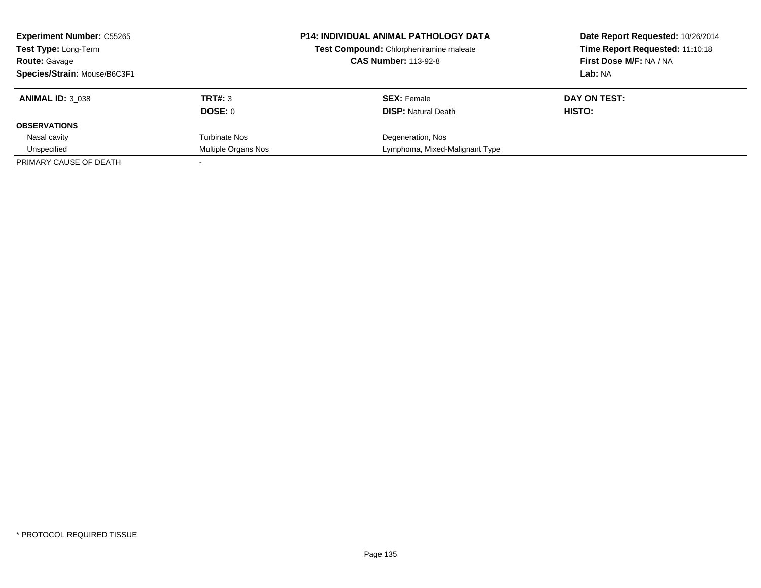| <b>Experiment Number: C55265</b><br><b>Test Type: Long-Term</b> |                     | <b>P14: INDIVIDUAL ANIMAL PATHOLOGY DATA</b><br>Test Compound: Chlorpheniramine maleate<br><b>CAS Number: 113-92-8</b> | Date Report Requested: 10/26/2014<br>Time Report Requested: 11:10:18<br>First Dose M/F: NA / NA |
|-----------------------------------------------------------------|---------------------|------------------------------------------------------------------------------------------------------------------------|-------------------------------------------------------------------------------------------------|
| <b>Route: Gavage</b><br>Species/Strain: Mouse/B6C3F1            |                     |                                                                                                                        | Lab: NA                                                                                         |
|                                                                 |                     |                                                                                                                        |                                                                                                 |
| <b>ANIMAL ID: 3 038</b>                                         | TRT#: 3             | <b>SEX: Female</b>                                                                                                     | DAY ON TEST:                                                                                    |
|                                                                 | DOSE: 0             | <b>DISP:</b> Natural Death                                                                                             | HISTO:                                                                                          |
| <b>OBSERVATIONS</b>                                             |                     |                                                                                                                        |                                                                                                 |
| Nasal cavity                                                    | Turbinate Nos       | Degeneration, Nos                                                                                                      |                                                                                                 |
| Unspecified                                                     | Multiple Organs Nos | Lymphoma, Mixed-Malignant Type                                                                                         |                                                                                                 |
| PRIMARY CAUSE OF DEATH                                          |                     |                                                                                                                        |                                                                                                 |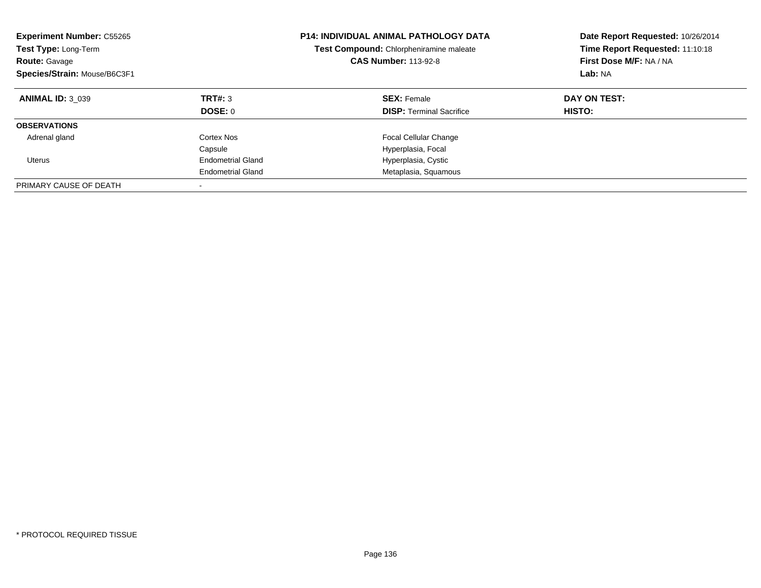| <b>Experiment Number: C55265</b><br>Test Type: Long-Term<br><b>Route: Gavage</b><br>Species/Strain: Mouse/B6C3F1 |                          | <b>P14: INDIVIDUAL ANIMAL PATHOLOGY DATA</b><br>Test Compound: Chlorpheniramine maleate<br><b>CAS Number: 113-92-8</b> | Date Report Requested: 10/26/2014<br>Time Report Requested: 11:10:18<br>First Dose M/F: NA / NA<br>Lab: NA |
|------------------------------------------------------------------------------------------------------------------|--------------------------|------------------------------------------------------------------------------------------------------------------------|------------------------------------------------------------------------------------------------------------|
| <b>ANIMAL ID: 3 039</b>                                                                                          | TRT#: 3                  | <b>SEX: Female</b>                                                                                                     | DAY ON TEST:                                                                                               |
|                                                                                                                  | DOSE: 0                  | <b>DISP:</b> Terminal Sacrifice                                                                                        | HISTO:                                                                                                     |
| <b>OBSERVATIONS</b>                                                                                              |                          |                                                                                                                        |                                                                                                            |
| Adrenal gland                                                                                                    | Cortex Nos               | <b>Focal Cellular Change</b>                                                                                           |                                                                                                            |
|                                                                                                                  | Capsule                  | Hyperplasia, Focal                                                                                                     |                                                                                                            |
| Uterus                                                                                                           | <b>Endometrial Gland</b> | Hyperplasia, Cystic                                                                                                    |                                                                                                            |
|                                                                                                                  | <b>Endometrial Gland</b> | Metaplasia, Squamous                                                                                                   |                                                                                                            |
| PRIMARY CAUSE OF DEATH                                                                                           | $\overline{\phantom{a}}$ |                                                                                                                        |                                                                                                            |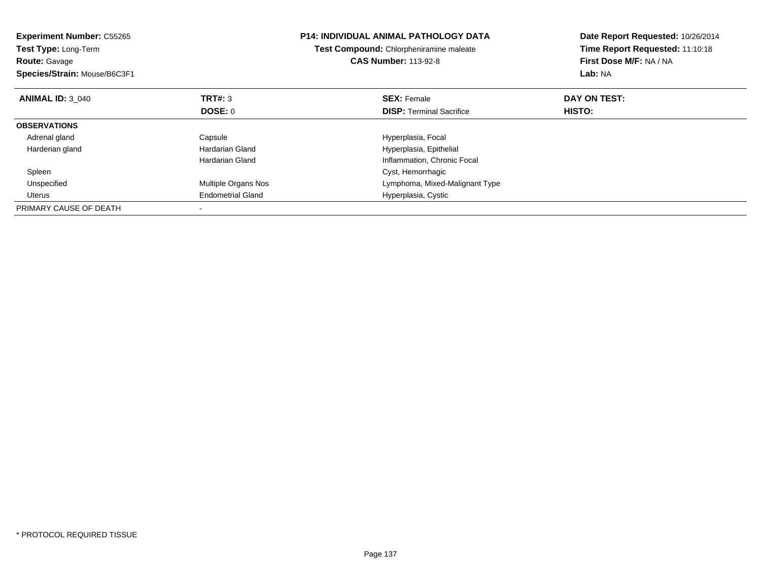| <b>Experiment Number: C55265</b><br><b>Test Type: Long-Term</b><br><b>Route: Gavage</b><br>Species/Strain: Mouse/B6C3F1 |                          | <b>P14: INDIVIDUAL ANIMAL PATHOLOGY DATA</b><br>Test Compound: Chlorpheniramine maleate<br><b>CAS Number: 113-92-8</b> | Date Report Requested: 10/26/2014<br>Time Report Requested: 11:10:18<br>First Dose M/F: NA / NA<br>Lab: NA |
|-------------------------------------------------------------------------------------------------------------------------|--------------------------|------------------------------------------------------------------------------------------------------------------------|------------------------------------------------------------------------------------------------------------|
| <b>ANIMAL ID: 3 040</b>                                                                                                 | TRT#: 3                  | <b>SEX: Female</b>                                                                                                     | DAY ON TEST:                                                                                               |
|                                                                                                                         | <b>DOSE: 0</b>           | <b>DISP:</b> Terminal Sacrifice                                                                                        | HISTO:                                                                                                     |
| <b>OBSERVATIONS</b>                                                                                                     |                          |                                                                                                                        |                                                                                                            |
| Adrenal gland                                                                                                           | Capsule                  | Hyperplasia, Focal                                                                                                     |                                                                                                            |
| Harderian gland                                                                                                         | Hardarian Gland          | Hyperplasia, Epithelial                                                                                                |                                                                                                            |
|                                                                                                                         | Hardarian Gland          | Inflammation, Chronic Focal                                                                                            |                                                                                                            |
| Spleen                                                                                                                  |                          | Cyst, Hemorrhagic                                                                                                      |                                                                                                            |
| Unspecified                                                                                                             | Multiple Organs Nos      | Lymphoma, Mixed-Malignant Type                                                                                         |                                                                                                            |
| Uterus                                                                                                                  | <b>Endometrial Gland</b> | Hyperplasia, Cystic                                                                                                    |                                                                                                            |
| PRIMARY CAUSE OF DEATH                                                                                                  |                          |                                                                                                                        |                                                                                                            |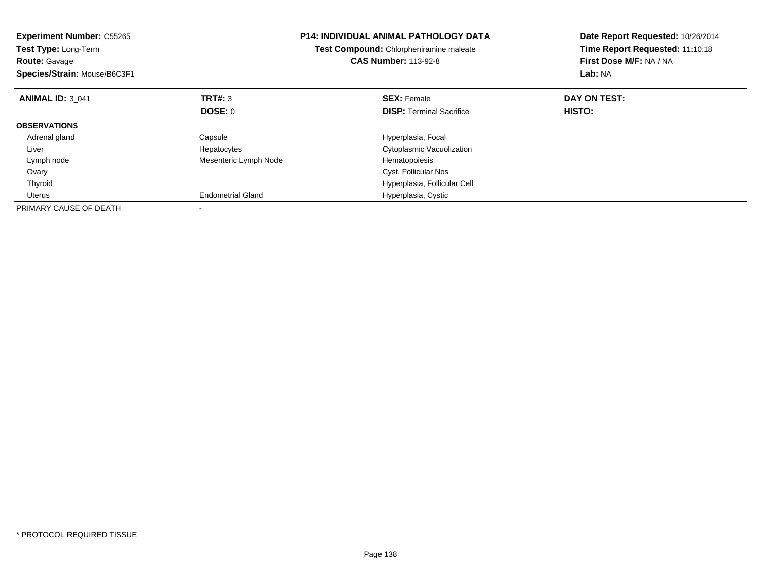| <b>Experiment Number: C55265</b><br>Test Type: Long-Term<br><b>Route: Gavage</b><br>Species/Strain: Mouse/B6C3F1 |                          | <b>P14: INDIVIDUAL ANIMAL PATHOLOGY DATA</b><br>Test Compound: Chlorpheniramine maleate<br><b>CAS Number: 113-92-8</b> | Date Report Requested: 10/26/2014<br>Time Report Requested: 11:10:18<br>First Dose M/F: NA / NA<br>Lab: NA |
|------------------------------------------------------------------------------------------------------------------|--------------------------|------------------------------------------------------------------------------------------------------------------------|------------------------------------------------------------------------------------------------------------|
| <b>ANIMAL ID: 3 041</b>                                                                                          | TRT#: 3                  | <b>SEX: Female</b>                                                                                                     | DAY ON TEST:                                                                                               |
|                                                                                                                  | DOSE: 0                  | <b>DISP:</b> Terminal Sacrifice                                                                                        | HISTO:                                                                                                     |
| <b>OBSERVATIONS</b>                                                                                              |                          |                                                                                                                        |                                                                                                            |
| Adrenal gland                                                                                                    | Capsule                  | Hyperplasia, Focal                                                                                                     |                                                                                                            |
| Liver                                                                                                            | Hepatocytes              | Cytoplasmic Vacuolization                                                                                              |                                                                                                            |
| Lymph node                                                                                                       | Mesenteric Lymph Node    | Hematopoiesis                                                                                                          |                                                                                                            |
| Ovary                                                                                                            |                          | Cyst, Follicular Nos                                                                                                   |                                                                                                            |
| Thyroid                                                                                                          |                          | Hyperplasia, Follicular Cell                                                                                           |                                                                                                            |
| Uterus                                                                                                           | <b>Endometrial Gland</b> | Hyperplasia, Cystic                                                                                                    |                                                                                                            |
| PRIMARY CAUSE OF DEATH                                                                                           |                          |                                                                                                                        |                                                                                                            |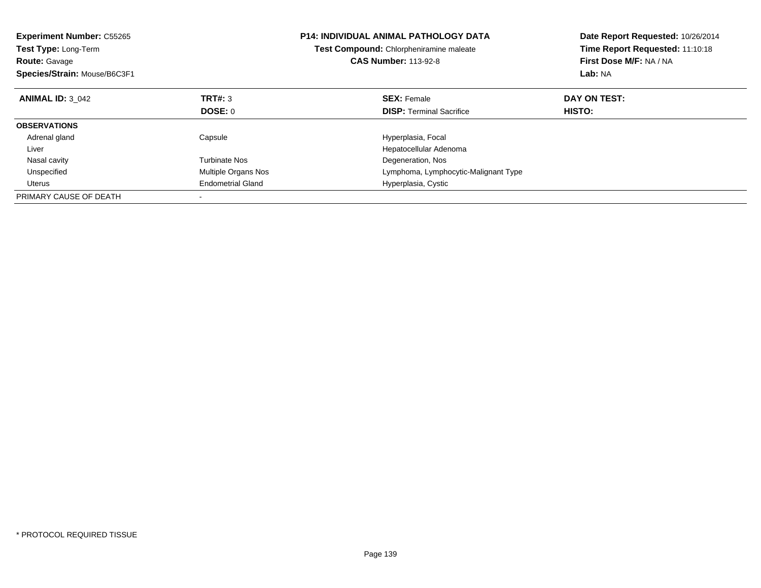| <b>Experiment Number: C55265</b><br>Test Type: Long-Term<br><b>Route: Gavage</b><br>Species/Strain: Mouse/B6C3F1 |                          | <b>P14: INDIVIDUAL ANIMAL PATHOLOGY DATA</b><br>Test Compound: Chlorpheniramine maleate<br><b>CAS Number: 113-92-8</b> | Date Report Requested: 10/26/2014<br>Time Report Requested: 11:10:18<br>First Dose M/F: NA / NA<br>Lab: NA |
|------------------------------------------------------------------------------------------------------------------|--------------------------|------------------------------------------------------------------------------------------------------------------------|------------------------------------------------------------------------------------------------------------|
| <b>ANIMAL ID: 3 042</b>                                                                                          | <b>TRT#: 3</b>           | <b>SEX: Female</b>                                                                                                     | DAY ON TEST:                                                                                               |
|                                                                                                                  | DOSE: 0                  | <b>DISP:</b> Terminal Sacrifice                                                                                        | <b>HISTO:</b>                                                                                              |
| <b>OBSERVATIONS</b>                                                                                              |                          |                                                                                                                        |                                                                                                            |
| Adrenal gland                                                                                                    | Capsule                  | Hyperplasia, Focal                                                                                                     |                                                                                                            |
| Liver                                                                                                            |                          | Hepatocellular Adenoma                                                                                                 |                                                                                                            |
| Nasal cavity                                                                                                     | Turbinate Nos            | Degeneration, Nos                                                                                                      |                                                                                                            |
| Unspecified                                                                                                      | Multiple Organs Nos      | Lymphoma, Lymphocytic-Malignant Type                                                                                   |                                                                                                            |
| Uterus                                                                                                           | <b>Endometrial Gland</b> | Hyperplasia, Cystic                                                                                                    |                                                                                                            |
| PRIMARY CAUSE OF DEATH                                                                                           |                          |                                                                                                                        |                                                                                                            |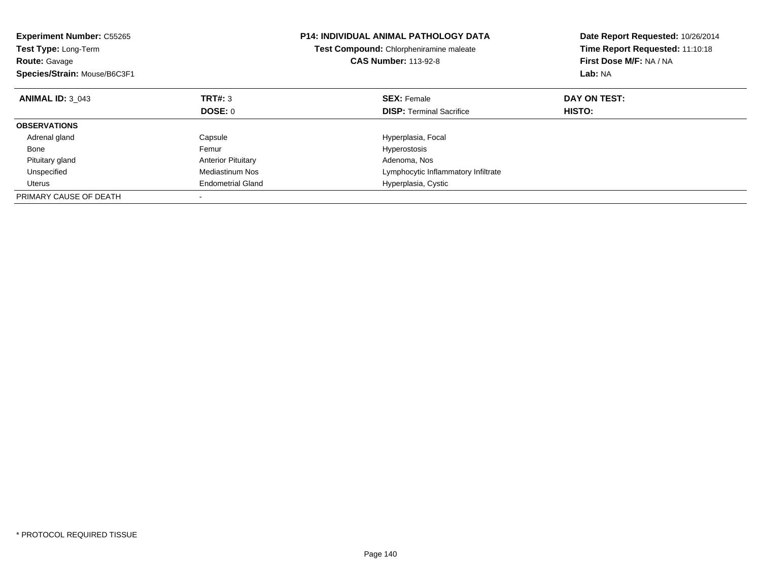| <b>Experiment Number: C55265</b><br>Test Type: Long-Term<br><b>Route: Gavage</b><br>Species/Strain: Mouse/B6C3F1 |                           | <b>P14: INDIVIDUAL ANIMAL PATHOLOGY DATA</b><br>Test Compound: Chlorpheniramine maleate<br><b>CAS Number: 113-92-8</b> | Date Report Requested: 10/26/2014<br>Time Report Requested: 11:10:18<br>First Dose M/F: NA / NA<br>Lab: NA |
|------------------------------------------------------------------------------------------------------------------|---------------------------|------------------------------------------------------------------------------------------------------------------------|------------------------------------------------------------------------------------------------------------|
| <b>ANIMAL ID: 3 043</b>                                                                                          | <b>TRT#: 3</b>            | <b>SEX: Female</b>                                                                                                     | DAY ON TEST:                                                                                               |
|                                                                                                                  | DOSE: 0                   | <b>DISP:</b> Terminal Sacrifice                                                                                        | <b>HISTO:</b>                                                                                              |
| <b>OBSERVATIONS</b>                                                                                              |                           |                                                                                                                        |                                                                                                            |
| Adrenal gland                                                                                                    | Capsule                   | Hyperplasia, Focal                                                                                                     |                                                                                                            |
| Bone                                                                                                             | Femur                     | Hyperostosis                                                                                                           |                                                                                                            |
| Pituitary gland                                                                                                  | <b>Anterior Pituitary</b> | Adenoma, Nos                                                                                                           |                                                                                                            |
| Unspecified                                                                                                      | Mediastinum Nos           | Lymphocytic Inflammatory Infiltrate                                                                                    |                                                                                                            |
| Uterus                                                                                                           | <b>Endometrial Gland</b>  | Hyperplasia, Cystic                                                                                                    |                                                                                                            |
| PRIMARY CAUSE OF DEATH                                                                                           |                           |                                                                                                                        |                                                                                                            |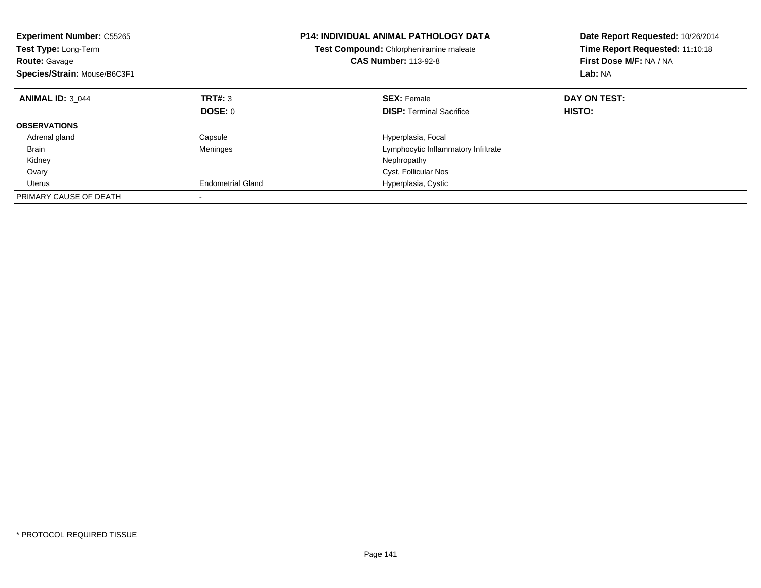| <b>Experiment Number: C55265</b><br><b>Test Type: Long-Term</b><br><b>Route: Gavage</b><br>Species/Strain: Mouse/B6C3F1 |                          | <b>P14: INDIVIDUAL ANIMAL PATHOLOGY DATA</b><br>Test Compound: Chlorpheniramine maleate<br><b>CAS Number: 113-92-8</b> | Date Report Requested: 10/26/2014<br>Time Report Requested: 11:10:18<br>First Dose M/F: NA / NA<br>Lab: NA |
|-------------------------------------------------------------------------------------------------------------------------|--------------------------|------------------------------------------------------------------------------------------------------------------------|------------------------------------------------------------------------------------------------------------|
| <b>ANIMAL ID: 3 044</b>                                                                                                 | TRT#: 3                  | <b>SEX: Female</b>                                                                                                     | DAY ON TEST:                                                                                               |
|                                                                                                                         | DOSE: 0                  | <b>DISP:</b> Terminal Sacrifice                                                                                        | <b>HISTO:</b>                                                                                              |
| <b>OBSERVATIONS</b>                                                                                                     |                          |                                                                                                                        |                                                                                                            |
| Adrenal gland                                                                                                           | Capsule                  | Hyperplasia, Focal                                                                                                     |                                                                                                            |
| <b>Brain</b>                                                                                                            | Meninges                 | Lymphocytic Inflammatory Infiltrate                                                                                    |                                                                                                            |
| Kidney                                                                                                                  |                          | Nephropathy                                                                                                            |                                                                                                            |
| Ovary                                                                                                                   |                          | Cyst, Follicular Nos                                                                                                   |                                                                                                            |
| Uterus                                                                                                                  | <b>Endometrial Gland</b> | Hyperplasia, Cystic                                                                                                    |                                                                                                            |
| PRIMARY CAUSE OF DEATH                                                                                                  |                          |                                                                                                                        |                                                                                                            |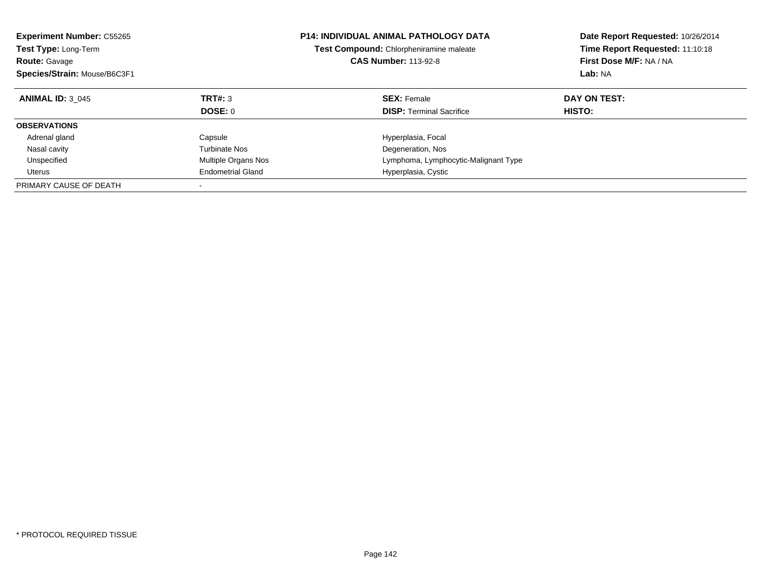| <b>Experiment Number: C55265</b><br><b>Test Type: Long-Term</b><br><b>Route: Gavage</b><br>Species/Strain: Mouse/B6C3F1 |                           | <b>P14: INDIVIDUAL ANIMAL PATHOLOGY DATA</b><br>Test Compound: Chlorpheniramine maleate<br><b>CAS Number: 113-92-8</b> | Date Report Requested: 10/26/2014<br>Time Report Requested: 11:10:18<br>First Dose M/F: NA / NA<br>Lab: NA |
|-------------------------------------------------------------------------------------------------------------------------|---------------------------|------------------------------------------------------------------------------------------------------------------------|------------------------------------------------------------------------------------------------------------|
| <b>ANIMAL ID: 3 045</b>                                                                                                 | TRT#: 3<br><b>DOSE: 0</b> | <b>SEX: Female</b><br><b>DISP:</b> Terminal Sacrifice                                                                  | DAY ON TEST:<br><b>HISTO:</b>                                                                              |
| <b>OBSERVATIONS</b>                                                                                                     |                           |                                                                                                                        |                                                                                                            |
|                                                                                                                         |                           |                                                                                                                        |                                                                                                            |
| Adrenal gland                                                                                                           | Capsule                   | Hyperplasia, Focal                                                                                                     |                                                                                                            |
| Nasal cavity                                                                                                            | Turbinate Nos             | Degeneration, Nos                                                                                                      |                                                                                                            |
| Unspecified                                                                                                             | Multiple Organs Nos       | Lymphoma, Lymphocytic-Malignant Type                                                                                   |                                                                                                            |
| Uterus                                                                                                                  | <b>Endometrial Gland</b>  | Hyperplasia, Cystic                                                                                                    |                                                                                                            |
| PRIMARY CAUSE OF DEATH                                                                                                  |                           |                                                                                                                        |                                                                                                            |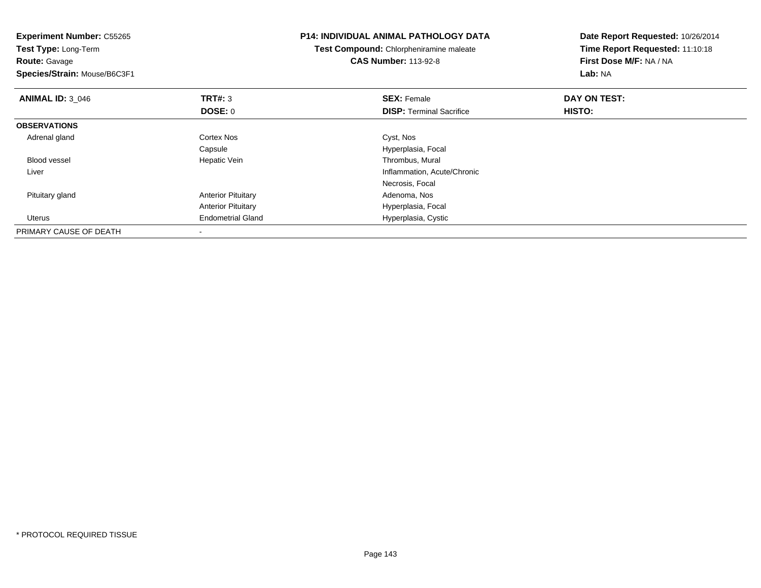| <b>Experiment Number: C55265</b>             | <b>P14: INDIVIDUAL ANIMAL PATHOLOGY DATA</b> |                                                                        | Date Report Requested: 10/26/2014                          |
|----------------------------------------------|----------------------------------------------|------------------------------------------------------------------------|------------------------------------------------------------|
| Test Type: Long-Term<br><b>Route: Gavage</b> |                                              | Test Compound: Chlorpheniramine maleate<br><b>CAS Number: 113-92-8</b> | Time Report Requested: 11:10:18<br>First Dose M/F: NA / NA |
| Species/Strain: Mouse/B6C3F1                 |                                              |                                                                        | Lab: NA                                                    |
| <b>ANIMAL ID: 3 046</b>                      | TRT#: 3                                      | <b>SEX: Female</b>                                                     | DAY ON TEST:                                               |
|                                              | DOSE: 0                                      | <b>DISP:</b> Terminal Sacrifice                                        | <b>HISTO:</b>                                              |
| <b>OBSERVATIONS</b>                          |                                              |                                                                        |                                                            |
| Adrenal gland                                | Cortex Nos                                   | Cyst, Nos                                                              |                                                            |
|                                              | Capsule                                      | Hyperplasia, Focal                                                     |                                                            |
| <b>Blood vessel</b>                          | Hepatic Vein                                 | Thrombus, Mural                                                        |                                                            |
| Liver                                        |                                              | Inflammation, Acute/Chronic                                            |                                                            |
|                                              |                                              | Necrosis, Focal                                                        |                                                            |
| Pituitary gland                              | <b>Anterior Pituitary</b>                    | Adenoma, Nos                                                           |                                                            |
|                                              | <b>Anterior Pituitary</b>                    | Hyperplasia, Focal                                                     |                                                            |
| Uterus                                       | <b>Endometrial Gland</b>                     | Hyperplasia, Cystic                                                    |                                                            |
| PRIMARY CAUSE OF DEATH                       |                                              |                                                                        |                                                            |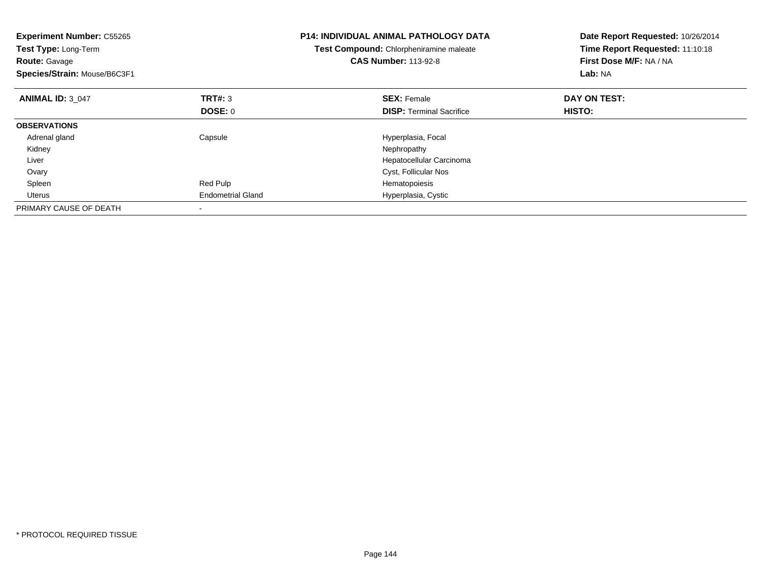| <b>Experiment Number: C55265</b><br>Test Type: Long-Term<br><b>Route: Gavage</b><br>Species/Strain: Mouse/B6C3F1 |                          | <b>P14: INDIVIDUAL ANIMAL PATHOLOGY DATA</b><br>Test Compound: Chlorpheniramine maleate<br><b>CAS Number: 113-92-8</b> | Date Report Requested: 10/26/2014<br>Time Report Requested: 11:10:18<br>First Dose M/F: NA / NA<br>Lab: NA |
|------------------------------------------------------------------------------------------------------------------|--------------------------|------------------------------------------------------------------------------------------------------------------------|------------------------------------------------------------------------------------------------------------|
| <b>ANIMAL ID: 3 047</b>                                                                                          | TRT#: 3                  | <b>SEX: Female</b>                                                                                                     | DAY ON TEST:                                                                                               |
|                                                                                                                  | <b>DOSE: 0</b>           | <b>DISP:</b> Terminal Sacrifice                                                                                        | <b>HISTO:</b>                                                                                              |
| <b>OBSERVATIONS</b>                                                                                              |                          |                                                                                                                        |                                                                                                            |
| Adrenal gland                                                                                                    | Capsule                  | Hyperplasia, Focal                                                                                                     |                                                                                                            |
| Kidney                                                                                                           |                          | Nephropathy                                                                                                            |                                                                                                            |
| Liver                                                                                                            |                          | Hepatocellular Carcinoma                                                                                               |                                                                                                            |
| Ovary                                                                                                            |                          | Cyst, Follicular Nos                                                                                                   |                                                                                                            |
| Spleen                                                                                                           | Red Pulp                 | Hematopoiesis                                                                                                          |                                                                                                            |
| Uterus                                                                                                           | <b>Endometrial Gland</b> | Hyperplasia, Cystic                                                                                                    |                                                                                                            |
| PRIMARY CAUSE OF DEATH                                                                                           |                          |                                                                                                                        |                                                                                                            |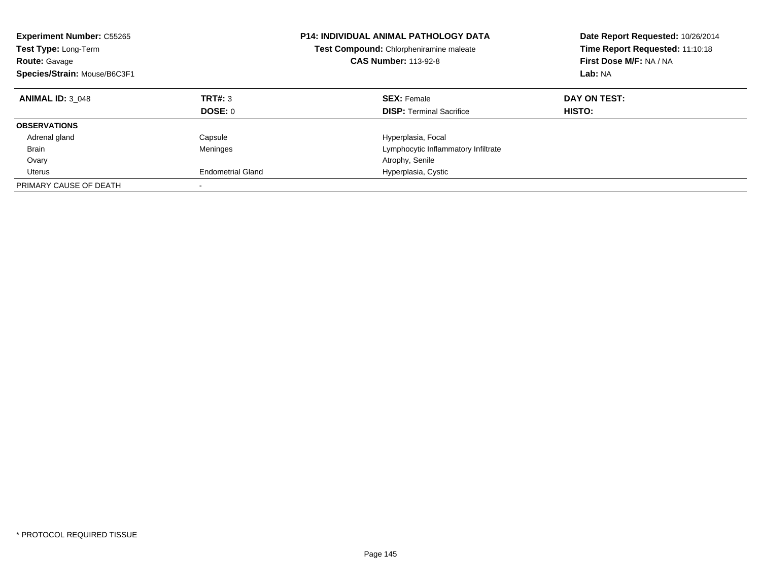| <b>Experiment Number: C55265</b><br><b>Test Type: Long-Term</b><br><b>Route: Gavage</b><br>Species/Strain: Mouse/B6C3F1 |                          | <b>P14: INDIVIDUAL ANIMAL PATHOLOGY DATA</b><br>Test Compound: Chlorpheniramine maleate<br><b>CAS Number: 113-92-8</b> | Date Report Requested: 10/26/2014<br>Time Report Requested: 11:10:18<br>First Dose M/F: NA / NA<br>Lab: NA |
|-------------------------------------------------------------------------------------------------------------------------|--------------------------|------------------------------------------------------------------------------------------------------------------------|------------------------------------------------------------------------------------------------------------|
| <b>ANIMAL ID: 3 048</b>                                                                                                 | TRT#: 3                  | <b>SEX: Female</b>                                                                                                     | DAY ON TEST:                                                                                               |
|                                                                                                                         | DOSE: 0                  | <b>DISP:</b> Terminal Sacrifice                                                                                        | HISTO:                                                                                                     |
| <b>OBSERVATIONS</b>                                                                                                     |                          |                                                                                                                        |                                                                                                            |
| Adrenal gland                                                                                                           | Capsule                  | Hyperplasia, Focal                                                                                                     |                                                                                                            |
| Brain                                                                                                                   | Meninges                 | Lymphocytic Inflammatory Infiltrate                                                                                    |                                                                                                            |
| Ovary                                                                                                                   |                          | Atrophy, Senile                                                                                                        |                                                                                                            |
| Uterus                                                                                                                  | <b>Endometrial Gland</b> | Hyperplasia, Cystic                                                                                                    |                                                                                                            |
| PRIMARY CAUSE OF DEATH                                                                                                  |                          |                                                                                                                        |                                                                                                            |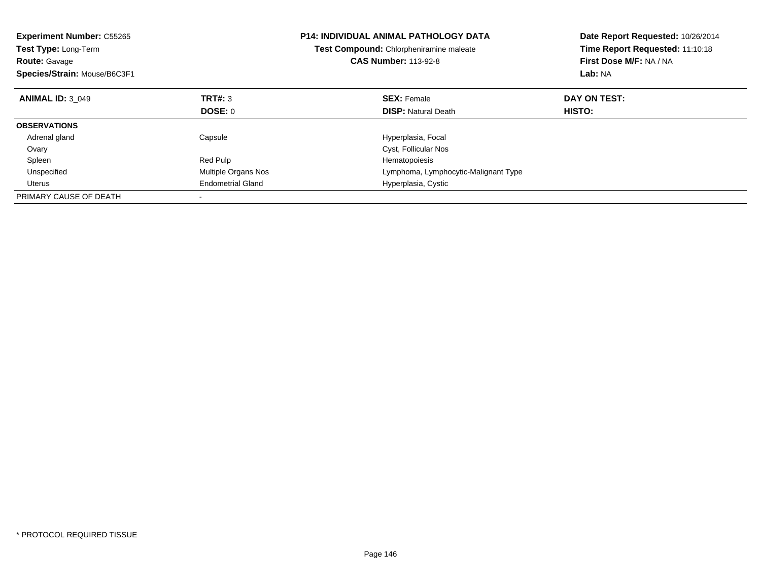| <b>Experiment Number: C55265</b><br><b>Test Type: Long-Term</b><br><b>Route: Gavage</b><br>Species/Strain: Mouse/B6C3F1 |                          | <b>P14: INDIVIDUAL ANIMAL PATHOLOGY DATA</b><br>Test Compound: Chlorpheniramine maleate<br><b>CAS Number: 113-92-8</b> | Date Report Requested: 10/26/2014<br>Time Report Requested: 11:10:18<br>First Dose M/F: NA / NA<br>Lab: NA |
|-------------------------------------------------------------------------------------------------------------------------|--------------------------|------------------------------------------------------------------------------------------------------------------------|------------------------------------------------------------------------------------------------------------|
| <b>ANIMAL ID: 3 049</b>                                                                                                 | <b>TRT#: 3</b>           | <b>SEX: Female</b>                                                                                                     | DAY ON TEST:                                                                                               |
|                                                                                                                         | DOSE: 0                  | <b>DISP: Natural Death</b>                                                                                             | HISTO:                                                                                                     |
| <b>OBSERVATIONS</b>                                                                                                     |                          |                                                                                                                        |                                                                                                            |
| Adrenal gland                                                                                                           | Capsule                  | Hyperplasia, Focal                                                                                                     |                                                                                                            |
| Ovary                                                                                                                   |                          | Cyst, Follicular Nos                                                                                                   |                                                                                                            |
| Spleen                                                                                                                  | Red Pulp                 | Hematopoiesis                                                                                                          |                                                                                                            |
| Unspecified                                                                                                             | Multiple Organs Nos      | Lymphoma, Lymphocytic-Malignant Type                                                                                   |                                                                                                            |
| Uterus                                                                                                                  | <b>Endometrial Gland</b> | Hyperplasia, Cystic                                                                                                    |                                                                                                            |
| PRIMARY CAUSE OF DEATH                                                                                                  |                          |                                                                                                                        |                                                                                                            |